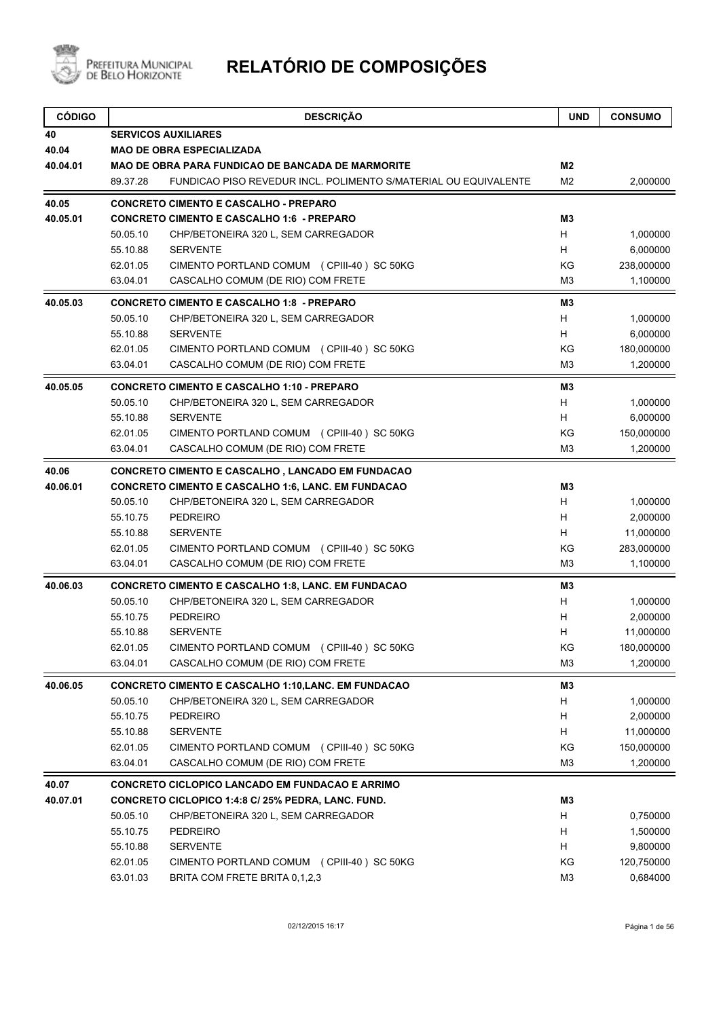

| <b>CÓDIGO</b> |          | <b>DESCRIÇÃO</b>                                                | <b>UND</b>     | <b>CONSUMO</b> |
|---------------|----------|-----------------------------------------------------------------|----------------|----------------|
| 40            |          | <b>SERVICOS AUXILIARES</b>                                      |                |                |
| 40.04         |          | <b>MAO DE OBRA ESPECIALIZADA</b>                                |                |                |
| 40.04.01      |          | <b>MAO DE OBRA PARA FUNDICAO DE BANCADA DE MARMORITE</b>        | M2             |                |
|               | 89.37.28 | FUNDICAO PISO REVEDUR INCL. POLIMENTO S/MATERIAL OU EQUIVALENTE | M <sub>2</sub> | 2,000000       |
| 40.05         |          | <b>CONCRETO CIMENTO E CASCALHO - PREPARO</b>                    |                |                |
| 40.05.01      |          | <b>CONCRETO CIMENTO E CASCALHO 1:6 - PREPARO</b>                | M3             |                |
|               | 50.05.10 | CHP/BETONEIRA 320 L, SEM CARREGADOR                             | H              | 1,000000       |
|               | 55.10.88 | <b>SERVENTE</b>                                                 | H              | 6,000000       |
|               | 62.01.05 | CIMENTO PORTLAND COMUM (CPIII-40) SC 50KG                       | KG             | 238,000000     |
|               | 63.04.01 | CASCALHO COMUM (DE RIO) COM FRETE                               | M <sub>3</sub> | 1,100000       |
| 40.05.03      |          | <b>CONCRETO CIMENTO E CASCALHO 1:8 - PREPARO</b>                | M3             |                |
|               | 50.05.10 | CHP/BETONEIRA 320 L, SEM CARREGADOR                             | H              | 1,000000       |
|               | 55.10.88 | <b>SERVENTE</b>                                                 | H              | 6,000000       |
|               | 62.01.05 | CIMENTO PORTLAND COMUM (CPIII-40) SC 50KG                       | ΚG             | 180,000000     |
|               | 63.04.01 | CASCALHO COMUM (DE RIO) COM FRETE                               | M <sub>3</sub> | 1,200000       |
| 40.05.05      |          | <b>CONCRETO CIMENTO E CASCALHO 1:10 - PREPARO</b>               | M3             |                |
|               | 50.05.10 | CHP/BETONEIRA 320 L, SEM CARREGADOR                             | H              | 1,000000       |
|               | 55.10.88 | <b>SERVENTE</b>                                                 | H              | 6,000000       |
|               | 62.01.05 | CIMENTO PORTLAND COMUM (CPIII-40) SC 50KG                       | KG             | 150,000000     |
|               | 63.04.01 | CASCALHO COMUM (DE RIO) COM FRETE                               | M <sub>3</sub> | 1,200000       |
| 40.06         |          | <b>CONCRETO CIMENTO E CASCALHO, LANCADO EM FUNDACAO</b>         |                |                |
| 40.06.01      |          | <b>CONCRETO CIMENTO E CASCALHO 1:6, LANC. EM FUNDACAO</b>       | M3             |                |
|               | 50.05.10 | CHP/BETONEIRA 320 L, SEM CARREGADOR                             | H              | 1,000000       |
|               | 55.10.75 | <b>PEDREIRO</b>                                                 | H              | 2,000000       |
|               | 55.10.88 | <b>SERVENTE</b>                                                 | H              | 11,000000      |
|               | 62.01.05 | CIMENTO PORTLAND COMUM (CPIII-40) SC 50KG                       | KG             | 283,000000     |
|               | 63.04.01 | CASCALHO COMUM (DE RIO) COM FRETE                               | M <sub>3</sub> | 1,100000       |
| 40.06.03      |          | <b>CONCRETO CIMENTO E CASCALHO 1:8, LANC. EM FUNDACAO</b>       | M3             |                |
|               | 50.05.10 | CHP/BETONEIRA 320 L, SEM CARREGADOR                             | H              | 1,000000       |
|               | 55.10.75 | <b>PEDREIRO</b>                                                 | н              | 2,000000       |
|               | 55.10.88 | <b>SERVENTE</b>                                                 | н              | 11,000000      |
|               | 62.01.05 | CIMENTO PORTLAND COMUM (CPIII-40) SC 50KG                       | KG             | 180,000000     |
|               | 63.04.01 | CASCALHO COMUM (DE RIO) COM FRETE                               | M3             | 1,200000       |
| 40.06.05      |          | <b>CONCRETO CIMENTO E CASCALHO 1:10, LANC. EM FUNDACAO</b>      | M3             |                |
|               | 50.05.10 | CHP/BETONEIRA 320 L, SEM CARREGADOR                             | H              | 1,000000       |
|               | 55.10.75 | PEDREIRO                                                        | H              | 2,000000       |
|               | 55.10.88 | <b>SERVENTE</b>                                                 | H              | 11,000000      |
|               | 62.01.05 | CIMENTO PORTLAND COMUM (CPIII-40) SC 50KG                       | KG             | 150,000000     |
|               | 63.04.01 | CASCALHO COMUM (DE RIO) COM FRETE                               | M <sub>3</sub> | 1,200000       |
| 40.07         |          | CONCRETO CICLOPICO LANCADO EM FUNDACAO E ARRIMO                 |                |                |
| 40.07.01      |          | CONCRETO CICLOPICO 1:4:8 C/ 25% PEDRA, LANC. FUND.              | M3             |                |
|               | 50.05.10 | CHP/BETONEIRA 320 L, SEM CARREGADOR                             | H              | 0,750000       |
|               | 55.10.75 | <b>PEDREIRO</b>                                                 | H              | 1,500000       |
|               | 55.10.88 | <b>SERVENTE</b>                                                 | H              | 9,800000       |
|               | 62.01.05 | CIMENTO PORTLAND COMUM (CPIII-40) SC 50KG                       | KG             | 120,750000     |
|               | 63.01.03 | BRITA COM FRETE BRITA 0,1,2,3                                   | M <sub>3</sub> | 0,684000       |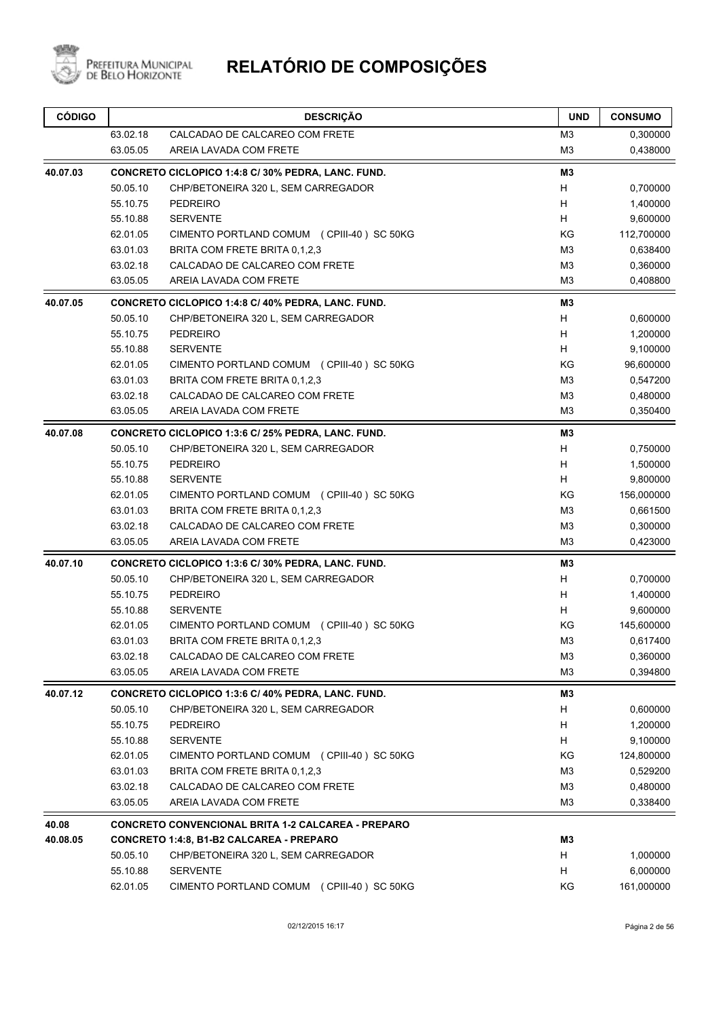

| <b>CÓDIGO</b> |          | <b>DESCRIÇÃO</b>                                          | <b>UND</b>     | <b>CONSUMO</b> |
|---------------|----------|-----------------------------------------------------------|----------------|----------------|
|               | 63.02.18 | CALCADAO DE CALCAREO COM FRETE                            | M <sub>3</sub> | 0,300000       |
|               | 63.05.05 | AREIA LAVADA COM FRETE                                    | M <sub>3</sub> | 0,438000       |
| 40.07.03      |          | CONCRETO CICLOPICO 1:4:8 C/ 30% PEDRA, LANC. FUND.        | M3             |                |
|               | 50.05.10 | CHP/BETONEIRA 320 L, SEM CARREGADOR                       | н              | 0,700000       |
|               | 55.10.75 | <b>PEDREIRO</b>                                           | H              | 1,400000       |
|               | 55.10.88 | <b>SERVENTE</b>                                           | H.             | 9,600000       |
|               | 62.01.05 | CIMENTO PORTLAND COMUM (CPIII-40) SC 50KG                 | KG             | 112,700000     |
|               | 63.01.03 | BRITA COM FRETE BRITA 0.1.2.3                             | M <sub>3</sub> | 0,638400       |
|               | 63.02.18 | CALCADAO DE CALCAREO COM FRETE                            | M <sub>3</sub> | 0,360000       |
|               | 63.05.05 | AREIA LAVADA COM FRETE                                    | M <sub>3</sub> | 0,408800       |
| 40.07.05      |          | CONCRETO CICLOPICO 1:4:8 C/ 40% PEDRA, LANC. FUND.        | M <sub>3</sub> |                |
|               | 50.05.10 | CHP/BETONEIRA 320 L, SEM CARREGADOR                       | H.             | 0,600000       |
|               | 55.10.75 | <b>PEDREIRO</b>                                           | H              | 1,200000       |
|               | 55.10.88 | <b>SERVENTE</b>                                           | H.             | 9,100000       |
|               | 62.01.05 | CIMENTO PORTLAND COMUM (CPIII-40) SC 50KG                 | KG             | 96,600000      |
|               | 63.01.03 | BRITA COM FRETE BRITA 0.1.2.3                             | M <sub>3</sub> | 0,547200       |
|               | 63.02.18 | CALCADAO DE CALCAREO COM FRETE                            | M <sub>3</sub> | 0,480000       |
|               | 63.05.05 | AREIA LAVADA COM FRETE                                    | M <sub>3</sub> | 0,350400       |
| 40.07.08      |          | CONCRETO CICLOPICO 1:3:6 C/ 25% PEDRA, LANC. FUND.        | M <sub>3</sub> |                |
|               | 50.05.10 | CHP/BETONEIRA 320 L, SEM CARREGADOR                       | H.             | 0,750000       |
|               | 55.10.75 | <b>PEDREIRO</b>                                           | H              | 1,500000       |
|               | 55.10.88 | <b>SERVENTE</b>                                           | H.             | 9,800000       |
|               | 62.01.05 | CIMENTO PORTLAND COMUM (CPIII-40) SC 50KG                 | KG             | 156,000000     |
|               | 63.01.03 | BRITA COM FRETE BRITA 0,1,2,3                             | M <sub>3</sub> | 0,661500       |
|               | 63.02.18 | CALCADAO DE CALCAREO COM FRETE                            | M <sub>3</sub> | 0,300000       |
|               | 63.05.05 | AREIA LAVADA COM FRETE                                    | M <sub>3</sub> | 0,423000       |
| 40.07.10      |          | CONCRETO CICLOPICO 1:3:6 C/ 30% PEDRA, LANC. FUND.        | M <sub>3</sub> |                |
|               | 50.05.10 | CHP/BETONEIRA 320 L, SEM CARREGADOR                       | H              | 0,700000       |
|               | 55.10.75 | <b>PEDREIRO</b>                                           | H              | 1,400000       |
|               | 55.10.88 | <b>SERVENTE</b>                                           | H              | 9,600000       |
|               | 62.01.05 | CIMENTO PORTLAND COMUM (CPIII-40) SC 50KG                 | KG             | 145,600000     |
|               | 63.01.03 | BRITA COM FRETE BRITA 0.1.2.3                             | M <sub>3</sub> | 0,617400       |
|               | 63.02.18 | CALCADAO DE CALCAREO COM FRETE                            | M <sub>3</sub> | 0,360000       |
|               | 63.05.05 | AREIA LAVADA COM FRETE                                    | M <sub>3</sub> | 0,394800       |
| 40.07.12      |          | CONCRETO CICLOPICO 1:3:6 C/ 40% PEDRA, LANC. FUND.        | M3             |                |
|               | 50.05.10 | CHP/BETONEIRA 320 L, SEM CARREGADOR                       | н              | 0,600000       |
|               | 55.10.75 | <b>PEDREIRO</b>                                           | н              | 1,200000       |
|               | 55.10.88 | <b>SERVENTE</b>                                           | H              | 9,100000       |
|               | 62.01.05 | CIMENTO PORTLAND COMUM (CPIII-40) SC 50KG                 | ΚG             | 124,800000     |
|               | 63.01.03 | BRITA COM FRETE BRITA 0.1.2.3                             | M3             | 0,529200       |
|               | 63.02.18 | CALCADAO DE CALCAREO COM FRETE                            | M3             | 0,480000       |
|               | 63.05.05 | AREIA LAVADA COM FRETE                                    | M3             | 0,338400       |
| 40.08         |          | <b>CONCRETO CONVENCIONAL BRITA 1-2 CALCAREA - PREPARO</b> |                |                |
| 40.08.05      |          | CONCRETO 1:4:8, B1-B2 CALCAREA - PREPARO                  | M3             |                |
|               | 50.05.10 | CHP/BETONEIRA 320 L, SEM CARREGADOR                       | H              | 1,000000       |
|               | 55.10.88 | <b>SERVENTE</b>                                           | н              | 6,000000       |
|               | 62.01.05 | CIMENTO PORTLAND COMUM (CPIII-40) SC 50KG                 | ΚG             | 161,000000     |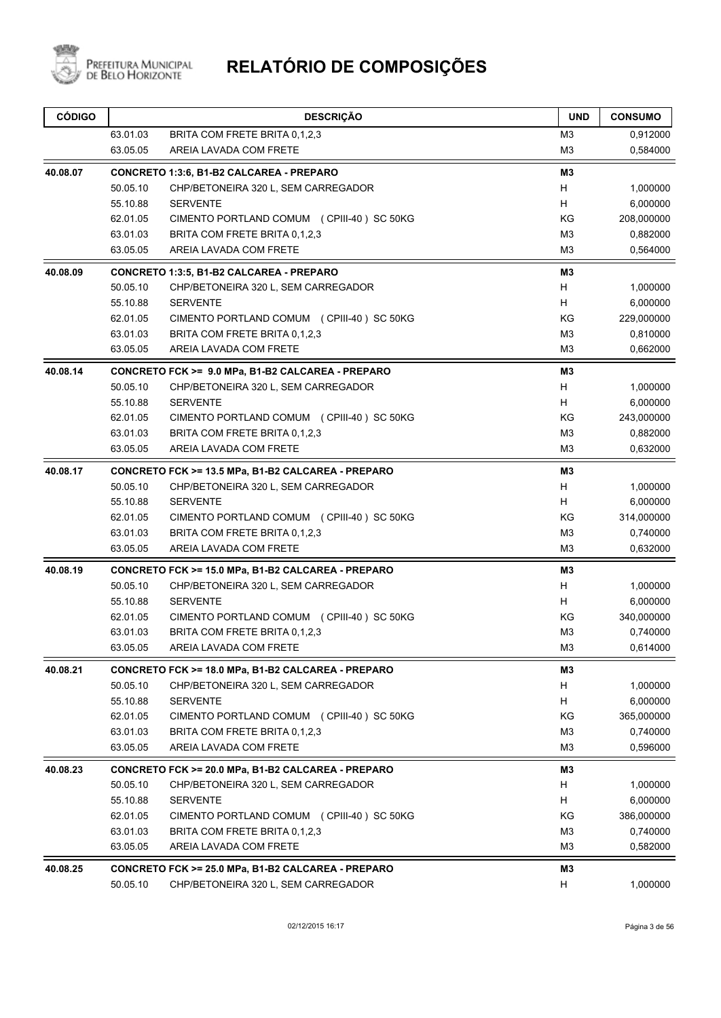

| <b>CÓDIGO</b> |          | <b>DESCRIÇÃO</b>                                   | <b>UND</b>     | <b>CONSUMO</b> |
|---------------|----------|----------------------------------------------------|----------------|----------------|
|               | 63.01.03 | BRITA COM FRETE BRITA 0,1,2,3                      | M <sub>3</sub> | 0,912000       |
|               | 63.05.05 | AREIA LAVADA COM FRETE                             | M <sub>3</sub> | 0,584000       |
| 40.08.07      |          | CONCRETO 1:3:6, B1-B2 CALCAREA - PREPARO           | M3             |                |
|               | 50.05.10 | CHP/BETONEIRA 320 L, SEM CARREGADOR                | H              | 1,000000       |
|               | 55.10.88 | <b>SERVENTE</b>                                    | H              | 6,000000       |
|               | 62.01.05 | CIMENTO PORTLAND COMUM (CPIII-40) SC 50KG          | ΚG             | 208,000000     |
|               | 63.01.03 | BRITA COM FRETE BRITA 0,1,2,3                      | M <sub>3</sub> | 0,882000       |
|               | 63.05.05 | AREIA LAVADA COM FRETE                             | M <sub>3</sub> | 0,564000       |
| 40.08.09      |          | CONCRETO 1:3:5, B1-B2 CALCAREA - PREPARO           | M3             |                |
|               | 50.05.10 | CHP/BETONEIRA 320 L, SEM CARREGADOR                | H              | 1,000000       |
|               | 55.10.88 | <b>SERVENTE</b>                                    | H              | 6,000000       |
|               | 62.01.05 | CIMENTO PORTLAND COMUM (CPIII-40) SC 50KG          | ΚG             | 229,000000     |
|               | 63.01.03 | BRITA COM FRETE BRITA 0,1,2,3                      | M <sub>3</sub> | 0,810000       |
|               | 63.05.05 | AREIA LAVADA COM FRETE                             | M <sub>3</sub> | 0,662000       |
| 40.08.14      |          | CONCRETO FCK >= 9.0 MPa, B1-B2 CALCAREA - PREPARO  | M <sub>3</sub> |                |
|               | 50.05.10 | CHP/BETONEIRA 320 L, SEM CARREGADOR                | H              | 1,000000       |
|               | 55.10.88 | <b>SERVENTE</b>                                    | H              | 6,000000       |
|               | 62.01.05 | CIMENTO PORTLAND COMUM (CPIII-40) SC 50KG          | KG             | 243,000000     |
|               | 63.01.03 | BRITA COM FRETE BRITA 0,1,2,3                      | M <sub>3</sub> | 0,882000       |
|               | 63.05.05 | AREIA LAVADA COM FRETE                             | M <sub>3</sub> | 0,632000       |
| 40.08.17      |          | CONCRETO FCK >= 13.5 MPa, B1-B2 CALCAREA - PREPARO | M3             |                |
|               | 50.05.10 | CHP/BETONEIRA 320 L, SEM CARREGADOR                | H              | 1,000000       |
|               | 55.10.88 | <b>SERVENTE</b>                                    | н              | 6,000000       |
|               | 62.01.05 | CIMENTO PORTLAND COMUM (CPIII-40) SC 50KG          | ΚG             | 314,000000     |
|               | 63.01.03 | BRITA COM FRETE BRITA 0,1,2,3                      | M3             | 0,740000       |
|               | 63.05.05 | AREIA LAVADA COM FRETE                             | M <sub>3</sub> | 0,632000       |
| 40.08.19      |          | CONCRETO FCK >= 15.0 MPa, B1-B2 CALCAREA - PREPARO | M3             |                |
|               | 50.05.10 | CHP/BETONEIRA 320 L, SEM CARREGADOR                | H              | 1,000000       |
|               | 55.10.88 | <b>SERVENTE</b>                                    | H              | 6,000000       |
|               | 62.01.05 | CIMENTO PORTLAND COMUM (CPIII-40) SC 50KG          | ΚG             | 340,000000     |
|               | 63.01.03 | BRITA COM FRETE BRITA 0.1.2.3                      | M <sub>3</sub> | 0,740000       |
|               | 63.05.05 | AREIA LAVADA COM FRETE                             | M <sub>3</sub> | 0,614000       |
| 40.08.21      |          | CONCRETO FCK >= 18.0 MPa, B1-B2 CALCAREA - PREPARO | M3             |                |
|               | 50.05.10 | CHP/BETONEIRA 320 L, SEM CARREGADOR                | H              | 1,000000       |
|               | 55.10.88 | <b>SERVENTE</b>                                    | H              | 6,000000       |
|               | 62.01.05 | CIMENTO PORTLAND COMUM (CPIII-40) SC 50KG          | KG             | 365,000000     |
|               | 63.01.03 | BRITA COM FRETE BRITA 0,1,2,3                      | M3             | 0,740000       |
|               | 63.05.05 | AREIA LAVADA COM FRETE                             | M <sub>3</sub> | 0,596000       |
| 40.08.23      |          | CONCRETO FCK >= 20.0 MPa, B1-B2 CALCAREA - PREPARO | M3             |                |
|               | 50.05.10 | CHP/BETONEIRA 320 L, SEM CARREGADOR                | H              | 1,000000       |
|               | 55.10.88 | <b>SERVENTE</b>                                    | H              | 6,000000       |
|               | 62.01.05 | CIMENTO PORTLAND COMUM (CPIII-40) SC 50KG          | KG             | 386,000000     |
|               | 63.01.03 | BRITA COM FRETE BRITA 0,1,2,3                      | M <sub>3</sub> | 0,740000       |
|               | 63.05.05 | AREIA LAVADA COM FRETE                             | M <sub>3</sub> | 0,582000       |
| 40.08.25      |          | CONCRETO FCK >= 25.0 MPa, B1-B2 CALCAREA - PREPARO | M <sub>3</sub> |                |
|               | 50.05.10 | CHP/BETONEIRA 320 L, SEM CARREGADOR                | н              | 1,000000       |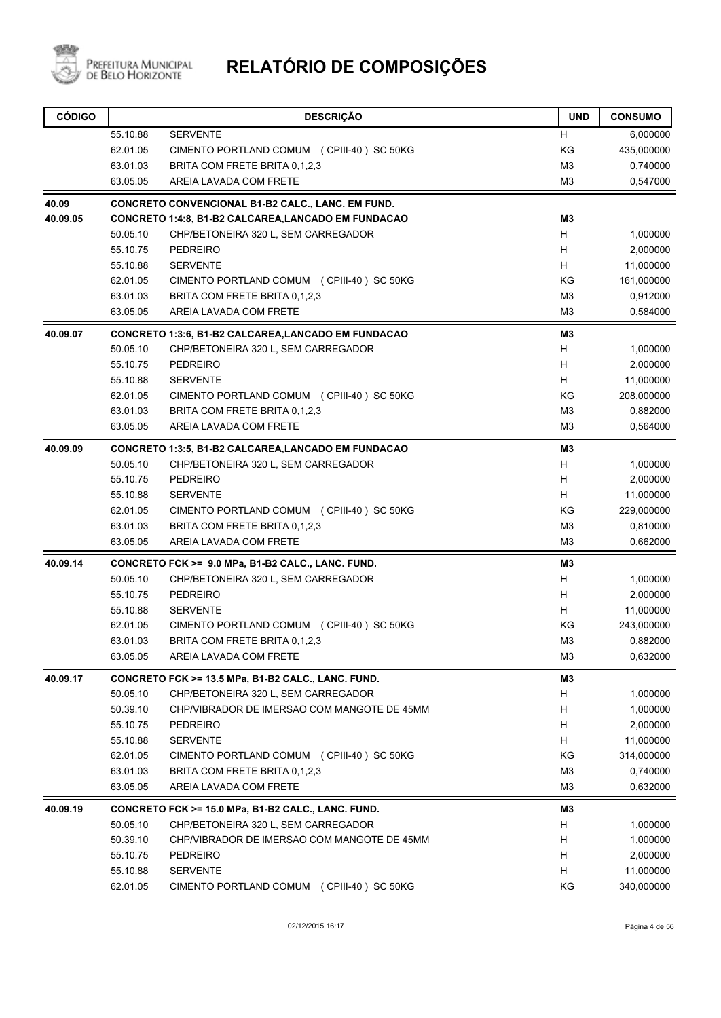

| <b>CÓDIGO</b> |          | <b>DESCRIÇÃO</b>                                           | <b>UND</b>     | <b>CONSUMO</b> |
|---------------|----------|------------------------------------------------------------|----------------|----------------|
|               | 55.10.88 | <b>SERVENTE</b>                                            | H              | 6,000000       |
|               | 62.01.05 | CIMENTO PORTLAND COMUM (CPIII-40) SC 50KG                  | KG             | 435,000000     |
|               | 63.01.03 | BRITA COM FRETE BRITA 0,1,2,3                              | M <sub>3</sub> | 0,740000       |
|               | 63.05.05 | AREIA LAVADA COM FRETE                                     | M3             | 0,547000       |
| 40.09         |          | CONCRETO CONVENCIONAL B1-B2 CALC., LANC. EM FUND.          |                |                |
| 40.09.05      |          | <b>CONCRETO 1:4:8, B1-B2 CALCAREA, LANCADO EM FUNDACAO</b> | M3             |                |
|               | 50.05.10 | CHP/BETONEIRA 320 L, SEM CARREGADOR                        | H              | 1,000000       |
|               | 55.10.75 | <b>PEDREIRO</b>                                            | H              | 2,000000       |
|               | 55.10.88 | <b>SERVENTE</b>                                            | H              | 11,000000      |
|               | 62.01.05 | CIMENTO PORTLAND COMUM (CPIII-40) SC 50KG                  | KG             | 161,000000     |
|               | 63.01.03 | BRITA COM FRETE BRITA 0,1,2,3                              | M <sub>3</sub> | 0,912000       |
|               | 63.05.05 | AREIA LAVADA COM FRETE                                     | M <sub>3</sub> | 0,584000       |
| 40.09.07      |          | <b>CONCRETO 1:3:6, B1-B2 CALCAREA, LANCADO EM FUNDACAO</b> | M <sub>3</sub> |                |
|               | 50.05.10 | CHP/BETONEIRA 320 L, SEM CARREGADOR                        | H              | 1,000000       |
|               | 55.10.75 | <b>PEDREIRO</b>                                            | Н              | 2,000000       |
|               | 55.10.88 | <b>SERVENTE</b>                                            | н              | 11,000000      |
|               | 62.01.05 | CIMENTO PORTLAND COMUM (CPIII-40) SC 50KG                  | KG             | 208,000000     |
|               | 63.01.03 | BRITA COM FRETE BRITA 0.1.2.3                              | M <sub>3</sub> | 0,882000       |
|               | 63.05.05 | AREIA LAVADA COM FRETE                                     | M3             | 0,564000       |
| 40.09.09      |          | <b>CONCRETO 1:3:5, B1-B2 CALCAREA, LANCADO EM FUNDACAO</b> | M3             |                |
|               | 50.05.10 | CHP/BETONEIRA 320 L, SEM CARREGADOR                        | н              | 1,000000       |
|               | 55.10.75 | <b>PEDREIRO</b>                                            | H              | 2,000000       |
|               | 55.10.88 | <b>SERVENTE</b>                                            | н              | 11,000000      |
|               | 62.01.05 | CIMENTO PORTLAND COMUM (CPIII-40) SC 50KG                  | KG             | 229,000000     |
|               | 63.01.03 | BRITA COM FRETE BRITA 0,1,2,3                              | M <sub>3</sub> | 0,810000       |
|               | 63.05.05 | AREIA LAVADA COM FRETE                                     | M <sub>3</sub> | 0,662000       |
| 40.09.14      |          | CONCRETO FCK >= 9.0 MPa, B1-B2 CALC., LANC. FUND.          | M3             |                |
|               | 50.05.10 | CHP/BETONEIRA 320 L, SEM CARREGADOR                        | H              | 1,000000       |
|               | 55.10.75 | <b>PEDREIRO</b>                                            | H              | 2,000000       |
|               | 55.10.88 | <b>SERVENTE</b>                                            | H              | 11,000000      |
|               | 62.01.05 | CIMENTO PORTLAND COMUM (CPIII-40) SC 50KG                  | ΚG             | 243,000000     |
|               | 63.01.03 | BRITA COM FRETE BRITA 0,1,2,3                              | M <sub>3</sub> | 0,882000       |
|               | 63.05.05 | AREIA LAVADA COM FRETE                                     | M <sub>3</sub> | 0,632000       |
| 40.09.17      |          | CONCRETO FCK >= 13.5 MPa, B1-B2 CALC., LANC. FUND.         | M <sub>3</sub> |                |
|               | 50.05.10 | CHP/BETONEIRA 320 L, SEM CARREGADOR                        | H              | 1,000000       |
|               | 50.39.10 | CHP/VIBRADOR DE IMERSAO COM MANGOTE DE 45MM                | н              | 1,000000       |
|               | 55.10.75 | <b>PEDREIRO</b>                                            | н              | 2,000000       |
|               | 55.10.88 | <b>SERVENTE</b>                                            | Н              | 11,000000      |
|               | 62.01.05 | CIMENTO PORTLAND COMUM (CPIII-40) SC 50KG                  | KG             | 314,000000     |
|               | 63.01.03 | BRITA COM FRETE BRITA 0,1,2,3                              | M <sub>3</sub> | 0,740000       |
|               | 63.05.05 | AREIA LAVADA COM FRETE                                     | M <sub>3</sub> | 0,632000       |
| 40.09.19      |          | CONCRETO FCK >= 15.0 MPa, B1-B2 CALC., LANC. FUND.         | M3             |                |
|               | 50.05.10 | CHP/BETONEIRA 320 L, SEM CARREGADOR                        | н              | 1,000000       |
|               | 50.39.10 | CHP/VIBRADOR DE IMERSAO COM MANGOTE DE 45MM                | н              | 1,000000       |
|               | 55.10.75 | <b>PEDREIRO</b>                                            | н              | 2,000000       |
|               | 55.10.88 | <b>SERVENTE</b>                                            | н              | 11,000000      |
|               | 62.01.05 | CIMENTO PORTLAND COMUM (CPIII-40) SC 50KG                  | KG             | 340,000000     |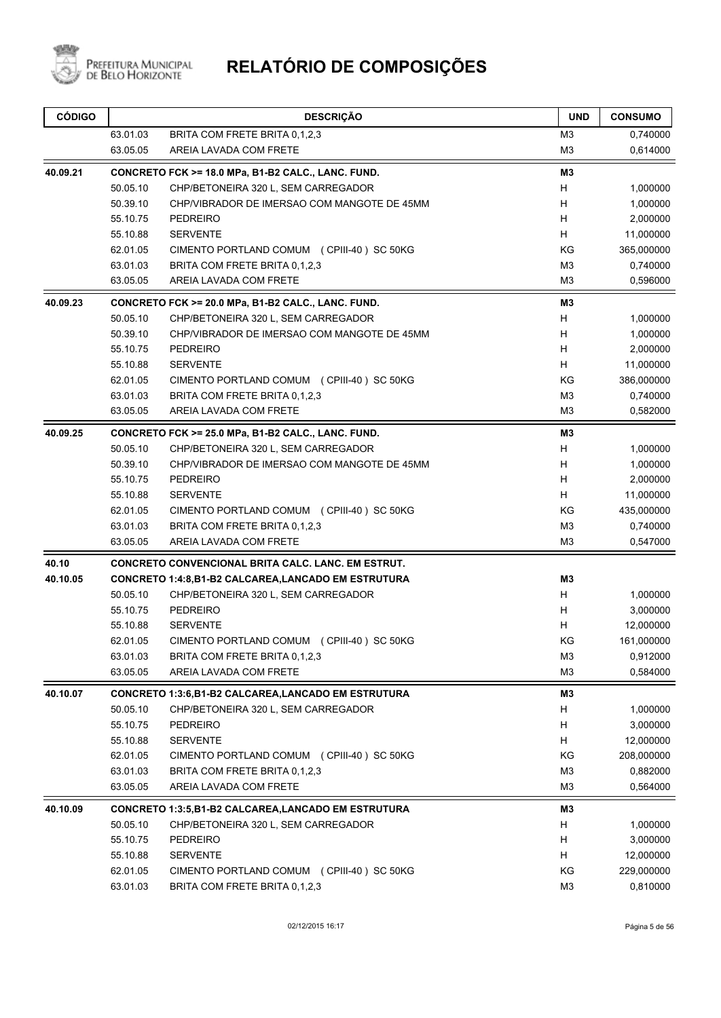

| 63.01.03<br>BRITA COM FRETE BRITA 0,1,2,3<br>M <sub>3</sub><br>63.05.05<br>M <sub>3</sub><br>AREIA LAVADA COM FRETE<br>M3<br>CONCRETO FCK >= 18.0 MPa, B1-B2 CALC., LANC. FUND.<br>50.05.10<br>CHP/BETONEIRA 320 L, SEM CARREGADOR<br>H<br>1,000000<br>H<br>50.39.10<br>CHP/VIBRADOR DE IMERSAO COM MANGOTE DE 45MM<br>H<br>55.10.75<br><b>PEDREIRO</b><br>H<br>55.10.88<br><b>SERVENTE</b><br>KG<br>62.01.05<br>365,000000<br>CIMENTO PORTLAND COMUM (CPIII-40) SC 50KG<br>63.01.03<br>M <sub>3</sub><br>BRITA COM FRETE BRITA 0,1,2,3<br>M <sub>3</sub><br>63.05.05<br>AREIA LAVADA COM FRETE<br>M3<br>CONCRETO FCK >= 20.0 MPa, B1-B2 CALC., LANC. FUND.<br>50.05.10<br>CHP/BETONEIRA 320 L, SEM CARREGADOR<br>H<br>1,000000<br>H<br>50.39.10<br>CHP/VIBRADOR DE IMERSAO COM MANGOTE DE 45MM<br>1,000000<br>55.10.75<br><b>PEDREIRO</b><br>H<br>2,000000<br>H<br>55.10.88<br><b>SERVENTE</b><br>11,000000<br>62.01.05<br>CIMENTO PORTLAND COMUM (CPIII-40) SC 50KG<br>ΚG<br>386,000000<br>M <sub>3</sub><br>63.01.03<br>BRITA COM FRETE BRITA 0,1,2,3<br>0,740000<br>63.05.05<br>AREIA LAVADA COM FRETE<br>M <sub>3</sub><br>0,582000<br>M <sub>3</sub><br>CONCRETO FCK >= 25.0 MPa, B1-B2 CALC., LANC. FUND.<br>50.05.10<br>CHP/BETONEIRA 320 L, SEM CARREGADOR<br>H<br>1,000000<br>H<br>50.39.10<br>CHP/VIBRADOR DE IMERSAO COM MANGOTE DE 45MM<br>55.10.75<br><b>PEDREIRO</b><br>H<br>H<br>55.10.88<br><b>SERVENTE</b><br>62.01.05<br>ΚG<br>435,000000<br>CIMENTO PORTLAND COMUM (CPIII-40) SC 50KG<br>M <sub>3</sub><br>63.01.03<br>BRITA COM FRETE BRITA 0,1,2,3<br>63.05.05<br>AREIA LAVADA COM FRETE<br>M <sub>3</sub><br>CONCRETO CONVENCIONAL BRITA CALC. LANC. EM ESTRUT.<br>M3<br><b>CONCRETO 1:4:8,B1-B2 CALCAREA,LANCADO EM ESTRUTURA</b><br>H<br>50.05.10<br>CHP/BETONEIRA 320 L, SEM CARREGADOR<br>55.10.75<br><b>PEDREIRO</b><br>H<br>55.10.88<br><b>SERVENTE</b><br>н<br>ΚG<br>161,000000<br>62.01.05<br>CIMENTO PORTLAND COMUM (CPIII-40) SC 50KG<br>63.01.03<br>BRITA COM FRETE BRITA 0.1.2.3<br>M <sub>3</sub><br>63.05.05<br>AREIA LAVADA COM FRETE<br>M <sub>3</sub><br><b>CONCRETO 1:3:6,B1-B2 CALCAREA,LANCADO EM ESTRUTURA</b><br>M3<br>50.05.10<br>CHP/BETONEIRA 320 L, SEM CARREGADOR<br>н<br>55.10.75<br><b>PEDREIRO</b><br>H<br>55.10.88<br><b>SERVENTE</b><br>H<br>62.01.05<br>KG<br>CIMENTO PORTLAND COMUM (CPIII-40) SC 50KG<br>M <sub>3</sub><br>63.01.03<br>BRITA COM FRETE BRITA 0,1,2,3<br>63.05.05<br>AREIA LAVADA COM FRETE<br>M <sub>3</sub><br><b>CONCRETO 1:3:5,B1-B2 CALCAREA,LANCADO EM ESTRUTURA</b><br>M3<br>H<br>50.05.10<br>CHP/BETONEIRA 320 L, SEM CARREGADOR<br>55.10.75<br>PEDREIRO<br>H<br>55.10.88<br><b>SERVENTE</b><br>H<br>KG<br>62.01.05<br>CIMENTO PORTLAND COMUM (CPIII-40) SC 50KG<br>63.01.03<br>BRITA COM FRETE BRITA 0,1,2,3<br>M <sub>3</sub> | <b>CÓDIGO</b> | <b>DESCRIÇÃO</b> | <b>UND</b> | <b>CONSUMO</b> |
|------------------------------------------------------------------------------------------------------------------------------------------------------------------------------------------------------------------------------------------------------------------------------------------------------------------------------------------------------------------------------------------------------------------------------------------------------------------------------------------------------------------------------------------------------------------------------------------------------------------------------------------------------------------------------------------------------------------------------------------------------------------------------------------------------------------------------------------------------------------------------------------------------------------------------------------------------------------------------------------------------------------------------------------------------------------------------------------------------------------------------------------------------------------------------------------------------------------------------------------------------------------------------------------------------------------------------------------------------------------------------------------------------------------------------------------------------------------------------------------------------------------------------------------------------------------------------------------------------------------------------------------------------------------------------------------------------------------------------------------------------------------------------------------------------------------------------------------------------------------------------------------------------------------------------------------------------------------------------------------------------------------------------------------------------------------------------------------------------------------------------------------------------------------------------------------------------------------------------------------------------------------------------------------------------------------------------------------------------------------------------------------------------------------------------------------------------------------------------------------------------------------------------------------------------------------------------------------------------------------------------------------------------------------------------------------------------------------------------------------------------------------------------------------------------------------|---------------|------------------|------------|----------------|
|                                                                                                                                                                                                                                                                                                                                                                                                                                                                                                                                                                                                                                                                                                                                                                                                                                                                                                                                                                                                                                                                                                                                                                                                                                                                                                                                                                                                                                                                                                                                                                                                                                                                                                                                                                                                                                                                                                                                                                                                                                                                                                                                                                                                                                                                                                                                                                                                                                                                                                                                                                                                                                                                                                                                                                                                                  |               |                  |            | 0,740000       |
|                                                                                                                                                                                                                                                                                                                                                                                                                                                                                                                                                                                                                                                                                                                                                                                                                                                                                                                                                                                                                                                                                                                                                                                                                                                                                                                                                                                                                                                                                                                                                                                                                                                                                                                                                                                                                                                                                                                                                                                                                                                                                                                                                                                                                                                                                                                                                                                                                                                                                                                                                                                                                                                                                                                                                                                                                  |               |                  |            | 0,614000       |
|                                                                                                                                                                                                                                                                                                                                                                                                                                                                                                                                                                                                                                                                                                                                                                                                                                                                                                                                                                                                                                                                                                                                                                                                                                                                                                                                                                                                                                                                                                                                                                                                                                                                                                                                                                                                                                                                                                                                                                                                                                                                                                                                                                                                                                                                                                                                                                                                                                                                                                                                                                                                                                                                                                                                                                                                                  | 40.09.21      |                  |            |                |
|                                                                                                                                                                                                                                                                                                                                                                                                                                                                                                                                                                                                                                                                                                                                                                                                                                                                                                                                                                                                                                                                                                                                                                                                                                                                                                                                                                                                                                                                                                                                                                                                                                                                                                                                                                                                                                                                                                                                                                                                                                                                                                                                                                                                                                                                                                                                                                                                                                                                                                                                                                                                                                                                                                                                                                                                                  |               |                  |            |                |
|                                                                                                                                                                                                                                                                                                                                                                                                                                                                                                                                                                                                                                                                                                                                                                                                                                                                                                                                                                                                                                                                                                                                                                                                                                                                                                                                                                                                                                                                                                                                                                                                                                                                                                                                                                                                                                                                                                                                                                                                                                                                                                                                                                                                                                                                                                                                                                                                                                                                                                                                                                                                                                                                                                                                                                                                                  |               |                  |            | 1,000000       |
|                                                                                                                                                                                                                                                                                                                                                                                                                                                                                                                                                                                                                                                                                                                                                                                                                                                                                                                                                                                                                                                                                                                                                                                                                                                                                                                                                                                                                                                                                                                                                                                                                                                                                                                                                                                                                                                                                                                                                                                                                                                                                                                                                                                                                                                                                                                                                                                                                                                                                                                                                                                                                                                                                                                                                                                                                  |               |                  |            | 2,000000       |
|                                                                                                                                                                                                                                                                                                                                                                                                                                                                                                                                                                                                                                                                                                                                                                                                                                                                                                                                                                                                                                                                                                                                                                                                                                                                                                                                                                                                                                                                                                                                                                                                                                                                                                                                                                                                                                                                                                                                                                                                                                                                                                                                                                                                                                                                                                                                                                                                                                                                                                                                                                                                                                                                                                                                                                                                                  |               |                  |            | 11,000000      |
|                                                                                                                                                                                                                                                                                                                                                                                                                                                                                                                                                                                                                                                                                                                                                                                                                                                                                                                                                                                                                                                                                                                                                                                                                                                                                                                                                                                                                                                                                                                                                                                                                                                                                                                                                                                                                                                                                                                                                                                                                                                                                                                                                                                                                                                                                                                                                                                                                                                                                                                                                                                                                                                                                                                                                                                                                  |               |                  |            |                |
|                                                                                                                                                                                                                                                                                                                                                                                                                                                                                                                                                                                                                                                                                                                                                                                                                                                                                                                                                                                                                                                                                                                                                                                                                                                                                                                                                                                                                                                                                                                                                                                                                                                                                                                                                                                                                                                                                                                                                                                                                                                                                                                                                                                                                                                                                                                                                                                                                                                                                                                                                                                                                                                                                                                                                                                                                  |               |                  |            | 0,740000       |
|                                                                                                                                                                                                                                                                                                                                                                                                                                                                                                                                                                                                                                                                                                                                                                                                                                                                                                                                                                                                                                                                                                                                                                                                                                                                                                                                                                                                                                                                                                                                                                                                                                                                                                                                                                                                                                                                                                                                                                                                                                                                                                                                                                                                                                                                                                                                                                                                                                                                                                                                                                                                                                                                                                                                                                                                                  |               |                  |            | 0,596000       |
|                                                                                                                                                                                                                                                                                                                                                                                                                                                                                                                                                                                                                                                                                                                                                                                                                                                                                                                                                                                                                                                                                                                                                                                                                                                                                                                                                                                                                                                                                                                                                                                                                                                                                                                                                                                                                                                                                                                                                                                                                                                                                                                                                                                                                                                                                                                                                                                                                                                                                                                                                                                                                                                                                                                                                                                                                  | 40.09.23      |                  |            |                |
|                                                                                                                                                                                                                                                                                                                                                                                                                                                                                                                                                                                                                                                                                                                                                                                                                                                                                                                                                                                                                                                                                                                                                                                                                                                                                                                                                                                                                                                                                                                                                                                                                                                                                                                                                                                                                                                                                                                                                                                                                                                                                                                                                                                                                                                                                                                                                                                                                                                                                                                                                                                                                                                                                                                                                                                                                  |               |                  |            |                |
|                                                                                                                                                                                                                                                                                                                                                                                                                                                                                                                                                                                                                                                                                                                                                                                                                                                                                                                                                                                                                                                                                                                                                                                                                                                                                                                                                                                                                                                                                                                                                                                                                                                                                                                                                                                                                                                                                                                                                                                                                                                                                                                                                                                                                                                                                                                                                                                                                                                                                                                                                                                                                                                                                                                                                                                                                  |               |                  |            |                |
|                                                                                                                                                                                                                                                                                                                                                                                                                                                                                                                                                                                                                                                                                                                                                                                                                                                                                                                                                                                                                                                                                                                                                                                                                                                                                                                                                                                                                                                                                                                                                                                                                                                                                                                                                                                                                                                                                                                                                                                                                                                                                                                                                                                                                                                                                                                                                                                                                                                                                                                                                                                                                                                                                                                                                                                                                  |               |                  |            |                |
|                                                                                                                                                                                                                                                                                                                                                                                                                                                                                                                                                                                                                                                                                                                                                                                                                                                                                                                                                                                                                                                                                                                                                                                                                                                                                                                                                                                                                                                                                                                                                                                                                                                                                                                                                                                                                                                                                                                                                                                                                                                                                                                                                                                                                                                                                                                                                                                                                                                                                                                                                                                                                                                                                                                                                                                                                  |               |                  |            |                |
|                                                                                                                                                                                                                                                                                                                                                                                                                                                                                                                                                                                                                                                                                                                                                                                                                                                                                                                                                                                                                                                                                                                                                                                                                                                                                                                                                                                                                                                                                                                                                                                                                                                                                                                                                                                                                                                                                                                                                                                                                                                                                                                                                                                                                                                                                                                                                                                                                                                                                                                                                                                                                                                                                                                                                                                                                  |               |                  |            |                |
|                                                                                                                                                                                                                                                                                                                                                                                                                                                                                                                                                                                                                                                                                                                                                                                                                                                                                                                                                                                                                                                                                                                                                                                                                                                                                                                                                                                                                                                                                                                                                                                                                                                                                                                                                                                                                                                                                                                                                                                                                                                                                                                                                                                                                                                                                                                                                                                                                                                                                                                                                                                                                                                                                                                                                                                                                  |               |                  |            |                |
|                                                                                                                                                                                                                                                                                                                                                                                                                                                                                                                                                                                                                                                                                                                                                                                                                                                                                                                                                                                                                                                                                                                                                                                                                                                                                                                                                                                                                                                                                                                                                                                                                                                                                                                                                                                                                                                                                                                                                                                                                                                                                                                                                                                                                                                                                                                                                                                                                                                                                                                                                                                                                                                                                                                                                                                                                  |               |                  |            |                |
|                                                                                                                                                                                                                                                                                                                                                                                                                                                                                                                                                                                                                                                                                                                                                                                                                                                                                                                                                                                                                                                                                                                                                                                                                                                                                                                                                                                                                                                                                                                                                                                                                                                                                                                                                                                                                                                                                                                                                                                                                                                                                                                                                                                                                                                                                                                                                                                                                                                                                                                                                                                                                                                                                                                                                                                                                  | 40.09.25      |                  |            |                |
|                                                                                                                                                                                                                                                                                                                                                                                                                                                                                                                                                                                                                                                                                                                                                                                                                                                                                                                                                                                                                                                                                                                                                                                                                                                                                                                                                                                                                                                                                                                                                                                                                                                                                                                                                                                                                                                                                                                                                                                                                                                                                                                                                                                                                                                                                                                                                                                                                                                                                                                                                                                                                                                                                                                                                                                                                  |               |                  |            |                |
|                                                                                                                                                                                                                                                                                                                                                                                                                                                                                                                                                                                                                                                                                                                                                                                                                                                                                                                                                                                                                                                                                                                                                                                                                                                                                                                                                                                                                                                                                                                                                                                                                                                                                                                                                                                                                                                                                                                                                                                                                                                                                                                                                                                                                                                                                                                                                                                                                                                                                                                                                                                                                                                                                                                                                                                                                  |               |                  |            | 1,000000       |
|                                                                                                                                                                                                                                                                                                                                                                                                                                                                                                                                                                                                                                                                                                                                                                                                                                                                                                                                                                                                                                                                                                                                                                                                                                                                                                                                                                                                                                                                                                                                                                                                                                                                                                                                                                                                                                                                                                                                                                                                                                                                                                                                                                                                                                                                                                                                                                                                                                                                                                                                                                                                                                                                                                                                                                                                                  |               |                  |            | 2,000000       |
|                                                                                                                                                                                                                                                                                                                                                                                                                                                                                                                                                                                                                                                                                                                                                                                                                                                                                                                                                                                                                                                                                                                                                                                                                                                                                                                                                                                                                                                                                                                                                                                                                                                                                                                                                                                                                                                                                                                                                                                                                                                                                                                                                                                                                                                                                                                                                                                                                                                                                                                                                                                                                                                                                                                                                                                                                  |               |                  |            | 11,000000      |
|                                                                                                                                                                                                                                                                                                                                                                                                                                                                                                                                                                                                                                                                                                                                                                                                                                                                                                                                                                                                                                                                                                                                                                                                                                                                                                                                                                                                                                                                                                                                                                                                                                                                                                                                                                                                                                                                                                                                                                                                                                                                                                                                                                                                                                                                                                                                                                                                                                                                                                                                                                                                                                                                                                                                                                                                                  |               |                  |            |                |
|                                                                                                                                                                                                                                                                                                                                                                                                                                                                                                                                                                                                                                                                                                                                                                                                                                                                                                                                                                                                                                                                                                                                                                                                                                                                                                                                                                                                                                                                                                                                                                                                                                                                                                                                                                                                                                                                                                                                                                                                                                                                                                                                                                                                                                                                                                                                                                                                                                                                                                                                                                                                                                                                                                                                                                                                                  |               |                  |            | 0,740000       |
|                                                                                                                                                                                                                                                                                                                                                                                                                                                                                                                                                                                                                                                                                                                                                                                                                                                                                                                                                                                                                                                                                                                                                                                                                                                                                                                                                                                                                                                                                                                                                                                                                                                                                                                                                                                                                                                                                                                                                                                                                                                                                                                                                                                                                                                                                                                                                                                                                                                                                                                                                                                                                                                                                                                                                                                                                  |               |                  |            | 0,547000       |
|                                                                                                                                                                                                                                                                                                                                                                                                                                                                                                                                                                                                                                                                                                                                                                                                                                                                                                                                                                                                                                                                                                                                                                                                                                                                                                                                                                                                                                                                                                                                                                                                                                                                                                                                                                                                                                                                                                                                                                                                                                                                                                                                                                                                                                                                                                                                                                                                                                                                                                                                                                                                                                                                                                                                                                                                                  | 40.10         |                  |            |                |
|                                                                                                                                                                                                                                                                                                                                                                                                                                                                                                                                                                                                                                                                                                                                                                                                                                                                                                                                                                                                                                                                                                                                                                                                                                                                                                                                                                                                                                                                                                                                                                                                                                                                                                                                                                                                                                                                                                                                                                                                                                                                                                                                                                                                                                                                                                                                                                                                                                                                                                                                                                                                                                                                                                                                                                                                                  | 40.10.05      |                  |            |                |
|                                                                                                                                                                                                                                                                                                                                                                                                                                                                                                                                                                                                                                                                                                                                                                                                                                                                                                                                                                                                                                                                                                                                                                                                                                                                                                                                                                                                                                                                                                                                                                                                                                                                                                                                                                                                                                                                                                                                                                                                                                                                                                                                                                                                                                                                                                                                                                                                                                                                                                                                                                                                                                                                                                                                                                                                                  |               |                  |            | 1,000000       |
|                                                                                                                                                                                                                                                                                                                                                                                                                                                                                                                                                                                                                                                                                                                                                                                                                                                                                                                                                                                                                                                                                                                                                                                                                                                                                                                                                                                                                                                                                                                                                                                                                                                                                                                                                                                                                                                                                                                                                                                                                                                                                                                                                                                                                                                                                                                                                                                                                                                                                                                                                                                                                                                                                                                                                                                                                  |               |                  |            | 3,000000       |
|                                                                                                                                                                                                                                                                                                                                                                                                                                                                                                                                                                                                                                                                                                                                                                                                                                                                                                                                                                                                                                                                                                                                                                                                                                                                                                                                                                                                                                                                                                                                                                                                                                                                                                                                                                                                                                                                                                                                                                                                                                                                                                                                                                                                                                                                                                                                                                                                                                                                                                                                                                                                                                                                                                                                                                                                                  |               |                  |            | 12,000000      |
|                                                                                                                                                                                                                                                                                                                                                                                                                                                                                                                                                                                                                                                                                                                                                                                                                                                                                                                                                                                                                                                                                                                                                                                                                                                                                                                                                                                                                                                                                                                                                                                                                                                                                                                                                                                                                                                                                                                                                                                                                                                                                                                                                                                                                                                                                                                                                                                                                                                                                                                                                                                                                                                                                                                                                                                                                  |               |                  |            |                |
|                                                                                                                                                                                                                                                                                                                                                                                                                                                                                                                                                                                                                                                                                                                                                                                                                                                                                                                                                                                                                                                                                                                                                                                                                                                                                                                                                                                                                                                                                                                                                                                                                                                                                                                                                                                                                                                                                                                                                                                                                                                                                                                                                                                                                                                                                                                                                                                                                                                                                                                                                                                                                                                                                                                                                                                                                  |               |                  |            | 0,912000       |
|                                                                                                                                                                                                                                                                                                                                                                                                                                                                                                                                                                                                                                                                                                                                                                                                                                                                                                                                                                                                                                                                                                                                                                                                                                                                                                                                                                                                                                                                                                                                                                                                                                                                                                                                                                                                                                                                                                                                                                                                                                                                                                                                                                                                                                                                                                                                                                                                                                                                                                                                                                                                                                                                                                                                                                                                                  |               |                  |            | 0,584000       |
|                                                                                                                                                                                                                                                                                                                                                                                                                                                                                                                                                                                                                                                                                                                                                                                                                                                                                                                                                                                                                                                                                                                                                                                                                                                                                                                                                                                                                                                                                                                                                                                                                                                                                                                                                                                                                                                                                                                                                                                                                                                                                                                                                                                                                                                                                                                                                                                                                                                                                                                                                                                                                                                                                                                                                                                                                  | 40.10.07      |                  |            |                |
|                                                                                                                                                                                                                                                                                                                                                                                                                                                                                                                                                                                                                                                                                                                                                                                                                                                                                                                                                                                                                                                                                                                                                                                                                                                                                                                                                                                                                                                                                                                                                                                                                                                                                                                                                                                                                                                                                                                                                                                                                                                                                                                                                                                                                                                                                                                                                                                                                                                                                                                                                                                                                                                                                                                                                                                                                  |               |                  |            | 1,000000       |
|                                                                                                                                                                                                                                                                                                                                                                                                                                                                                                                                                                                                                                                                                                                                                                                                                                                                                                                                                                                                                                                                                                                                                                                                                                                                                                                                                                                                                                                                                                                                                                                                                                                                                                                                                                                                                                                                                                                                                                                                                                                                                                                                                                                                                                                                                                                                                                                                                                                                                                                                                                                                                                                                                                                                                                                                                  |               |                  |            | 3,000000       |
|                                                                                                                                                                                                                                                                                                                                                                                                                                                                                                                                                                                                                                                                                                                                                                                                                                                                                                                                                                                                                                                                                                                                                                                                                                                                                                                                                                                                                                                                                                                                                                                                                                                                                                                                                                                                                                                                                                                                                                                                                                                                                                                                                                                                                                                                                                                                                                                                                                                                                                                                                                                                                                                                                                                                                                                                                  |               |                  |            | 12,000000      |
|                                                                                                                                                                                                                                                                                                                                                                                                                                                                                                                                                                                                                                                                                                                                                                                                                                                                                                                                                                                                                                                                                                                                                                                                                                                                                                                                                                                                                                                                                                                                                                                                                                                                                                                                                                                                                                                                                                                                                                                                                                                                                                                                                                                                                                                                                                                                                                                                                                                                                                                                                                                                                                                                                                                                                                                                                  |               |                  |            | 208,000000     |
|                                                                                                                                                                                                                                                                                                                                                                                                                                                                                                                                                                                                                                                                                                                                                                                                                                                                                                                                                                                                                                                                                                                                                                                                                                                                                                                                                                                                                                                                                                                                                                                                                                                                                                                                                                                                                                                                                                                                                                                                                                                                                                                                                                                                                                                                                                                                                                                                                                                                                                                                                                                                                                                                                                                                                                                                                  |               |                  |            | 0,882000       |
|                                                                                                                                                                                                                                                                                                                                                                                                                                                                                                                                                                                                                                                                                                                                                                                                                                                                                                                                                                                                                                                                                                                                                                                                                                                                                                                                                                                                                                                                                                                                                                                                                                                                                                                                                                                                                                                                                                                                                                                                                                                                                                                                                                                                                                                                                                                                                                                                                                                                                                                                                                                                                                                                                                                                                                                                                  |               |                  |            | 0,564000       |
|                                                                                                                                                                                                                                                                                                                                                                                                                                                                                                                                                                                                                                                                                                                                                                                                                                                                                                                                                                                                                                                                                                                                                                                                                                                                                                                                                                                                                                                                                                                                                                                                                                                                                                                                                                                                                                                                                                                                                                                                                                                                                                                                                                                                                                                                                                                                                                                                                                                                                                                                                                                                                                                                                                                                                                                                                  | 40.10.09      |                  |            |                |
|                                                                                                                                                                                                                                                                                                                                                                                                                                                                                                                                                                                                                                                                                                                                                                                                                                                                                                                                                                                                                                                                                                                                                                                                                                                                                                                                                                                                                                                                                                                                                                                                                                                                                                                                                                                                                                                                                                                                                                                                                                                                                                                                                                                                                                                                                                                                                                                                                                                                                                                                                                                                                                                                                                                                                                                                                  |               |                  |            | 1,000000       |
|                                                                                                                                                                                                                                                                                                                                                                                                                                                                                                                                                                                                                                                                                                                                                                                                                                                                                                                                                                                                                                                                                                                                                                                                                                                                                                                                                                                                                                                                                                                                                                                                                                                                                                                                                                                                                                                                                                                                                                                                                                                                                                                                                                                                                                                                                                                                                                                                                                                                                                                                                                                                                                                                                                                                                                                                                  |               |                  |            | 3,000000       |
|                                                                                                                                                                                                                                                                                                                                                                                                                                                                                                                                                                                                                                                                                                                                                                                                                                                                                                                                                                                                                                                                                                                                                                                                                                                                                                                                                                                                                                                                                                                                                                                                                                                                                                                                                                                                                                                                                                                                                                                                                                                                                                                                                                                                                                                                                                                                                                                                                                                                                                                                                                                                                                                                                                                                                                                                                  |               |                  |            | 12,000000      |
|                                                                                                                                                                                                                                                                                                                                                                                                                                                                                                                                                                                                                                                                                                                                                                                                                                                                                                                                                                                                                                                                                                                                                                                                                                                                                                                                                                                                                                                                                                                                                                                                                                                                                                                                                                                                                                                                                                                                                                                                                                                                                                                                                                                                                                                                                                                                                                                                                                                                                                                                                                                                                                                                                                                                                                                                                  |               |                  |            | 229,000000     |
|                                                                                                                                                                                                                                                                                                                                                                                                                                                                                                                                                                                                                                                                                                                                                                                                                                                                                                                                                                                                                                                                                                                                                                                                                                                                                                                                                                                                                                                                                                                                                                                                                                                                                                                                                                                                                                                                                                                                                                                                                                                                                                                                                                                                                                                                                                                                                                                                                                                                                                                                                                                                                                                                                                                                                                                                                  |               |                  |            | 0,810000       |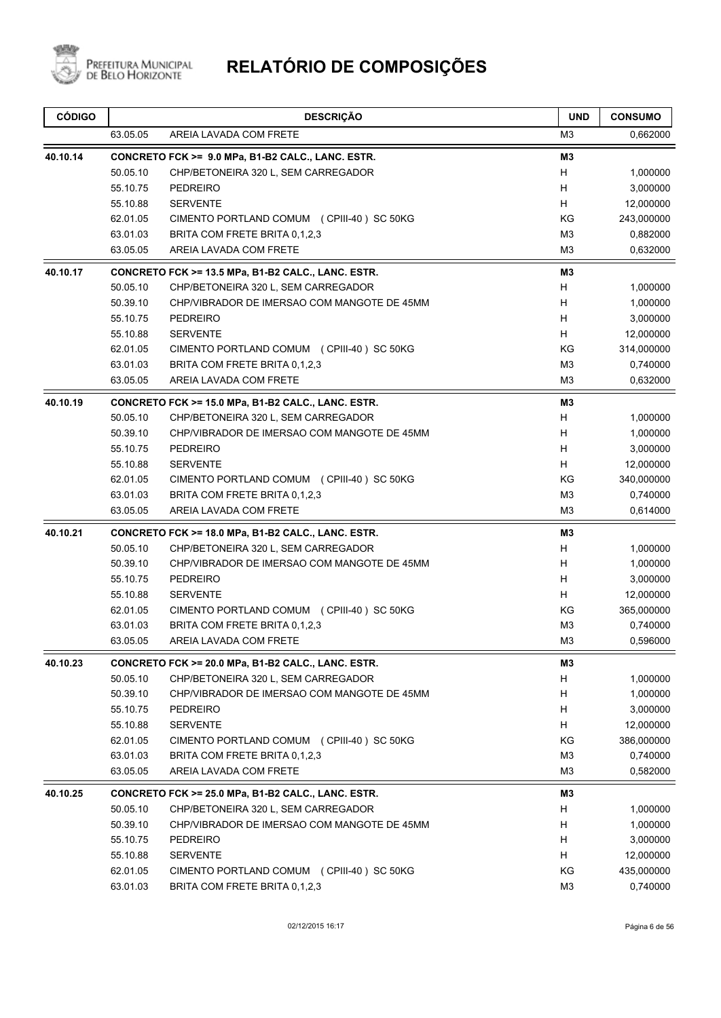

| 63.05.05<br>AREIA LAVADA COM FRETE                             |                |            |
|----------------------------------------------------------------|----------------|------------|
|                                                                | M <sub>3</sub> | 0,662000   |
| 40.10.14<br>CONCRETO FCK >= 9.0 MPa, B1-B2 CALC., LANC. ESTR.  | M3             |            |
| 50.05.10<br>CHP/BETONEIRA 320 L, SEM CARREGADOR                | H              | 1,000000   |
| 55.10.75<br><b>PEDREIRO</b>                                    | H              | 3,000000   |
| 55.10.88<br><b>SERVENTE</b>                                    | H              | 12,000000  |
| 62.01.05<br>CIMENTO PORTLAND COMUM (CPIII-40) SC 50KG          | KG             | 243,000000 |
| 63.01.03<br>BRITA COM FRETE BRITA 0,1,2,3                      | M <sub>3</sub> | 0,882000   |
| 63.05.05<br>AREIA LAVADA COM FRETE                             | M <sub>3</sub> | 0,632000   |
| 40.10.17<br>CONCRETO FCK >= 13.5 MPa, B1-B2 CALC., LANC. ESTR. | MЗ             |            |
| 50.05.10<br>CHP/BETONEIRA 320 L, SEM CARREGADOR                | H              | 1,000000   |
| 50.39.10<br>CHP/VIBRADOR DE IMERSAO COM MANGOTE DE 45MM        | H              | 1,000000   |
| 55.10.75<br><b>PEDREIRO</b>                                    | H              | 3,000000   |
| 55.10.88<br><b>SERVENTE</b>                                    | H              | 12,000000  |
| 62.01.05<br>CIMENTO PORTLAND COMUM (CPIII-40) SC 50KG          | KG             | 314,000000 |
| 63.01.03<br>BRITA COM FRETE BRITA 0,1,2,3                      | M <sub>3</sub> | 0,740000   |
| 63.05.05<br>AREIA LAVADA COM FRETE                             | M <sub>3</sub> | 0,632000   |
| 40.10.19<br>CONCRETO FCK >= 15.0 MPa, B1-B2 CALC., LANC. ESTR. | MЗ             |            |
| 50.05.10<br>CHP/BETONEIRA 320 L, SEM CARREGADOR                | H              | 1,000000   |
| 50.39.10<br>CHP/VIBRADOR DE IMERSAO COM MANGOTE DE 45MM        | H              | 1,000000   |
| 55.10.75<br><b>PEDREIRO</b>                                    | H              | 3,000000   |
| 55.10.88<br><b>SERVENTE</b>                                    | H              | 12,000000  |
| 62.01.05<br>CIMENTO PORTLAND COMUM (CPIII-40) SC 50KG          | KG             | 340,000000 |
| 63.01.03<br>BRITA COM FRETE BRITA 0,1,2,3                      | M <sub>3</sub> | 0,740000   |
| 63.05.05<br>AREIA LAVADA COM FRETE                             | M <sub>3</sub> | 0,614000   |
| 40.10.21<br>CONCRETO FCK >= 18.0 MPa, B1-B2 CALC., LANC. ESTR. | MЗ             |            |
| 50.05.10<br>CHP/BETONEIRA 320 L, SEM CARREGADOR                | H              | 1,000000   |
| 50.39.10<br>CHP/VIBRADOR DE IMERSAO COM MANGOTE DE 45MM        | H              | 1,000000   |
| 55.10.75<br><b>PEDREIRO</b>                                    | H              | 3,000000   |
| 55.10.88<br><b>SERVENTE</b>                                    | H              | 12,000000  |
| 62.01.05<br>CIMENTO PORTLAND COMUM (CPIII-40) SC 50KG          | KG             | 365,000000 |
| 63.01.03<br>BRITA COM FRETE BRITA 0,1,2,3                      | M <sub>3</sub> | 0,740000   |
| 63.05.05<br>AREIA LAVADA COM FRETE                             | M <sub>3</sub> | 0,596000   |
| CONCRETO FCK >= 20.0 MPa, B1-B2 CALC., LANC. ESTR.<br>40.10.23 | M3             |            |
| 50.05.10<br>CHP/BETONEIRA 320 L, SEM CARREGADOR                | H              | 1,000000   |
| 50.39.10<br>CHP/VIBRADOR DE IMERSAO COM MANGOTE DE 45MM        | H              | 1,000000   |
| 55.10.75<br><b>PEDREIRO</b>                                    | H              | 3,000000   |
| 55.10.88<br><b>SERVENTE</b>                                    | H              | 12,000000  |
| 62.01.05<br>CIMENTO PORTLAND COMUM (CPIII-40) SC 50KG          | KG             | 386,000000 |
| 63.01.03<br>BRITA COM FRETE BRITA 0,1,2,3                      | M <sub>3</sub> | 0,740000   |
| 63.05.05<br>AREIA LAVADA COM FRETE                             | M3             | 0,582000   |
| 40.10.25<br>CONCRETO FCK >= 25.0 MPa, B1-B2 CALC., LANC. ESTR. | M3             |            |
| 50.05.10<br>CHP/BETONEIRA 320 L, SEM CARREGADOR                | H              | 1,000000   |
| 50.39.10<br>CHP/VIBRADOR DE IMERSAO COM MANGOTE DE 45MM        | H              | 1,000000   |
| 55.10.75<br><b>PEDREIRO</b>                                    | H              | 3,000000   |
| 55.10.88<br><b>SERVENTE</b>                                    | Н              | 12,000000  |
| 62.01.05<br>CIMENTO PORTLAND COMUM (CPIII-40) SC 50KG          | ΚG             | 435,000000 |
| 63.01.03<br>BRITA COM FRETE BRITA 0,1,2,3                      | M <sub>3</sub> | 0,740000   |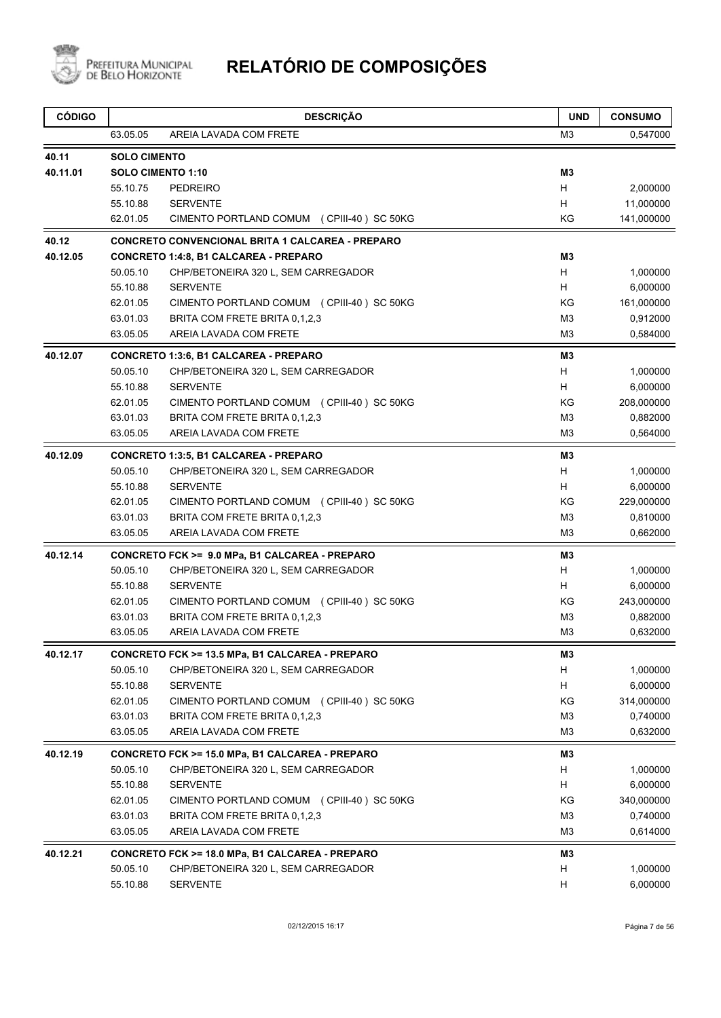

| <b>CÓDIGO</b> |                      | <b>DESCRIÇÃO</b>                                                                      | <b>UND</b>          | <b>CONSUMO</b>       |
|---------------|----------------------|---------------------------------------------------------------------------------------|---------------------|----------------------|
|               | 63.05.05             | AREIA LAVADA COM FRETE                                                                | ΜЗ                  | 0,547000             |
| 40.11         | <b>SOLO CIMENTO</b>  |                                                                                       |                     |                      |
| 40.11.01      |                      | SOLO CIMENTO 1:10                                                                     | M <sub>3</sub>      |                      |
|               | 55.10.75             | <b>PEDREIRO</b>                                                                       | H                   | 2,000000             |
|               | 55.10.88             | <b>SERVENTE</b>                                                                       | H                   | 11,000000            |
|               | 62.01.05             | CIMENTO PORTLAND COMUM (CPIII-40) SC 50KG                                             | ΚG                  | 141,000000           |
| 40.12         |                      | <b>CONCRETO CONVENCIONAL BRITA 1 CALCAREA - PREPARO</b>                               |                     |                      |
| 40.12.05      |                      | <b>CONCRETO 1:4:8, B1 CALCAREA - PREPARO</b>                                          | MЗ                  |                      |
|               | 50.05.10             | CHP/BETONEIRA 320 L, SEM CARREGADOR                                                   | H                   | 1,000000             |
|               | 55.10.88             | <b>SERVENTE</b>                                                                       | H.                  | 6,000000             |
|               | 62.01.05             | CIMENTO PORTLAND COMUM (CPIII-40) SC 50KG                                             | KG                  | 161,000000           |
|               | 63.01.03             | BRITA COM FRETE BRITA 0,1,2,3                                                         | M <sub>3</sub>      | 0,912000             |
|               | 63.05.05             | AREIA LAVADA COM FRETE                                                                | M <sub>3</sub>      | 0,584000             |
| 40.12.07      |                      | <b>CONCRETO 1:3:6, B1 CALCAREA - PREPARO</b>                                          | MЗ                  |                      |
|               | 50.05.10             | CHP/BETONEIRA 320 L, SEM CARREGADOR                                                   | Н                   | 1,000000             |
|               | 55.10.88             | <b>SERVENTE</b>                                                                       | H.                  | 6,000000             |
|               | 62.01.05             | CIMENTO PORTLAND COMUM (CPIII-40) SC 50KG                                             | KG                  | 208,000000           |
|               | 63.01.03             | BRITA COM FRETE BRITA 0,1,2,3                                                         | M <sub>3</sub>      | 0,882000             |
|               | 63.05.05             | AREIA LAVADA COM FRETE                                                                | M <sub>3</sub>      | 0,564000             |
| 40.12.09      |                      | <b>CONCRETO 1:3:5, B1 CALCAREA - PREPARO</b>                                          | M <sub>3</sub>      |                      |
|               | 50.05.10             | CHP/BETONEIRA 320 L, SEM CARREGADOR                                                   | H                   | 1,000000             |
|               | 55.10.88             | <b>SERVENTE</b>                                                                       | H<br>KG             | 6,000000             |
|               | 62.01.05<br>63.01.03 | CIMENTO PORTLAND COMUM (CPIII-40) SC 50KG<br>BRITA COM FRETE BRITA 0,1,2,3            | M <sub>3</sub>      | 229,000000           |
|               | 63.05.05             | AREIA LAVADA COM FRETE                                                                | M <sub>3</sub>      | 0,810000<br>0,662000 |
|               |                      |                                                                                       |                     |                      |
| 40.12.14      | 50.05.10             | CONCRETO FCK >= 9.0 MPa, B1 CALCAREA - PREPARO<br>CHP/BETONEIRA 320 L, SEM CARREGADOR | M <sub>3</sub><br>H | 1,000000             |
|               | 55.10.88             | <b>SERVENTE</b>                                                                       | H                   | 6,000000             |
|               | 62.01.05             | CIMENTO PORTLAND COMUM (CPIII-40) SC 50KG                                             | ΚG                  | 243,000000           |
|               | 63.01.03             | BRITA COM FRETE BRITA 0,1,2,3                                                         | M <sub>3</sub>      | 0,882000             |
|               | 63.05.05             | AREIA LAVADA COM FRETE                                                                | MЗ                  | 0,632000             |
| 40.12.17      |                      | CONCRETO FCK >= 13.5 MPa, B1 CALCAREA - PREPARO                                       | M3                  |                      |
|               | 50.05.10             | CHP/BETONEIRA 320 L, SEM CARREGADOR                                                   | H                   | 1,000000             |
|               | 55.10.88             | <b>SERVENTE</b>                                                                       | Н                   | 6,000000             |
|               | 62.01.05             | CIMENTO PORTLAND COMUM (CPIII-40) SC 50KG                                             | KG                  | 314,000000           |
|               | 63.01.03             | BRITA COM FRETE BRITA 0,1,2,3                                                         | M3                  | 0,740000             |
|               | 63.05.05             | AREIA LAVADA COM FRETE                                                                | M <sub>3</sub>      | 0,632000             |
| 40.12.19      |                      | CONCRETO FCK >= 15.0 MPa, B1 CALCAREA - PREPARO                                       | MЗ                  |                      |
|               | 50.05.10             | CHP/BETONEIRA 320 L, SEM CARREGADOR                                                   | H                   | 1,000000             |
|               | 55.10.88             | <b>SERVENTE</b>                                                                       | H                   | 6,000000             |
|               | 62.01.05             | CIMENTO PORTLAND COMUM (CPIII-40) SC 50KG                                             | KG                  | 340,000000           |
|               | 63.01.03             | BRITA COM FRETE BRITA 0,1,2,3                                                         | M <sub>3</sub>      | 0,740000             |
|               | 63.05.05             | AREIA LAVADA COM FRETE                                                                | M3                  | 0,614000             |
| 40.12.21      |                      | CONCRETO FCK >= 18.0 MPa, B1 CALCAREA - PREPARO                                       | MЗ                  |                      |
|               | 50.05.10             | CHP/BETONEIRA 320 L, SEM CARREGADOR                                                   | H                   | 1,000000             |
|               | 55.10.88             | SERVENTE                                                                              | н                   | 6,000000             |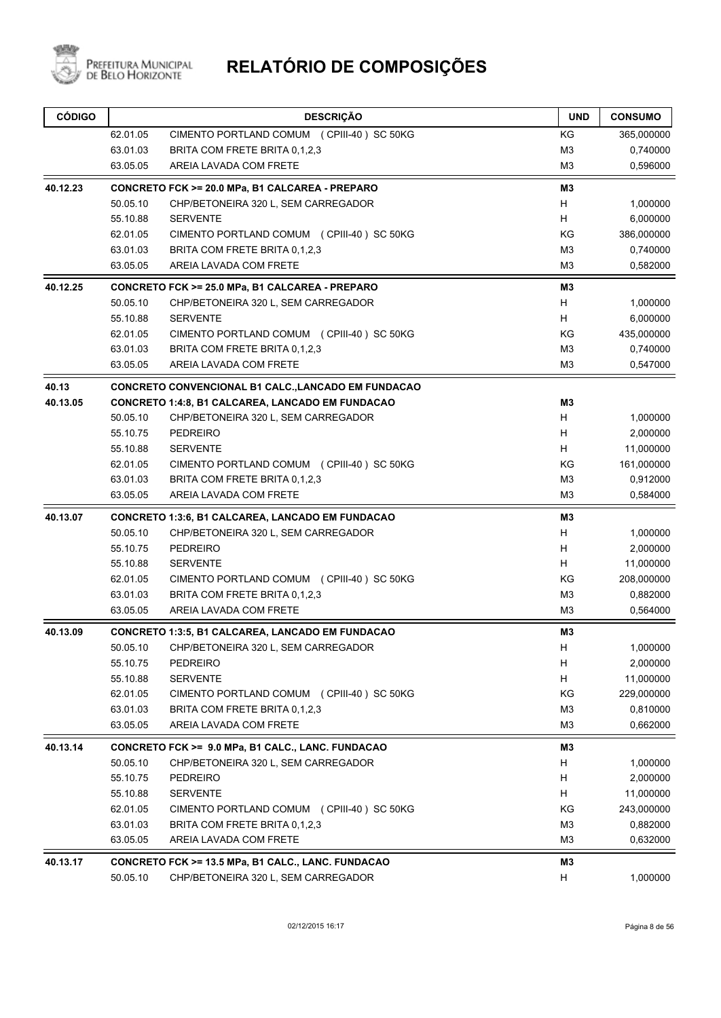

| <b>CÓDIGO</b> |          | <b>DESCRIÇÃO</b>                                        | <b>UND</b>                | <b>CONSUMO</b> |
|---------------|----------|---------------------------------------------------------|---------------------------|----------------|
|               | 62.01.05 | CIMENTO PORTLAND COMUM (CPIII-40) SC 50KG               | ΚG                        | 365,000000     |
|               | 63.01.03 | BRITA COM FRETE BRITA 0,1,2,3                           | M <sub>3</sub>            | 0,740000       |
|               | 63.05.05 | AREIA LAVADA COM FRETE                                  | M <sub>3</sub>            | 0,596000       |
| 40.12.23      |          | CONCRETO FCK >= 20.0 MPa, B1 CALCAREA - PREPARO         | M <sub>3</sub>            |                |
|               | 50.05.10 | CHP/BETONEIRA 320 L, SEM CARREGADOR                     | H                         | 1,000000       |
|               | 55.10.88 | <b>SERVENTE</b>                                         | H                         | 6,000000       |
|               | 62.01.05 | CIMENTO PORTLAND COMUM (CPIII-40) SC 50KG               | ΚG                        | 386,000000     |
|               | 63.01.03 | BRITA COM FRETE BRITA 0.1.2.3                           | M <sub>3</sub>            | 0,740000       |
|               | 63.05.05 | AREIA LAVADA COM FRETE                                  | M3                        | 0,582000       |
| 40.12.25      |          | CONCRETO FCK >= 25.0 MPa, B1 CALCAREA - PREPARO         | M3                        |                |
|               | 50.05.10 | CHP/BETONEIRA 320 L, SEM CARREGADOR                     | H                         | 1,000000       |
|               | 55.10.88 | <b>SERVENTE</b>                                         | H                         | 6,000000       |
|               | 62.01.05 | CIMENTO PORTLAND COMUM (CPIII-40) SC 50KG               | ΚG                        | 435,000000     |
|               | 63.01.03 | BRITA COM FRETE BRITA 0.1.2.3                           | M <sub>3</sub>            | 0,740000       |
|               | 63.05.05 | AREIA LAVADA COM FRETE                                  | M <sub>3</sub>            | 0,547000       |
| 40.13         |          | CONCRETO CONVENCIONAL B1 CALC., LANCADO EM FUNDACAO     |                           |                |
| 40.13.05      |          | <b>CONCRETO 1:4:8, B1 CALCAREA, LANCADO EM FUNDACAO</b> | M3                        |                |
|               | 50.05.10 | CHP/BETONEIRA 320 L, SEM CARREGADOR                     | H                         | 1,000000       |
|               | 55.10.75 | <b>PEDREIRO</b>                                         | H                         | 2,000000       |
|               | 55.10.88 | <b>SERVENTE</b>                                         | H                         | 11,000000      |
|               | 62.01.05 | CIMENTO PORTLAND COMUM (CPIII-40) SC 50KG               | ΚG                        | 161,000000     |
|               | 63.01.03 | BRITA COM FRETE BRITA 0,1,2,3                           | M3                        | 0,912000       |
|               | 63.05.05 | AREIA LAVADA COM FRETE                                  | M <sub>3</sub>            | 0,584000       |
| 40.13.07      |          | <b>CONCRETO 1:3:6, B1 CALCAREA, LANCADO EM FUNDACAO</b> | M3                        |                |
|               | 50.05.10 | CHP/BETONEIRA 320 L, SEM CARREGADOR                     | Н                         | 1,000000       |
|               | 55.10.75 | <b>PEDREIRO</b>                                         | H                         | 2,000000       |
|               | 55.10.88 | <b>SERVENTE</b>                                         | H                         | 11,000000      |
|               | 62.01.05 | CIMENTO PORTLAND COMUM (CPIII-40) SC 50KG               | ΚG                        | 208,000000     |
|               | 63.01.03 | BRITA COM FRETE BRITA 0.1.2.3                           | M <sub>3</sub>            | 0,882000       |
|               | 63.05.05 | AREIA LAVADA COM FRETE                                  | M3                        | 0,564000       |
| 40.13.09      |          | <b>CONCRETO 1:3:5, B1 CALCAREA, LANCADO EM FUNDACAO</b> | M3                        |                |
|               | 50.05.10 | CHP/BETONEIRA 320 L, SEM CARREGADOR                     | $\boldsymbol{\mathsf{H}}$ | 1,000000       |
|               | 55.10.75 | <b>PEDREIRO</b>                                         | н                         | 2,000000       |
|               | 55.10.88 | <b>SERVENTE</b>                                         | Н                         | 11,000000      |
|               | 62.01.05 | CIMENTO PORTLAND COMUM (CPIII-40) SC 50KG               | KG                        | 229,000000     |
|               | 63.01.03 | BRITA COM FRETE BRITA 0.1.2.3                           | M <sub>3</sub>            | 0,810000       |
|               | 63.05.05 | AREIA LAVADA COM FRETE                                  | M <sub>3</sub>            | 0,662000       |
| 40.13.14      |          | CONCRETO FCK >= 9.0 MPa, B1 CALC., LANC. FUNDACAO       | M3                        |                |
|               | 50.05.10 | CHP/BETONEIRA 320 L, SEM CARREGADOR                     | H                         | 1,000000       |
|               | 55.10.75 | <b>PEDREIRO</b>                                         | H                         | 2,000000       |
|               | 55.10.88 | <b>SERVENTE</b>                                         | H                         | 11,000000      |
|               | 62.01.05 | CIMENTO PORTLAND COMUM (CPIII-40) SC 50KG               | KG                        | 243,000000     |
|               | 63.01.03 | BRITA COM FRETE BRITA 0,1,2,3                           | M <sub>3</sub>            | 0,882000       |
|               | 63.05.05 | AREIA LAVADA COM FRETE                                  | M <sub>3</sub>            | 0,632000       |
| 40.13.17      |          | CONCRETO FCK >= 13.5 MPa, B1 CALC., LANC. FUNDACAO      | M3                        |                |
|               | 50.05.10 | CHP/BETONEIRA 320 L, SEM CARREGADOR                     | H                         | 1,000000       |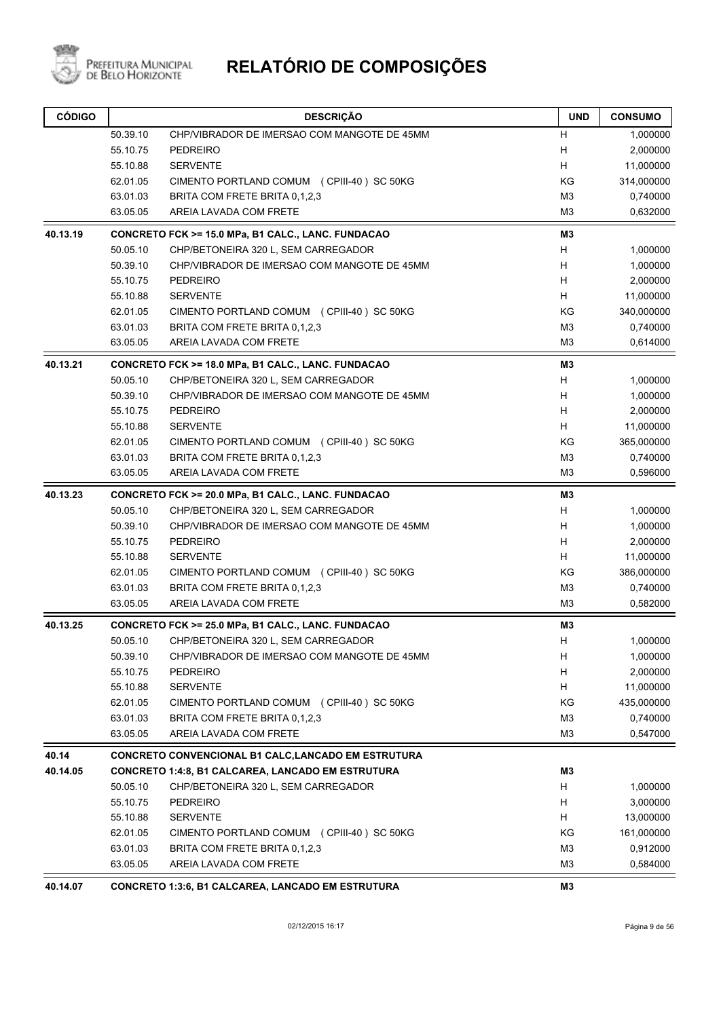

# PREFEITURA MUNICIPAL **RELATÓRIO DE COMPOSIÇÕES**

| <b>CÓDIGO</b> |          | <b>DESCRIÇÃO</b>                                         | <b>UND</b>     | <b>CONSUMO</b> |
|---------------|----------|----------------------------------------------------------|----------------|----------------|
|               | 50.39.10 | CHP/VIBRADOR DE IMERSAO COM MANGOTE DE 45MM              | H              | 1,000000       |
|               | 55.10.75 | <b>PEDREIRO</b>                                          | Н              | 2,000000       |
|               | 55.10.88 | <b>SERVENTE</b>                                          | н              | 11,000000      |
|               | 62.01.05 | CIMENTO PORTLAND COMUM (CPIII-40) SC 50KG                | KG             | 314,000000     |
|               | 63.01.03 | BRITA COM FRETE BRITA 0,1,2,3                            | M <sub>3</sub> | 0,740000       |
|               | 63.05.05 | AREIA LAVADA COM FRETE                                   | M <sub>3</sub> | 0,632000       |
| 40.13.19      |          | CONCRETO FCK >= 15.0 MPa, B1 CALC., LANC. FUNDACAO       | M <sub>3</sub> |                |
|               | 50.05.10 | CHP/BETONEIRA 320 L, SEM CARREGADOR                      | н              | 1,000000       |
|               | 50.39.10 | CHP/VIBRADOR DE IMERSAO COM MANGOTE DE 45MM              | H              | 1,000000       |
|               | 55.10.75 | PEDREIRO                                                 | H              | 2,000000       |
|               | 55.10.88 | <b>SERVENTE</b>                                          | H.             | 11,000000      |
|               | 62.01.05 | CIMENTO PORTLAND COMUM (CPIII-40) SC 50KG                | KG             | 340,000000     |
|               | 63.01.03 | BRITA COM FRETE BRITA 0,1,2,3                            | M <sub>3</sub> | 0,740000       |
|               | 63.05.05 | AREIA LAVADA COM FRETE                                   | M <sub>3</sub> | 0,614000       |
| 40.13.21      |          | CONCRETO FCK >= 18.0 MPa, B1 CALC., LANC. FUNDACAO       | M <sub>3</sub> |                |
|               | 50.05.10 | CHP/BETONEIRA 320 L, SEM CARREGADOR                      | н              | 1,000000       |
|               | 50.39.10 | CHP/VIBRADOR DE IMERSAO COM MANGOTE DE 45MM              | Н              | 1,000000       |
|               | 55.10.75 | PEDREIRO                                                 | H              | 2,000000       |
|               | 55.10.88 | <b>SERVENTE</b>                                          | н              | 11,000000      |
|               | 62.01.05 | CIMENTO PORTLAND COMUM (CPIII-40) SC 50KG                | KG             | 365,000000     |
|               | 63.01.03 | BRITA COM FRETE BRITA 0,1,2,3                            | M <sub>3</sub> | 0,740000       |
|               | 63.05.05 | AREIA LAVADA COM FRETE                                   | M <sub>3</sub> | 0,596000       |
| 40.13.23      |          | CONCRETO FCK >= 20.0 MPa, B1 CALC., LANC. FUNDACAO       | M <sub>3</sub> |                |
|               | 50.05.10 | CHP/BETONEIRA 320 L, SEM CARREGADOR                      | н              | 1,000000       |
|               | 50.39.10 | CHP/VIBRADOR DE IMERSAO COM MANGOTE DE 45MM              | н              | 1,000000       |
|               | 55.10.75 | PEDREIRO                                                 | H              | 2,000000       |
|               | 55.10.88 | <b>SERVENTE</b>                                          | H              | 11,000000      |
|               | 62.01.05 | CIMENTO PORTLAND COMUM (CPIII-40) SC 50KG                | KG             | 386,000000     |
|               | 63.01.03 | BRITA COM FRETE BRITA 0,1,2,3                            | M <sub>3</sub> | 0,740000       |
|               | 63.05.05 | AREIA LAVADA COM FRETE                                   | M3             | 0,582000       |
| 40.13.25      |          | CONCRETO FCK >= 25.0 MPa, B1 CALC., LANC. FUNDACAO       | M3             |                |
|               | 50.05.10 | CHP/BETONEIRA 320 L, SEM CARREGADOR                      | H              | 1,000000       |
|               | 50.39.10 | CHP/VIBRADOR DE IMERSAO COM MANGOTE DE 45MM              | н              | 1,000000       |
|               | 55.10.75 | PEDREIRO                                                 | H.             | 2,000000       |
|               | 55.10.88 | <b>SERVENTE</b>                                          | H              | 11,000000      |
|               | 62.01.05 | CIMENTO PORTLAND COMUM (CPIII-40) SC 50KG                | KG             | 435,000000     |
|               | 63.01.03 | BRITA COM FRETE BRITA 0,1,2,3                            | M <sub>3</sub> | 0,740000       |
|               | 63.05.05 | AREIA LAVADA COM FRETE                                   | M <sub>3</sub> | 0,547000       |
| 40.14         |          | CONCRETO CONVENCIONAL B1 CALC, LANCADO EM ESTRUTURA      |                |                |
| 40.14.05      |          | <b>CONCRETO 1:4:8, B1 CALCAREA, LANCADO EM ESTRUTURA</b> | M3             |                |
|               | 50.05.10 | CHP/BETONEIRA 320 L, SEM CARREGADOR                      | н              | 1,000000       |
|               | 55.10.75 | <b>PEDREIRO</b>                                          | н              | 3,000000       |
|               | 55.10.88 | <b>SERVENTE</b>                                          | H.             | 13,000000      |
|               | 62.01.05 | CIMENTO PORTLAND COMUM (CPIII-40) SC 50KG                | KG             | 161,000000     |
|               | 63.01.03 | BRITA COM FRETE BRITA 0,1,2,3                            | M <sub>3</sub> | 0,912000       |
|               | 63.05.05 | AREIA LAVADA COM FRETE                                   | M <sub>3</sub> | 0,584000       |
| 40.14.07      |          | <b>CONCRETO 1:3:6, B1 CALCAREA, LANCADO EM ESTRUTURA</b> | MЗ             |                |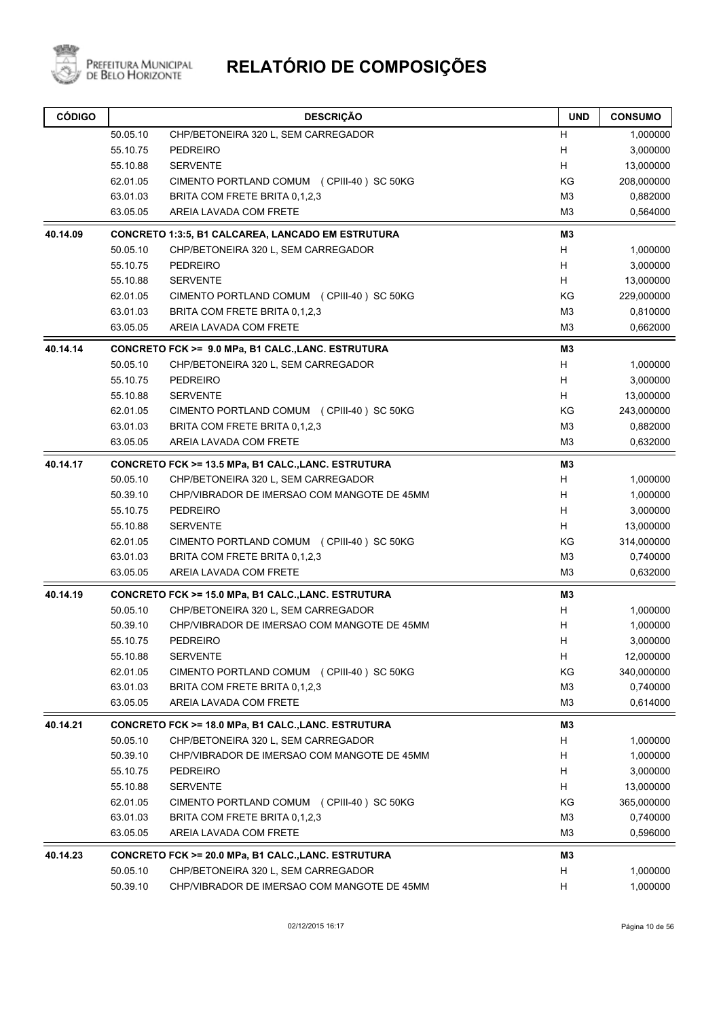

| 50.05.10<br>CHP/BETONEIRA 320 L, SEM CARREGADOR<br>н<br>1,000000<br>55.10.75<br>H<br><b>PEDREIRO</b><br>3,000000<br><b>SERVENTE</b><br>H<br>13,000000<br>55.10.88<br>KG<br>208,000000<br>62.01.05<br>CIMENTO PORTLAND COMUM (CPIII-40) SC 50KG<br>63.01.03<br>M <sub>3</sub><br>0,882000<br>BRITA COM FRETE BRITA 0,1,2,3<br>63.05.05<br>AREIA LAVADA COM FRETE<br>M3<br>0,564000<br>M <sub>3</sub><br>40.14.09<br><b>CONCRETO 1:3:5, B1 CALCAREA, LANCADO EM ESTRUTURA</b><br>H<br>50.05.10<br>CHP/BETONEIRA 320 L, SEM CARREGADOR<br>1,000000<br>55.10.75<br>Н<br><b>PEDREIRO</b><br>3,000000<br>H<br>55.10.88<br><b>SERVENTE</b><br>13,000000<br>KG<br>62.01.05<br>CIMENTO PORTLAND COMUM (CPIII-40) SC 50KG<br>229,000000<br>M <sub>3</sub><br>63.01.03<br>BRITA COM FRETE BRITA 0,1,2,3<br>0,810000<br>M <sub>3</sub><br>63.05.05<br>AREIA LAVADA COM FRETE<br>0,662000<br>40.14.14<br>M <sub>3</sub><br>CONCRETO FCK >= 9.0 MPa, B1 CALC., LANC. ESTRUTURA<br>H<br>50.05.10<br>CHP/BETONEIRA 320 L, SEM CARREGADOR<br>1,000000<br>Н<br>55.10.75<br>3,000000<br><b>PEDREIRO</b><br>H<br>55.10.88<br><b>SERVENTE</b><br>13,000000<br>KG<br>62.01.05<br>CIMENTO PORTLAND COMUM (CPIII-40) SC 50KG<br>243,000000<br>M <sub>3</sub><br>63.01.03<br>BRITA COM FRETE BRITA 0,1,2,3<br>0,882000<br>63.05.05<br>M <sub>3</sub><br>AREIA LAVADA COM FRETE<br>0,632000<br>40.14.17<br>CONCRETO FCK >= 13.5 MPa, B1 CALC., LANC. ESTRUTURA<br>M3<br>н<br>50.05.10<br>CHP/BETONEIRA 320 L, SEM CARREGADOR<br>1,000000<br>H<br>50.39.10<br>CHP/VIBRADOR DE IMERSAO COM MANGOTE DE 45MM<br>1,000000<br>H<br>55.10.75<br><b>PEDREIRO</b><br>3,000000<br>H<br>55.10.88<br><b>SERVENTE</b><br>13,000000<br>KG<br>62.01.05<br>CIMENTO PORTLAND COMUM (CPIII-40) SC 50KG<br>314,000000<br>M <sub>3</sub><br>0,740000<br>63.01.03<br>BRITA COM FRETE BRITA 0,1,2,3<br>63.05.05<br>AREIA LAVADA COM FRETE<br>M <sub>3</sub><br>0,632000<br>CONCRETO FCK >= 15.0 MPa, B1 CALC., LANC. ESTRUTURA<br>M3<br>50.05.10<br>CHP/BETONEIRA 320 L, SEM CARREGADOR<br>н<br>1,000000<br>H<br>50.39.10<br>CHP/VIBRADOR DE IMERSAO COM MANGOTE DE 45MM<br>1,000000<br>н<br>55.10.75<br><b>PEDREIRO</b><br>3,000000<br>55.10.88<br>н<br>12,000000<br><b>SERVENTE</b><br>KG<br>62.01.05<br>340,000000<br>CIMENTO PORTLAND COMUM (CPIII-40) SC 50KG<br>M <sub>3</sub><br>63.01.03<br>BRITA COM FRETE BRITA 0,1,2,3<br>0,740000<br>63.05.05<br>AREIA LAVADA COM FRETE<br>M <sub>3</sub><br>0,614000<br>40.14.21<br>CONCRETO FCK >= 18.0 MPa, B1 CALC., LANC. ESTRUTURA<br>M3<br>50.05.10<br>CHP/BETONEIRA 320 L, SEM CARREGADOR<br>н<br>1,000000<br>1,000000<br>50.39.10<br>CHP/VIBRADOR DE IMERSAO COM MANGOTE DE 45MM<br>н<br>55.10.75<br><b>PEDREIRO</b><br>н<br>3,000000<br>н<br>55.10.88<br><b>SERVENTE</b><br>13,000000<br>62.01.05<br>KG<br>365,000000<br>CIMENTO PORTLAND COMUM (CPIII-40) SC 50KG<br>63.01.03<br>M <sub>3</sub><br>BRITA COM FRETE BRITA 0,1,2,3<br>0,740000<br>63.05.05<br>AREIA LAVADA COM FRETE<br>M <sub>3</sub><br>0,596000<br>40.14.23<br>CONCRETO FCK >= 20.0 MPa, B1 CALC., LANC. ESTRUTURA<br>M3<br>50.05.10<br>CHP/BETONEIRA 320 L, SEM CARREGADOR<br>н<br>1,000000<br>1,000000<br>50.39.10<br>CHP/VIBRADOR DE IMERSAO COM MANGOTE DE 45MM<br>н | <b>CÓDIGO</b> | <b>DESCRIÇÃO</b> | <b>UND</b> | <b>CONSUMO</b> |
|--------------------------------------------------------------------------------------------------------------------------------------------------------------------------------------------------------------------------------------------------------------------------------------------------------------------------------------------------------------------------------------------------------------------------------------------------------------------------------------------------------------------------------------------------------------------------------------------------------------------------------------------------------------------------------------------------------------------------------------------------------------------------------------------------------------------------------------------------------------------------------------------------------------------------------------------------------------------------------------------------------------------------------------------------------------------------------------------------------------------------------------------------------------------------------------------------------------------------------------------------------------------------------------------------------------------------------------------------------------------------------------------------------------------------------------------------------------------------------------------------------------------------------------------------------------------------------------------------------------------------------------------------------------------------------------------------------------------------------------------------------------------------------------------------------------------------------------------------------------------------------------------------------------------------------------------------------------------------------------------------------------------------------------------------------------------------------------------------------------------------------------------------------------------------------------------------------------------------------------------------------------------------------------------------------------------------------------------------------------------------------------------------------------------------------------------------------------------------------------------------------------------------------------------------------------------------------------------------------------------------------------------------------------------------------------------------------------------------------------------------------------------------------------------------------------------------------------------------------------------------------------------------------------------------------------------------------------------------------------------------------------------------------------------------------------------------------------------------------------------------------------------------------------------------------------------------------------------------------------------------|---------------|------------------|------------|----------------|
|                                                                                                                                                                                                                                                                                                                                                                                                                                                                                                                                                                                                                                                                                                                                                                                                                                                                                                                                                                                                                                                                                                                                                                                                                                                                                                                                                                                                                                                                                                                                                                                                                                                                                                                                                                                                                                                                                                                                                                                                                                                                                                                                                                                                                                                                                                                                                                                                                                                                                                                                                                                                                                                                                                                                                                                                                                                                                                                                                                                                                                                                                                                                                                                                                                                  |               |                  |            |                |
|                                                                                                                                                                                                                                                                                                                                                                                                                                                                                                                                                                                                                                                                                                                                                                                                                                                                                                                                                                                                                                                                                                                                                                                                                                                                                                                                                                                                                                                                                                                                                                                                                                                                                                                                                                                                                                                                                                                                                                                                                                                                                                                                                                                                                                                                                                                                                                                                                                                                                                                                                                                                                                                                                                                                                                                                                                                                                                                                                                                                                                                                                                                                                                                                                                                  |               |                  |            |                |
|                                                                                                                                                                                                                                                                                                                                                                                                                                                                                                                                                                                                                                                                                                                                                                                                                                                                                                                                                                                                                                                                                                                                                                                                                                                                                                                                                                                                                                                                                                                                                                                                                                                                                                                                                                                                                                                                                                                                                                                                                                                                                                                                                                                                                                                                                                                                                                                                                                                                                                                                                                                                                                                                                                                                                                                                                                                                                                                                                                                                                                                                                                                                                                                                                                                  |               |                  |            |                |
|                                                                                                                                                                                                                                                                                                                                                                                                                                                                                                                                                                                                                                                                                                                                                                                                                                                                                                                                                                                                                                                                                                                                                                                                                                                                                                                                                                                                                                                                                                                                                                                                                                                                                                                                                                                                                                                                                                                                                                                                                                                                                                                                                                                                                                                                                                                                                                                                                                                                                                                                                                                                                                                                                                                                                                                                                                                                                                                                                                                                                                                                                                                                                                                                                                                  |               |                  |            |                |
|                                                                                                                                                                                                                                                                                                                                                                                                                                                                                                                                                                                                                                                                                                                                                                                                                                                                                                                                                                                                                                                                                                                                                                                                                                                                                                                                                                                                                                                                                                                                                                                                                                                                                                                                                                                                                                                                                                                                                                                                                                                                                                                                                                                                                                                                                                                                                                                                                                                                                                                                                                                                                                                                                                                                                                                                                                                                                                                                                                                                                                                                                                                                                                                                                                                  |               |                  |            |                |
|                                                                                                                                                                                                                                                                                                                                                                                                                                                                                                                                                                                                                                                                                                                                                                                                                                                                                                                                                                                                                                                                                                                                                                                                                                                                                                                                                                                                                                                                                                                                                                                                                                                                                                                                                                                                                                                                                                                                                                                                                                                                                                                                                                                                                                                                                                                                                                                                                                                                                                                                                                                                                                                                                                                                                                                                                                                                                                                                                                                                                                                                                                                                                                                                                                                  |               |                  |            |                |
|                                                                                                                                                                                                                                                                                                                                                                                                                                                                                                                                                                                                                                                                                                                                                                                                                                                                                                                                                                                                                                                                                                                                                                                                                                                                                                                                                                                                                                                                                                                                                                                                                                                                                                                                                                                                                                                                                                                                                                                                                                                                                                                                                                                                                                                                                                                                                                                                                                                                                                                                                                                                                                                                                                                                                                                                                                                                                                                                                                                                                                                                                                                                                                                                                                                  |               |                  |            |                |
|                                                                                                                                                                                                                                                                                                                                                                                                                                                                                                                                                                                                                                                                                                                                                                                                                                                                                                                                                                                                                                                                                                                                                                                                                                                                                                                                                                                                                                                                                                                                                                                                                                                                                                                                                                                                                                                                                                                                                                                                                                                                                                                                                                                                                                                                                                                                                                                                                                                                                                                                                                                                                                                                                                                                                                                                                                                                                                                                                                                                                                                                                                                                                                                                                                                  |               |                  |            |                |
|                                                                                                                                                                                                                                                                                                                                                                                                                                                                                                                                                                                                                                                                                                                                                                                                                                                                                                                                                                                                                                                                                                                                                                                                                                                                                                                                                                                                                                                                                                                                                                                                                                                                                                                                                                                                                                                                                                                                                                                                                                                                                                                                                                                                                                                                                                                                                                                                                                                                                                                                                                                                                                                                                                                                                                                                                                                                                                                                                                                                                                                                                                                                                                                                                                                  |               |                  |            |                |
|                                                                                                                                                                                                                                                                                                                                                                                                                                                                                                                                                                                                                                                                                                                                                                                                                                                                                                                                                                                                                                                                                                                                                                                                                                                                                                                                                                                                                                                                                                                                                                                                                                                                                                                                                                                                                                                                                                                                                                                                                                                                                                                                                                                                                                                                                                                                                                                                                                                                                                                                                                                                                                                                                                                                                                                                                                                                                                                                                                                                                                                                                                                                                                                                                                                  |               |                  |            |                |
|                                                                                                                                                                                                                                                                                                                                                                                                                                                                                                                                                                                                                                                                                                                                                                                                                                                                                                                                                                                                                                                                                                                                                                                                                                                                                                                                                                                                                                                                                                                                                                                                                                                                                                                                                                                                                                                                                                                                                                                                                                                                                                                                                                                                                                                                                                                                                                                                                                                                                                                                                                                                                                                                                                                                                                                                                                                                                                                                                                                                                                                                                                                                                                                                                                                  |               |                  |            |                |
|                                                                                                                                                                                                                                                                                                                                                                                                                                                                                                                                                                                                                                                                                                                                                                                                                                                                                                                                                                                                                                                                                                                                                                                                                                                                                                                                                                                                                                                                                                                                                                                                                                                                                                                                                                                                                                                                                                                                                                                                                                                                                                                                                                                                                                                                                                                                                                                                                                                                                                                                                                                                                                                                                                                                                                                                                                                                                                                                                                                                                                                                                                                                                                                                                                                  |               |                  |            |                |
|                                                                                                                                                                                                                                                                                                                                                                                                                                                                                                                                                                                                                                                                                                                                                                                                                                                                                                                                                                                                                                                                                                                                                                                                                                                                                                                                                                                                                                                                                                                                                                                                                                                                                                                                                                                                                                                                                                                                                                                                                                                                                                                                                                                                                                                                                                                                                                                                                                                                                                                                                                                                                                                                                                                                                                                                                                                                                                                                                                                                                                                                                                                                                                                                                                                  |               |                  |            |                |
|                                                                                                                                                                                                                                                                                                                                                                                                                                                                                                                                                                                                                                                                                                                                                                                                                                                                                                                                                                                                                                                                                                                                                                                                                                                                                                                                                                                                                                                                                                                                                                                                                                                                                                                                                                                                                                                                                                                                                                                                                                                                                                                                                                                                                                                                                                                                                                                                                                                                                                                                                                                                                                                                                                                                                                                                                                                                                                                                                                                                                                                                                                                                                                                                                                                  |               |                  |            |                |
|                                                                                                                                                                                                                                                                                                                                                                                                                                                                                                                                                                                                                                                                                                                                                                                                                                                                                                                                                                                                                                                                                                                                                                                                                                                                                                                                                                                                                                                                                                                                                                                                                                                                                                                                                                                                                                                                                                                                                                                                                                                                                                                                                                                                                                                                                                                                                                                                                                                                                                                                                                                                                                                                                                                                                                                                                                                                                                                                                                                                                                                                                                                                                                                                                                                  |               |                  |            |                |
|                                                                                                                                                                                                                                                                                                                                                                                                                                                                                                                                                                                                                                                                                                                                                                                                                                                                                                                                                                                                                                                                                                                                                                                                                                                                                                                                                                                                                                                                                                                                                                                                                                                                                                                                                                                                                                                                                                                                                                                                                                                                                                                                                                                                                                                                                                                                                                                                                                                                                                                                                                                                                                                                                                                                                                                                                                                                                                                                                                                                                                                                                                                                                                                                                                                  |               |                  |            |                |
|                                                                                                                                                                                                                                                                                                                                                                                                                                                                                                                                                                                                                                                                                                                                                                                                                                                                                                                                                                                                                                                                                                                                                                                                                                                                                                                                                                                                                                                                                                                                                                                                                                                                                                                                                                                                                                                                                                                                                                                                                                                                                                                                                                                                                                                                                                                                                                                                                                                                                                                                                                                                                                                                                                                                                                                                                                                                                                                                                                                                                                                                                                                                                                                                                                                  |               |                  |            |                |
|                                                                                                                                                                                                                                                                                                                                                                                                                                                                                                                                                                                                                                                                                                                                                                                                                                                                                                                                                                                                                                                                                                                                                                                                                                                                                                                                                                                                                                                                                                                                                                                                                                                                                                                                                                                                                                                                                                                                                                                                                                                                                                                                                                                                                                                                                                                                                                                                                                                                                                                                                                                                                                                                                                                                                                                                                                                                                                                                                                                                                                                                                                                                                                                                                                                  |               |                  |            |                |
|                                                                                                                                                                                                                                                                                                                                                                                                                                                                                                                                                                                                                                                                                                                                                                                                                                                                                                                                                                                                                                                                                                                                                                                                                                                                                                                                                                                                                                                                                                                                                                                                                                                                                                                                                                                                                                                                                                                                                                                                                                                                                                                                                                                                                                                                                                                                                                                                                                                                                                                                                                                                                                                                                                                                                                                                                                                                                                                                                                                                                                                                                                                                                                                                                                                  |               |                  |            |                |
|                                                                                                                                                                                                                                                                                                                                                                                                                                                                                                                                                                                                                                                                                                                                                                                                                                                                                                                                                                                                                                                                                                                                                                                                                                                                                                                                                                                                                                                                                                                                                                                                                                                                                                                                                                                                                                                                                                                                                                                                                                                                                                                                                                                                                                                                                                                                                                                                                                                                                                                                                                                                                                                                                                                                                                                                                                                                                                                                                                                                                                                                                                                                                                                                                                                  |               |                  |            |                |
|                                                                                                                                                                                                                                                                                                                                                                                                                                                                                                                                                                                                                                                                                                                                                                                                                                                                                                                                                                                                                                                                                                                                                                                                                                                                                                                                                                                                                                                                                                                                                                                                                                                                                                                                                                                                                                                                                                                                                                                                                                                                                                                                                                                                                                                                                                                                                                                                                                                                                                                                                                                                                                                                                                                                                                                                                                                                                                                                                                                                                                                                                                                                                                                                                                                  |               |                  |            |                |
|                                                                                                                                                                                                                                                                                                                                                                                                                                                                                                                                                                                                                                                                                                                                                                                                                                                                                                                                                                                                                                                                                                                                                                                                                                                                                                                                                                                                                                                                                                                                                                                                                                                                                                                                                                                                                                                                                                                                                                                                                                                                                                                                                                                                                                                                                                                                                                                                                                                                                                                                                                                                                                                                                                                                                                                                                                                                                                                                                                                                                                                                                                                                                                                                                                                  |               |                  |            |                |
|                                                                                                                                                                                                                                                                                                                                                                                                                                                                                                                                                                                                                                                                                                                                                                                                                                                                                                                                                                                                                                                                                                                                                                                                                                                                                                                                                                                                                                                                                                                                                                                                                                                                                                                                                                                                                                                                                                                                                                                                                                                                                                                                                                                                                                                                                                                                                                                                                                                                                                                                                                                                                                                                                                                                                                                                                                                                                                                                                                                                                                                                                                                                                                                                                                                  |               |                  |            |                |
|                                                                                                                                                                                                                                                                                                                                                                                                                                                                                                                                                                                                                                                                                                                                                                                                                                                                                                                                                                                                                                                                                                                                                                                                                                                                                                                                                                                                                                                                                                                                                                                                                                                                                                                                                                                                                                                                                                                                                                                                                                                                                                                                                                                                                                                                                                                                                                                                                                                                                                                                                                                                                                                                                                                                                                                                                                                                                                                                                                                                                                                                                                                                                                                                                                                  |               |                  |            |                |
|                                                                                                                                                                                                                                                                                                                                                                                                                                                                                                                                                                                                                                                                                                                                                                                                                                                                                                                                                                                                                                                                                                                                                                                                                                                                                                                                                                                                                                                                                                                                                                                                                                                                                                                                                                                                                                                                                                                                                                                                                                                                                                                                                                                                                                                                                                                                                                                                                                                                                                                                                                                                                                                                                                                                                                                                                                                                                                                                                                                                                                                                                                                                                                                                                                                  |               |                  |            |                |
|                                                                                                                                                                                                                                                                                                                                                                                                                                                                                                                                                                                                                                                                                                                                                                                                                                                                                                                                                                                                                                                                                                                                                                                                                                                                                                                                                                                                                                                                                                                                                                                                                                                                                                                                                                                                                                                                                                                                                                                                                                                                                                                                                                                                                                                                                                                                                                                                                                                                                                                                                                                                                                                                                                                                                                                                                                                                                                                                                                                                                                                                                                                                                                                                                                                  |               |                  |            |                |
|                                                                                                                                                                                                                                                                                                                                                                                                                                                                                                                                                                                                                                                                                                                                                                                                                                                                                                                                                                                                                                                                                                                                                                                                                                                                                                                                                                                                                                                                                                                                                                                                                                                                                                                                                                                                                                                                                                                                                                                                                                                                                                                                                                                                                                                                                                                                                                                                                                                                                                                                                                                                                                                                                                                                                                                                                                                                                                                                                                                                                                                                                                                                                                                                                                                  |               |                  |            |                |
|                                                                                                                                                                                                                                                                                                                                                                                                                                                                                                                                                                                                                                                                                                                                                                                                                                                                                                                                                                                                                                                                                                                                                                                                                                                                                                                                                                                                                                                                                                                                                                                                                                                                                                                                                                                                                                                                                                                                                                                                                                                                                                                                                                                                                                                                                                                                                                                                                                                                                                                                                                                                                                                                                                                                                                                                                                                                                                                                                                                                                                                                                                                                                                                                                                                  |               |                  |            |                |
|                                                                                                                                                                                                                                                                                                                                                                                                                                                                                                                                                                                                                                                                                                                                                                                                                                                                                                                                                                                                                                                                                                                                                                                                                                                                                                                                                                                                                                                                                                                                                                                                                                                                                                                                                                                                                                                                                                                                                                                                                                                                                                                                                                                                                                                                                                                                                                                                                                                                                                                                                                                                                                                                                                                                                                                                                                                                                                                                                                                                                                                                                                                                                                                                                                                  | 40.14.19      |                  |            |                |
|                                                                                                                                                                                                                                                                                                                                                                                                                                                                                                                                                                                                                                                                                                                                                                                                                                                                                                                                                                                                                                                                                                                                                                                                                                                                                                                                                                                                                                                                                                                                                                                                                                                                                                                                                                                                                                                                                                                                                                                                                                                                                                                                                                                                                                                                                                                                                                                                                                                                                                                                                                                                                                                                                                                                                                                                                                                                                                                                                                                                                                                                                                                                                                                                                                                  |               |                  |            |                |
|                                                                                                                                                                                                                                                                                                                                                                                                                                                                                                                                                                                                                                                                                                                                                                                                                                                                                                                                                                                                                                                                                                                                                                                                                                                                                                                                                                                                                                                                                                                                                                                                                                                                                                                                                                                                                                                                                                                                                                                                                                                                                                                                                                                                                                                                                                                                                                                                                                                                                                                                                                                                                                                                                                                                                                                                                                                                                                                                                                                                                                                                                                                                                                                                                                                  |               |                  |            |                |
|                                                                                                                                                                                                                                                                                                                                                                                                                                                                                                                                                                                                                                                                                                                                                                                                                                                                                                                                                                                                                                                                                                                                                                                                                                                                                                                                                                                                                                                                                                                                                                                                                                                                                                                                                                                                                                                                                                                                                                                                                                                                                                                                                                                                                                                                                                                                                                                                                                                                                                                                                                                                                                                                                                                                                                                                                                                                                                                                                                                                                                                                                                                                                                                                                                                  |               |                  |            |                |
|                                                                                                                                                                                                                                                                                                                                                                                                                                                                                                                                                                                                                                                                                                                                                                                                                                                                                                                                                                                                                                                                                                                                                                                                                                                                                                                                                                                                                                                                                                                                                                                                                                                                                                                                                                                                                                                                                                                                                                                                                                                                                                                                                                                                                                                                                                                                                                                                                                                                                                                                                                                                                                                                                                                                                                                                                                                                                                                                                                                                                                                                                                                                                                                                                                                  |               |                  |            |                |
|                                                                                                                                                                                                                                                                                                                                                                                                                                                                                                                                                                                                                                                                                                                                                                                                                                                                                                                                                                                                                                                                                                                                                                                                                                                                                                                                                                                                                                                                                                                                                                                                                                                                                                                                                                                                                                                                                                                                                                                                                                                                                                                                                                                                                                                                                                                                                                                                                                                                                                                                                                                                                                                                                                                                                                                                                                                                                                                                                                                                                                                                                                                                                                                                                                                  |               |                  |            |                |
|                                                                                                                                                                                                                                                                                                                                                                                                                                                                                                                                                                                                                                                                                                                                                                                                                                                                                                                                                                                                                                                                                                                                                                                                                                                                                                                                                                                                                                                                                                                                                                                                                                                                                                                                                                                                                                                                                                                                                                                                                                                                                                                                                                                                                                                                                                                                                                                                                                                                                                                                                                                                                                                                                                                                                                                                                                                                                                                                                                                                                                                                                                                                                                                                                                                  |               |                  |            |                |
|                                                                                                                                                                                                                                                                                                                                                                                                                                                                                                                                                                                                                                                                                                                                                                                                                                                                                                                                                                                                                                                                                                                                                                                                                                                                                                                                                                                                                                                                                                                                                                                                                                                                                                                                                                                                                                                                                                                                                                                                                                                                                                                                                                                                                                                                                                                                                                                                                                                                                                                                                                                                                                                                                                                                                                                                                                                                                                                                                                                                                                                                                                                                                                                                                                                  |               |                  |            |                |
|                                                                                                                                                                                                                                                                                                                                                                                                                                                                                                                                                                                                                                                                                                                                                                                                                                                                                                                                                                                                                                                                                                                                                                                                                                                                                                                                                                                                                                                                                                                                                                                                                                                                                                                                                                                                                                                                                                                                                                                                                                                                                                                                                                                                                                                                                                                                                                                                                                                                                                                                                                                                                                                                                                                                                                                                                                                                                                                                                                                                                                                                                                                                                                                                                                                  |               |                  |            |                |
|                                                                                                                                                                                                                                                                                                                                                                                                                                                                                                                                                                                                                                                                                                                                                                                                                                                                                                                                                                                                                                                                                                                                                                                                                                                                                                                                                                                                                                                                                                                                                                                                                                                                                                                                                                                                                                                                                                                                                                                                                                                                                                                                                                                                                                                                                                                                                                                                                                                                                                                                                                                                                                                                                                                                                                                                                                                                                                                                                                                                                                                                                                                                                                                                                                                  |               |                  |            |                |
|                                                                                                                                                                                                                                                                                                                                                                                                                                                                                                                                                                                                                                                                                                                                                                                                                                                                                                                                                                                                                                                                                                                                                                                                                                                                                                                                                                                                                                                                                                                                                                                                                                                                                                                                                                                                                                                                                                                                                                                                                                                                                                                                                                                                                                                                                                                                                                                                                                                                                                                                                                                                                                                                                                                                                                                                                                                                                                                                                                                                                                                                                                                                                                                                                                                  |               |                  |            |                |
|                                                                                                                                                                                                                                                                                                                                                                                                                                                                                                                                                                                                                                                                                                                                                                                                                                                                                                                                                                                                                                                                                                                                                                                                                                                                                                                                                                                                                                                                                                                                                                                                                                                                                                                                                                                                                                                                                                                                                                                                                                                                                                                                                                                                                                                                                                                                                                                                                                                                                                                                                                                                                                                                                                                                                                                                                                                                                                                                                                                                                                                                                                                                                                                                                                                  |               |                  |            |                |
|                                                                                                                                                                                                                                                                                                                                                                                                                                                                                                                                                                                                                                                                                                                                                                                                                                                                                                                                                                                                                                                                                                                                                                                                                                                                                                                                                                                                                                                                                                                                                                                                                                                                                                                                                                                                                                                                                                                                                                                                                                                                                                                                                                                                                                                                                                                                                                                                                                                                                                                                                                                                                                                                                                                                                                                                                                                                                                                                                                                                                                                                                                                                                                                                                                                  |               |                  |            |                |
|                                                                                                                                                                                                                                                                                                                                                                                                                                                                                                                                                                                                                                                                                                                                                                                                                                                                                                                                                                                                                                                                                                                                                                                                                                                                                                                                                                                                                                                                                                                                                                                                                                                                                                                                                                                                                                                                                                                                                                                                                                                                                                                                                                                                                                                                                                                                                                                                                                                                                                                                                                                                                                                                                                                                                                                                                                                                                                                                                                                                                                                                                                                                                                                                                                                  |               |                  |            |                |
|                                                                                                                                                                                                                                                                                                                                                                                                                                                                                                                                                                                                                                                                                                                                                                                                                                                                                                                                                                                                                                                                                                                                                                                                                                                                                                                                                                                                                                                                                                                                                                                                                                                                                                                                                                                                                                                                                                                                                                                                                                                                                                                                                                                                                                                                                                                                                                                                                                                                                                                                                                                                                                                                                                                                                                                                                                                                                                                                                                                                                                                                                                                                                                                                                                                  |               |                  |            |                |
|                                                                                                                                                                                                                                                                                                                                                                                                                                                                                                                                                                                                                                                                                                                                                                                                                                                                                                                                                                                                                                                                                                                                                                                                                                                                                                                                                                                                                                                                                                                                                                                                                                                                                                                                                                                                                                                                                                                                                                                                                                                                                                                                                                                                                                                                                                                                                                                                                                                                                                                                                                                                                                                                                                                                                                                                                                                                                                                                                                                                                                                                                                                                                                                                                                                  |               |                  |            |                |
|                                                                                                                                                                                                                                                                                                                                                                                                                                                                                                                                                                                                                                                                                                                                                                                                                                                                                                                                                                                                                                                                                                                                                                                                                                                                                                                                                                                                                                                                                                                                                                                                                                                                                                                                                                                                                                                                                                                                                                                                                                                                                                                                                                                                                                                                                                                                                                                                                                                                                                                                                                                                                                                                                                                                                                                                                                                                                                                                                                                                                                                                                                                                                                                                                                                  |               |                  |            |                |
|                                                                                                                                                                                                                                                                                                                                                                                                                                                                                                                                                                                                                                                                                                                                                                                                                                                                                                                                                                                                                                                                                                                                                                                                                                                                                                                                                                                                                                                                                                                                                                                                                                                                                                                                                                                                                                                                                                                                                                                                                                                                                                                                                                                                                                                                                                                                                                                                                                                                                                                                                                                                                                                                                                                                                                                                                                                                                                                                                                                                                                                                                                                                                                                                                                                  |               |                  |            |                |
|                                                                                                                                                                                                                                                                                                                                                                                                                                                                                                                                                                                                                                                                                                                                                                                                                                                                                                                                                                                                                                                                                                                                                                                                                                                                                                                                                                                                                                                                                                                                                                                                                                                                                                                                                                                                                                                                                                                                                                                                                                                                                                                                                                                                                                                                                                                                                                                                                                                                                                                                                                                                                                                                                                                                                                                                                                                                                                                                                                                                                                                                                                                                                                                                                                                  |               |                  |            |                |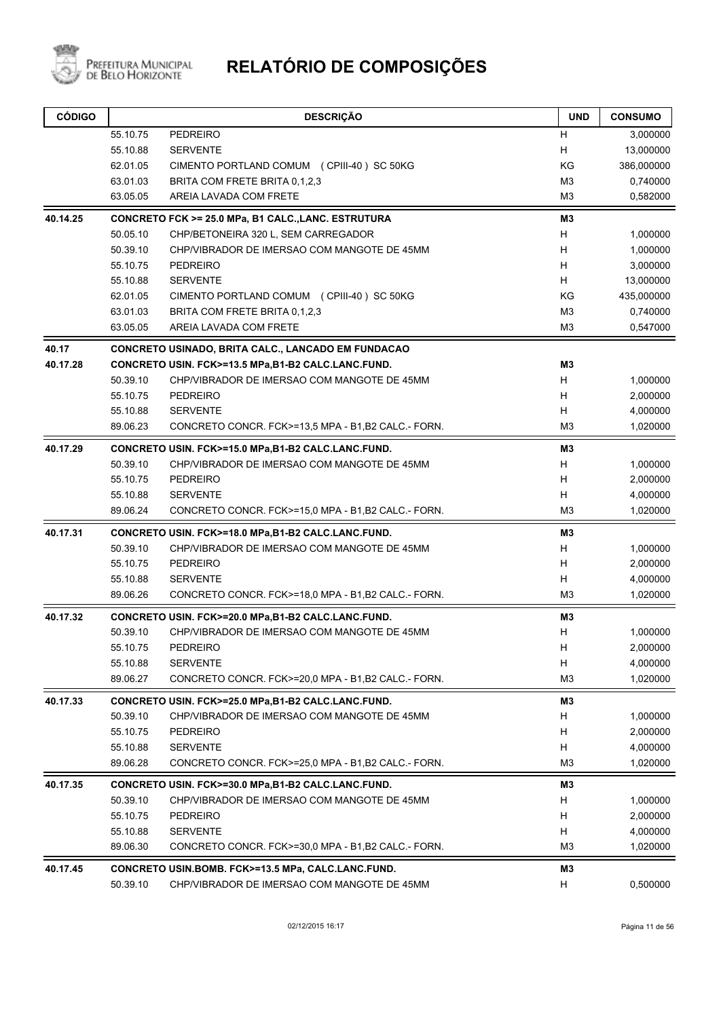

| <b>CÓDIGO</b> |                      | <b>DESCRIÇÃO</b>                                                                                  | <b>UND</b>          | <b>CONSUMO</b>       |
|---------------|----------------------|---------------------------------------------------------------------------------------------------|---------------------|----------------------|
|               | 55.10.75             | PEDREIRO                                                                                          | H                   | 3,000000             |
|               | 55.10.88             | <b>SERVENTE</b>                                                                                   | Н                   | 13,000000            |
|               | 62.01.05             | CIMENTO PORTLAND COMUM (CPIII-40) SC 50KG                                                         | KG                  | 386,000000           |
|               | 63.01.03             | BRITA COM FRETE BRITA 0.1.2.3                                                                     | M <sub>3</sub>      | 0,740000             |
|               | 63.05.05             | AREIA LAVADA COM FRETE                                                                            | M3                  | 0,582000             |
| 40.14.25      |                      | CONCRETO FCK >= 25.0 MPa, B1 CALC., LANC. ESTRUTURA                                               | M3                  |                      |
|               | 50.05.10             | CHP/BETONEIRA 320 L, SEM CARREGADOR                                                               | H                   | 1,000000             |
|               | 50.39.10             | CHP/VIBRADOR DE IMERSAO COM MANGOTE DE 45MM                                                       | H                   | 1,000000             |
|               | 55.10.75             | <b>PEDREIRO</b>                                                                                   | H                   | 3,000000             |
|               | 55.10.88             | <b>SERVENTE</b>                                                                                   | H                   | 13,000000            |
|               | 62.01.05             | CIMENTO PORTLAND COMUM (CPIII-40) SC 50KG                                                         | KG                  | 435,000000           |
|               | 63.01.03             | BRITA COM FRETE BRITA 0,1,2,3                                                                     | M <sub>3</sub>      | 0,740000             |
|               | 63.05.05             | AREIA LAVADA COM FRETE                                                                            | M <sub>3</sub>      | 0,547000             |
| 40.17         |                      | <b>CONCRETO USINADO, BRITA CALC., LANCADO EM FUNDACAO</b>                                         |                     |                      |
| 40.17.28      |                      | CONCRETO USIN. FCK>=13.5 MPa,B1-B2 CALC.LANC.FUND.                                                | M <sub>3</sub>      |                      |
|               | 50.39.10             | CHP/VIBRADOR DE IMERSAO COM MANGOTE DE 45MM                                                       | н                   | 1,000000             |
|               | 55.10.75             | <b>PEDREIRO</b>                                                                                   | H                   | 2,000000             |
|               | 55.10.88             | <b>SERVENTE</b>                                                                                   | H                   | 4,000000             |
|               | 89.06.23             | CONCRETO CONCR. FCK>=13,5 MPA - B1,B2 CALC - FORN.                                                | M <sub>3</sub>      | 1,020000             |
| 40.17.29      |                      | CONCRETO USIN. FCK>=15.0 MPa,B1-B2 CALC.LANC.FUND.                                                | M3                  |                      |
|               | 50.39.10             | CHP/VIBRADOR DE IMERSAO COM MANGOTE DE 45MM                                                       | H                   | 1,000000             |
|               | 55.10.75             | <b>PEDREIRO</b>                                                                                   | H                   | 2,000000             |
|               | 55.10.88             | <b>SERVENTE</b>                                                                                   | Н                   | 4,000000             |
|               | 89.06.24             | CONCRETO CONCR. FCK>=15,0 MPA - B1,B2 CALC - FORN.                                                | M <sub>3</sub>      | 1,020000             |
| 40.17.31      |                      | CONCRETO USIN. FCK>=18.0 MPa,B1-B2 CALC.LANC.FUND.                                                | M <sub>3</sub>      |                      |
|               | 50.39.10             | CHP/VIBRADOR DE IMERSAO COM MANGOTE DE 45MM                                                       | H                   | 1,000000             |
|               | 55.10.75             | <b>PEDREIRO</b>                                                                                   | н                   | 2,000000             |
|               | 55.10.88             | <b>SERVENTE</b>                                                                                   | н                   | 4,000000             |
|               | 89.06.26             | CONCRETO CONCR. FCK>=18,0 MPA - B1,B2 CALC - FORN.                                                | M <sub>3</sub>      | 1,020000             |
| 40.17.32      |                      | CONCRETO USIN. FCK>=20.0 MPa,B1-B2 CALC.LANC.FUND.                                                | M3                  |                      |
|               | 50.39.10             | CHP/VIBRADOR DE IMERSAO COM MANGOTE DE 45MM                                                       | H                   | 1,000000             |
|               | 55.10.75             | PEDREIRO                                                                                          | н                   | 2,000000             |
|               | 55.10.88<br>89.06.27 | <b>SERVENTE</b><br>CONCRETO CONCR. FCK>=20,0 MPA - B1,B2 CALC - FORN.                             | H<br>M <sub>3</sub> | 4,000000<br>1,020000 |
|               |                      |                                                                                                   |                     |                      |
| 40.17.33      |                      | CONCRETO USIN. FCK>=25.0 MPa,B1-B2 CALC.LANC.FUND.                                                | MЗ                  |                      |
|               | 50.39.10             | CHP/VIBRADOR DE IMERSAO COM MANGOTE DE 45MM                                                       | H                   | 1,000000             |
|               | 55.10.75             | PEDREIRO                                                                                          | н                   | 2,000000             |
|               | 55.10.88<br>89.06.28 | <b>SERVENTE</b><br>CONCRETO CONCR. FCK>=25.0 MPA - B1,B2 CALC - FORN.                             | H<br>M3             | 4,000000<br>1,020000 |
|               |                      |                                                                                                   |                     |                      |
| 40.17.35      | 50.39.10             | CONCRETO USIN. FCK>=30.0 MPa,B1-B2 CALC.LANC.FUND.<br>CHP/VIBRADOR DE IMERSAO COM MANGOTE DE 45MM | M3<br>н             |                      |
|               | 55.10.75             | <b>PEDREIRO</b>                                                                                   | н                   | 1,000000<br>2,000000 |
|               | 55.10.88             | <b>SERVENTE</b>                                                                                   | H                   | 4,000000             |
|               | 89.06.30             | CONCRETO CONCR. FCK>=30,0 MPA - B1,B2 CALC - FORN.                                                | M <sub>3</sub>      | 1,020000             |
| 40.17.45      |                      | CONCRETO USIN.BOMB. FCK>=13.5 MPa, CALC.LANC.FUND.                                                | M3                  |                      |
|               | 50.39.10             | CHP/VIBRADOR DE IMERSAO COM MANGOTE DE 45MM                                                       | н                   | 0,500000             |
|               |                      |                                                                                                   |                     |                      |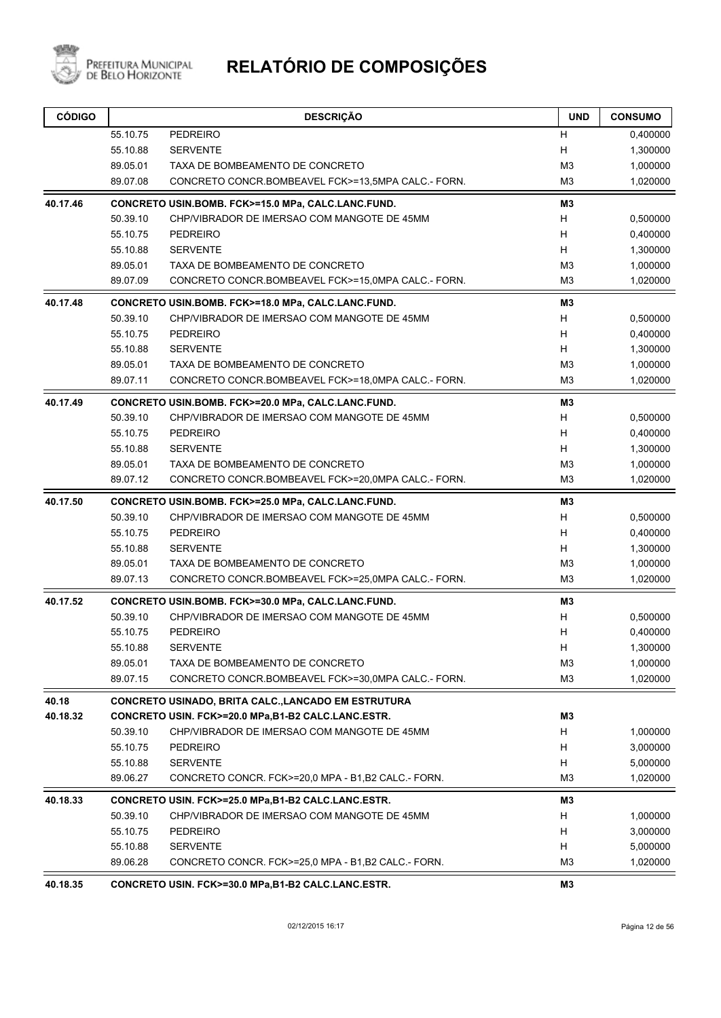

| <b>CÓDIGO</b>     |                      | <b>DESCRIÇÃO</b>                                                                                                 | <b>UND</b>          | <b>CONSUMO</b>       |
|-------------------|----------------------|------------------------------------------------------------------------------------------------------------------|---------------------|----------------------|
|                   | 55.10.75             | <b>PEDREIRO</b>                                                                                                  | H                   | 0,400000             |
|                   | 55.10.88             | <b>SERVENTE</b>                                                                                                  | н                   | 1,300000             |
|                   | 89.05.01             | TAXA DE BOMBEAMENTO DE CONCRETO                                                                                  | M <sub>3</sub>      | 1,000000             |
|                   | 89.07.08             | CONCRETO CONCR.BOMBEAVEL FCK>=13,5MPA CALC.- FORN.                                                               | M <sub>3</sub>      | 1,020000             |
| 40.17.46          |                      | CONCRETO USIN.BOMB. FCK>=15.0 MPa, CALC.LANC.FUND.                                                               | M3                  |                      |
|                   | 50.39.10             | CHP/VIBRADOR DE IMERSAO COM MANGOTE DE 45MM                                                                      | H                   | 0,500000             |
|                   | 55.10.75             | <b>PEDREIRO</b>                                                                                                  | H                   | 0,400000             |
|                   | 55.10.88             | <b>SERVENTE</b>                                                                                                  | H                   | 1,300000             |
|                   | 89.05.01             | TAXA DE BOMBEAMENTO DE CONCRETO                                                                                  | M <sub>3</sub>      | 1,000000             |
|                   | 89.07.09             | CONCRETO CONCR.BOMBEAVEL FCK>=15,0MPA CALC.- FORN.                                                               | M <sub>3</sub>      | 1,020000             |
| 40.17.48          |                      | CONCRETO USIN.BOMB. FCK>=18.0 MPa, CALC.LANC.FUND.                                                               | M3                  |                      |
|                   | 50.39.10             | CHP/VIBRADOR DE IMERSAO COM MANGOTE DE 45MM                                                                      | H                   | 0,500000             |
|                   | 55.10.75             | <b>PEDREIRO</b>                                                                                                  | H                   | 0,400000             |
|                   | 55.10.88             | <b>SERVENTE</b>                                                                                                  | H                   | 1,300000             |
|                   | 89.05.01             | TAXA DE BOMBEAMENTO DE CONCRETO                                                                                  | M <sub>3</sub>      | 1,000000             |
|                   | 89.07.11             | CONCRETO CONCR.BOMBEAVEL FCK>=18,0MPA CALC.- FORN.                                                               | M <sub>3</sub>      | 1,020000             |
| 40.17.49          |                      | CONCRETO USIN.BOMB. FCK>=20.0 MPa, CALC.LANC.FUND.                                                               | M3                  |                      |
|                   | 50.39.10             | CHP/VIBRADOR DE IMERSAO COM MANGOTE DE 45MM                                                                      | H                   | 0,500000             |
|                   | 55.10.75             | <b>PEDREIRO</b>                                                                                                  | H                   | 0,400000             |
|                   | 55.10.88             | <b>SERVENTE</b>                                                                                                  | H                   | 1,300000             |
|                   | 89.05.01             | TAXA DE BOMBEAMENTO DE CONCRETO                                                                                  | M <sub>3</sub>      | 1,000000             |
|                   | 89.07.12             | CONCRETO CONCR.BOMBEAVEL FCK>=20,0MPA CALC.- FORN.                                                               | M <sub>3</sub>      | 1,020000             |
| 40.17.50          |                      | CONCRETO USIN.BOMB. FCK>=25.0 MPa, CALC.LANC.FUND.                                                               | M3                  |                      |
|                   | 50.39.10             | CHP/VIBRADOR DE IMERSAO COM MANGOTE DE 45MM                                                                      | H                   | 0,500000             |
|                   | 55.10.75             | <b>PEDREIRO</b>                                                                                                  | H                   | 0,400000             |
|                   | 55.10.88             | <b>SERVENTE</b>                                                                                                  | H                   | 1,300000             |
|                   | 89.05.01             | TAXA DE BOMBEAMENTO DE CONCRETO                                                                                  | M <sub>3</sub>      | 1,000000             |
|                   | 89.07.13             | CONCRETO CONCR.BOMBEAVEL FCK>=25,0MPA CALC.- FORN.                                                               | M <sub>3</sub>      | 1,020000             |
| 40.17.52          |                      | CONCRETO USIN.BOMB. FCK>=30.0 MPa, CALC.LANC.FUND.                                                               | M3                  |                      |
|                   | 50.39.10             | CHP/VIBRADOR DE IMERSAO COM MANGOTE DE 45MM                                                                      | H                   | 0,500000             |
|                   | 55.10.75             | <b>PEDREIRO</b>                                                                                                  | Н                   | 0,400000             |
|                   | 55.10.88             | <b>SERVENTE</b>                                                                                                  | $\mathsf{H}$        | 1,300000             |
|                   | 89.05.01             | TAXA DE BOMBEAMENTO DE CONCRETO                                                                                  | M <sub>3</sub>      | 1,000000             |
|                   | 89.07.15             | CONCRETO CONCR.BOMBEAVEL FCK>=30,0MPA CALC.- FORN.                                                               | M <sub>3</sub>      | 1,020000             |
| 40.18<br>40.18.32 |                      | <b>CONCRETO USINADO, BRITA CALC., LANCADO EM ESTRUTURA</b><br>CONCRETO USIN. FCK>=20.0 MPa,B1-B2 CALC.LANC.ESTR. | M3                  |                      |
|                   |                      |                                                                                                                  |                     | 1,000000             |
|                   | 50.39.10<br>55.10.75 | CHP/VIBRADOR DE IMERSAO COM MANGOTE DE 45MM                                                                      | H                   |                      |
|                   |                      | <b>PEDREIRO</b>                                                                                                  | H                   | 3,000000             |
|                   | 55.10.88<br>89.06.27 | <b>SERVENTE</b><br>CONCRETO CONCR. FCK>=20.0 MPA - B1,B2 CALC - FORN.                                            | H<br>M <sub>3</sub> | 5,000000<br>1,020000 |
| 40.18.33          |                      | CONCRETO USIN. FCK>=25.0 MPa,B1-B2 CALC.LANC.ESTR.                                                               | M3                  |                      |
|                   | 50.39.10             | CHP/VIBRADOR DE IMERSAO COM MANGOTE DE 45MM                                                                      | H                   | 1,000000             |
|                   | 55.10.75             | <b>PEDREIRO</b>                                                                                                  | H                   | 3,000000             |
|                   | 55.10.88             | <b>SERVENTE</b>                                                                                                  | H                   | 5,000000             |
|                   | 89.06.28             | CONCRETO CONCR. FCK>=25,0 MPA - B1,B2 CALC - FORN.                                                               | M <sub>3</sub>      | 1,020000             |
| 40.18.35          |                      | CONCRETO USIN. FCK>=30.0 MPa,B1-B2 CALC.LANC.ESTR.                                                               | M3                  |                      |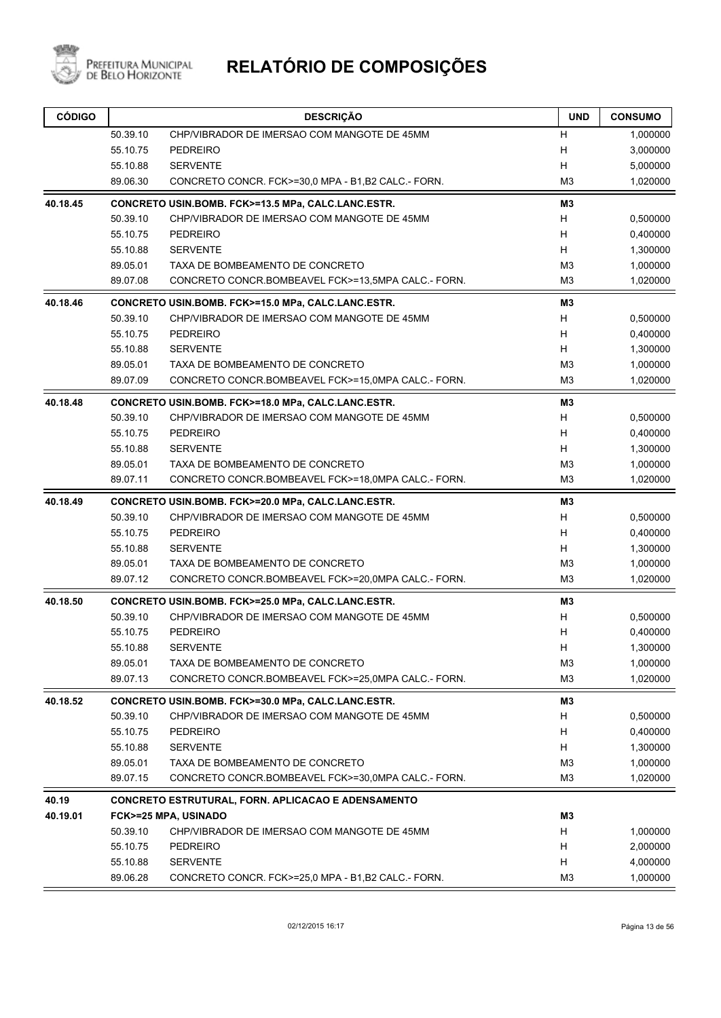

| <b>CÓDIGO</b> |          | <b>DESCRIÇÃO</b>                                   | <b>UND</b>     | <b>CONSUMO</b> |
|---------------|----------|----------------------------------------------------|----------------|----------------|
|               | 50.39.10 | CHP/VIBRADOR DE IMERSAO COM MANGOTE DE 45MM        | H              | 1,000000       |
|               | 55.10.75 | <b>PEDREIRO</b>                                    | H              | 3,000000       |
|               | 55.10.88 | <b>SERVENTE</b>                                    | H              | 5,000000       |
|               | 89.06.30 | CONCRETO CONCR. FCK>=30.0 MPA - B1.B2 CALC - FORN. | M <sub>3</sub> | 1,020000       |
| 40.18.45      |          | CONCRETO USIN.BOMB. FCK>=13.5 MPa, CALC.LANC.ESTR. | M <sub>3</sub> |                |
|               | 50.39.10 | CHP/VIBRADOR DE IMERSAO COM MANGOTE DE 45MM        | H              | 0,500000       |
|               | 55.10.75 | <b>PEDREIRO</b>                                    | H              | 0,400000       |
|               | 55.10.88 | <b>SERVENTE</b>                                    | H              | 1,300000       |
|               | 89.05.01 | TAXA DE BOMBEAMENTO DE CONCRETO                    | M <sub>3</sub> | 1,000000       |
|               | 89.07.08 | CONCRETO CONCR.BOMBEAVEL FCK>=13,5MPA CALC.- FORN. | M <sub>3</sub> | 1,020000       |
| 40.18.46      |          | CONCRETO USIN.BOMB. FCK>=15.0 MPa, CALC.LANC.ESTR. | M3             |                |
|               | 50.39.10 | CHP/VIBRADOR DE IMERSAO COM MANGOTE DE 45MM        | H              | 0,500000       |
|               | 55.10.75 | <b>PEDREIRO</b>                                    | H              | 0,400000       |
|               | 55.10.88 | <b>SERVENTE</b>                                    | H              | 1,300000       |
|               | 89.05.01 | TAXA DE BOMBEAMENTO DE CONCRETO                    | M <sub>3</sub> | 1,000000       |
|               | 89.07.09 | CONCRETO CONCR.BOMBEAVEL FCK>=15,0MPA CALC.- FORN. | M <sub>3</sub> | 1,020000       |
| 40.18.48      |          | CONCRETO USIN.BOMB. FCK>=18.0 MPa, CALC.LANC.ESTR. | M3             |                |
|               | 50.39.10 | CHP/VIBRADOR DE IMERSAO COM MANGOTE DE 45MM        | H              | 0,500000       |
|               | 55.10.75 | <b>PEDREIRO</b>                                    | H              | 0,400000       |
|               | 55.10.88 | <b>SERVENTE</b>                                    | H              | 1,300000       |
|               | 89.05.01 | TAXA DE BOMBEAMENTO DE CONCRETO                    | M <sub>3</sub> | 1,000000       |
|               | 89.07.11 | CONCRETO CONCR.BOMBEAVEL FCK>=18,0MPA CALC.- FORN. | M <sub>3</sub> | 1,020000       |
| 40.18.49      |          | CONCRETO USIN.BOMB. FCK>=20.0 MPa, CALC.LANC.ESTR. | M3             |                |
|               | 50.39.10 | CHP/VIBRADOR DE IMERSAO COM MANGOTE DE 45MM        | H              | 0,500000       |
|               | 55.10.75 | <b>PEDREIRO</b>                                    | H              | 0,400000       |
|               | 55.10.88 | <b>SERVENTE</b>                                    | H              | 1,300000       |
|               | 89.05.01 | TAXA DE BOMBEAMENTO DE CONCRETO                    | M <sub>3</sub> | 1,000000       |
|               | 89.07.12 | CONCRETO CONCR.BOMBEAVEL FCK>=20,0MPA CALC.- FORN. | M <sub>3</sub> | 1,020000       |
| 40.18.50      |          | CONCRETO USIN.BOMB. FCK>=25.0 MPa, CALC.LANC.ESTR. | M3             |                |
|               | 50.39.10 | CHP/VIBRADOR DE IMERSAO COM MANGOTE DE 45MM        | H              | 0,500000       |
|               | 55.10.75 | <b>PEDREIRO</b>                                    | н              | 0,400000       |
|               | 55.10.88 | <b>SERVENTE</b>                                    | H,             | 1,300000       |
|               | 89.05.01 | TAXA DE BOMBEAMENTO DE CONCRETO                    | M <sub>3</sub> | 1,000000       |
|               | 89.07.13 | CONCRETO CONCR.BOMBEAVEL FCK>=25,0MPA CALC.- FORN. | M <sub>3</sub> | 1,020000       |
| 40.18.52      |          | CONCRETO USIN.BOMB. FCK>=30.0 MPa, CALC.LANC.ESTR. | M3             |                |
|               | 50.39.10 | CHP/VIBRADOR DE IMERSAO COM MANGOTE DE 45MM        | H              | 0,500000       |
|               | 55.10.75 | <b>PEDREIRO</b>                                    | H              | 0,400000       |
|               | 55.10.88 | <b>SERVENTE</b>                                    | H              | 1,300000       |
|               | 89.05.01 | TAXA DE BOMBEAMENTO DE CONCRETO                    | M <sub>3</sub> | 1,000000       |
|               | 89.07.15 | CONCRETO CONCR.BOMBEAVEL FCK>=30,0MPA CALC.- FORN. | M <sub>3</sub> | 1,020000       |
| 40.19         |          | CONCRETO ESTRUTURAL, FORN. APLICACAO E ADENSAMENTO |                |                |
| 40.19.01      |          | FCK>=25 MPA, USINADO                               | M3             |                |
|               | 50.39.10 | CHP/VIBRADOR DE IMERSAO COM MANGOTE DE 45MM        | H              | 1,000000       |
|               | 55.10.75 | <b>PEDREIRO</b>                                    | H              | 2,000000       |
|               | 55.10.88 | <b>SERVENTE</b>                                    | H              | 4,000000       |
|               | 89.06.28 | CONCRETO CONCR. FCK>=25,0 MPA - B1,B2 CALC - FORN. | M <sub>3</sub> | 1,000000       |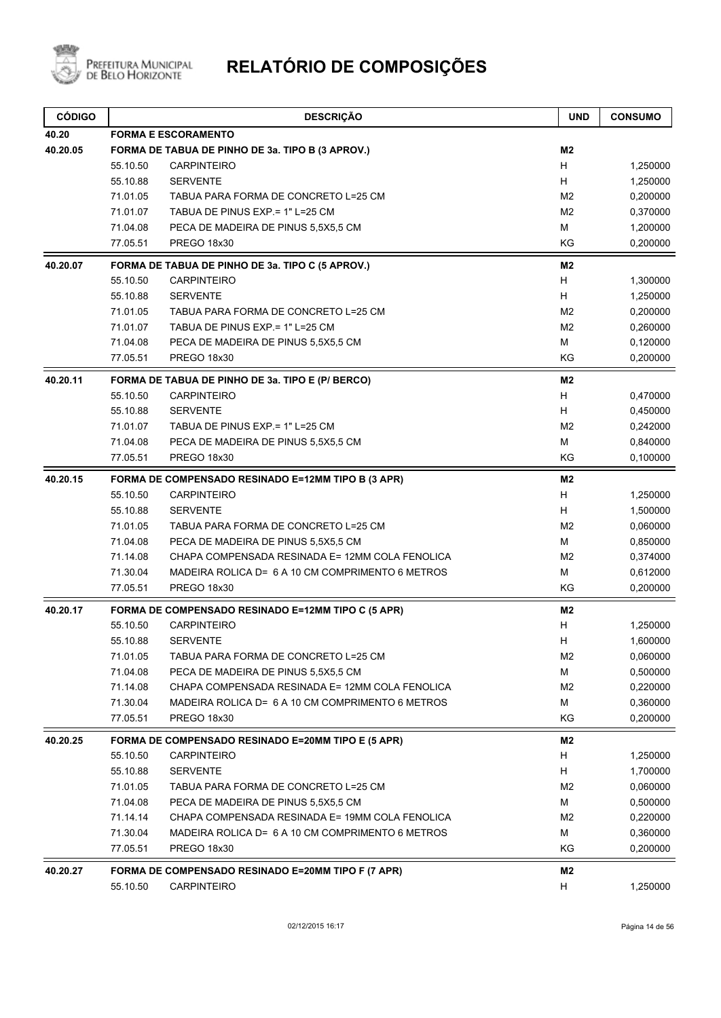

| <b>CÓDIGO</b> |          | <b>DESCRIÇÃO</b>                                   | <b>UND</b>     | <b>CONSUMO</b> |
|---------------|----------|----------------------------------------------------|----------------|----------------|
| 40.20         |          | <b>FORMA E ESCORAMENTO</b>                         |                |                |
| 40.20.05      |          | FORMA DE TABUA DE PINHO DE 3a. TIPO B (3 APROV.)   | M2             |                |
|               | 55.10.50 | <b>CARPINTEIRO</b>                                 | H              | 1,250000       |
|               | 55.10.88 | <b>SERVENTE</b>                                    | H              | 1,250000       |
|               | 71.01.05 | TABUA PARA FORMA DE CONCRETO L=25 CM               | M <sub>2</sub> | 0,200000       |
|               | 71.01.07 | TABUA DE PINUS EXP = 1" L=25 CM                    | M <sub>2</sub> | 0,370000       |
|               | 71.04.08 | PECA DE MADEIRA DE PINUS 5,5X5,5 CM                | M              | 1,200000       |
|               | 77.05.51 | PREGO 18x30                                        | KG             | 0,200000       |
| 40.20.07      |          | FORMA DE TABUA DE PINHO DE 3a. TIPO C (5 APROV.)   | M <sub>2</sub> |                |
|               | 55.10.50 | <b>CARPINTEIRO</b>                                 | H              | 1,300000       |
|               | 55.10.88 | <b>SERVENTE</b>                                    | Н              | 1,250000       |
|               | 71.01.05 | TABUA PARA FORMA DE CONCRETO L=25 CM               | M <sub>2</sub> | 0,200000       |
|               | 71.01.07 | TABUA DE PINUS EXP = 1" L=25 CM                    | M <sub>2</sub> | 0,260000       |
|               | 71.04.08 | PECA DE MADEIRA DE PINUS 5,5X5,5 CM                | M              | 0,120000       |
|               | 77.05.51 | PREGO 18x30                                        | KG             | 0,200000       |
| 40.20.11      |          | FORMA DE TABUA DE PINHO DE 3a. TIPO E (P/ BERCO)   | M <sub>2</sub> |                |
|               | 55.10.50 | <b>CARPINTEIRO</b>                                 | H              | 0,470000       |
|               | 55.10.88 | <b>SERVENTE</b>                                    | H              | 0,450000       |
|               | 71.01.07 | TABUA DE PINUS EXP = 1" L=25 CM                    | M <sub>2</sub> | 0,242000       |
|               | 71.04.08 | PECA DE MADEIRA DE PINUS 5,5X5,5 CM                | M              | 0,840000       |
|               | 77.05.51 | <b>PREGO 18x30</b>                                 | KG             | 0,100000       |
| 40.20.15      |          | FORMA DE COMPENSADO RESINADO E=12MM TIPO B (3 APR) | M <sub>2</sub> |                |
|               | 55.10.50 | <b>CARPINTEIRO</b>                                 | H              | 1,250000       |
|               | 55.10.88 | <b>SERVENTE</b>                                    | H              | 1,500000       |
|               | 71.01.05 | TABUA PARA FORMA DE CONCRETO L=25 CM               | M <sub>2</sub> | 0,060000       |
|               | 71.04.08 | PECA DE MADEIRA DE PINUS 5,5X5,5 CM                | M              | 0,850000       |
|               | 71.14.08 | CHAPA COMPENSADA RESINADA E= 12MM COLA FENOLICA    | M <sub>2</sub> | 0,374000       |
|               | 71.30.04 | MADEIRA ROLICA D= 6 A 10 CM COMPRIMENTO 6 METROS   | M              | 0,612000       |
|               | 77.05.51 | <b>PREGO 18x30</b>                                 | KG             | 0,200000       |
| 40.20.17      |          | FORMA DE COMPENSADO RESINADO E=12MM TIPO C (5 APR) | M <sub>2</sub> |                |
|               | 55.10.50 | <b>CARPINTEIRO</b>                                 | H              | 1,250000       |
|               | 55.10.88 | <b>SERVENTE</b>                                    | H              | 1,600000       |
|               | 71.01.05 | TABUA PARA FORMA DE CONCRETO L=25 CM               | M <sub>2</sub> | 0,060000       |
|               | 71.04.08 | PECA DE MADEIRA DE PINUS 5,5X5,5 CM                | M              | 0,500000       |
|               | 71.14.08 | CHAPA COMPENSADA RESINADA E= 12MM COLA FENOLICA    | M <sub>2</sub> | 0,220000       |
|               | 71.30.04 | MADEIRA ROLICA D= 6 A 10 CM COMPRIMENTO 6 METROS   | м              | 0,360000       |
|               | 77.05.51 | PREGO 18x30                                        | KG             | 0,200000       |
| 40.20.25      |          | FORMA DE COMPENSADO RESINADO E=20MM TIPO E (5 APR) | M2             |                |
|               | 55.10.50 | <b>CARPINTEIRO</b>                                 | H              | 1,250000       |
|               | 55.10.88 | <b>SERVENTE</b>                                    | H              | 1,700000       |
|               | 71.01.05 | TABUA PARA FORMA DE CONCRETO L=25 CM               | M <sub>2</sub> | 0,060000       |
|               | 71.04.08 | PECA DE MADEIRA DE PINUS 5,5X5,5 CM                | M              | 0,500000       |
|               | 71.14.14 | CHAPA COMPENSADA RESINADA E= 19MM COLA FENOLICA    | M <sub>2</sub> | 0,220000       |
|               | 71.30.04 | MADEIRA ROLICA D= 6 A 10 CM COMPRIMENTO 6 METROS   | м              | 0,360000       |
|               | 77.05.51 | PREGO 18x30                                        | KG             | 0,200000       |
| 40.20.27      |          | FORMA DE COMPENSADO RESINADO E=20MM TIPO F (7 APR) | M2             |                |
|               | 55.10.50 | CARPINTEIRO                                        | H              | 1,250000       |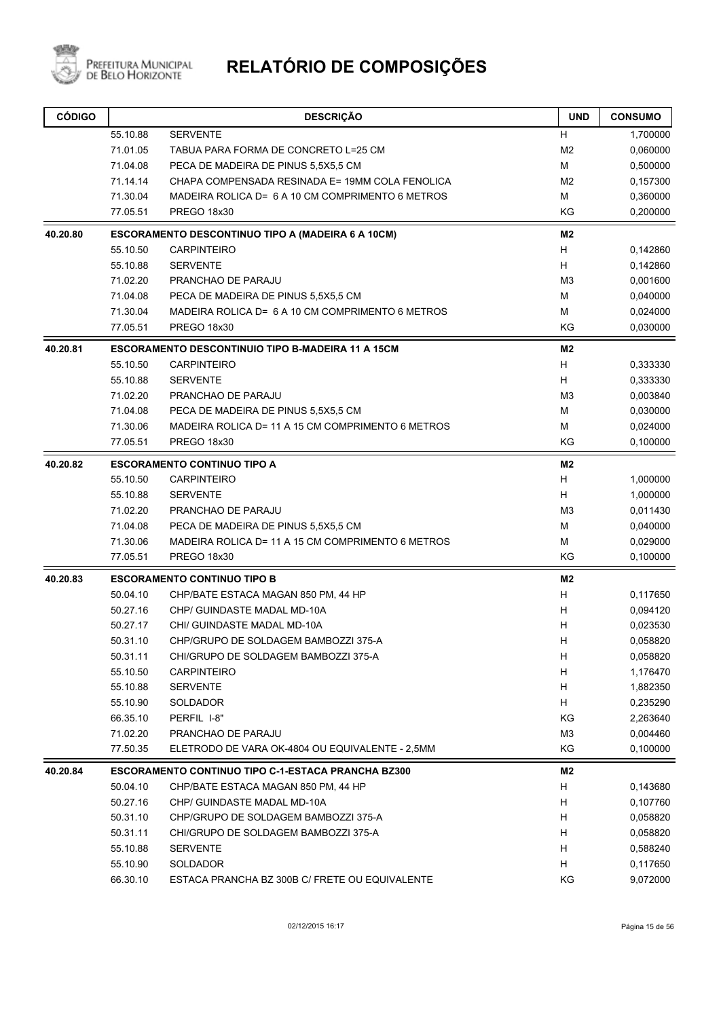

| <b>CÓDIGO</b> |          | <b>DESCRIÇÃO</b>                                          | <b>UND</b>     | <b>CONSUMO</b> |
|---------------|----------|-----------------------------------------------------------|----------------|----------------|
|               | 55.10.88 | <b>SERVENTE</b>                                           | н              | 1,700000       |
|               | 71.01.05 | TABUA PARA FORMA DE CONCRETO L=25 CM                      | M <sub>2</sub> | 0,060000       |
|               | 71.04.08 | PECA DE MADEIRA DE PINUS 5,5X5,5 CM                       | M              | 0,500000       |
|               | 71.14.14 | CHAPA COMPENSADA RESINADA E= 19MM COLA FENOLICA           | M <sub>2</sub> | 0,157300       |
|               | 71.30.04 | MADEIRA ROLICA D= 6 A 10 CM COMPRIMENTO 6 METROS          | M              | 0,360000       |
|               | 77.05.51 | PREGO 18x30                                               | KG             | 0,200000       |
| 40.20.80      |          | <b>ESCORAMENTO DESCONTINUO TIPO A (MADEIRA 6 A 10CM)</b>  | M <sub>2</sub> |                |
|               | 55.10.50 | <b>CARPINTEIRO</b>                                        | H              | 0,142860       |
|               | 55.10.88 | <b>SERVENTE</b>                                           | H              | 0,142860       |
|               | 71.02.20 | PRANCHAO DE PARAJU                                        | M <sub>3</sub> | 0,001600       |
|               | 71.04.08 | PECA DE MADEIRA DE PINUS 5,5X5,5 CM                       | м              | 0,040000       |
|               | 71.30.04 | MADEIRA ROLICA D= 6 A 10 CM COMPRIMENTO 6 METROS          | M              | 0,024000       |
|               | 77.05.51 | PREGO 18x30                                               | ΚG             | 0,030000       |
| 40.20.81      |          | <b>ESCORAMENTO DESCONTINUIO TIPO B-MADEIRA 11 A 15CM</b>  | M2             |                |
|               | 55.10.50 | <b>CARPINTEIRO</b>                                        | H              | 0,333330       |
|               | 55.10.88 | <b>SERVENTE</b>                                           | H              | 0,333330       |
|               | 71.02.20 | PRANCHAO DE PARAJU                                        | M <sub>3</sub> | 0,003840       |
|               | 71.04.08 | PECA DE MADEIRA DE PINUS 5,5X5,5 CM                       | м              | 0,030000       |
|               | 71.30.06 | MADEIRA ROLICA D= 11 A 15 CM COMPRIMENTO 6 METROS         | м              | 0,024000       |
|               | 77.05.51 | <b>PREGO 18x30</b>                                        | KG             | 0,100000       |
| 40.20.82      |          | <b>ESCORAMENTO CONTINUO TIPO A</b>                        | M2             |                |
|               | 55.10.50 | <b>CARPINTEIRO</b>                                        | H              | 1,000000       |
|               | 55.10.88 | <b>SERVENTE</b>                                           | H              | 1,000000       |
|               | 71.02.20 | PRANCHAO DE PARAJU                                        | M <sub>3</sub> | 0,011430       |
|               | 71.04.08 | PECA DE MADEIRA DE PINUS 5,5X5,5 CM                       | м              | 0,040000       |
|               | 71.30.06 | MADEIRA ROLICA D= 11 A 15 CM COMPRIMENTO 6 METROS         | м              | 0,029000       |
|               | 77.05.51 | PREGO 18x30                                               | ΚG             | 0,100000       |
| 40.20.83      |          | <b>ESCORAMENTO CONTINUO TIPO B</b>                        | M2             |                |
|               | 50.04.10 | CHP/BATE ESTACA MAGAN 850 PM, 44 HP                       | H              | 0,117650       |
|               | 50.27.16 | CHP/ GUINDASTE MADAL MD-10A                               | H              | 0,094120       |
|               | 50.27.17 | CHI/ GUINDASTE MADAL MD-10A                               | H              | 0,023530       |
|               | 50.31.10 | CHP/GRUPO DE SOLDAGEM BAMBOZZI 375-A                      | H              | 0,058820       |
|               | 50.31.11 | CHI/GRUPO DE SOLDAGEM BAMBOZZI 375-A                      | H              | 0,058820       |
|               | 55.10.50 | <b>CARPINTEIRO</b>                                        | H              | 1,176470       |
|               | 55.10.88 | <b>SERVENTE</b>                                           | H              | 1,882350       |
|               | 55.10.90 | SOLDADOR                                                  | H              | 0,235290       |
|               | 66.35.10 | PERFIL I-8"                                               | KG             | 2,263640       |
|               | 71.02.20 | PRANCHAO DE PARAJU                                        | M <sub>3</sub> | 0,004460       |
|               | 77.50.35 | ELETRODO DE VARA OK-4804 OU EQUIVALENTE - 2,5MM           | ΚG             | 0,100000       |
| 40.20.84      |          | <b>ESCORAMENTO CONTINUO TIPO C-1-ESTACA PRANCHA BZ300</b> | M <sub>2</sub> |                |
|               | 50.04.10 | CHP/BATE ESTACA MAGAN 850 PM, 44 HP                       | H              | 0,143680       |
|               | 50.27.16 | CHP/ GUINDASTE MADAL MD-10A                               | H              | 0,107760       |
|               | 50.31.10 | CHP/GRUPO DE SOLDAGEM BAMBOZZI 375-A                      | H              | 0,058820       |
|               | 50.31.11 | CHI/GRUPO DE SOLDAGEM BAMBOZZI 375-A                      | H              | 0,058820       |
|               | 55.10.88 | <b>SERVENTE</b>                                           | H              | 0,588240       |
|               | 55.10.90 | SOLDADOR                                                  | H              | 0,117650       |
|               | 66.30.10 | ESTACA PRANCHA BZ 300B C/ FRETE OU EQUIVALENTE            | ΚG             | 9,072000       |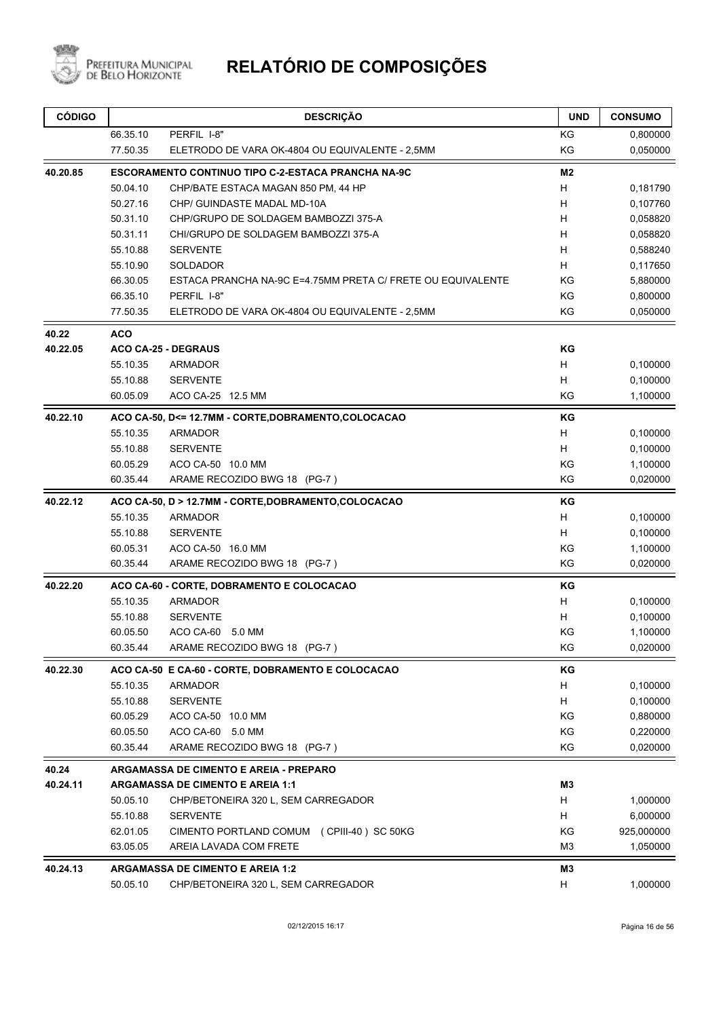

| <b>CÓDIGO</b> |            | <b>DESCRIÇÃO</b>                                            | <b>UND</b>     | <b>CONSUMO</b> |
|---------------|------------|-------------------------------------------------------------|----------------|----------------|
|               | 66.35.10   | PERFIL I-8"                                                 | ΚG             | 0,800000       |
|               | 77.50.35   | ELETRODO DE VARA OK-4804 OU EQUIVALENTE - 2,5MM             | KG             | 0,050000       |
| 40.20.85      |            | <b>ESCORAMENTO CONTINUO TIPO C-2-ESTACA PRANCHA NA-9C</b>   | M <sub>2</sub> |                |
|               | 50.04.10   | CHP/BATE ESTACA MAGAN 850 PM, 44 HP                         | H              | 0,181790       |
|               | 50.27.16   | CHP/ GUINDASTE MADAL MD-10A                                 | H              | 0,107760       |
|               | 50.31.10   | CHP/GRUPO DE SOLDAGEM BAMBOZZI 375-A                        | н              | 0,058820       |
|               | 50.31.11   | CHI/GRUPO DE SOLDAGEM BAMBOZZI 375-A                        | H              | 0,058820       |
|               | 55.10.88   | <b>SERVENTE</b>                                             | H              | 0,588240       |
|               | 55.10.90   | SOLDADOR                                                    | н              | 0,117650       |
|               | 66.30.05   | ESTACA PRANCHA NA-9C E=4.75MM PRETA C/ FRETE OU EQUIVALENTE | KG             | 5,880000       |
|               | 66.35.10   | PERFIL I-8"                                                 | KG             | 0,800000       |
|               | 77.50.35   | ELETRODO DE VARA OK-4804 OU EQUIVALENTE - 2,5MM             | KG             | 0,050000       |
| 40.22         | <b>ACO</b> |                                                             |                |                |
| 40.22.05      |            | <b>ACO CA-25 - DEGRAUS</b>                                  | KG             |                |
|               | 55.10.35   | <b>ARMADOR</b>                                              | H              | 0,100000       |
|               | 55.10.88   | <b>SERVENTE</b>                                             | H              | 0,100000       |
|               | 60.05.09   | ACO CA-25 12.5 MM                                           | KG             | 1,100000       |
| 40.22.10      |            | ACO CA-50, D<= 12.7MM - CORTE, DOBRAMENTO, COLOCACAO        | ΚG             |                |
|               | 55.10.35   | <b>ARMADOR</b>                                              | н              | 0,100000       |
|               | 55.10.88   | <b>SERVENTE</b>                                             | H              | 0,100000       |
|               | 60.05.29   | ACO CA-50 10.0 MM                                           | ΚG             | 1,100000       |
|               | 60.35.44   | ARAME RECOZIDO BWG 18 (PG-7)                                | KG             | 0,020000       |
| 40.22.12      |            | ACO CA-50, D > 12.7MM - CORTE, DOBRAMENTO, COLOCACAO        | KG             |                |
|               | 55.10.35   | <b>ARMADOR</b>                                              | Н              | 0,100000       |
|               | 55.10.88   | <b>SERVENTE</b>                                             | H              | 0,100000       |
|               | 60.05.31   | ACO CA-50 16.0 MM                                           | KG             | 1,100000       |
|               | 60.35.44   | ARAME RECOZIDO BWG 18 (PG-7)                                | KG             | 0,020000       |
| 40.22.20      |            | ACO CA-60 - CORTE, DOBRAMENTO E COLOCACAO                   | ΚG             |                |
|               | 55.10.35   | <b>ARMADOR</b>                                              | Н              | 0,100000       |
|               | 55.10.88   | <b>SERVENTE</b>                                             | H              | 0,100000       |
|               | 60.05.50   | ACO CA-60 5.0 MM                                            | KG             | 1,100000       |
|               | 60.35.44   | ARAME RECOZIDO BWG 18 (PG-7)                                | KG             | 0,020000       |
| 40.22.30      |            | ACO CA-50 E CA-60 - CORTE, DOBRAMENTO E COLOCACAO           | KG             |                |
|               | 55.10.35   | ARMADOR                                                     | H              | 0,100000       |
|               | 55.10.88   | <b>SERVENTE</b>                                             | H              | 0,100000       |
|               | 60.05.29   | ACO CA-50 10.0 MM                                           | KG             | 0,880000       |
|               | 60.05.50   | ACO CA-60 5.0 MM                                            | KG             | 0,220000       |
|               | 60.35.44   | ARAME RECOZIDO BWG 18 (PG-7)                                | ΚG             | 0,020000       |
| 40.24         |            | <b>ARGAMASSA DE CIMENTO E AREIA - PREPARO</b>               |                |                |
| 40.24.11      |            | <b>ARGAMASSA DE CIMENTO E AREIA 1:1</b>                     | M <sub>3</sub> |                |
|               | 50.05.10   | CHP/BETONEIRA 320 L, SEM CARREGADOR                         | H              | 1,000000       |
|               | 55.10.88   | <b>SERVENTE</b>                                             | H              | 6,000000       |
|               | 62.01.05   | CIMENTO PORTLAND COMUM (CPIII-40) SC 50KG                   | ΚG             | 925,000000     |
|               | 63.05.05   | AREIA LAVADA COM FRETE                                      | M3             | 1,050000       |
| 40.24.13      |            | <b>ARGAMASSA DE CIMENTO E AREIA 1:2</b>                     | M3             |                |
|               | 50.05.10   | CHP/BETONEIRA 320 L, SEM CARREGADOR                         | H              | 1,000000       |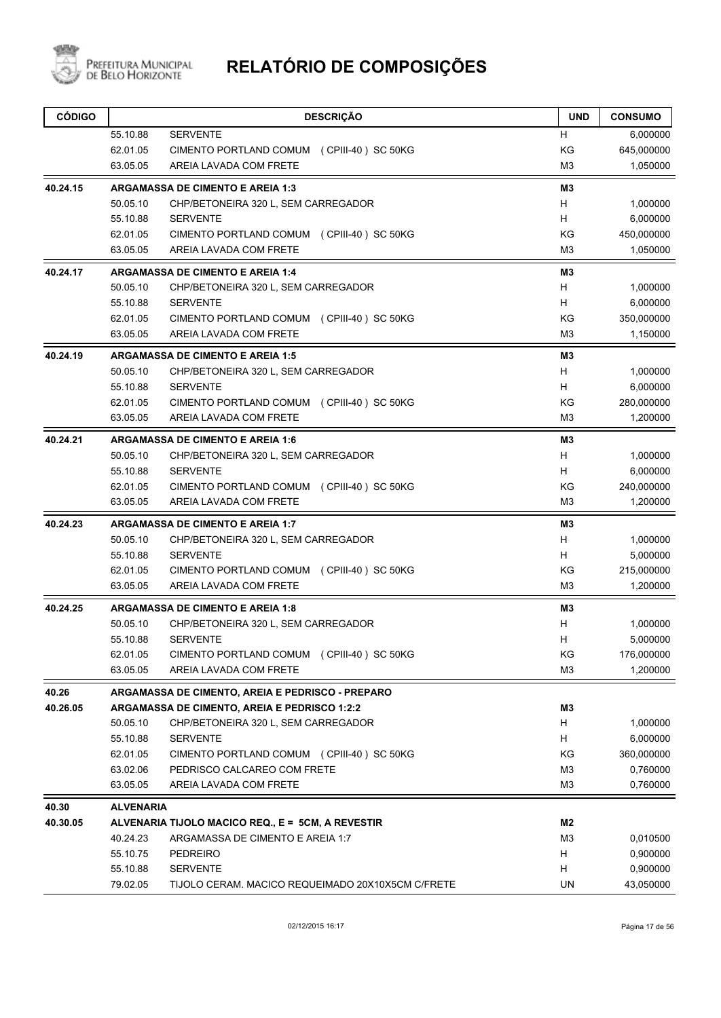

| <b>CÓDIGO</b> |                  | <b>DESCRIÇÃO</b>                                  | <b>UND</b>     | <b>CONSUMO</b> |
|---------------|------------------|---------------------------------------------------|----------------|----------------|
|               | 55.10.88         | <b>SERVENTE</b>                                   | H              | 6,000000       |
|               | 62.01.05         | CIMENTO PORTLAND COMUM (CPIII-40) SC 50KG         | KG             | 645,000000     |
|               | 63.05.05         | AREIA LAVADA COM FRETE                            | M <sub>3</sub> | 1,050000       |
| 40.24.15      |                  | <b>ARGAMASSA DE CIMENTO E AREIA 1:3</b>           | M <sub>3</sub> |                |
|               | 50.05.10         | CHP/BETONEIRA 320 L, SEM CARREGADOR               | H              | 1,000000       |
|               | 55.10.88         | <b>SERVENTE</b>                                   | H              | 6,000000       |
|               | 62.01.05         | CIMENTO PORTLAND COMUM (CPIII-40) SC 50KG         | ΚG             | 450,000000     |
|               | 63.05.05         | AREIA LAVADA COM FRETE                            | M3             | 1,050000       |
| 40.24.17      |                  | <b>ARGAMASSA DE CIMENTO E AREIA 1:4</b>           | M <sub>3</sub> |                |
|               | 50.05.10         | CHP/BETONEIRA 320 L, SEM CARREGADOR               | H              | 1,000000       |
|               | 55.10.88         | <b>SERVENTE</b>                                   | H              | 6,000000       |
|               | 62.01.05         | CIMENTO PORTLAND COMUM (CPIII-40) SC 50KG         | ΚG             | 350,000000     |
|               | 63.05.05         | AREIA LAVADA COM FRETE                            | M <sub>3</sub> | 1,150000       |
| 40.24.19      |                  | <b>ARGAMASSA DE CIMENTO E AREIA 1:5</b>           | M3             |                |
|               | 50.05.10         | CHP/BETONEIRA 320 L, SEM CARREGADOR               | H              | 1,000000       |
|               | 55.10.88         | <b>SERVENTE</b>                                   | H              | 6,000000       |
|               | 62.01.05         | CIMENTO PORTLAND COMUM (CPIII-40) SC 50KG         | KG             | 280,000000     |
|               | 63.05.05         | AREIA LAVADA COM FRETE                            | M <sub>3</sub> | 1,200000       |
| 40.24.21      |                  | <b>ARGAMASSA DE CIMENTO E AREIA 1:6</b>           | M3             |                |
|               | 50.05.10         | CHP/BETONEIRA 320 L, SEM CARREGADOR               | H              | 1,000000       |
|               | 55.10.88         | <b>SERVENTE</b>                                   | H              | 6,000000       |
|               | 62.01.05         | CIMENTO PORTLAND COMUM (CPIII-40) SC 50KG         | ΚG             | 240,000000     |
|               | 63.05.05         | AREIA LAVADA COM FRETE                            | M <sub>3</sub> | 1,200000       |
| 40.24.23      |                  | <b>ARGAMASSA DE CIMENTO E AREIA 1:7</b>           | M <sub>3</sub> |                |
|               | 50.05.10         | CHP/BETONEIRA 320 L, SEM CARREGADOR               | H              | 1,000000       |
|               | 55.10.88         | <b>SERVENTE</b>                                   | H              | 5,000000       |
|               | 62.01.05         | CIMENTO PORTLAND COMUM (CPIII-40) SC 50KG         | ΚG             | 215,000000     |
|               | 63.05.05         | AREIA LAVADA COM FRETE                            | M3             | 1,200000       |
| 40.24.25      |                  | <b>ARGAMASSA DE CIMENTO E AREIA 1:8</b>           | M3             |                |
|               | 50.05.10         | CHP/BETONEIRA 320 L, SEM CARREGADOR               | н              | 1,000000       |
|               | 55.10.88         | <b>SERVENTE</b>                                   | H              | 5,000000       |
|               | 62.01.05         | CIMENTO PORTLAND COMUM (CPIII-40) SC 50KG         | KG             | 176,000000     |
|               | 63.05.05         | AREIA LAVADA COM FRETE                            | M <sub>3</sub> | 1,200000       |
| 40.26         |                  | ARGAMASSA DE CIMENTO, AREIA E PEDRISCO - PREPARO  |                |                |
| 40.26.05      |                  | ARGAMASSA DE CIMENTO, AREIA E PEDRISCO 1:2:2      | M3             |                |
|               | 50.05.10         | CHP/BETONEIRA 320 L, SEM CARREGADOR               | H              | 1,000000       |
|               | 55.10.88         | <b>SERVENTE</b>                                   | H              | 6,000000       |
|               | 62.01.05         | CIMENTO PORTLAND COMUM (CPIII-40) SC 50KG         | KG             | 360,000000     |
|               | 63.02.06         | PEDRISCO CALCAREO COM FRETE                       | M3             | 0,760000       |
|               | 63.05.05         | AREIA LAVADA COM FRETE                            | M <sub>3</sub> | 0,760000       |
| 40.30         | <b>ALVENARIA</b> |                                                   |                |                |
| 40.30.05      |                  | ALVENARIA TIJOLO MACICO REQ., E = 5CM, A REVESTIR | M2             |                |
|               | 40.24.23         | ARGAMASSA DE CIMENTO E AREIA 1:7                  | M <sub>3</sub> | 0,010500       |
|               | 55.10.75         | <b>PEDREIRO</b>                                   | H              | 0,900000       |
|               | 55.10.88         | <b>SERVENTE</b>                                   | H              | 0,900000       |
|               | 79.02.05         | TIJOLO CERAM. MACICO REQUEIMADO 20X10X5CM C/FRETE | UN             | 43,050000      |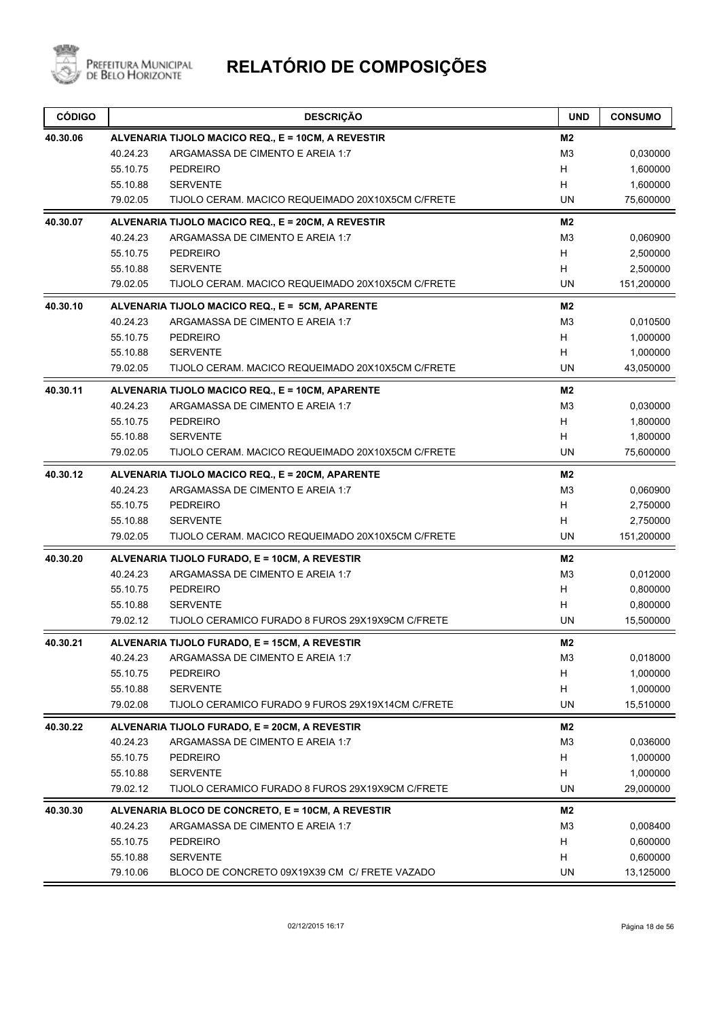

| <b>CÓDIGO</b> |          | <b>DESCRIÇÃO</b>                                   | <b>UND</b>     | <b>CONSUMO</b> |
|---------------|----------|----------------------------------------------------|----------------|----------------|
| 40.30.06      |          | ALVENARIA TIJOLO MACICO REQ., E = 10CM, A REVESTIR | M2             |                |
|               | 40.24.23 | ARGAMASSA DE CIMENTO E AREIA 1:7                   | M <sub>3</sub> | 0,030000       |
|               | 55.10.75 | <b>PEDREIRO</b>                                    | H              | 1,600000       |
|               | 55.10.88 | <b>SERVENTE</b>                                    | H              | 1,600000       |
|               | 79.02.05 | TIJOLO CERAM. MACICO REQUEIMADO 20X10X5CM C/FRETE  | UN             | 75,600000      |
| 40.30.07      |          | ALVENARIA TIJOLO MACICO REQ., E = 20CM, A REVESTIR | M2             |                |
|               | 40.24.23 | ARGAMASSA DE CIMENTO E AREIA 1:7                   | M <sub>3</sub> | 0,060900       |
|               | 55.10.75 | <b>PEDREIRO</b>                                    | Н              | 2,500000       |
|               | 55.10.88 | <b>SERVENTE</b>                                    | H              | 2,500000       |
|               | 79.02.05 | TIJOLO CERAM. MACICO REQUEIMADO 20X10X5CM C/FRETE  | UN             | 151,200000     |
| 40.30.10      |          | ALVENARIA TIJOLO MACICO REQ., E = 5CM, APARENTE    | M2             |                |
|               | 40.24.23 | ARGAMASSA DE CIMENTO E AREIA 1:7                   | M <sub>3</sub> | 0,010500       |
|               | 55.10.75 | <b>PEDREIRO</b>                                    | Н              | 1,000000       |
|               | 55.10.88 | <b>SERVENTE</b>                                    | H              | 1,000000       |
|               | 79.02.05 | TIJOLO CERAM. MACICO REQUEIMADO 20X10X5CM C/FRETE  | UN             | 43,050000      |
| 40.30.11      |          | ALVENARIA TIJOLO MACICO REQ., E = 10CM, APARENTE   | M2             |                |
|               | 40.24.23 | ARGAMASSA DE CIMENTO E AREIA 1:7                   | M <sub>3</sub> | 0,030000       |
|               | 55.10.75 | PEDREIRO                                           | H              | 1,800000       |
|               | 55.10.88 | <b>SERVENTE</b>                                    | Н              | 1,800000       |
|               | 79.02.05 | TIJOLO CERAM. MACICO REQUEIMADO 20X10X5CM C/FRETE  | UN             | 75,600000      |
| 40.30.12      |          | ALVENARIA TIJOLO MACICO REQ., E = 20CM, APARENTE   | M2             |                |
|               | 40.24.23 | ARGAMASSA DE CIMENTO E AREIA 1:7                   | M <sub>3</sub> | 0,060900       |
|               | 55.10.75 | <b>PEDREIRO</b>                                    | H              | 2,750000       |
|               | 55.10.88 | <b>SERVENTE</b>                                    | н              | 2,750000       |
|               | 79.02.05 | TIJOLO CERAM. MACICO REQUEIMADO 20X10X5CM C/FRETE  | UN             | 151,200000     |
| 40.30.20      |          | ALVENARIA TIJOLO FURADO, E = 10CM, A REVESTIR      | M <sub>2</sub> |                |
|               | 40.24.23 | ARGAMASSA DE CIMENTO E AREIA 1:7                   | M <sub>3</sub> | 0,012000       |
|               | 55.10.75 | PEDREIRO                                           | H              | 0,800000       |
|               | 55.10.88 | <b>SERVENTE</b>                                    | н              | 0,800000       |
|               | 79.02.12 | TIJOLO CERAMICO FURADO 8 FUROS 29X19X9CM C/FRETE   | UN             | 15,500000      |
| 40.30.21      |          | ALVENARIA TIJOLO FURADO, E = 15CM, A REVESTIR      | M2             |                |
|               | 40.24.23 | ARGAMASSA DE CIMENTO E AREIA 1:7                   | M <sub>3</sub> | 0,018000       |
|               | 55.10.75 | <b>PEDREIRO</b>                                    | H              | 1,000000       |
|               | 55.10.88 | <b>SERVENTE</b>                                    | H              | 1,000000       |
|               | 79.02.08 | TIJOLO CERAMICO FURADO 9 FUROS 29X19X14CM C/FRETE  | UN             | 15,510000      |
| 40.30.22      |          | ALVENARIA TIJOLO FURADO, E = 20CM, A REVESTIR      | M2             |                |
|               | 40.24.23 | ARGAMASSA DE CIMENTO E AREIA 1:7                   | M <sub>3</sub> | 0,036000       |
|               | 55.10.75 | <b>PEDREIRO</b>                                    | H              | 1,000000       |
|               | 55.10.88 | <b>SERVENTE</b>                                    | Н              | 1,000000       |
|               | 79.02.12 | TIJOLO CERAMICO FURADO 8 FUROS 29X19X9CM C/FRETE   | UN             | 29,000000      |
| 40.30.30      |          | ALVENARIA BLOCO DE CONCRETO, E = 10CM, A REVESTIR  | M <sub>2</sub> |                |
|               | 40.24.23 | ARGAMASSA DE CIMENTO E AREIA 1:7                   | M <sub>3</sub> | 0,008400       |
|               | 55.10.75 | <b>PEDREIRO</b>                                    | Н              | 0,600000       |
|               | 55.10.88 | <b>SERVENTE</b>                                    | Н              | 0,600000       |
|               | 79.10.06 | BLOCO DE CONCRETO 09X19X39 CM C/ FRETE VAZADO      | UN             | 13,125000      |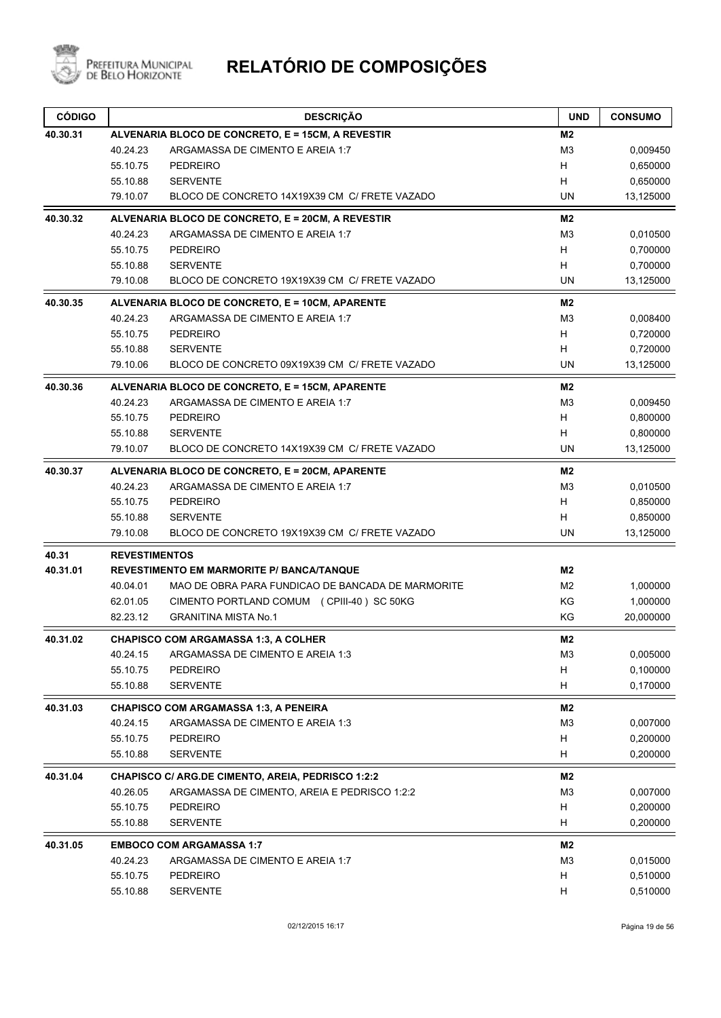

| <b>CÓDIGO</b> |                      | <b>DESCRIÇÃO</b>                                         | <b>UND</b>     | <b>CONSUMO</b> |
|---------------|----------------------|----------------------------------------------------------|----------------|----------------|
| 40.30.31      |                      | ALVENARIA BLOCO DE CONCRETO, E = 15CM, A REVESTIR        | M2             |                |
|               | 40.24.23             | ARGAMASSA DE CIMENTO E AREIA 1:7                         | M3             | 0,009450       |
|               | 55.10.75             | <b>PEDREIRO</b>                                          | H              | 0,650000       |
|               | 55.10.88             | <b>SERVENTE</b>                                          | H              | 0,650000       |
|               | 79.10.07             | BLOCO DE CONCRETO 14X19X39 CM C/ FRETE VAZADO            | UN             | 13,125000      |
| 40.30.32      |                      | ALVENARIA BLOCO DE CONCRETO, E = 20CM, A REVESTIR        | M <sub>2</sub> |                |
|               | 40.24.23             | ARGAMASSA DE CIMENTO E AREIA 1:7                         | M3             | 0,010500       |
|               | 55.10.75             | <b>PEDREIRO</b>                                          | H              | 0,700000       |
|               | 55.10.88             | <b>SERVENTE</b>                                          | H              | 0,700000       |
|               | 79.10.08             | BLOCO DE CONCRETO 19X19X39 CM C/ FRETE VAZADO            | UN             | 13,125000      |
| 40.30.35      |                      | ALVENARIA BLOCO DE CONCRETO, E = 10CM, APARENTE          | M2             |                |
|               | 40.24.23             | ARGAMASSA DE CIMENTO E AREIA 1:7                         | M3             | 0,008400       |
|               | 55.10.75             | <b>PEDREIRO</b>                                          | H              | 0,720000       |
|               | 55.10.88             | <b>SERVENTE</b>                                          | H              | 0,720000       |
|               | 79.10.06             | BLOCO DE CONCRETO 09X19X39 CM C/ FRETE VAZADO            | UN             | 13,125000      |
| 40.30.36      |                      | ALVENARIA BLOCO DE CONCRETO, E = 15CM, APARENTE          | M <sub>2</sub> |                |
|               | 40.24.23             | ARGAMASSA DE CIMENTO E AREIA 1:7                         | M <sub>3</sub> | 0,009450       |
|               | 55.10.75             | <b>PEDREIRO</b>                                          | H              | 0,800000       |
|               | 55.10.88             | <b>SERVENTE</b>                                          | H              | 0,800000       |
|               | 79.10.07             | BLOCO DE CONCRETO 14X19X39 CM C/ FRETE VAZADO            | UN             | 13,125000      |
| 40.30.37      |                      | ALVENARIA BLOCO DE CONCRETO, E = 20CM, APARENTE          | M <sub>2</sub> |                |
|               | 40.24.23             | ARGAMASSA DE CIMENTO E AREIA 1:7                         | M3             | 0,010500       |
|               | 55.10.75             | <b>PEDREIRO</b>                                          | H              | 0,850000       |
|               | 55.10.88             | <b>SERVENTE</b>                                          | H              | 0,850000       |
|               | 79.10.08             | BLOCO DE CONCRETO 19X19X39 CM C/ FRETE VAZADO            | <b>UN</b>      | 13,125000      |
| 40.31         | <b>REVESTIMENTOS</b> |                                                          |                |                |
| 40.31.01      |                      | <b>REVESTIMENTO EM MARMORITE P/ BANCA/TANQUE</b>         | M <sub>2</sub> |                |
|               | 40.04.01             | MAO DE OBRA PARA FUNDICAO DE BANCADA DE MARMORITE        | M <sub>2</sub> | 1,000000       |
|               | 62.01.05             | CIMENTO PORTLAND COMUM (CPIII-40) SC 50KG                | KG             | 1,000000       |
|               | 82.23.12             | <b>GRANITINA MISTA No.1</b>                              | ΚG             | 20,000000      |
| 40.31.02      |                      | <b>CHAPISCO COM ARGAMASSA 1:3, A COLHER</b>              | M2             |                |
|               | 40.24.15             | ARGAMASSA DE CIMENTO E AREIA 1:3                         | M <sub>3</sub> | 0,005000       |
|               | 55.10.75             | <b>PEDREIRO</b>                                          | H              | 0,100000       |
|               | 55.10.88             | <b>SERVENTE</b>                                          | H              | 0,170000       |
| 40.31.03      |                      | <b>CHAPISCO COM ARGAMASSA 1:3, A PENEIRA</b>             | M2             |                |
|               | 40.24.15             | ARGAMASSA DE CIMENTO E AREIA 1:3                         | M <sub>3</sub> | 0,007000       |
|               | 55.10.75             | <b>PEDREIRO</b>                                          | H              | 0,200000       |
|               | 55.10.88             | <b>SERVENTE</b>                                          | H              | 0,200000       |
| 40.31.04      |                      | <b>CHAPISCO C/ ARG.DE CIMENTO, AREIA, PEDRISCO 1:2:2</b> | M2             |                |
|               | 40.26.05             | ARGAMASSA DE CIMENTO, AREIA E PEDRISCO 1:2:2             | M <sub>3</sub> | 0,007000       |
|               | 55.10.75             | PEDREIRO                                                 | H              | 0,200000       |
|               | 55.10.88             | <b>SERVENTE</b>                                          | H              | 0,200000       |
| 40.31.05      |                      | <b>EMBOCO COM ARGAMASSA 1:7</b>                          | M2             |                |
|               | 40.24.23             | ARGAMASSA DE CIMENTO E AREIA 1:7                         | M <sub>3</sub> | 0,015000       |
|               | 55.10.75             | <b>PEDREIRO</b>                                          | H              | 0,510000       |
|               | 55.10.88             | <b>SERVENTE</b>                                          | H              | 0,510000       |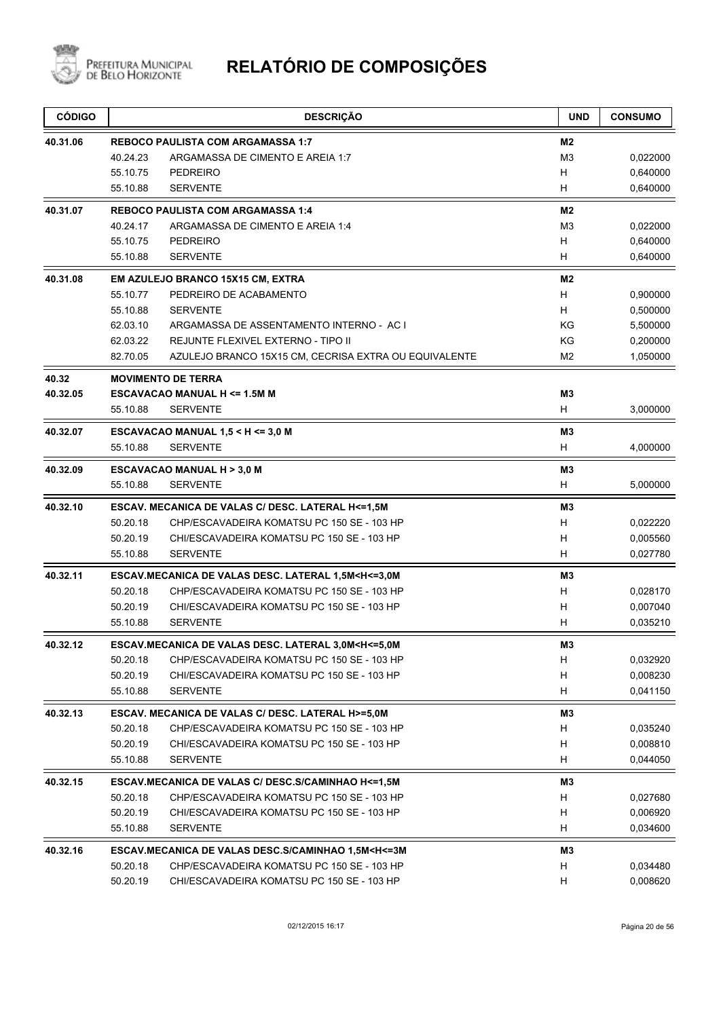

| <b>CÓDIGO</b> |          | <b>DESCRIÇÃO</b>                                                                           | <b>UND</b>     | <b>CONSUMO</b> |
|---------------|----------|--------------------------------------------------------------------------------------------|----------------|----------------|
| 40.31.06      |          | <b>REBOCO PAULISTA COM ARGAMASSA 1:7</b>                                                   | M2             |                |
|               | 40.24.23 | ARGAMASSA DE CIMENTO E AREIA 1:7                                                           | M <sub>3</sub> | 0,022000       |
|               | 55.10.75 | <b>PEDREIRO</b>                                                                            | H              | 0,640000       |
|               | 55.10.88 | <b>SERVENTE</b>                                                                            | H              | 0,640000       |
| 40.31.07      |          | <b>REBOCO PAULISTA COM ARGAMASSA 1:4</b>                                                   | M <sub>2</sub> |                |
|               | 40.24.17 | ARGAMASSA DE CIMENTO E AREIA 1:4                                                           | M3             | 0,022000       |
|               | 55.10.75 | <b>PEDREIRO</b>                                                                            | H              | 0,640000       |
|               | 55.10.88 | <b>SERVENTE</b>                                                                            | H              | 0,640000       |
| 40.31.08      |          | EM AZULEJO BRANCO 15X15 CM, EXTRA                                                          | M <sub>2</sub> |                |
|               | 55.10.77 | PEDREIRO DE ACABAMENTO                                                                     | H              | 0,900000       |
|               | 55.10.88 | <b>SERVENTE</b>                                                                            | H              | 0,500000       |
|               | 62.03.10 | ARGAMASSA DE ASSENTAMENTO INTERNO - AC I                                                   | ΚG             | 5,500000       |
|               | 62.03.22 | REJUNTE FLEXIVEL EXTERNO - TIPO II                                                         | KG             | 0,200000       |
|               | 82.70.05 | AZULEJO BRANCO 15X15 CM, CECRISA EXTRA OU EQUIVALENTE                                      | M <sub>2</sub> | 1,050000       |
| 40.32         |          | <b>MOVIMENTO DE TERRA</b>                                                                  |                |                |
| 40.32.05      |          | <b>ESCAVACAO MANUAL H &lt;= 1.5M M</b>                                                     | M3             |                |
|               | 55.10.88 | <b>SERVENTE</b>                                                                            | H              | 3,000000       |
| 40.32.07      |          | ESCAVACAO MANUAL $1,5 < H < = 3,0 M$                                                       | M <sub>3</sub> |                |
|               | 55.10.88 | <b>SERVENTE</b>                                                                            | H              | 4,000000       |
| 40.32.09      |          | <b>ESCAVACAO MANUAL H &gt; 3,0 M</b>                                                       | M3             |                |
|               | 55.10.88 | <b>SERVENTE</b>                                                                            | H              | 5,000000       |
| 40.32.10      |          | ESCAV. MECANICA DE VALAS C/ DESC. LATERAL H<=1,5M                                          | M3             |                |
|               | 50.20.18 | CHP/ESCAVADEIRA KOMATSU PC 150 SE - 103 HP                                                 | H              | 0,022220       |
|               | 50.20.19 | CHI/ESCAVADEIRA KOMATSU PC 150 SE - 103 HP                                                 | н              | 0,005560       |
|               | 55.10.88 | <b>SERVENTE</b>                                                                            | H              | 0,027780       |
| 40.32.11      |          | ESCAV.MECANICA DE VALAS DESC. LATERAL 1,5M <h<=3,0m< td=""><td>M3</td><td></td></h<=3,0m<> | M3             |                |
|               | 50.20.18 | CHP/ESCAVADEIRA KOMATSU PC 150 SE - 103 HP                                                 | H              | 0,028170       |
|               | 50.20.19 | CHI/ESCAVADEIRA KOMATSU PC 150 SE - 103 HP                                                 | H              | 0,007040       |
|               | 55.10.88 | <b>SERVENTE</b>                                                                            | H              | 0,035210       |
| 40.32.12      |          | ESCAV.MECANICA DE VALAS DESC. LATERAL 3,0M <h<=5,0m< td=""><td>MЗ</td><td></td></h<=5,0m<> | MЗ             |                |
|               | 50.20.18 | CHP/ESCAVADEIRA KOMATSU PC 150 SE - 103 HP                                                 | H              | 0,032920       |
|               | 50.20.19 | CHI/ESCAVADEIRA KOMATSU PC 150 SE - 103 HP                                                 | H              | 0,008230       |
|               | 55.10.88 | <b>SERVENTE</b>                                                                            | H              | 0,041150       |
| 40.32.13      |          | ESCAV. MECANICA DE VALAS C/ DESC. LATERAL H>=5.0M                                          | M3             |                |
|               | 50.20.18 | CHP/ESCAVADEIRA KOMATSU PC 150 SE - 103 HP                                                 | H              | 0,035240       |
|               | 50.20.19 | CHI/ESCAVADEIRA KOMATSU PC 150 SE - 103 HP                                                 | Н              | 0,008810       |
|               | 55.10.88 | <b>SERVENTE</b>                                                                            | H              | 0,044050       |
| 40.32.15      |          | ESCAV.MECANICA DE VALAS C/ DESC.S/CAMINHAO H<=1,5M                                         | M3             |                |
|               | 50.20.18 | CHP/ESCAVADEIRA KOMATSU PC 150 SE - 103 HP                                                 | H              | 0,027680       |
|               | 50.20.19 | CHI/ESCAVADEIRA KOMATSU PC 150 SE - 103 HP                                                 | H              | 0,006920       |
|               | 55.10.88 | <b>SERVENTE</b>                                                                            | H              | 0,034600       |
| 40.32.16      |          | ESCAV.MECANICA DE VALAS DESC.S/CAMINHAO 1,5M <h<=3m< td=""><td>M3</td><td></td></h<=3m<>   | M3             |                |
|               | 50.20.18 | CHP/ESCAVADEIRA KOMATSU PC 150 SE - 103 HP                                                 | H              | 0,034480       |
|               | 50.20.19 | CHI/ESCAVADEIRA KOMATSU PC 150 SE - 103 HP                                                 | Н              | 0,008620       |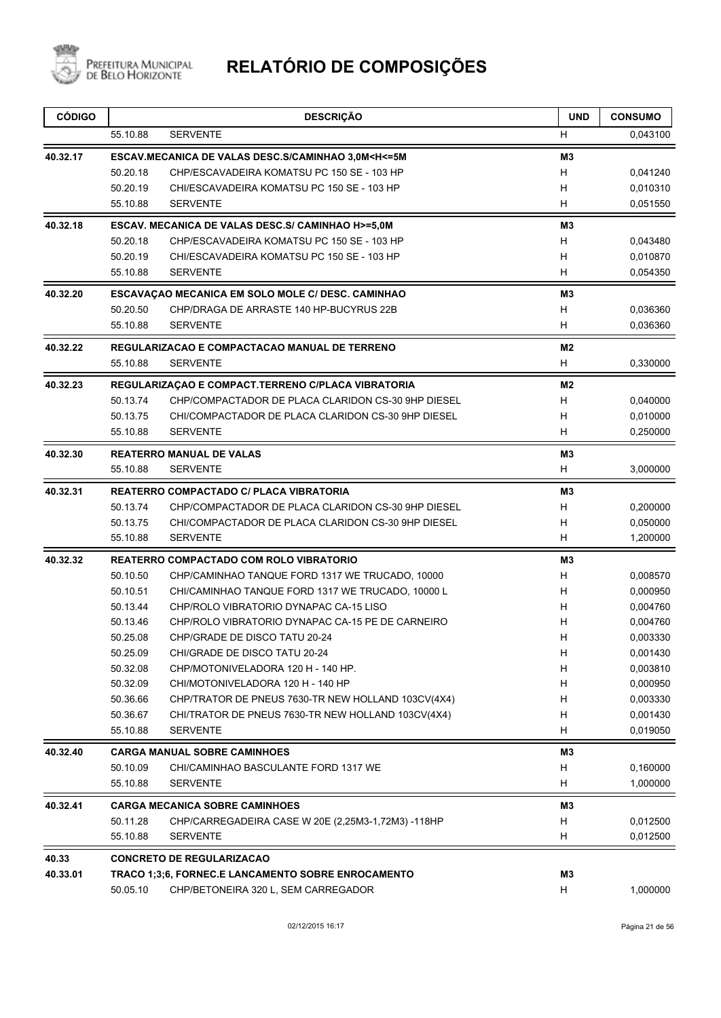

| <b>CÓDIGO</b> |                      | <b>DESCRIÇÃO</b>                                                                                     | <b>UND</b>     | <b>CONSUMO</b>       |
|---------------|----------------------|------------------------------------------------------------------------------------------------------|----------------|----------------------|
|               | 55.10.88             | <b>SERVENTE</b>                                                                                      | H              | 0,043100             |
| 40.32.17      |                      | ESCAV.MECANICA DE VALAS DESC.S/CAMINHAO 3,0M <h<= 5m<="" td=""><td>M<sub>3</sub></td><td></td></h<=> | M <sub>3</sub> |                      |
|               | 50.20.18             | CHP/ESCAVADEIRA KOMATSU PC 150 SE - 103 HP                                                           | H              | 0,041240             |
|               | 50.20.19             | CHI/ESCAVADEIRA KOMATSU PC 150 SE - 103 HP                                                           | H              | 0,010310             |
|               | 55.10.88             | <b>SERVENTE</b>                                                                                      | H              | 0,051550             |
| 40.32.18      |                      | ESCAV. MECANICA DE VALAS DESC.S/ CAMINHAO H>=5.0M                                                    | M <sub>3</sub> |                      |
|               | 50.20.18             | CHP/ESCAVADEIRA KOMATSU PC 150 SE - 103 HP                                                           | H              | 0,043480             |
|               | 50.20.19             | CHI/ESCAVADEIRA KOMATSU PC 150 SE - 103 HP                                                           | H              | 0,010870             |
|               | 55.10.88             | <b>SERVENTE</b>                                                                                      | H              | 0,054350             |
| 40.32.20      |                      | ESCAVAÇÃO MECANICA EM SOLO MOLE C/ DESC. CAMINHÃO                                                    | M <sub>3</sub> |                      |
|               | 50.20.50             | CHP/DRAGA DE ARRASTE 140 HP-BUCYRUS 22B                                                              | Н              | 0,036360             |
|               | 55.10.88             | <b>SERVENTE</b>                                                                                      | H              | 0,036360             |
| 40.32.22      |                      | REGULARIZACAO E COMPACTACAO MANUAL DE TERRENO                                                        | M2             |                      |
|               | 55.10.88             | <b>SERVENTE</b>                                                                                      | H              | 0,330000             |
| 40.32.23      |                      | REGULARIZAÇÃO E COMPACT.TERRENO C/PLACA VIBRATORIA                                                   | M <sub>2</sub> |                      |
|               | 50.13.74             | CHP/COMPACTADOR DE PLACA CLARIDON CS-30 9HP DIESEL                                                   | H              | 0,040000             |
|               | 50.13.75             | CHI/COMPACTADOR DE PLACA CLARIDON CS-30 9HP DIESEL                                                   | H              | 0,010000             |
|               | 55.10.88             | <b>SERVENTE</b>                                                                                      | H              | 0,250000             |
| 40.32.30      |                      | <b>REATERRO MANUAL DE VALAS</b>                                                                      | M <sub>3</sub> |                      |
|               | 55.10.88             | <b>SERVENTE</b>                                                                                      | H              | 3,000000             |
| 40.32.31      |                      | REATERRO COMPACTADO C/ PLACA VIBRATORIA                                                              | M3             |                      |
|               | 50.13.74             | CHP/COMPACTADOR DE PLACA CLARIDON CS-30 9HP DIESEL                                                   | H              | 0,200000             |
|               | 50.13.75             | CHI/COMPACTADOR DE PLACA CLARIDON CS-30 9HP DIESEL                                                   | н              | 0,050000             |
|               | 55.10.88             | <b>SERVENTE</b>                                                                                      | H              | 1,200000             |
| 40.32.32      |                      | REATERRO COMPACTADO COM ROLO VIBRATORIO                                                              | M <sub>3</sub> |                      |
|               | 50.10.50             | CHP/CAMINHAO TANQUE FORD 1317 WE TRUCADO, 10000                                                      | H              | 0,008570             |
|               | 50.10.51             | CHI/CAMINHAO TANQUE FORD 1317 WE TRUCADO, 10000 L                                                    | H              | 0,000950             |
|               | 50.13.44             | CHP/ROLO VIBRATORIO DYNAPAC CA-15 LISO                                                               | H              | 0,004760             |
|               | 50.13.46             | CHP/ROLO VIBRATORIO DYNAPAC CA-15 PE DE CARNEIRO                                                     | H              | 0,004760             |
|               | 50.25.08             | CHP/GRADE DE DISCO TATU 20-24                                                                        | H              | 0.003330             |
|               | 50.25.09             | CHI/GRADE DE DISCO TATU 20-24                                                                        | H,             | 0,001430             |
|               | 50.32.08             | CHP/MOTONIVELADORA 120 H - 140 HP.                                                                   | H              | 0,003810             |
|               | 50.32.09             | CHI/MOTONIVELADORA 120 H - 140 HP                                                                    | H              | 0,000950             |
|               | 50.36.66             | CHP/TRATOR DE PNEUS 7630-TR NEW HOLLAND 103CV(4X4)                                                   | H              | 0,003330             |
|               | 50.36.67<br>55.10.88 | CHI/TRATOR DE PNEUS 7630-TR NEW HOLLAND 103CV(4X4)<br><b>SERVENTE</b>                                | н<br>H         | 0,001430<br>0,019050 |
|               |                      |                                                                                                      |                |                      |
| 40.32.40      |                      | <b>CARGA MANUAL SOBRE CAMINHOES</b>                                                                  | M3             |                      |
|               | 50.10.09             | CHI/CAMINHAO BASCULANTE FORD 1317 WE                                                                 | H              | 0,160000             |
|               | 55.10.88             | <b>SERVENTE</b>                                                                                      | H              | 1,000000             |
| 40.32.41      |                      | <b>CARGA MECANICA SOBRE CAMINHOES</b>                                                                | M3             |                      |
|               | 50.11.28             | CHP/CARREGADEIRA CASE W 20E (2,25M3-1,72M3) -118HP                                                   | H              | 0,012500             |
|               | 55.10.88             | <b>SERVENTE</b>                                                                                      | H              | 0,012500             |
| 40.33         |                      | <b>CONCRETO DE REGULARIZACAO</b>                                                                     |                |                      |
| 40.33.01      |                      | <b>TRACO 1;3;6, FORNEC.E LANCAMENTO SOBRE ENROCAMENTO</b>                                            | M3             |                      |
|               | 50.05.10             | CHP/BETONEIRA 320 L, SEM CARREGADOR                                                                  | H              | 1,000000             |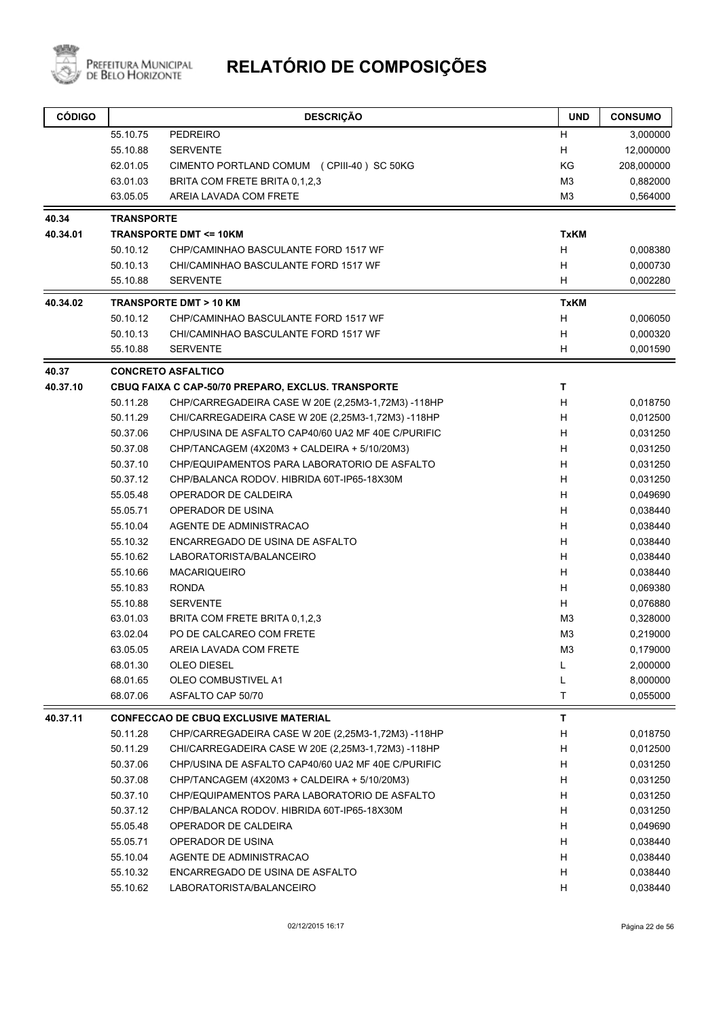

| <b>CÓDIGO</b> |                   | <b>DESCRIÇÃO</b>                                   | <b>UND</b>     | <b>CONSUMO</b> |
|---------------|-------------------|----------------------------------------------------|----------------|----------------|
|               | 55.10.75          | <b>PEDREIRO</b>                                    | н              | 3,000000       |
|               | 55.10.88          | <b>SERVENTE</b>                                    | Н              | 12,000000      |
|               | 62.01.05          | CIMENTO PORTLAND COMUM (CPIII-40) SC 50KG          | KG             | 208,000000     |
|               | 63.01.03          | BRITA COM FRETE BRITA 0,1,2,3                      | M <sub>3</sub> | 0,882000       |
|               | 63.05.05          | AREIA LAVADA COM FRETE                             | M3             | 0,564000       |
| 40.34         | <b>TRANSPORTE</b> |                                                    |                |                |
| 40.34.01      |                   | <b>TRANSPORTE DMT &lt;= 10KM</b>                   | <b>TxKM</b>    |                |
|               | 50.10.12          | CHP/CAMINHAO BASCULANTE FORD 1517 WF               | н              | 0,008380       |
|               | 50.10.13          | CHI/CAMINHAO BASCULANTE FORD 1517 WF               | H              | 0,000730       |
|               | 55.10.88          | <b>SERVENTE</b>                                    | н              | 0,002280       |
| 40.34.02      |                   | <b>TRANSPORTE DMT &gt; 10 KM</b>                   | <b>TxKM</b>    |                |
|               | 50.10.12          | CHP/CAMINHAO BASCULANTE FORD 1517 WF               | H              | 0,006050       |
|               | 50.10.13          | CHI/CAMINHAO BASCULANTE FORD 1517 WF               | н              | 0,000320       |
|               | 55.10.88          | <b>SERVENTE</b>                                    | H              | 0,001590       |
| 40.37         |                   | <b>CONCRETO ASFALTICO</b>                          |                |                |
| 40.37.10      |                   | CBUQ FAIXA C CAP-50/70 PREPARO, EXCLUS. TRANSPORTE | T              |                |
|               | 50.11.28          | CHP/CARREGADEIRA CASE W 20E (2,25M3-1,72M3) -118HP | н              | 0,018750       |
|               | 50.11.29          | CHI/CARREGADEIRA CASE W 20E (2,25M3-1,72M3) -118HP | H              | 0,012500       |
|               | 50.37.06          | CHP/USINA DE ASFALTO CAP40/60 UA2 MF 40E C/PURIFIC | н              | 0,031250       |
|               | 50.37.08          | CHP/TANCAGEM (4X20M3 + CALDEIRA + 5/10/20M3)       | н              | 0,031250       |
|               | 50.37.10          | CHP/EQUIPAMENTOS PARA LABORATORIO DE ASFALTO       | H              | 0,031250       |
|               | 50.37.12          | CHP/BALANCA RODOV. HIBRIDA 60T-IP65-18X30M         | H              | 0,031250       |
|               | 55.05.48          | OPERADOR DE CALDEIRA                               | H              | 0,049690       |
|               | 55.05.71          | OPERADOR DE USINA                                  | H              | 0,038440       |
|               | 55.10.04          | AGENTE DE ADMINISTRACAO                            | H              | 0,038440       |
|               | 55.10.32          | ENCARREGADO DE USINA DE ASFALTO                    | H              | 0,038440       |
|               | 55.10.62          | LABORATORISTA/BALANCEIRO                           | H              | 0,038440       |
|               | 55.10.66          | <b>MACARIQUEIRO</b>                                | н              | 0,038440       |
|               | 55.10.83          | <b>RONDA</b>                                       | Н              | 0,069380       |
|               | 55.10.88          | <b>SERVENTE</b>                                    | H              | 0,076880       |
|               | 63.01.03          | BRITA COM FRETE BRITA 0.1.2.3                      | M3             | 0,328000       |
|               | 63.02.04          | PO DE CALCAREO COM FRETE                           | M <sub>3</sub> | 0,219000       |
|               | 63.05.05          | AREIA LAVADA COM FRETE                             | M <sub>3</sub> | 0,179000       |
|               | 68.01.30          | OLEO DIESEL                                        | L              | 2,000000       |
|               | 68.01.65          | OLEO COMBUSTIVEL A1                                | L              | 8,000000       |
|               | 68.07.06          | ASFALTO CAP 50/70                                  | $\mathsf T$    | 0,055000       |
| 40.37.11      |                   | <b>CONFECCAO DE CBUQ EXCLUSIVE MATERIAL</b>        | T              |                |
|               | 50.11.28          | CHP/CARREGADEIRA CASE W 20E (2,25M3-1,72M3) -118HP | н              | 0,018750       |
|               | 50.11.29          | CHI/CARREGADEIRA CASE W 20E (2,25M3-1,72M3) -118HP | н              | 0,012500       |
|               | 50.37.06          | CHP/USINA DE ASFALTO CAP40/60 UA2 MF 40E C/PURIFIC | н              | 0,031250       |
|               | 50.37.08          | CHP/TANCAGEM (4X20M3 + CALDEIRA + 5/10/20M3)       | н              | 0,031250       |
|               | 50.37.10          | CHP/EQUIPAMENTOS PARA LABORATORIO DE ASFALTO       | н              | 0,031250       |
|               | 50.37.12          | CHP/BALANCA RODOV. HIBRIDA 60T-IP65-18X30M         | н              | 0,031250       |
|               | 55.05.48          | OPERADOR DE CALDEIRA                               | н              | 0,049690       |
|               | 55.05.71          | OPERADOR DE USINA                                  | н              | 0,038440       |
|               | 55.10.04          | AGENTE DE ADMINISTRACAO                            | н              | 0,038440       |
|               | 55.10.32          | ENCARREGADO DE USINA DE ASFALTO                    | н              | 0,038440       |
|               | 55.10.62          | LABORATORISTA/BALANCEIRO                           | н              | 0,038440       |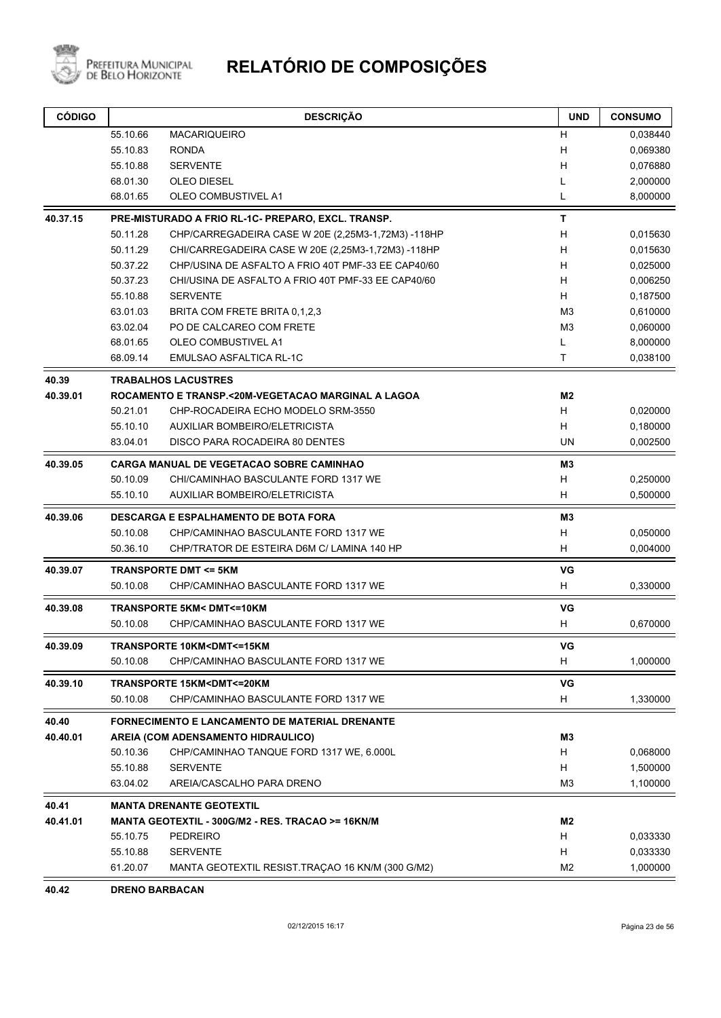

| <b>CÓDIGO</b> |          | <b>DESCRIÇÃO</b>                                                    | <b>UND</b>     | <b>CONSUMO</b> |
|---------------|----------|---------------------------------------------------------------------|----------------|----------------|
|               | 55.10.66 | <b>MACARIQUEIRO</b>                                                 | H              | 0,038440       |
|               | 55.10.83 | <b>RONDA</b>                                                        | Н              | 0,069380       |
|               | 55.10.88 | <b>SERVENTE</b>                                                     | H              | 0,076880       |
|               | 68.01.30 | <b>OLEO DIESEL</b>                                                  | L              | 2,000000       |
|               | 68.01.65 | <b>OLEO COMBUSTIVEL A1</b>                                          | L              | 8,000000       |
| 40.37.15      |          | PRE-MISTURADO A FRIO RL-1C- PREPARO, EXCL. TRANSP.                  | Т              |                |
|               | 50.11.28 | CHP/CARREGADEIRA CASE W 20E (2,25M3-1,72M3) -118HP                  | H              | 0,015630       |
|               | 50.11.29 | CHI/CARREGADEIRA CASE W 20E (2,25M3-1,72M3) -118HP                  | н              | 0,015630       |
|               | 50.37.22 | CHP/USINA DE ASFALTO A FRIO 40T PMF-33 EE CAP40/60                  | Н              | 0,025000       |
|               | 50.37.23 | CHI/USINA DE ASFALTO A FRIO 40T PMF-33 EE CAP40/60                  | н              | 0,006250       |
|               | 55.10.88 | <b>SERVENTE</b>                                                     | H              | 0,187500       |
|               | 63.01.03 | BRITA COM FRETE BRITA 0,1,2,3                                       | M <sub>3</sub> | 0,610000       |
|               | 63.02.04 | PO DE CALCAREO COM FRETE                                            | M <sub>3</sub> | 0,060000       |
|               | 68.01.65 | OLEO COMBUSTIVEL A1                                                 | L              | 8,000000       |
|               | 68.09.14 | EMULSAO ASFALTICA RL-1C                                             | Τ              | 0,038100       |
| 40.39         |          | <b>TRABALHOS LACUSTRES</b>                                          |                |                |
| 40.39.01      |          | ROCAMENTO E TRANSP.<20M-VEGETACAO MARGINAL A LAGOA                  | M2             |                |
|               | 50.21.01 | CHP-ROCADEIRA ECHO MODELO SRM-3550                                  | H              | 0,020000       |
|               | 55.10.10 | <b>AUXILIAR BOMBEIRO/ELETRICISTA</b>                                | Η              | 0,180000       |
|               | 83.04.01 | DISCO PARA ROCADEIRA 80 DENTES                                      | <b>UN</b>      | 0,002500       |
| 40.39.05      |          | <b>CARGA MANUAL DE VEGETACAO SOBRE CAMINHAO</b>                     | MЗ             |                |
|               | 50.10.09 | CHI/CAMINHAO BASCULANTE FORD 1317 WE                                | н              | 0,250000       |
|               | 55.10.10 | <b>AUXILIAR BOMBEIRO/ELETRICISTA</b>                                | н              | 0,500000       |
| 40.39.06      |          | <b>DESCARGA E ESPALHAMENTO DE BOTA FORA</b>                         | M <sub>3</sub> |                |
|               | 50.10.08 | CHP/CAMINHAO BASCULANTE FORD 1317 WE                                | H              | 0,050000       |
|               | 50.36.10 | CHP/TRATOR DE ESTEIRA D6M C/ LAMINA 140 HP                          | H              | 0,004000       |
| 40.39.07      |          | <b>TRANSPORTE DMT &lt;= 5KM</b>                                     | VG             |                |
|               | 50.10.08 | CHP/CAMINHAO BASCULANTE FORD 1317 WE                                | Н              | 0,330000       |
| 40.39.08      |          | <b>TRANSPORTE 5KM&lt; DMT&lt;=10KM</b>                              | VG             |                |
|               | 50.10.08 | CHP/CAMINHAO BASCULANTE FORD 1317 WE                                | H              | 0,670000       |
| 40.39.09      |          | TRANSPORTE 10KM <dmt<=15km< td=""><td>VG</td><td></td></dmt<=15km<> | VG             |                |
|               | 50.10.08 | CHP/CAMINHAO BASCULANTE FORD 1317 WE                                | H              | 1,000000       |
| 40.39.10      |          | TRANSPORTE 15KM <dmt<=20km< td=""><td>VG</td><td></td></dmt<=20km<> | VG             |                |
|               | 50.10.08 | CHP/CAMINHAO BASCULANTE FORD 1317 WE                                | H              | 1,330000       |
| 40.40         |          | <b>FORNECIMENTO E LANCAMENTO DE MATERIAL DRENANTE</b>               |                |                |
| 40.40.01      |          | AREIA (COM ADENSAMENTO HIDRAULICO)                                  | MЗ             |                |
|               | 50.10.36 | CHP/CAMINHAO TANQUE FORD 1317 WE, 6.000L                            | H              | 0,068000       |
|               | 55.10.88 | <b>SERVENTE</b>                                                     | Н              | 1,500000       |
|               | 63.04.02 | AREIA/CASCALHO PARA DRENO                                           | M3             | 1,100000       |
| 40.41         |          | <b>MANTA DRENANTE GEOTEXTIL</b>                                     |                |                |
| 40.41.01      |          | MANTA GEOTEXTIL - 300G/M2 - RES. TRACAO >= 16KN/M                   | M2             |                |
|               | 55.10.75 | <b>PEDREIRO</b>                                                     | H              | 0,033330       |
|               | 55.10.88 | <b>SERVENTE</b>                                                     | H              | 0,033330       |
|               | 61.20.07 | MANTA GEOTEXTIL RESIST.TRAÇÃO 16 KN/M (300 G/M2)                    | M <sub>2</sub> | 1,000000       |

**40.42 DRENO BARBACAN**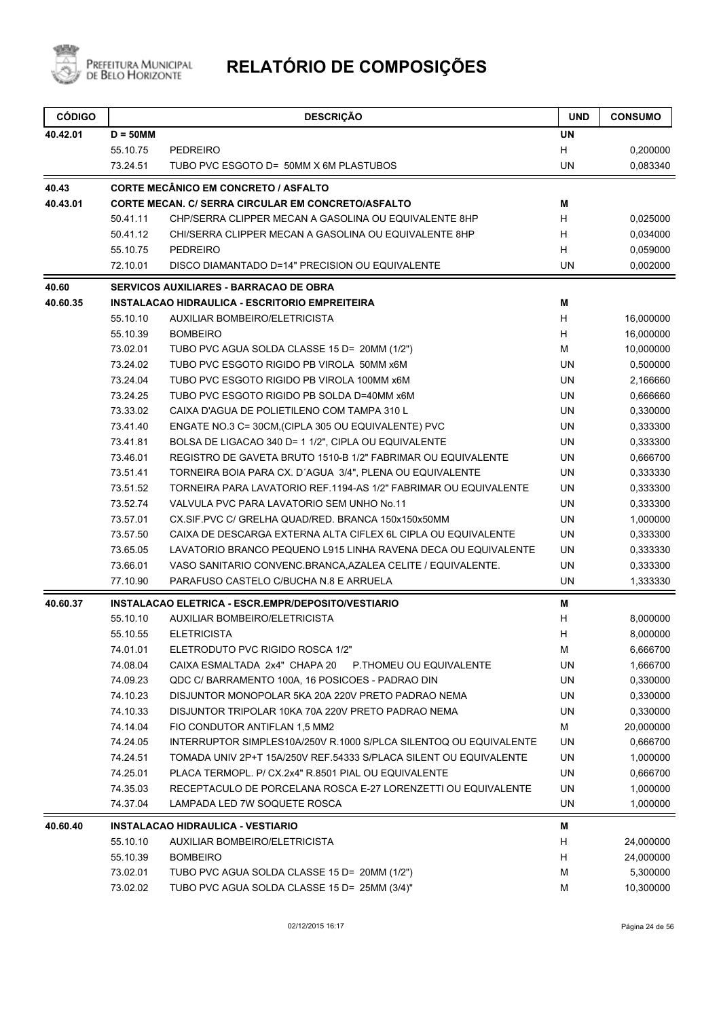

| <b>CÓDIGO</b> |                      | <b>DESCRIÇÃO</b>                                                                              | <b>UND</b> | <b>CONSUMO</b>       |
|---------------|----------------------|-----------------------------------------------------------------------------------------------|------------|----------------------|
| 40.42.01      | $D = 50$ MM          |                                                                                               | <b>UN</b>  |                      |
|               | 55.10.75             | <b>PEDREIRO</b>                                                                               | H          | 0,200000             |
|               | 73.24.51             | TUBO PVC ESGOTO D= 50MM X 6M PLASTUBOS                                                        | <b>UN</b>  | 0,083340             |
| 40.43         |                      | <b>CORTE MECÂNICO EM CONCRETO / ASFALTO</b>                                                   |            |                      |
| 40.43.01      |                      | CORTE MECAN. C/ SERRA CIRCULAR EM CONCRETO/ASFALTO                                            | Μ          |                      |
|               | 50.41.11             | CHP/SERRA CLIPPER MECAN A GASOLINA OU EQUIVALENTE 8HP                                         | H          | 0,025000             |
|               | 50.41.12             | CHI/SERRA CLIPPER MECAN A GASOLINA OU EQUIVALENTE 8HP                                         | н          | 0,034000             |
|               | 55.10.75             | <b>PEDREIRO</b>                                                                               | H          | 0,059000             |
|               | 72.10.01             | DISCO DIAMANTADO D=14" PRECISION OU EQUIVALENTE                                               | <b>UN</b>  | 0,002000             |
| 40.60         |                      | <b>SERVICOS AUXILIARES - BARRACAO DE OBRA</b>                                                 |            |                      |
| 40.60.35      |                      | INSTALACAO HIDRAULICA - ESCRITORIO EMPREITEIRA                                                | Μ          |                      |
|               | 55.10.10             | AUXILIAR BOMBEIRO/ELETRICISTA                                                                 | н          | 16,000000            |
|               | 55.10.39             | <b>BOMBEIRO</b>                                                                               | н          | 16,000000            |
|               | 73.02.01             | TUBO PVC AGUA SOLDA CLASSE 15 D= 20MM (1/2")                                                  | М          | 10,000000            |
|               | 73.24.02             | TUBO PVC ESGOTO RIGIDO PB VIROLA 50MM x6M                                                     | UN         | 0,500000             |
|               | 73.24.04             | TUBO PVC ESGOTO RIGIDO PB VIROLA 100MM x6M                                                    | UN         | 2,166660             |
|               | 73.24.25             | TUBO PVC ESGOTO RIGIDO PB SOLDA D=40MM x6M                                                    | UN         | 0,666660             |
|               | 73.33.02             | CAIXA D'AGUA DE POLIETILENO COM TAMPA 310 L                                                   | <b>UN</b>  | 0,330000             |
|               | 73.41.40             | ENGATE NO.3 C= 30CM, (CIPLA 305 OU EQUIVALENTE) PVC                                           | <b>UN</b>  | 0,333300             |
|               | 73.41.81             | BOLSA DE LIGACAO 340 D= 1 1/2", CIPLA OU EQUIVALENTE                                          | UN         | 0,333300             |
|               | 73.46.01             | REGISTRO DE GAVETA BRUTO 1510-B 1/2" FABRIMAR OU EQUIVALENTE                                  | <b>UN</b>  | 0,666700             |
|               | 73.51.41             | TORNEIRA BOIA PARA CX. D'AGUA 3/4", PLENA OU EQUIVALENTE                                      | <b>UN</b>  | 0,333330             |
|               | 73.51.52             | TORNEIRA PARA LAVATORIO REF.1194-AS 1/2" FABRIMAR OU EQUIVALENTE                              | UN         | 0,333300             |
|               | 73.52.74             | VALVULA PVC PARA LAVATORIO SEM UNHO No.11                                                     | <b>UN</b>  | 0,333300             |
|               | 73.57.01             | CX.SIF.PVC C/ GRELHA QUAD/RED. BRANCA 150x150x50MM                                            | <b>UN</b>  | 1,000000             |
|               | 73.57.50             | CAIXA DE DESCARGA EXTERNA ALTA CIFLEX 6L CIPLA OU EQUIVALENTE                                 | <b>UN</b>  | 0,333300             |
|               | 73.65.05             | LAVATORIO BRANCO PEQUENO L915 LINHA RAVENA DECA OU EQUIVALENTE                                | UN         | 0,333330             |
|               | 73.66.01             | VASO SANITARIO CONVENC.BRANCA, AZALEA CELITE / EQUIVALENTE.                                   | UN         | 0,333300             |
|               | 77.10.90             | PARAFUSO CASTELO C/BUCHA N.8 E ARRUELA                                                        | <b>UN</b>  | 1,333330             |
| 40.60.37      |                      | INSTALACAO ELETRICA - ESCR.EMPR/DEPOSITO/VESTIARIO                                            | M          |                      |
|               | 55.10.10             | AUXILIAR BOMBEIRO/ELETRICISTA                                                                 | H          | 8,000000             |
|               | 55.10.55             | <b>ELETRICISTA</b>                                                                            | Н          | 8,000000             |
|               | 74.01.01             | ELETRODUTO PVC RIGIDO ROSCA 1/2"                                                              | M          | 6,666700             |
|               | 74.08.04             | CAIXA ESMALTADA 2x4" CHAPA 20<br>P.THOMEU OU EQUIVALENTE                                      | UN         | 1,666700             |
|               | 74.09.23             | QDC C/ BARRAMENTO 100A, 16 POSICOES - PADRAO DIN                                              | UN         | 0,330000             |
|               | 74.10.23             | DISJUNTOR MONOPOLAR 5KA 20A 220V PRETO PADRAO NEMA                                            | UN         | 0,330000             |
|               | 74.10.33             | DISJUNTOR TRIPOLAR 10KA 70A 220V PRETO PADRAO NEMA                                            | UN         | 0,330000             |
|               | 74.14.04             | FIO CONDUTOR ANTIFLAN 1,5 MM2                                                                 | М          | 20,000000            |
|               | 74.24.05             | INTERRUPTOR SIMPLES10A/250V R.1000 S/PLCA SILENTOQ OU EQUIVALENTE                             | UN         | 0,666700             |
|               | 74.24.51             | TOMADA UNIV 2P+T 15A/250V REF.54333 S/PLACA SILENT OU EQUIVALENTE                             | UN         | 1,000000             |
|               | 74.25.01             | PLACA TERMOPL. P/ CX.2x4" R.8501 PIAL OU EQUIVALENTE                                          | UN         | 0,666700             |
|               | 74.35.03<br>74.37.04 | RECEPTACULO DE PORCELANA ROSCA E-27 LORENZETTI OU EQUIVALENTE<br>LAMPADA LED 7W SOQUETE ROSCA | UN<br>UN   | 1,000000<br>1,000000 |
|               |                      |                                                                                               |            |                      |
| 40.60.40      |                      | INSTALACAO HIDRAULICA - VESTIARIO                                                             | м          |                      |
|               | 55.10.10<br>55.10.39 | AUXILIAR BOMBEIRO/ELETRICISTA<br><b>BOMBEIRO</b>                                              | H<br>H     | 24,000000            |
|               |                      |                                                                                               |            | 24,000000            |
|               | 73.02.01             | TUBO PVC AGUA SOLDA CLASSE 15 D= 20MM (1/2")                                                  | M          | 5,300000             |
|               | 73.02.02             | TUBO PVC AGUA SOLDA CLASSE 15 D= 25MM (3/4)"                                                  | M          | 10,300000            |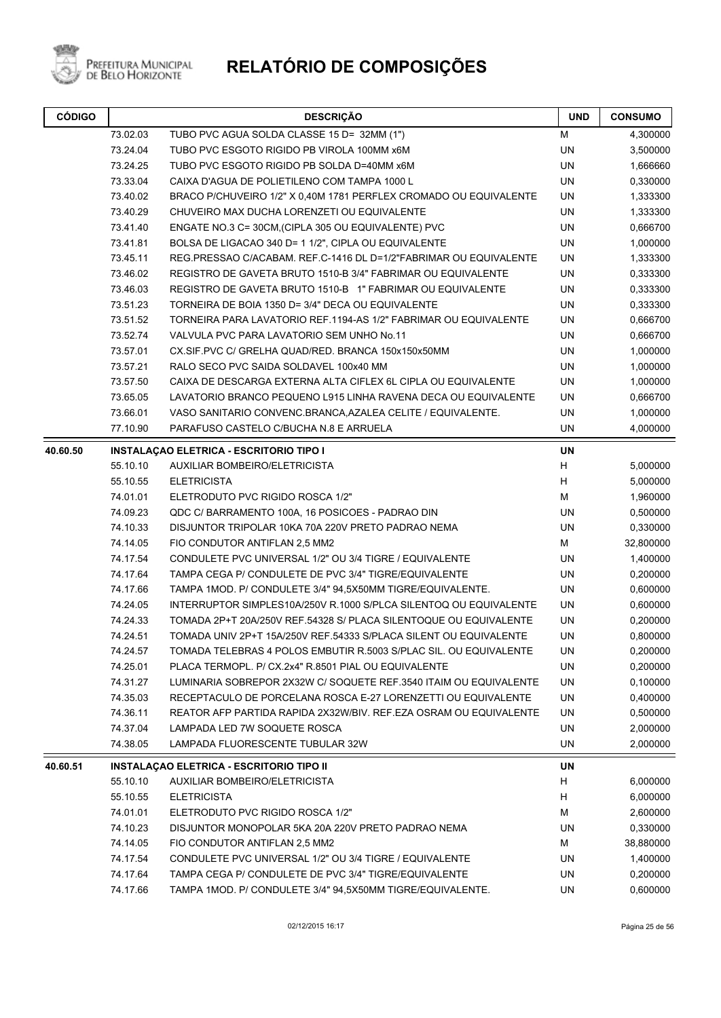

| <b>CÓDIGO</b> | <b>DESCRIÇÃO</b> |                                                                   | <b>UND</b> | <b>CONSUMO</b> |
|---------------|------------------|-------------------------------------------------------------------|------------|----------------|
|               | 73.02.03         | TUBO PVC AGUA SOLDA CLASSE 15 D= 32MM (1")                        | М          | 4,300000       |
|               | 73.24.04         | TUBO PVC ESGOTO RIGIDO PB VIROLA 100MM x6M                        | <b>UN</b>  | 3,500000       |
|               | 73.24.25         | TUBO PVC ESGOTO RIGIDO PB SOLDA D=40MM x6M                        | <b>UN</b>  | 1,666660       |
|               | 73.33.04         | CAIXA D'AGUA DE POLIETILENO COM TAMPA 1000 L                      | <b>UN</b>  | 0,330000       |
|               | 73.40.02         | BRACO P/CHUVEIRO 1/2" X 0,40M 1781 PERFLEX CROMADO OU EQUIVALENTE | UN         | 1,333300       |
|               | 73.40.29         | CHUVEIRO MAX DUCHA LORENZETI OU EQUIVALENTE                       | <b>UN</b>  | 1,333300       |
|               | 73.41.40         | ENGATE NO.3 C= 30CM.(CIPLA 305 OU EQUIVALENTE) PVC                | <b>UN</b>  | 0,666700       |
|               | 73.41.81         | BOLSA DE LIGACAO 340 D= 1 1/2", CIPLA OU EQUIVALENTE              | UN         | 1,000000       |
|               | 73.45.11         | REG.PRESSAO C/ACABAM. REF.C-1416 DL D=1/2"FABRIMAR OU EQUIVALENTE | UN         | 1,333300       |
|               | 73.46.02         | REGISTRO DE GAVETA BRUTO 1510-B 3/4" FABRIMAR OU EQUIVALENTE      | <b>UN</b>  | 0,333300       |
|               | 73.46.03         | REGISTRO DE GAVETA BRUTO 1510-B 1" FABRIMAR OU EQUIVALENTE        | <b>UN</b>  | 0,333300       |
|               | 73.51.23         | TORNEIRA DE BOIA 1350 D= 3/4" DECA OU EQUIVALENTE                 | <b>UN</b>  | 0,333300       |
|               | 73.51.52         | TORNEIRA PARA LAVATORIO REF.1194-AS 1/2" FABRIMAR OU EQUIVALENTE  | <b>UN</b>  | 0,666700       |
|               | 73.52.74         | VALVULA PVC PARA LAVATORIO SEM UNHO No.11                         | <b>UN</b>  | 0,666700       |
|               | 73.57.01         | CX.SIF.PVC C/ GRELHA QUAD/RED. BRANCA 150x150x50MM                | <b>UN</b>  | 1,000000       |
|               | 73.57.21         | RALO SECO PVC SAIDA SOLDAVEL 100x40 MM                            | UN         | 1,000000       |
|               | 73.57.50         | CAIXA DE DESCARGA EXTERNA ALTA CIFLEX 6L CIPLA OU EQUIVALENTE     | <b>UN</b>  | 1,000000       |
|               | 73.65.05         | LAVATORIO BRANCO PEQUENO L915 LINHA RAVENA DECA OU EQUIVALENTE    | <b>UN</b>  | 0,666700       |
|               | 73.66.01         | VASO SANITARIO CONVENC.BRANCA, AZALEA CELITE / EQUIVALENTE.       | <b>UN</b>  | 1,000000       |
|               | 77.10.90         | PARAFUSO CASTELO C/BUCHA N.8 E ARRUELA                            | <b>UN</b>  | 4,000000       |
| 40.60.50      |                  | <b>INSTALAÇÃO ELETRICA - ESCRITORIO TIPO I</b>                    | <b>UN</b>  |                |
|               | 55.10.10         | AUXILIAR BOMBEIRO/ELETRICISTA                                     | H          | 5,000000       |
|               | 55.10.55         | <b>ELETRICISTA</b>                                                | H          | 5,000000       |
|               | 74.01.01         | ELETRODUTO PVC RIGIDO ROSCA 1/2"                                  | М          | 1,960000       |
|               | 74.09.23         | QDC C/ BARRAMENTO 100A, 16 POSICOES - PADRAO DIN                  | <b>UN</b>  | 0,500000       |
|               | 74.10.33         | DISJUNTOR TRIPOLAR 10KA 70A 220V PRETO PADRAO NEMA                | <b>UN</b>  | 0,330000       |
|               | 74.14.05         | FIO CONDUTOR ANTIFLAN 2,5 MM2                                     | М          | 32,800000      |
|               | 74.17.54         | CONDULETE PVC UNIVERSAL 1/2" OU 3/4 TIGRE / EQUIVALENTE           | <b>UN</b>  | 1,400000       |
|               | 74.17.64         | TAMPA CEGA P/ CONDULETE DE PVC 3/4" TIGRE/EQUIVALENTE             | <b>UN</b>  | 0,200000       |
|               | 74.17.66         | TAMPA 1MOD. P/ CONDULETE 3/4" 94,5X50MM TIGRE/EQUIVALENTE.        | <b>UN</b>  | 0,600000       |
|               | 74.24.05         | INTERRUPTOR SIMPLES10A/250V R.1000 S/PLCA SILENTOQ OU EQUIVALENTE | UN         | 0,600000       |
|               | 74.24.33         | TOMADA 2P+T 20A/250V REF.54328 S/ PLACA SILENTOQUE OU EQUIVALENTE | UN         | 0,200000       |
|               | 74.24.51         | TOMADA UNIV 2P+T 15A/250V REF.54333 S/PLACA SILENT OU EQUIVALENTE | UN         | 0,800000       |
|               | 74.24.57         | TOMADA TELEBRAS 4 POLOS EMBUTIR R.5003 S/PLAC SIL. OU EQUIVALENTE | UN         | 0,200000       |
|               | 74.25.01         | PLACA TERMOPL. P/ CX.2x4" R.8501 PIAL OU EQUIVALENTE              | UN         | 0,200000       |
|               | 74.31.27         | LUMINARIA SOBREPOR 2X32W C/ SOQUETE REF.3540 ITAIM OU EQUIVALENTE | UN         | 0,100000       |
|               | 74.35.03         | RECEPTACULO DE PORCELANA ROSCA E-27 LORENZETTI OU EQUIVALENTE     | UN         | 0,400000       |
|               | 74.36.11         | REATOR AFP PARTIDA RAPIDA 2X32W/BIV. REF.EZA OSRAM OU EQUIVALENTE | UN         | 0,500000       |
|               | 74.37.04         | LAMPADA LED 7W SOQUETE ROSCA                                      | UN         | 2,000000       |
|               | 74.38.05         | LAMPADA FLUORESCENTE TUBULAR 32W                                  | UN         | 2,000000       |
| 40.60.51      |                  | INSTALAÇAO ELETRICA - ESCRITORIO TIPO II                          | UN         |                |
|               | 55.10.10         | AUXILIAR BOMBEIRO/ELETRICISTA                                     | н          | 6,000000       |
|               | 55.10.55         | <b>ELETRICISTA</b>                                                | н          | 6,000000       |
|               | 74.01.01         | ELETRODUTO PVC RIGIDO ROSCA 1/2"                                  | М          | 2,600000       |
|               | 74.10.23         | DISJUNTOR MONOPOLAR 5KA 20A 220V PRETO PADRAO NEMA                | UN         | 0,330000       |
|               | 74.14.05         | FIO CONDUTOR ANTIFLAN 2,5 MM2                                     | М          | 38,880000      |
|               | 74.17.54         | CONDULETE PVC UNIVERSAL 1/2" OU 3/4 TIGRE / EQUIVALENTE           | UN         | 1,400000       |
|               | 74.17.64         | TAMPA CEGA P/ CONDULETE DE PVC 3/4" TIGRE/EQUIVALENTE             | UN         | 0,200000       |
|               | 74.17.66         | TAMPA 1MOD. P/ CONDULETE 3/4" 94,5X50MM TIGRE/EQUIVALENTE.        | UN         | 0,600000       |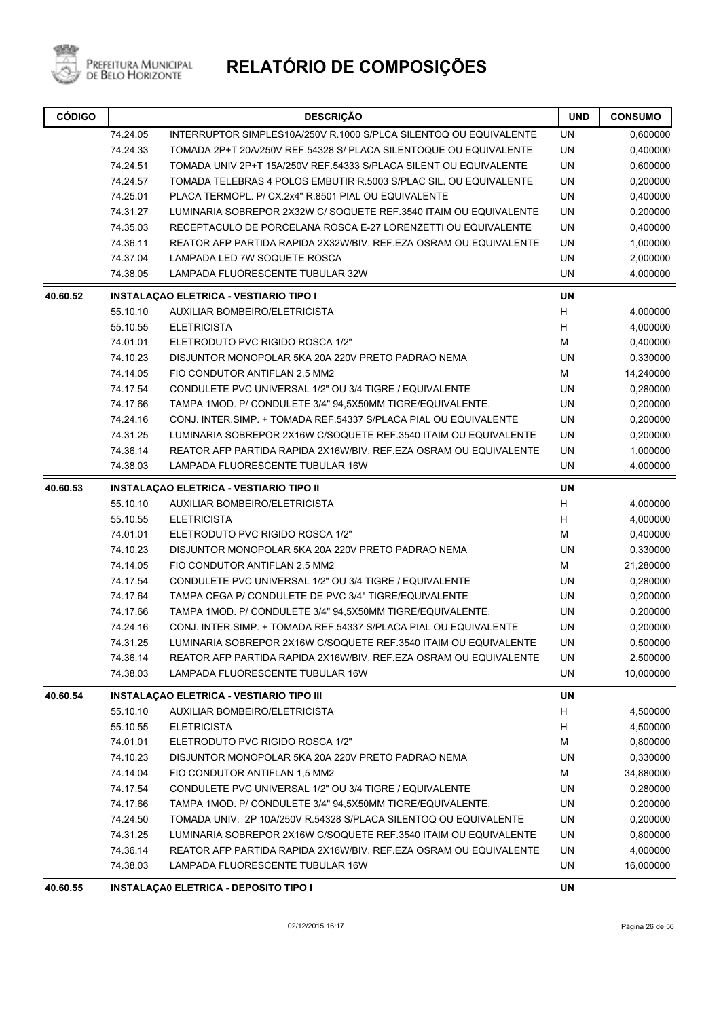

# **RELATÓRIO DE COMPOSIÇÕES**

| <b>CÓDIGO</b> |                                              | <b>DESCRIÇÃO</b>                                                               |           | <b>CONSUMO</b> |
|---------------|----------------------------------------------|--------------------------------------------------------------------------------|-----------|----------------|
|               | 74.24.05                                     | INTERRUPTOR SIMPLES10A/250V R.1000 S/PLCA SILENTOQ OU EQUIVALENTE              | UN        | 0,600000       |
|               | 74.24.33                                     | TOMADA 2P+T 20A/250V REF.54328 S/ PLACA SILENTOQUE OU EQUIVALENTE              | <b>UN</b> | 0,400000       |
|               | 74.24.51                                     | TOMADA UNIV 2P+T 15A/250V REF.54333 S/PLACA SILENT OU EQUIVALENTE              | <b>UN</b> | 0,600000       |
|               | 74.24.57                                     | TOMADA TELEBRAS 4 POLOS EMBUTIR R.5003 S/PLAC SIL. OU EQUIVALENTE<br><b>UN</b> |           | 0,200000       |
|               | 74.25.01                                     | PLACA TERMOPL. P/ CX.2x4" R.8501 PIAL OU EQUIVALENTE                           | <b>UN</b> | 0,400000       |
|               | 74.31.27                                     | LUMINARIA SOBREPOR 2X32W C/ SOQUETE REF.3540 ITAIM OU EQUIVALENTE              | <b>UN</b> | 0,200000       |
|               | 74.35.03                                     | RECEPTACULO DE PORCELANA ROSCA E-27 LORENZETTI OU EQUIVALENTE                  | <b>UN</b> | 0,400000       |
|               | 74.36.11                                     | REATOR AFP PARTIDA RAPIDA 2X32W/BIV. REF.EZA OSRAM OU EQUIVALENTE              | <b>UN</b> | 1,000000       |
|               | 74.37.04<br>LAMPADA LED 7W SOQUETE ROSCA     |                                                                                | UN        | 2,000000       |
|               | LAMPADA FLUORESCENTE TUBULAR 32W<br>74.38.05 |                                                                                | UN        | 4,000000       |
| 40.60.52      |                                              | <b>INSTALAÇAO ELETRICA - VESTIARIO TIPO I</b>                                  | <b>UN</b> |                |
|               | 55.10.10                                     | AUXILIAR BOMBEIRO/ELETRICISTA                                                  | Н         | 4,000000       |
|               | 55.10.55                                     | <b>ELETRICISTA</b>                                                             | H         | 4,000000       |
|               | 74.01.01                                     | ELETRODUTO PVC RIGIDO ROSCA 1/2"                                               | M         | 0,400000       |
|               | 74.10.23                                     | DISJUNTOR MONOPOLAR 5KA 20A 220V PRETO PADRAO NEMA                             | <b>UN</b> | 0,330000       |
|               | 74.14.05                                     | FIO CONDUTOR ANTIFLAN 2,5 MM2                                                  | М         | 14,240000      |
|               | 74.17.54                                     | CONDULETE PVC UNIVERSAL 1/2" OU 3/4 TIGRE / EQUIVALENTE                        | UN        | 0,280000       |
|               | 74.17.66                                     | TAMPA 1MOD. P/ CONDULETE 3/4" 94,5X50MM TIGRE/EQUIVALENTE.                     | UN        | 0,200000       |
|               | 74.24.16                                     | CONJ. INTER SIMP. + TOMADA REF 54337 S/PLACA PIAL OU EQUIVALENTE               | <b>UN</b> | 0,200000       |
|               | 74.31.25                                     | LUMINARIA SOBREPOR 2X16W C/SOQUETE REF.3540 ITAIM OU EQUIVALENTE               | UN        | 0,200000       |
|               | 74.36.14                                     | REATOR AFP PARTIDA RAPIDA 2X16W/BIV. REF.EZA OSRAM OU EQUIVALENTE              | UN        | 1,000000       |
|               | 74.38.03                                     | LAMPADA FLUORESCENTE TUBULAR 16W                                               | <b>UN</b> | 4,000000       |
| 40.60.53      |                                              | <b>INSTALAÇÃO ELETRICA - VESTIARIO TIPO II</b>                                 | <b>UN</b> |                |
|               | 55.10.10                                     | AUXILIAR BOMBEIRO/ELETRICISTA                                                  | н         | 4,000000       |
|               | 55.10.55                                     | <b>ELETRICISTA</b>                                                             | H         | 4,000000       |
|               | 74.01.01                                     | ELETRODUTO PVC RIGIDO ROSCA 1/2"                                               | М         | 0,400000       |
|               | 74.10.23                                     | DISJUNTOR MONOPOLAR 5KA 20A 220V PRETO PADRAO NEMA                             | <b>UN</b> | 0,330000       |
|               | 74.14.05                                     | FIO CONDUTOR ANTIFLAN 2,5 MM2                                                  | M         | 21,280000      |
|               | 74.17.54                                     | CONDULETE PVC UNIVERSAL 1/2" OU 3/4 TIGRE / EQUIVALENTE                        | UN        | 0,280000       |
|               | 74.17.64                                     | TAMPA CEGA P/ CONDULETE DE PVC 3/4" TIGRE/EQUIVALENTE                          | UN        | 0,200000       |
|               | 74.17.66                                     | TAMPA 1MOD. P/ CONDULETE 3/4" 94,5X50MM TIGRE/EQUIVALENTE.                     | UN        | 0,200000       |
|               | 74.24.16                                     | CONJ. INTER.SIMP. + TOMADA REF.54337 S/PLACA PIAL OU EQUIVALENTE               | UN        | 0,200000       |
|               | 74.31.25                                     | LUMINARIA SOBREPOR 2X16W C/SOQUETE REF.3540 ITAIM OU EQUIVALENTE               | UN        | 0,500000       |
|               | 74.36.14                                     | REATOR AFP PARTIDA RAPIDA 2X16W/BIV. REF.EZA OSRAM OU EQUIVALENTE              | UN        | 2,500000       |
|               | 74.38.03                                     | LAMPADA FLUORESCENTE TUBULAR 16W                                               | UN        | 10,000000      |
| 40.60.54      |                                              | <b>INSTALAÇAO ELETRICA - VESTIARIO TIPO III</b>                                | UN        |                |
|               | 55.10.10                                     | AUXILIAR BOMBEIRO/ELETRICISTA                                                  | н         | 4,500000       |
|               | 55.10.55                                     | <b>ELETRICISTA</b>                                                             | н         | 4,500000       |
|               | 74.01.01                                     | ELETRODUTO PVC RIGIDO ROSCA 1/2"                                               | M         | 0,800000       |
|               | 74.10.23                                     | DISJUNTOR MONOPOLAR 5KA 20A 220V PRETO PADRAO NEMA                             | UN        | 0,330000       |
|               | 74.14.04                                     | FIO CONDUTOR ANTIFLAN 1,5 MM2                                                  | М         | 34,880000      |
|               | 74.17.54                                     | CONDULETE PVC UNIVERSAL 1/2" OU 3/4 TIGRE / EQUIVALENTE                        | UN        | 0,280000       |
|               | 74.17.66                                     | TAMPA 1MOD. P/ CONDULETE 3/4" 94,5X50MM TIGRE/EQUIVALENTE.                     | UN        | 0,200000       |
|               | 74.24.50                                     | TOMADA UNIV. 2P 10A/250V R.54328 S/PLACA SILENTOQ OU EQUIVALENTE               | UN        | 0,200000       |
|               | 74.31.25                                     | LUMINARIA SOBREPOR 2X16W C/SOQUETE REF.3540 ITAIM OU EQUIVALENTE               | UN        | 0,800000       |
|               | 74.36.14                                     | REATOR AFP PARTIDA RAPIDA 2X16W/BIV. REF.EZA OSRAM OU EQUIVALENTE              | UN        | 4,000000       |
|               | 74.38.03                                     | LAMPADA FLUORESCENTE TUBULAR 16W                                               | UN        | 16,000000      |
|               |                                              |                                                                                |           |                |

**40.60.55 INSTALAÇA0 ELETRICA - DEPOSITO TIPO I UN**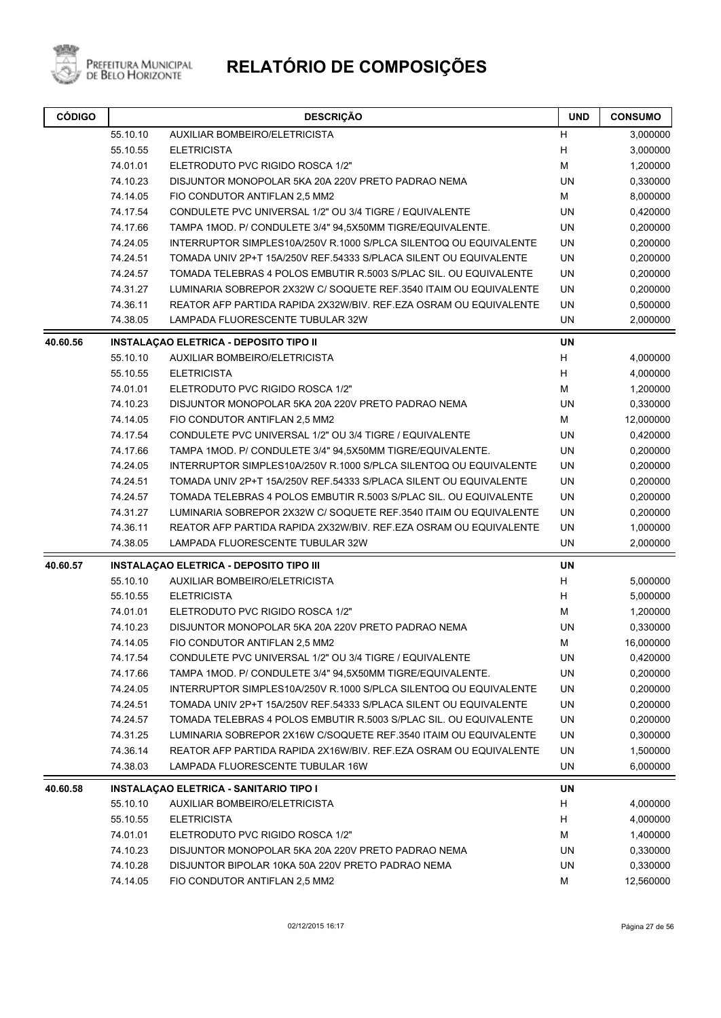

| <b>CÓDIGO</b> | <b>DESCRIÇÃO</b>                                                              |                                                                   | <b>UND</b> | <b>CONSUMO</b> |
|---------------|-------------------------------------------------------------------------------|-------------------------------------------------------------------|------------|----------------|
|               | 55.10.10                                                                      | AUXILIAR BOMBEIRO/ELETRICISTA                                     | Н          | 3,000000       |
|               | 55.10.55                                                                      | <b>ELETRICISTA</b>                                                | H          | 3,000000       |
|               | 74.01.01                                                                      | ELETRODUTO PVC RIGIDO ROSCA 1/2"                                  | М          | 1,200000       |
|               | 74.10.23                                                                      | DISJUNTOR MONOPOLAR 5KA 20A 220V PRETO PADRAO NEMA                | UN         | 0,330000       |
|               | 74.14.05                                                                      | FIO CONDUTOR ANTIFLAN 2,5 MM2                                     | M          | 8,000000       |
|               | 74.17.54                                                                      | CONDULETE PVC UNIVERSAL 1/2" OU 3/4 TIGRE / EQUIVALENTE           | <b>UN</b>  | 0,420000       |
|               | 74.17.66                                                                      | TAMPA 1MOD. P/ CONDULETE 3/4" 94,5X50MM TIGRE/EQUIVALENTE.        | UN         | 0,200000       |
|               | 74.24.05                                                                      | INTERRUPTOR SIMPLES10A/250V R.1000 S/PLCA SILENTOQ OU EQUIVALENTE | UN         | 0,200000       |
|               | 74.24.51<br>TOMADA UNIV 2P+T 15A/250V REF.54333 S/PLACA SILENT OU EQUIVALENTE |                                                                   | UN         | 0,200000       |
|               | 74.24.57                                                                      | TOMADA TELEBRAS 4 POLOS EMBUTIR R.5003 S/PLAC SIL. OU EQUIVALENTE | UN         | 0,200000       |
|               | 74.31.27                                                                      | LUMINARIA SOBREPOR 2X32W C/ SOQUETE REF.3540 ITAIM OU EQUIVALENTE | UN         | 0,200000       |
|               | 74.36.11                                                                      | REATOR AFP PARTIDA RAPIDA 2X32W/BIV. REF.EZA OSRAM OU EQUIVALENTE | UN         | 0,500000       |
|               | 74.38.05                                                                      | LAMPADA FLUORESCENTE TUBULAR 32W                                  | <b>UN</b>  | 2,000000       |
| 40.60.56      |                                                                               | <b>INSTALAÇÃO ELETRICA - DEPOSITO TIPO II</b>                     | <b>UN</b>  |                |
|               | 55.10.10                                                                      | AUXILIAR BOMBEIRO/ELETRICISTA                                     | H          | 4,000000       |
|               | 55.10.55                                                                      | <b>ELETRICISTA</b>                                                | Н          | 4,000000       |
|               | 74.01.01                                                                      | ELETRODUTO PVC RIGIDO ROSCA 1/2"                                  | M          | 1,200000       |
|               | 74.10.23                                                                      | DISJUNTOR MONOPOLAR 5KA 20A 220V PRETO PADRAO NEMA                | <b>UN</b>  | 0,330000       |
|               | 74.14.05                                                                      | FIO CONDUTOR ANTIFLAN 2.5 MM2                                     | M          | 12,000000      |
|               | 74.17.54                                                                      | CONDULETE PVC UNIVERSAL 1/2" OU 3/4 TIGRE / EQUIVALENTE           | <b>UN</b>  | 0,420000       |
|               | 74.17.66                                                                      | TAMPA 1MOD. P/ CONDULETE 3/4" 94,5X50MM TIGRE/EQUIVALENTE.        | UN         | 0,200000       |
|               | 74.24.05                                                                      | INTERRUPTOR SIMPLES10A/250V R.1000 S/PLCA SILENTOQ OU EQUIVALENTE | UN         | 0,200000       |
|               | 74.24.51                                                                      | TOMADA UNIV 2P+T 15A/250V REF.54333 S/PLACA SILENT OU EQUIVALENTE | UN         | 0,200000       |
|               | 74.24.57                                                                      | TOMADA TELEBRAS 4 POLOS EMBUTIR R.5003 S/PLAC SIL. OU EQUIVALENTE | UN         | 0,200000       |
|               | 74.31.27                                                                      | LUMINARIA SOBREPOR 2X32W C/ SOQUETE REF.3540 ITAIM OU EQUIVALENTE | UN         | 0,200000       |
|               | 74.36.11                                                                      | REATOR AFP PARTIDA RAPIDA 2X32W/BIV. REF.EZA OSRAM OU EQUIVALENTE | UN         | 1,000000       |
|               | 74.38.05                                                                      | LAMPADA FLUORESCENTE TUBULAR 32W                                  | UN         | 2,000000       |
| 40.60.57      |                                                                               | <b>INSTALAÇAO ELETRICA - DEPOSITO TIPO III</b>                    | UN         |                |
|               | 55.10.10                                                                      | <b>AUXILIAR BOMBEIRO/ELETRICISTA</b>                              | н          | 5,000000       |
|               | 55.10.55                                                                      | <b>ELETRICISTA</b>                                                | Н          | 5,000000       |
|               | 74.01.01                                                                      | ELETRODUTO PVC RIGIDO ROSCA 1/2"                                  | М          | 1,200000       |
|               | 74.10.23                                                                      | DISJUNTOR MONOPOLAR 5KA 20A 220V PRETO PADRAO NEMA                | UN         | 0,330000       |
|               | 74.14.05                                                                      | FIO CONDUTOR ANTIFLAN 2.5 MM2                                     | М          | 16,000000      |
|               | 74.17.54                                                                      | CONDULETE PVC UNIVERSAL 1/2" OU 3/4 TIGRE / EQUIVALENTE           | UN         | 0,420000       |
|               | 74.17.66                                                                      | TAMPA 1MOD. P/ CONDULETE 3/4" 94,5X50MM TIGRE/EQUIVALENTE.        | UN         | 0,200000       |
|               | 74.24.05                                                                      | INTERRUPTOR SIMPLES10A/250V R.1000 S/PLCA SILENTOQ OU EQUIVALENTE | UN         | 0,200000       |
|               | 74.24.51                                                                      | TOMADA UNIV 2P+T 15A/250V REF.54333 S/PLACA SILENT OU EQUIVALENTE | UN         | 0,200000       |
|               | 74.24.57                                                                      | TOMADA TELEBRAS 4 POLOS EMBUTIR R.5003 S/PLAC SIL. OU EQUIVALENTE | UN         | 0,200000       |
|               | 74.31.25                                                                      | LUMINARIA SOBREPOR 2X16W C/SOQUETE REF.3540 ITAIM OU EQUIVALENTE  | UN         | 0,300000       |
|               | 74.36.14                                                                      | REATOR AFP PARTIDA RAPIDA 2X16W/BIV. REF.EZA OSRAM OU EQUIVALENTE | UN         | 1,500000       |
|               | 74.38.03                                                                      | LAMPADA FLUORESCENTE TUBULAR 16W                                  | UN         | 6,000000       |
| 40.60.58      |                                                                               | <b>INSTALAÇÃO ELETRICA - SANITARIO TIPO I</b>                     | UN         |                |
|               | 55.10.10                                                                      | <b>AUXILIAR BOMBEIRO/ELETRICISTA</b>                              | H          | 4,000000       |
|               | 55.10.55                                                                      | <b>ELETRICISTA</b>                                                | н          | 4,000000       |
|               | 74.01.01                                                                      | ELETRODUTO PVC RIGIDO ROSCA 1/2"                                  | М          | 1,400000       |
|               | 74.10.23                                                                      | DISJUNTOR MONOPOLAR 5KA 20A 220V PRETO PADRAO NEMA                | UN         | 0,330000       |
|               | 74.10.28                                                                      | DISJUNTOR BIPOLAR 10KA 50A 220V PRETO PADRAO NEMA                 | UN         | 0,330000       |
|               | 74.14.05                                                                      | FIO CONDUTOR ANTIFLAN 2,5 MM2                                     | М          | 12,560000      |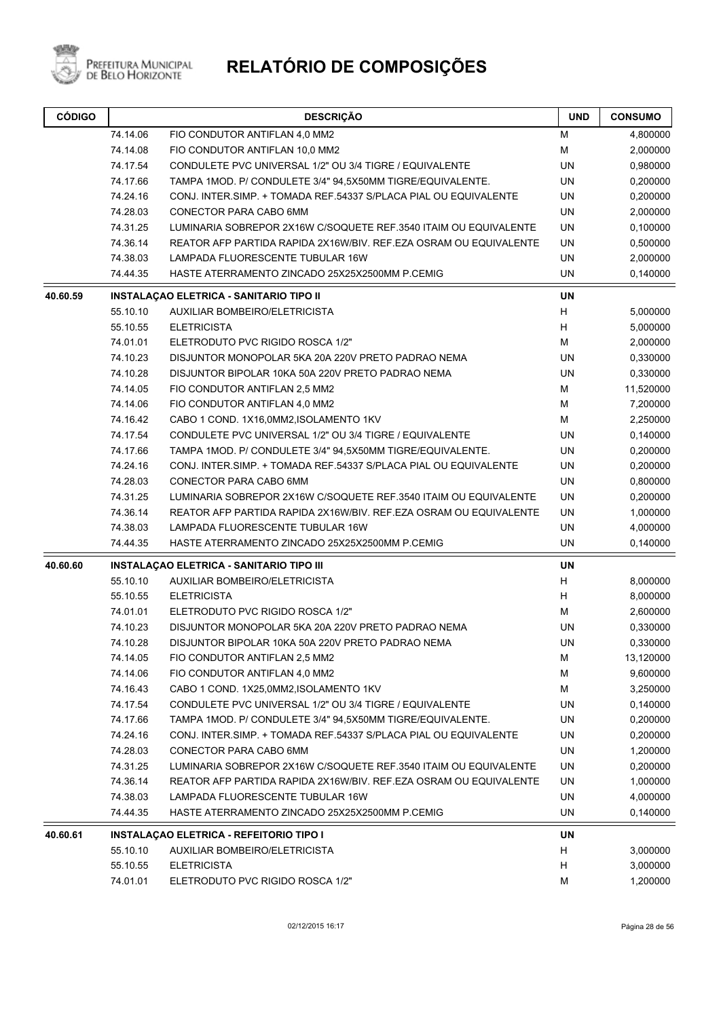

| <b>CÓDIGO</b> | <b>DESCRIÇÃO</b> |                                                                   | <b>UND</b> | <b>CONSUMO</b> |
|---------------|------------------|-------------------------------------------------------------------|------------|----------------|
|               | 74.14.06         | FIO CONDUTOR ANTIFLAN 4,0 MM2                                     | М          | 4,800000       |
|               | 74.14.08         | FIO CONDUTOR ANTIFLAN 10,0 MM2                                    | М          | 2,000000       |
|               | 74.17.54         | CONDULETE PVC UNIVERSAL 1/2" OU 3/4 TIGRE / EQUIVALENTE           | UN         | 0,980000       |
|               | 74.17.66         | TAMPA 1MOD. P/ CONDULETE 3/4" 94,5X50MM TIGRE/EQUIVALENTE.        | UN         | 0,200000       |
|               | 74.24.16         | CONJ. INTER.SIMP. + TOMADA REF.54337 S/PLACA PIAL OU EQUIVALENTE  | <b>UN</b>  | 0,200000       |
|               | 74.28.03         | CONECTOR PARA CABO 6MM                                            | <b>UN</b>  | 2,000000       |
|               | 74.31.25         | LUMINARIA SOBREPOR 2X16W C/SOQUETE REF.3540 ITAIM OU EQUIVALENTE  | <b>UN</b>  | 0,100000       |
|               | 74.36.14         | REATOR AFP PARTIDA RAPIDA 2X16W/BIV. REF.EZA OSRAM OU EQUIVALENTE | UN         | 0,500000       |
|               | 74.38.03         | LAMPADA FLUORESCENTE TUBULAR 16W                                  | <b>UN</b>  | 2,000000       |
|               | 74.44.35         | HASTE ATERRAMENTO ZINCADO 25X25X2500MM P.CEMIG                    | UN         | 0,140000       |
| 40.60.59      |                  | <b>INSTALAÇAO ELETRICA - SANITARIO TIPO II</b>                    | <b>UN</b>  |                |
|               | 55.10.10         | AUXILIAR BOMBEIRO/ELETRICISTA                                     | H          | 5,000000       |
|               | 55.10.55         | <b>ELETRICISTA</b>                                                | H          | 5,000000       |
|               | 74.01.01         | ELETRODUTO PVC RIGIDO ROSCA 1/2"                                  | M          | 2,000000       |
|               | 74.10.23         | DISJUNTOR MONOPOLAR 5KA 20A 220V PRETO PADRAO NEMA                | <b>UN</b>  | 0,330000       |
|               | 74.10.28         | DISJUNTOR BIPOLAR 10KA 50A 220V PRETO PADRAO NEMA                 | UN         | 0,330000       |
|               | 74.14.05         | FIO CONDUTOR ANTIFLAN 2,5 MM2                                     | M          | 11,520000      |
|               | 74.14.06         | FIO CONDUTOR ANTIFLAN 4,0 MM2                                     | М          | 7,200000       |
|               | 74.16.42         | CABO 1 COND. 1X16,0MM2, ISOLAMENTO 1KV                            | м          | 2,250000       |
|               | 74.17.54         | CONDULETE PVC UNIVERSAL 1/2" OU 3/4 TIGRE / EQUIVALENTE           | UN         | 0,140000       |
|               | 74.17.66         | TAMPA 1MOD. P/ CONDULETE 3/4" 94,5X50MM TIGRE/EQUIVALENTE.        | UN         | 0,200000       |
|               | 74.24.16         | CONJ. INTER SIMP. + TOMADA REF.54337 S/PLACA PIAL OU EQUIVALENTE  | UN         | 0,200000       |
|               | 74.28.03         | CONECTOR PARA CABO 6MM                                            | UN         | 0,800000       |
|               | 74.31.25         | LUMINARIA SOBREPOR 2X16W C/SOQUETE REF.3540 ITAIM OU EQUIVALENTE  | UN         | 0,200000       |
|               | 74.36.14         | REATOR AFP PARTIDA RAPIDA 2X16W/BIV. REF.EZA OSRAM OU EQUIVALENTE | UN         | 1,000000       |
|               | 74.38.03         | LAMPADA FLUORESCENTE TUBULAR 16W                                  | UN         | 4,000000       |
|               | 74.44.35         | HASTE ATERRAMENTO ZINCADO 25X25X2500MM P.CEMIG                    | UN         | 0,140000       |
| 40.60.60      |                  | <b>INSTALAÇÃO ELETRICA - SANITARIO TIPO III</b>                   | UN         |                |
|               | 55.10.10         | <b>AUXILIAR BOMBEIRO/ELETRICISTA</b>                              | H          | 8,000000       |
|               | 55.10.55         | <b>ELETRICISTA</b>                                                | H          | 8,000000       |
|               | 74.01.01         | ELETRODUTO PVC RIGIDO ROSCA 1/2"                                  | М          | 2,600000       |
|               | 74.10.23         | DISJUNTOR MONOPOLAR 5KA 20A 220V PRETO PADRAO NEMA                | UN         | 0,330000       |
|               | 74.10.28         | DISJUNTOR BIPOLAR 10KA 50A 220V PRETO PADRAO NEMA                 | UN         | 0,330000       |
|               | 74.14.05         | FIO CONDUTOR ANTIFLAN 2,5 MM2                                     | м          | 13,120000      |
|               | 74.14.06         | FIO CONDUTOR ANTIFLAN 4,0 MM2                                     | М          | 9,600000       |
|               | 74.16.43         | CABO 1 COND. 1X25,0MM2, ISOLAMENTO 1KV                            | M          | 3,250000       |
|               | 74.17.54         | CONDULETE PVC UNIVERSAL 1/2" OU 3/4 TIGRE / EQUIVALENTE           | UN         | 0,140000       |
|               | 74.17.66         | TAMPA 1MOD. P/ CONDULETE 3/4" 94,5X50MM TIGRE/EQUIVALENTE.        | UN         | 0,200000       |
|               | 74.24.16         | CONJ. INTER SIMP. + TOMADA REF.54337 S/PLACA PIAL OU EQUIVALENTE  | UN         | 0,200000       |
|               | 74.28.03         | CONECTOR PARA CABO 6MM                                            | UN         | 1,200000       |
|               | 74.31.25         | LUMINARIA SOBREPOR 2X16W C/SOQUETE REF.3540 ITAIM OU EQUIVALENTE  | UN         | 0,200000       |
|               | 74.36.14         | REATOR AFP PARTIDA RAPIDA 2X16W/BIV. REF.EZA OSRAM OU EQUIVALENTE | UN         | 1,000000       |
|               | 74.38.03         | <b>LAMPADA FLUORESCENTE TUBULAR 16W</b>                           | UN         | 4,000000       |
|               | 74.44.35         | HASTE ATERRAMENTO ZINCADO 25X25X2500MM P.CEMIG                    | UN         | 0,140000       |
| 40.60.61      |                  | <b>INSTALAÇÃO ELETRICA - REFEITORIO TIPO I</b>                    | UN         |                |
|               | 55.10.10         | AUXILIAR BOMBEIRO/ELETRICISTA                                     | H          | 3,000000       |
|               | 55.10.55         | <b>ELETRICISTA</b>                                                | H          | 3,000000       |
|               | 74.01.01         | ELETRODUTO PVC RIGIDO ROSCA 1/2"                                  | М          | 1,200000       |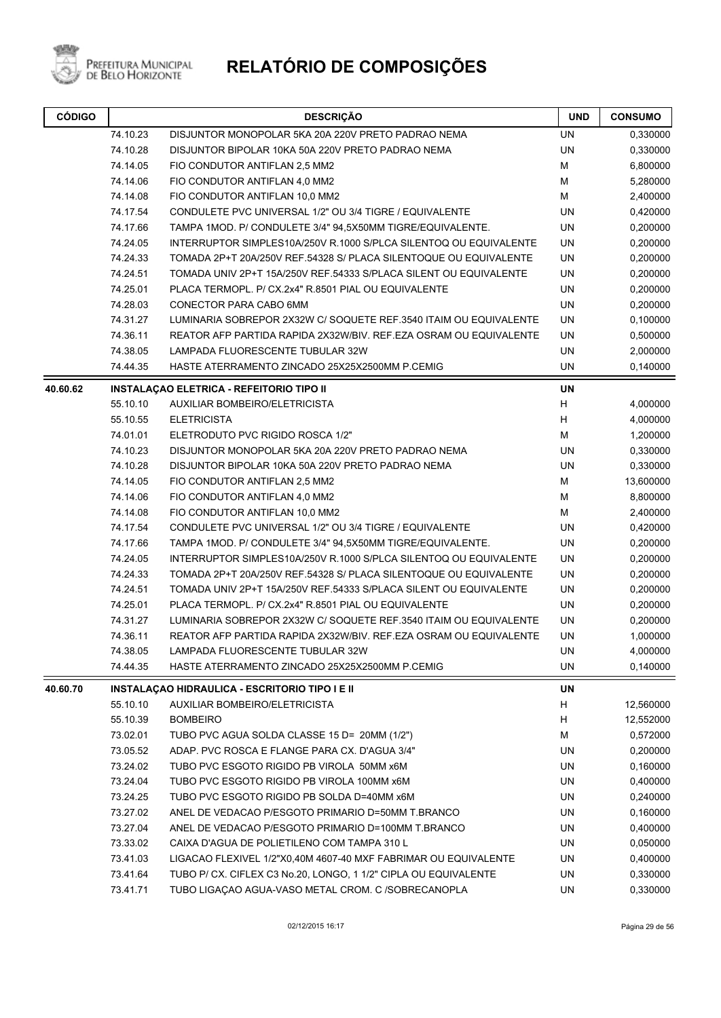

| <b>CÓDIGO</b> | <b>DESCRIÇÃO</b>                                                              |                                                                   |           | <b>CONSUMO</b> |
|---------------|-------------------------------------------------------------------------------|-------------------------------------------------------------------|-----------|----------------|
|               | 74.10.23                                                                      | DISJUNTOR MONOPOLAR 5KA 20A 220V PRETO PADRAO NEMA                | <b>UN</b> | 0,330000       |
|               | 74.10.28                                                                      | DISJUNTOR BIPOLAR 10KA 50A 220V PRETO PADRAO NEMA                 | <b>UN</b> | 0,330000       |
|               | 74.14.05                                                                      | FIO CONDUTOR ANTIFLAN 2,5 MM2                                     | М         | 6,800000       |
|               | 74.14.06                                                                      | FIO CONDUTOR ANTIFLAN 4,0 MM2                                     | M         | 5,280000       |
|               | 74.14.08                                                                      | FIO CONDUTOR ANTIFLAN 10,0 MM2                                    | М         | 2,400000       |
|               | 74.17.54                                                                      | CONDULETE PVC UNIVERSAL 1/2" OU 3/4 TIGRE / EQUIVALENTE           | UN        | 0,420000       |
|               | 74.17.66                                                                      | TAMPA 1MOD. P/ CONDULETE 3/4" 94,5X50MM TIGRE/EQUIVALENTE.        | <b>UN</b> | 0,200000       |
|               | 74.24.05                                                                      | INTERRUPTOR SIMPLES10A/250V R.1000 S/PLCA SILENTOQ OU EQUIVALENTE | UN        | 0,200000       |
|               | 74.24.33                                                                      | TOMADA 2P+T 20A/250V REF.54328 S/ PLACA SILENTOQUE OU EQUIVALENTE | UN        | 0,200000       |
|               | 74.24.51<br>TOMADA UNIV 2P+T 15A/250V REF.54333 S/PLACA SILENT OU EQUIVALENTE |                                                                   | UN        | 0,200000       |
|               | 74.25.01                                                                      | PLACA TERMOPL. P/ CX.2x4" R.8501 PIAL OU EQUIVALENTE              | <b>UN</b> | 0,200000       |
|               | 74.28.03                                                                      | CONECTOR PARA CABO 6MM                                            | <b>UN</b> | 0,200000       |
|               | 74.31.27<br>LUMINARIA SOBREPOR 2X32W C/ SOQUETE REF.3540 ITAIM OU EQUIVALENTE |                                                                   | <b>UN</b> | 0,100000       |
|               | 74.36.11<br>REATOR AFP PARTIDA RAPIDA 2X32W/BIV. REF.EZA OSRAM OU EQUIVALENTE |                                                                   | UN        | 0,500000       |
|               | 74.38.05                                                                      | LAMPADA FLUORESCENTE TUBULAR 32W                                  | <b>UN</b> | 2,000000       |
|               | 74.44.35                                                                      | HASTE ATERRAMENTO ZINCADO 25X25X2500MM P.CEMIG                    | UN        | 0,140000       |
| 40.60.62      |                                                                               | <b>INSTALAÇÃO ELETRICA - REFEITORIO TIPO II</b>                   | <b>UN</b> |                |
|               | 55.10.10                                                                      | <b>AUXILIAR BOMBEIRO/ELETRICISTA</b>                              | Н         | 4,000000       |
|               | 55.10.55                                                                      | <b>ELETRICISTA</b>                                                | H         | 4,000000       |
|               | 74.01.01                                                                      | ELETRODUTO PVC RIGIDO ROSCA 1/2"                                  | М         | 1,200000       |
|               | 74.10.23                                                                      | DISJUNTOR MONOPOLAR 5KA 20A 220V PRETO PADRAO NEMA                | <b>UN</b> | 0,330000       |
|               | 74.10.28                                                                      | DISJUNTOR BIPOLAR 10KA 50A 220V PRETO PADRAO NEMA                 | <b>UN</b> | 0,330000       |
|               | 74.14.05                                                                      | FIO CONDUTOR ANTIFLAN 2,5 MM2                                     | M         | 13,600000      |
|               | 74.14.06                                                                      | FIO CONDUTOR ANTIFLAN 4,0 MM2                                     | М         | 8,800000       |
|               | 74.14.08                                                                      | FIO CONDUTOR ANTIFLAN 10,0 MM2                                    | М         | 2,400000       |
|               | 74.17.54                                                                      | CONDULETE PVC UNIVERSAL 1/2" OU 3/4 TIGRE / EQUIVALENTE           | UN        | 0,420000       |
|               | 74.17.66                                                                      | TAMPA 1MOD. P/ CONDULETE 3/4" 94,5X50MM TIGRE/EQUIVALENTE.        | UN        | 0,200000       |
|               | 74.24.05                                                                      | INTERRUPTOR SIMPLES10A/250V R.1000 S/PLCA SILENTOQ OU EQUIVALENTE | UN        | 0,200000       |
|               | 74.24.33                                                                      | TOMADA 2P+T 20A/250V REF.54328 S/ PLACA SILENTOQUE OU EQUIVALENTE | <b>UN</b> | 0,200000       |
|               | 74.24.51                                                                      | TOMADA UNIV 2P+T 15A/250V REF.54333 S/PLACA SILENT OU EQUIVALENTE | UN        | 0,200000       |
|               | 74.25.01                                                                      | PLACA TERMOPL. P/ CX.2x4" R.8501 PIAL OU EQUIVALENTE              | UN        | 0,200000       |
|               | 74.31.27                                                                      | LUMINARIA SOBREPOR 2X32W C/ SOQUETE REF.3540 ITAIM OU EQUIVALENTE | UN        | 0,200000       |
|               | 74.36.11                                                                      | REATOR AFP PARTIDA RAPIDA 2X32W/BIV. REF.EZA OSRAM OU EQUIVALENTE | UN        | 1,000000       |
|               | 74.38.05                                                                      | LAMPADA FLUORESCENTE TUBULAR 32W                                  | UN        | 4,000000       |
|               | 74.44.35                                                                      | HASTE ATERRAMENTO ZINCADO 25X25X2500MM P.CEMIG                    | UN        | 0,140000       |
| 40.60.70      |                                                                               | <b>INSTALAÇÃO HIDRAULICA - ESCRITORIO TIPO I E II</b>             | UN        |                |
|               | 55.10.10                                                                      | <b>AUXILIAR BOMBEIRO/ELETRICISTA</b>                              | н         | 12,560000      |
|               | 55.10.39                                                                      | <b>BOMBEIRO</b>                                                   | н         | 12,552000      |
|               | 73.02.01                                                                      | TUBO PVC AGUA SOLDA CLASSE 15 D= 20MM (1/2")                      | М         | 0,572000       |
|               | 73.05.52                                                                      | ADAP. PVC ROSCA E FLANGE PARA CX. D'AGUA 3/4"                     | UN        | 0,200000       |
|               | 73.24.02                                                                      | TUBO PVC ESGOTO RIGIDO PB VIROLA 50MM x6M                         | UN        | 0,160000       |
|               | 73.24.04                                                                      | TUBO PVC ESGOTO RIGIDO PB VIROLA 100MM x6M                        | UN        | 0,400000       |
|               | 73.24.25                                                                      | TUBO PVC ESGOTO RIGIDO PB SOLDA D=40MM x6M                        | UN        | 0,240000       |
|               | 73.27.02                                                                      | ANEL DE VEDACAO P/ESGOTO PRIMARIO D=50MM T.BRANCO                 | UN        | 0,160000       |
|               | 73.27.04                                                                      | ANEL DE VEDACAO P/ESGOTO PRIMARIO D=100MM T.BRANCO                | UN        | 0,400000       |
|               | 73.33.02                                                                      | CAIXA D'AGUA DE POLIETILENO COM TAMPA 310 L                       | UN        | 0,050000       |
|               | 73.41.03                                                                      | LIGACAO FLEXIVEL 1/2"X0,40M 4607-40 MXF FABRIMAR OU EQUIVALENTE   | UN        | 0,400000       |
|               | 73.41.64                                                                      | TUBO P/ CX. CIFLEX C3 No.20, LONGO, 1 1/2" CIPLA OU EQUIVALENTE   | UN        | 0,330000       |
|               | 73.41.71                                                                      | TUBO LIGAÇÃO AGUA-VASO METAL CROM. C /SOBRECANOPLA                | UN        | 0,330000       |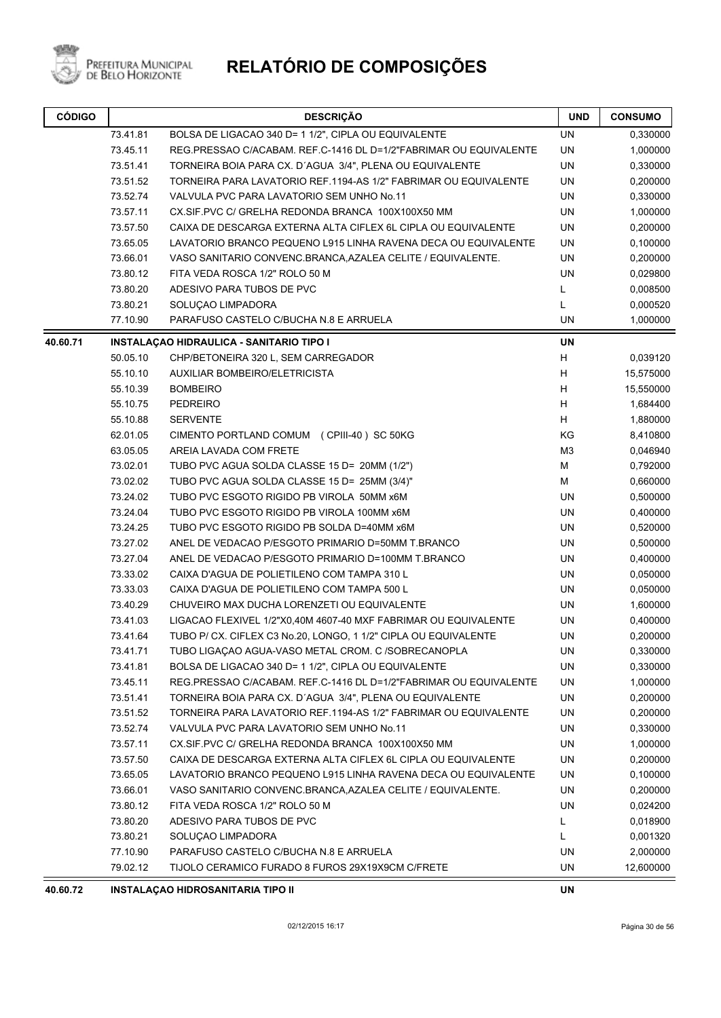

# **RELATÓRIO DE COMPOSIÇÕES**

| <b>CÓDIGO</b> | <b>DESCRIÇÃO</b>                                                        |                                                                   | <b>UND</b>     | <b>CONSUMO</b> |
|---------------|-------------------------------------------------------------------------|-------------------------------------------------------------------|----------------|----------------|
|               | 73.41.81                                                                | BOLSA DE LIGACAO 340 D= 1 1/2", CIPLA OU EQUIVALENTE              | UN             | 0,330000       |
|               | 73.45.11                                                                | REG.PRESSAO C/ACABAM. REF.C-1416 DL D=1/2"FABRIMAR OU EQUIVALENTE | <b>UN</b>      | 1,000000       |
|               | 73.51.41                                                                | TORNEIRA BOIA PARA CX. D'AGUA 3/4", PLENA OU EQUIVALENTE          | <b>UN</b>      | 0,330000       |
|               | 73.51.52                                                                | TORNEIRA PARA LAVATORIO REF.1194-AS 1/2" FABRIMAR OU EQUIVALENTE  | UN             | 0,200000       |
|               | 73.52.74                                                                | VALVULA PVC PARA LAVATORIO SEM UNHO No.11                         | UN             | 0,330000       |
|               | 73.57.11                                                                | CX.SIF.PVC C/ GRELHA REDONDA BRANCA 100X100X50 MM                 | <b>UN</b>      | 1,000000       |
|               | 73.57.50                                                                | CAIXA DE DESCARGA EXTERNA ALTA CIFLEX 6L CIPLA OU EQUIVALENTE     | UN             | 0,200000       |
|               | 73.65.05                                                                | LAVATORIO BRANCO PEQUENO L915 LINHA RAVENA DECA OU EQUIVALENTE    | UN             | 0,100000       |
|               | 73.66.01<br>VASO SANITARIO CONVENC.BRANCA, AZALEA CELITE / EQUIVALENTE. |                                                                   | UN             | 0,200000       |
|               | 73.80.12                                                                | FITA VEDA ROSCA 1/2" ROLO 50 M                                    | <b>UN</b>      | 0,029800       |
|               | 73.80.20                                                                | ADESIVO PARA TUBOS DE PVC                                         | L              | 0,008500       |
|               | 73.80.21                                                                | SOLUÇAO LIMPADORA                                                 | Г              | 0,000520       |
|               | 77.10.90                                                                | PARAFUSO CASTELO C/BUCHA N.8 E ARRUELA                            | UN             | 1,000000       |
| 40.60.71      |                                                                         | <b>INSTALAÇAO HIDRAULICA - SANITARIO TIPO I</b>                   | <b>UN</b>      |                |
|               | 50.05.10                                                                | CHP/BETONEIRA 320 L, SEM CARREGADOR                               | H              | 0,039120       |
|               | 55.10.10                                                                | <b>AUXILIAR BOMBEIRO/ELETRICISTA</b>                              | H              | 15,575000      |
|               | 55.10.39                                                                | <b>BOMBEIRO</b>                                                   | H              | 15,550000      |
|               | 55.10.75                                                                | <b>PEDREIRO</b>                                                   | H              | 1,684400       |
|               | 55.10.88                                                                | <b>SERVENTE</b>                                                   | H              | 1,880000       |
|               | 62.01.05                                                                | CIMENTO PORTLAND COMUM (CPIII-40) SC 50KG                         | KG             | 8,410800       |
|               | 63.05.05                                                                | AREIA LAVADA COM FRETE                                            | M <sub>3</sub> | 0,046940       |
|               | 73.02.01                                                                | TUBO PVC AGUA SOLDA CLASSE 15 D= 20MM (1/2")                      | M              | 0,792000       |
|               | 73.02.02                                                                | TUBO PVC AGUA SOLDA CLASSE 15 D= 25MM (3/4)"                      | M              | 0,660000       |
|               | 73.24.02                                                                | TUBO PVC ESGOTO RIGIDO PB VIROLA 50MM x6M                         | UN             | 0,500000       |
|               | 73.24.04                                                                | TUBO PVC ESGOTO RIGIDO PB VIROLA 100MM x6M                        | UN             | 0,400000       |
|               | 73.24.25                                                                | TUBO PVC ESGOTO RIGIDO PB SOLDA D=40MM x6M                        | UN             | 0,520000       |
|               | 73.27.02                                                                | ANEL DE VEDACAO P/ESGOTO PRIMARIO D=50MM T.BRANCO                 | UN             | 0,500000       |
|               | 73.27.04                                                                | ANEL DE VEDACAO P/ESGOTO PRIMARIO D=100MM T.BRANCO                | UN             | 0,400000       |
|               | 73.33.02                                                                | CAIXA D'AGUA DE POLIETILENO COM TAMPA 310 L                       | UN             | 0,050000       |
|               | 73.33.03                                                                | CAIXA D'AGUA DE POLIETILENO COM TAMPA 500 L                       | UN             | 0,050000       |
|               | 73.40.29                                                                | CHUVEIRO MAX DUCHA LORENZETI OU EQUIVALENTE                       | UN             | 1,600000       |
|               | 73.41.03                                                                | LIGACAO FLEXIVEL 1/2"X0,40M 4607-40 MXF FABRIMAR OU EQUIVALENTE   | UN             | 0,400000       |
|               | 73.41.64                                                                | TUBO P/ CX. CIFLEX C3 No.20, LONGO, 1 1/2" CIPLA OU EQUIVALENTE   | UN             | 0,200000       |
|               | 73.41.71                                                                | TUBO LIGAÇÃO AGUA-VASO METAL CROM. C / SOBRECANOPLA               | UN             | 0,330000       |
|               | 73.41.81                                                                | BOLSA DE LIGACAO 340 D= 1 1/2", CIPLA OU EQUIVALENTE              | UN             | 0,330000       |
|               | 73.45.11                                                                | REG.PRESSAO C/ACABAM. REF.C-1416 DL D=1/2"FABRIMAR OU EQUIVALENTE | UN             | 1,000000       |
|               | 73.51.41                                                                | TORNEIRA BOIA PARA CX. D'AGUA 3/4", PLENA OU EQUIVALENTE          | UN             | 0,200000       |
|               | 73.51.52                                                                | TORNEIRA PARA LAVATORIO REF.1194-AS 1/2" FABRIMAR OU EQUIVALENTE  | UN             | 0,200000       |
|               | 73.52.74                                                                | VALVULA PVC PARA LAVATORIO SEM UNHO No.11                         | UN             | 0,330000       |
|               | 73.57.11                                                                | CX.SIF.PVC C/ GRELHA REDONDA BRANCA 100X100X50 MM                 | UN             | 1,000000       |
|               | 73.57.50                                                                | CAIXA DE DESCARGA EXTERNA ALTA CIFLEX 6L CIPLA OU EQUIVALENTE     | UN             | 0,200000       |
|               | 73.65.05                                                                | LAVATORIO BRANCO PEQUENO L915 LINHA RAVENA DECA OU EQUIVALENTE    | UN             | 0,100000       |
|               | 73.66.01                                                                | VASO SANITARIO CONVENC.BRANCA, AZALEA CELITE / EQUIVALENTE.       | UN             | 0,200000       |
|               | 73.80.12                                                                | FITA VEDA ROSCA 1/2" ROLO 50 M                                    | UN             | 0,024200       |
|               | 73.80.20                                                                | ADESIVO PARA TUBOS DE PVC                                         | L              | 0,018900       |
|               | 73.80.21                                                                | SOLUÇAO LIMPADORA                                                 | Г              | 0,001320       |
|               | 77.10.90                                                                | PARAFUSO CASTELO C/BUCHA N.8 E ARRUELA                            | UN             | 2,000000       |
|               | 79.02.12                                                                | TIJOLO CERAMICO FURADO 8 FUROS 29X19X9CM C/FRETE                  | UN             | 12,600000      |
|               |                                                                         | HADAOABHTADIA FIDC                                                |                |                |

**40.60.72 INSTALAÇAO HIDROSANITARIA TIPO II UN**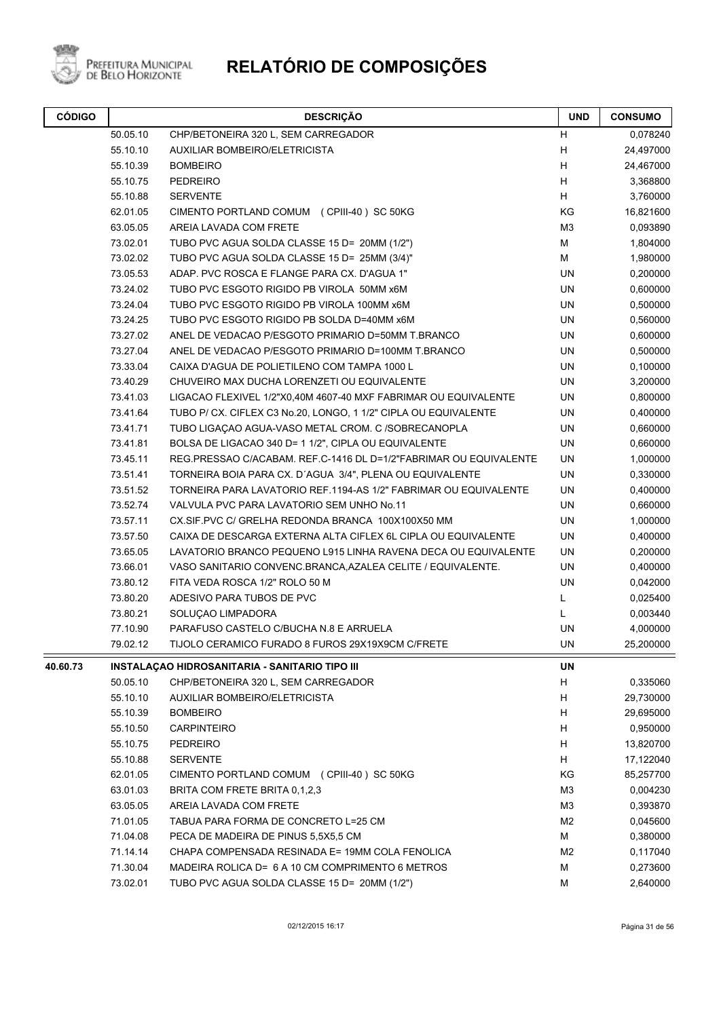

| <b>CÓDIGO</b> |          | <b>DESCRIÇÃO</b>                                                  |                | <b>CONSUMO</b> |
|---------------|----------|-------------------------------------------------------------------|----------------|----------------|
|               | 50.05.10 | CHP/BETONEIRA 320 L, SEM CARREGADOR                               | H              | 0,078240       |
|               | 55.10.10 | AUXILIAR BOMBEIRO/ELETRICISTA                                     | Н              | 24,497000      |
|               | 55.10.39 | <b>BOMBEIRO</b>                                                   | H              | 24,467000      |
|               | 55.10.75 | <b>PEDREIRO</b>                                                   | Н              | 3,368800       |
|               | 55.10.88 | <b>SERVENTE</b>                                                   | H              | 3,760000       |
|               | 62.01.05 | CIMENTO PORTLAND COMUM (CPIII-40) SC 50KG                         | KG             | 16,821600      |
|               | 63.05.05 | AREIA LAVADA COM FRETE                                            | M <sub>3</sub> | 0,093890       |
|               | 73.02.01 | TUBO PVC AGUA SOLDA CLASSE 15 D= 20MM (1/2")                      | M              | 1,804000       |
|               | 73.02.02 | TUBO PVC AGUA SOLDA CLASSE 15 D= 25MM (3/4)"                      | M              | 1,980000       |
|               | 73.05.53 | ADAP. PVC ROSCA E FLANGE PARA CX. D'AGUA 1"                       | UN             | 0,200000       |
|               | 73.24.02 | TUBO PVC ESGOTO RIGIDO PB VIROLA 50MM x6M                         | UN             | 0,600000       |
|               | 73.24.04 | TUBO PVC ESGOTO RIGIDO PB VIROLA 100MM x6M                        | UN             | 0,500000       |
|               | 73.24.25 | TUBO PVC ESGOTO RIGIDO PB SOLDA D=40MM x6M                        | UN             | 0,560000       |
|               | 73.27.02 | ANEL DE VEDACAO P/ESGOTO PRIMARIO D=50MM T.BRANCO                 | UN             | 0,600000       |
|               | 73.27.04 | ANEL DE VEDACAO P/ESGOTO PRIMARIO D=100MM T.BRANCO                | UN             | 0,500000       |
|               | 73.33.04 | CAIXA D'AGUA DE POLIETILENO COM TAMPA 1000 L                      | UN             | 0,100000       |
|               | 73.40.29 | CHUVEIRO MAX DUCHA LORENZETI OU EQUIVALENTE                       | UN             | 3,200000       |
|               | 73.41.03 | LIGACAO FLEXIVEL 1/2"X0,40M 4607-40 MXF FABRIMAR OU EQUIVALENTE   | UN             | 0,800000       |
|               | 73.41.64 | TUBO P/ CX. CIFLEX C3 No.20, LONGO, 1 1/2" CIPLA OU EQUIVALENTE   | UN             | 0,400000       |
|               | 73.41.71 | TUBO LIGAÇÃO AGUA-VASO METAL CROM. C /SOBRECANOPLA                | UN             | 0,660000       |
|               | 73.41.81 | BOLSA DE LIGACAO 340 D= 1 1/2", CIPLA OU EQUIVALENTE              | UN             | 0,660000       |
|               | 73.45.11 | REG.PRESSAO C/ACABAM. REF.C-1416 DL D=1/2"FABRIMAR OU EQUIVALENTE | UN             | 1,000000       |
|               | 73.51.41 | TORNEIRA BOIA PARA CX. D'AGUA 3/4", PLENA OU EQUIVALENTE          | UN             | 0,330000       |
|               | 73.51.52 | TORNEIRA PARA LAVATORIO REF.1194-AS 1/2" FABRIMAR OU EQUIVALENTE  | UN             | 0,400000       |
|               | 73.52.74 | VALVULA PVC PARA LAVATORIO SEM UNHO No.11                         | UN             | 0,660000       |
|               | 73.57.11 | CX.SIF.PVC C/ GRELHA REDONDA BRANCA 100X100X50 MM                 | UN             | 1,000000       |
|               | 73.57.50 | CAIXA DE DESCARGA EXTERNA ALTA CIFLEX 6L CIPLA OU EQUIVALENTE     | UN             | 0,400000       |
|               | 73.65.05 | LAVATORIO BRANCO PEQUENO L915 LINHA RAVENA DECA OU EQUIVALENTE    | UN             | 0,200000       |
|               | 73.66.01 | VASO SANITARIO CONVENC.BRANCA, AZALEA CELITE / EQUIVALENTE.       | UN             | 0,400000       |
|               | 73.80.12 | FITA VEDA ROSCA 1/2" ROLO 50 M                                    | UN             | 0,042000       |
|               | 73.80.20 | ADESIVO PARA TUBOS DE PVC                                         | L              | 0,025400       |
|               | 73.80.21 | SOLUÇAO LIMPADORA                                                 | L              | 0,003440       |
|               | 77.10.90 | PARAFUSO CASTELO C/BUCHA N.8 E ARRUELA                            | UN             | 4,000000       |
|               | 79.02.12 | TIJOLO CERAMICO FURADO 8 FUROS 29X19X9CM C/FRETE                  | UN             | 25,200000      |
| 40.60.73      |          | INSTALAÇÃO HIDROSANITARIA - SANITARIO TIPO III                    | UN             |                |
|               | 50.05.10 | CHP/BETONEIRA 320 L, SEM CARREGADOR                               | Н              | 0,335060       |
|               | 55.10.10 | AUXILIAR BOMBEIRO/ELETRICISTA                                     | Н              | 29,730000      |
|               | 55.10.39 | <b>BOMBEIRO</b>                                                   | Н              | 29,695000      |
|               | 55.10.50 | <b>CARPINTEIRO</b>                                                | Н              | 0,950000       |
|               | 55.10.75 | <b>PEDREIRO</b>                                                   | H              | 13,820700      |
|               | 55.10.88 | <b>SERVENTE</b>                                                   | H.             | 17,122040      |
|               | 62.01.05 | CIMENTO PORTLAND COMUM (CPIII-40) SC 50KG                         | KG             | 85,257700      |
|               | 63.01.03 | BRITA COM FRETE BRITA 0.1.2.3                                     | M <sub>3</sub> | 0,004230       |
|               | 63.05.05 | AREIA LAVADA COM FRETE                                            | M <sub>3</sub> | 0,393870       |
|               | 71.01.05 | TABUA PARA FORMA DE CONCRETO L=25 CM                              | M <sub>2</sub> | 0,045600       |
|               | 71.04.08 | PECA DE MADEIRA DE PINUS 5,5X5,5 CM                               | M              | 0,380000       |
|               | 71.14.14 | CHAPA COMPENSADA RESINADA E= 19MM COLA FENOLICA                   | M <sub>2</sub> | 0,117040       |
|               | 71.30.04 | MADEIRA ROLICA D= 6 A 10 CM COMPRIMENTO 6 METROS                  | М              | 0,273600       |
|               | 73.02.01 | TUBO PVC AGUA SOLDA CLASSE 15 D= 20MM (1/2")                      | M              | 2,640000       |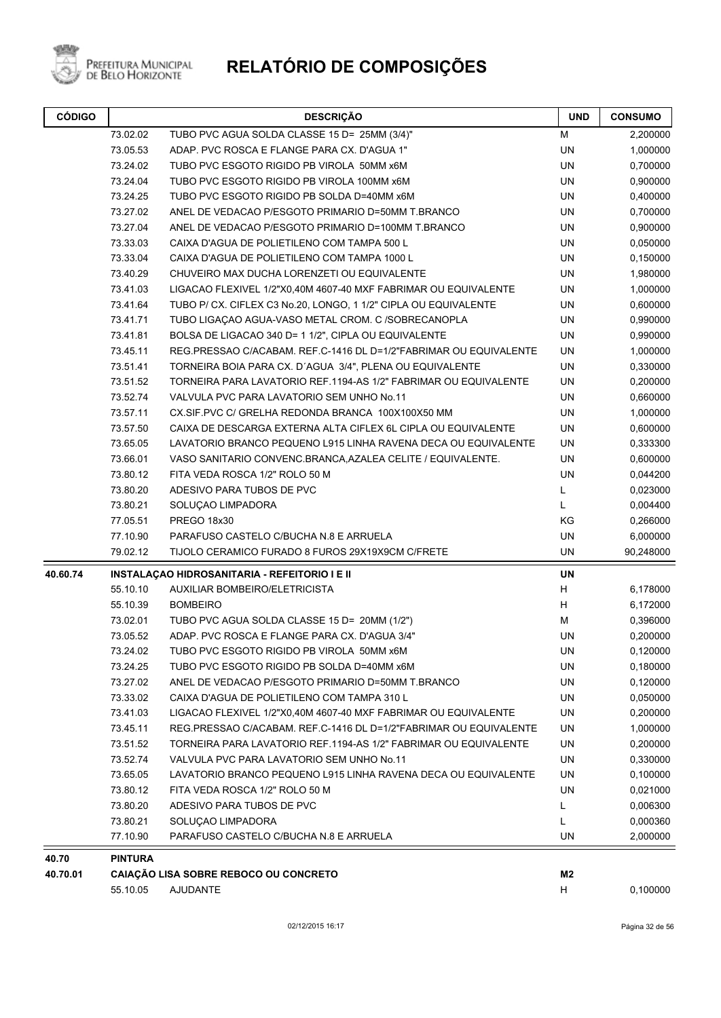

| <b>CÓDIGO</b> |                | <b>DESCRIÇÃO</b>                                                  | <b>UND</b>     | <b>CONSUMO</b> |
|---------------|----------------|-------------------------------------------------------------------|----------------|----------------|
|               | 73.02.02       | TUBO PVC AGUA SOLDA CLASSE 15 D= 25MM (3/4)"                      | M              | 2,200000       |
|               | 73.05.53       | ADAP. PVC ROSCA E FLANGE PARA CX. D'AGUA 1"                       | <b>UN</b>      | 1,000000       |
|               | 73.24.02       | TUBO PVC ESGOTO RIGIDO PB VIROLA 50MM x6M                         | UN             | 0,700000       |
|               | 73.24.04       | TUBO PVC ESGOTO RIGIDO PB VIROLA 100MM x6M                        | UN             | 0,900000       |
|               | 73.24.25       | TUBO PVC ESGOTO RIGIDO PB SOLDA D=40MM x6M                        | UN             | 0,400000       |
|               | 73.27.02       | ANEL DE VEDACAO P/ESGOTO PRIMARIO D=50MM T.BRANCO                 | <b>UN</b>      | 0,700000       |
|               | 73.27.04       | ANEL DE VEDACAO P/ESGOTO PRIMARIO D=100MM T.BRANCO                | UN             | 0,900000       |
|               | 73.33.03       | CAIXA D'AGUA DE POLIETILENO COM TAMPA 500 L                       | UN             | 0,050000       |
|               | 73.33.04       | CAIXA D'AGUA DE POLIETILENO COM TAMPA 1000 L                      | UN             | 0,150000       |
|               | 73.40.29       | CHUVEIRO MAX DUCHA LORENZETI OU EQUIVALENTE                       | <b>UN</b>      | 1,980000       |
|               | 73.41.03       | LIGACAO FLEXIVEL 1/2"X0,40M 4607-40 MXF FABRIMAR OU EQUIVALENTE   | UN             | 1,000000       |
|               | 73.41.64       | TUBO P/ CX. CIFLEX C3 No.20, LONGO, 1 1/2" CIPLA OU EQUIVALENTE   | UN             | 0,600000       |
|               | 73.41.71       | TUBO LIGAÇÃO AGUA-VASO METAL CROM. C /SOBRECANOPLA                | UN             | 0,990000       |
|               | 73.41.81       | BOLSA DE LIGACAO 340 D= 1 1/2", CIPLA OU EQUIVALENTE              | UN             | 0,990000       |
|               | 73.45.11       | REG.PRESSAO C/ACABAM. REF.C-1416 DL D=1/2"FABRIMAR OU EQUIVALENTE | UN             | 1,000000       |
|               | 73.51.41       | TORNEIRA BOIA PARA CX. D'AGUA 3/4", PLENA OU EQUIVALENTE          | UN             | 0,330000       |
|               | 73.51.52       | TORNEIRA PARA LAVATORIO REF.1194-AS 1/2" FABRIMAR OU EQUIVALENTE  | UN             | 0,200000       |
|               | 73.52.74       | VALVULA PVC PARA LAVATORIO SEM UNHO No.11                         | UN             | 0,660000       |
|               | 73.57.11       | CX.SIF.PVC C/ GRELHA REDONDA BRANCA 100X100X50 MM                 | UN             | 1,000000       |
|               | 73.57.50       | CAIXA DE DESCARGA EXTERNA ALTA CIFLEX 6L CIPLA OU EQUIVALENTE     | UN             | 0,600000       |
|               | 73.65.05       | LAVATORIO BRANCO PEQUENO L915 LINHA RAVENA DECA OU EQUIVALENTE    | UN             | 0,333300       |
|               | 73.66.01       | VASO SANITARIO CONVENC.BRANCA, AZALEA CELITE / EQUIVALENTE.       | UN             | 0,600000       |
|               | 73.80.12       | FITA VEDA ROSCA 1/2" ROLO 50 M                                    | <b>UN</b>      | 0,044200       |
|               | 73.80.20       | ADESIVO PARA TUBOS DE PVC                                         | L              | 0,023000       |
|               | 73.80.21       | SOLUÇAO LIMPADORA                                                 | Г              | 0,004400       |
|               | 77.05.51       | <b>PREGO 18x30</b>                                                | KG             | 0,266000       |
|               | 77.10.90       | PARAFUSO CASTELO C/BUCHA N.8 E ARRUELA                            | UN             | 6,000000       |
|               | 79.02.12       | TIJOLO CERAMICO FURADO 8 FUROS 29X19X9CM C/FRETE                  | UN             | 90,248000      |
| 40.60.74      |                | INSTALAÇÃO HIDROSANITARIA - REFEITORIO I E II                     | UN             |                |
|               | 55.10.10       | AUXILIAR BOMBEIRO/ELETRICISTA                                     | н              | 6,178000       |
|               | 55.10.39       | <b>BOMBEIRO</b>                                                   | н              | 6,172000       |
|               | 73.02.01       | TUBO PVC AGUA SOLDA CLASSE 15 D= 20MM (1/2")                      | М              | 0,396000       |
|               | 73.05.52       | ADAP. PVC ROSCA E FLANGE PARA CX. D'AGUA 3/4"                     | UN             | 0,200000       |
|               | 73.24.02       | TUBO PVC ESGOTO RIGIDO PB VIROLA 50MM x6M                         | UN             | 0,120000       |
|               | 73.24.25       | TUBO PVC ESGOTO RIGIDO PB SOLDA D=40MM x6M                        | UN             | 0,180000       |
|               | 73.27.02       | ANEL DE VEDACAO P/ESGOTO PRIMARIO D=50MM T.BRANCO                 | UN             | 0,120000       |
|               | 73.33.02       | CAIXA D'AGUA DE POLIETILENO COM TAMPA 310 L                       | UN             | 0,050000       |
|               | 73.41.03       | LIGACAO FLEXIVEL 1/2"X0,40M 4607-40 MXF FABRIMAR OU EQUIVALENTE   | UN             | 0,200000       |
|               | 73.45.11       | REG.PRESSAO C/ACABAM. REF.C-1416 DL D=1/2"FABRIMAR OU EQUIVALENTE | UN             | 1,000000       |
|               | 73.51.52       | TORNEIRA PARA LAVATORIO REF.1194-AS 1/2" FABRIMAR OU EQUIVALENTE  | UN             | 0,200000       |
|               | 73.52.74       | VALVULA PVC PARA LAVATORIO SEM UNHO No.11                         | UN             | 0,330000       |
|               | 73.65.05       | LAVATORIO BRANCO PEQUENO L915 LINHA RAVENA DECA OU EQUIVALENTE    | UN             | 0,100000       |
|               | 73.80.12       | FITA VEDA ROSCA 1/2" ROLO 50 M                                    | UN             | 0,021000       |
|               | 73.80.20       | ADESIVO PARA TUBOS DE PVC                                         | L              | 0,006300       |
|               | 73.80.21       | SOLUÇAO LIMPADORA                                                 | L              | 0,000360       |
|               | 77.10.90       | PARAFUSO CASTELO C/BUCHA N.8 E ARRUELA                            | UN             | 2,000000       |
| 40.70         | <b>PINTURA</b> |                                                                   |                |                |
| 40.70.01      |                | CAIAÇÃO LISA SOBRE REBOCO OU CONCRETO                             | M <sub>2</sub> |                |
|               | 55.10.05       | <b>AJUDANTE</b>                                                   | н              | 0,100000       |
|               |                |                                                                   |                |                |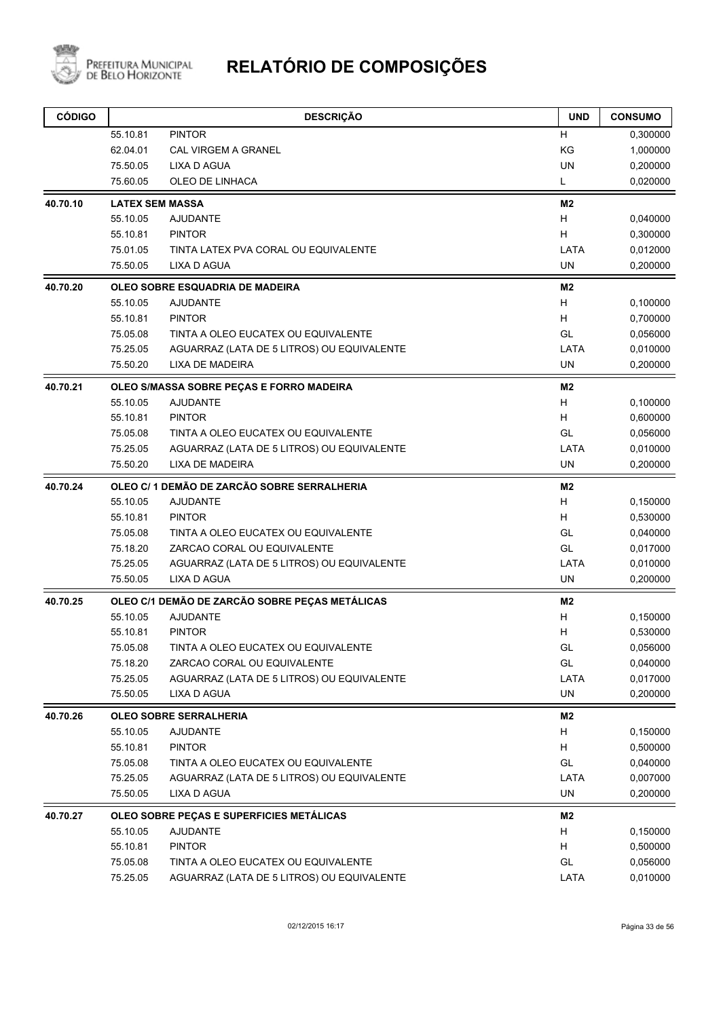

| <b>CÓDIGO</b> |                        | <b>DESCRIÇÃO</b>                               | <b>UND</b> | <b>CONSUMO</b> |
|---------------|------------------------|------------------------------------------------|------------|----------------|
|               | 55.10.81               | <b>PINTOR</b>                                  | н          | 0,300000       |
|               | 62.04.01               | <b>CAL VIRGEM A GRANEL</b>                     | KG         | 1,000000       |
|               | 75.50.05               | <b>LIXA D AGUA</b>                             | <b>UN</b>  | 0,200000       |
|               | 75.60.05               | OLEO DE LINHACA                                | L.         | 0,020000       |
| 40.70.10      | <b>LATEX SEM MASSA</b> |                                                | M2         |                |
|               | 55.10.05               | <b>AJUDANTE</b>                                | H          | 0,040000       |
|               | 55.10.81               | <b>PINTOR</b>                                  | H          | 0,300000       |
|               | 75.01.05               | TINTA LATEX PVA CORAL OU EQUIVALENTE           | LATA       | 0,012000       |
|               | 75.50.05               | <b>LIXA D AGUA</b>                             | UN         | 0,200000       |
| 40.70.20      |                        | OLEO SOBRE ESQUADRIA DE MADEIRA                | M2         |                |
|               | 55.10.05               | <b>AJUDANTE</b>                                | H          | 0,100000       |
|               | 55.10.81               | <b>PINTOR</b>                                  | H.         | 0,700000       |
|               | 75.05.08               | TINTA A OLEO EUCATEX OU EQUIVALENTE            | GL         | 0,056000       |
|               | 75.25.05               | AGUARRAZ (LATA DE 5 LITROS) OU EQUIVALENTE     | LATA       | 0,010000       |
|               | 75.50.20               | LIXA DE MADEIRA                                | <b>UN</b>  | 0,200000       |
| 40.70.21      |                        | OLEO S/MASSA SOBRE PEÇAS E FORRO MADEIRA       | M2         |                |
|               | 55.10.05               | <b>AJUDANTE</b>                                | H          | 0,100000       |
|               | 55.10.81               | <b>PINTOR</b>                                  | H.         | 0,600000       |
|               | 75.05.08               | TINTA A OLEO EUCATEX OU EQUIVALENTE            | GL         | 0,056000       |
|               | 75.25.05               | AGUARRAZ (LATA DE 5 LITROS) OU EQUIVALENTE     | LATA       | 0,010000       |
|               | 75.50.20               | <b>LIXA DE MADEIRA</b>                         | <b>UN</b>  | 0,200000       |
| 40.70.24      |                        | OLEO C/1 DEMÃO DE ZARCÃO SOBRE SERRALHERIA     | M2         |                |
|               | 55.10.05               | <b>AJUDANTE</b>                                | H          | 0,150000       |
|               | 55.10.81               | <b>PINTOR</b>                                  | H.         | 0,530000       |
|               | 75.05.08               | TINTA A OLEO EUCATEX OU EQUIVALENTE            | GL         | 0,040000       |
|               | 75.18.20               | ZARCAO CORAL OU EQUIVALENTE                    | GL         | 0,017000       |
|               | 75.25.05               | AGUARRAZ (LATA DE 5 LITROS) OU EQUIVALENTE     | LATA       | 0,010000       |
|               | 75.50.05               | LIXA D AGUA                                    | UN         | 0,200000       |
| 40.70.25      |                        | OLEO C/1 DEMÃO DE ZARCÃO SOBRE PEÇAS METÁLICAS | M2         |                |
|               | 55.10.05               | <b>AJUDANTE</b>                                | H          | 0,150000       |
|               | 55.10.81               | <b>PINTOR</b>                                  | Н          | 0,530000       |
|               | 75.05.08               | TINTA A OLEO EUCATEX OU EQUIVALENTE            | GL         | 0,056000       |
|               | 75.18.20               | ZARCAO CORAL OU EQUIVALENTE                    | GL         | 0,040000       |
|               | 75.25.05               | AGUARRAZ (LATA DE 5 LITROS) OU EQUIVALENTE     | LATA       | 0,017000       |
|               | 75.50.05               | LIXA D AGUA                                    | <b>UN</b>  | 0,200000       |
| 40.70.26      |                        | <b>OLEO SOBRE SERRALHERIA</b>                  | M2         |                |
|               | 55.10.05               | <b>AJUDANTE</b>                                | H          | 0,150000       |
|               | 55.10.81               | <b>PINTOR</b>                                  | H          | 0,500000       |
|               | 75.05.08               | TINTA A OLEO EUCATEX OU EQUIVALENTE            | GL         | 0,040000       |
|               | 75.25.05               | AGUARRAZ (LATA DE 5 LITROS) OU EQUIVALENTE     | LATA       | 0,007000       |
|               | 75.50.05               | <b>LIXA D AGUA</b>                             | UN         | 0,200000       |
| 40.70.27      |                        | OLEO SOBRE PEÇAS E SUPERFICIES METÁLICAS       | M2         |                |
|               | 55.10.05               | <b>AJUDANTE</b>                                | H          | 0,150000       |
|               | 55.10.81               | <b>PINTOR</b>                                  | Н          | 0,500000       |
|               | 75.05.08               | TINTA A OLEO EUCATEX OU EQUIVALENTE            | GL         | 0,056000       |
|               | 75.25.05               | AGUARRAZ (LATA DE 5 LITROS) OU EQUIVALENTE     | LATA       | 0,010000       |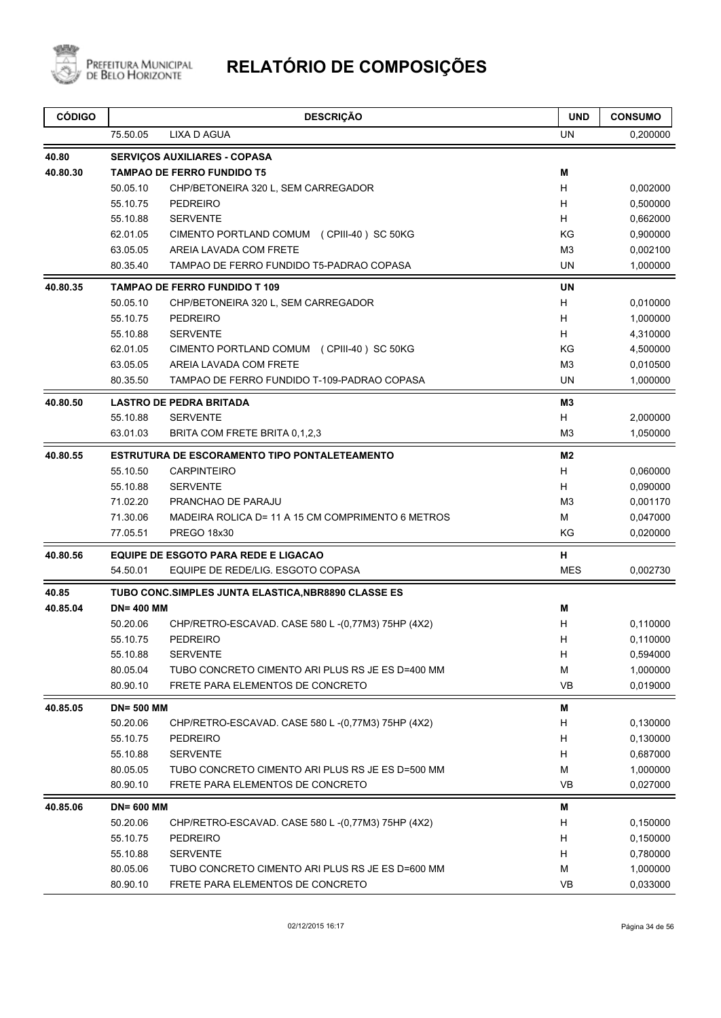

| <b>CÓDIGO</b> |                  | <b>DESCRIÇÃO</b>                                     | <b>UND</b>     | <b>CONSUMO</b> |
|---------------|------------------|------------------------------------------------------|----------------|----------------|
|               | 75.50.05         | <b>LIXA D AGUA</b>                                   | UN             | 0,200000       |
| 40.80         |                  | <b>SERVIÇOS AUXILIARES - COPASA</b>                  |                |                |
| 40.80.30      |                  | <b>TAMPAO DE FERRO FUNDIDO T5</b>                    | M              |                |
|               | 50.05.10         | CHP/BETONEIRA 320 L, SEM CARREGADOR                  | H              | 0,002000       |
|               | 55.10.75         | <b>PEDREIRO</b>                                      | H              | 0,500000       |
|               | 55.10.88         | <b>SERVENTE</b>                                      | H              | 0,662000       |
|               | 62.01.05         | CIMENTO PORTLAND COMUM (CPIII-40) SC 50KG            | ΚG             | 0,900000       |
|               | 63.05.05         | AREIA LAVADA COM FRETE                               | M3             | 0,002100       |
|               | 80.35.40         | TAMPAO DE FERRO FUNDIDO T5-PADRAO COPASA             | <b>UN</b>      | 1,000000       |
| 40.80.35      |                  | <b>TAMPAO DE FERRO FUNDIDO T 109</b>                 | <b>UN</b>      |                |
|               | 50.05.10         | CHP/BETONEIRA 320 L, SEM CARREGADOR                  | H              | 0,010000       |
|               | 55.10.75         | <b>PEDREIRO</b>                                      | H.             | 1,000000       |
|               | 55.10.88         | <b>SERVENTE</b>                                      | H              | 4,310000       |
|               | 62.01.05         | CIMENTO PORTLAND COMUM (CPIII-40) SC 50KG            | ΚG             | 4,500000       |
|               | 63.05.05         | AREIA LAVADA COM FRETE                               | M3             | 0,010500       |
|               | 80.35.50         | TAMPAO DE FERRO FUNDIDO T-109-PADRAO COPASA          | UN             | 1,000000       |
| 40.80.50      |                  | <b>LASTRO DE PEDRA BRITADA</b>                       | M3             |                |
|               | 55.10.88         | <b>SERVENTE</b>                                      | H              | 2,000000       |
|               | 63.01.03         | BRITA COM FRETE BRITA 0,1,2,3                        | M <sub>3</sub> | 1,050000       |
| 40.80.55      |                  | <b>ESTRUTURA DE ESCORAMENTO TIPO PONTALETEAMENTO</b> | M <sub>2</sub> |                |
|               | 55.10.50         | <b>CARPINTEIRO</b>                                   | H              | 0,060000       |
|               | 55.10.88         | <b>SERVENTE</b>                                      | H.             | 0,090000       |
|               | 71.02.20         | PRANCHAO DE PARAJU                                   | M <sub>3</sub> | 0,001170       |
|               | 71.30.06         | MADEIRA ROLICA D= 11 A 15 CM COMPRIMENTO 6 METROS    | М              | 0,047000       |
|               | 77.05.51         | <b>PREGO 18x30</b>                                   | KG             | 0,020000       |
| 40.80.56      |                  | <b>EQUIPE DE ESGOTO PARA REDE E LIGACAO</b>          | н              |                |
|               | 54.50.01         | EQUIPE DE REDE/LIG. ESGOTO COPASA                    | <b>MES</b>     | 0,002730       |
| 40.85         |                  | TUBO CONC.SIMPLES JUNTA ELASTICA, NBR8890 CLASSE ES  |                |                |
| 40.85.04      | <b>DN=400 MM</b> |                                                      | Μ              |                |
|               | 50.20.06         | CHP/RETRO-ESCAVAD. CASE 580 L -(0,77M3) 75HP (4X2)   | н              | 0,110000       |
|               | 55.10.75         | <b>PEDREIRO</b>                                      | н              | 0,110000       |
|               | 55.10.88         | <b>SERVENTE</b>                                      | н              | 0,594000       |
|               | 80.05.04         | TUBO CONCRETO CIMENTO ARI PLUS RS JE ES D=400 MM     | М              | 1,000000       |
|               | 80.90.10         | FRETE PARA ELEMENTOS DE CONCRETO                     | <b>VB</b>      | 0,019000       |
| 40.85.05      | <b>DN=500 MM</b> |                                                      | Μ              |                |
|               | 50.20.06         | CHP/RETRO-ESCAVAD. CASE 580 L -(0,77M3) 75HP (4X2)   | н              | 0,130000       |
|               | 55.10.75         | <b>PEDREIRO</b>                                      | н              | 0,130000       |
|               | 55.10.88         | <b>SERVENTE</b>                                      | н              | 0,687000       |
|               | 80.05.05         | TUBO CONCRETO CIMENTO ARI PLUS RS JE ES D=500 MM     | М              | 1,000000       |
|               | 80.90.10         | FRETE PARA ELEMENTOS DE CONCRETO                     | <b>VB</b>      | 0,027000       |
| 40.85.06      | <b>DN=600 MM</b> |                                                      | Μ              |                |
|               | 50.20.06         | CHP/RETRO-ESCAVAD. CASE 580 L -(0,77M3) 75HP (4X2)   | н              | 0,150000       |
|               | 55.10.75         | <b>PEDREIRO</b>                                      | н              | 0,150000       |
|               | 55.10.88         | <b>SERVENTE</b>                                      | н              | 0,780000       |
|               | 80.05.06         | TUBO CONCRETO CIMENTO ARI PLUS RS JE ES D=600 MM     | М              | 1,000000       |
|               | 80.90.10         | FRETE PARA ELEMENTOS DE CONCRETO                     | VB             | 0,033000       |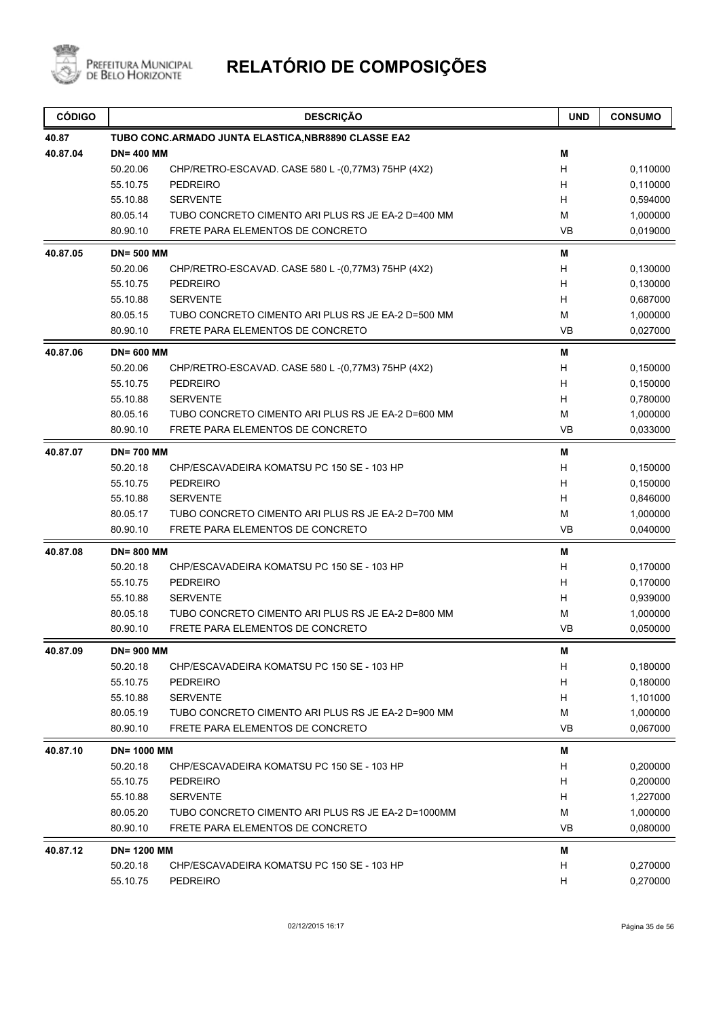

| <b>CÓDIGO</b> |                    | <b>DESCRIÇÃO</b>                                    | <b>UND</b> | <b>CONSUMO</b> |
|---------------|--------------------|-----------------------------------------------------|------------|----------------|
| 40.87         |                    | TUBO CONC.ARMADO JUNTA ELASTICA, NBR8890 CLASSE EA2 |            |                |
| 40.87.04      | <b>DN=400 MM</b>   |                                                     | M          |                |
|               | 50.20.06           | CHP/RETRO-ESCAVAD. CASE 580 L-(0,77M3) 75HP (4X2)   | H          | 0,110000       |
|               | 55.10.75           | <b>PEDREIRO</b>                                     | H          | 0,110000       |
|               | 55.10.88           | <b>SERVENTE</b>                                     | H          | 0,594000       |
|               | 80.05.14           | TUBO CONCRETO CIMENTO ARI PLUS RS JE EA-2 D=400 MM  | M          | 1,000000       |
|               | 80.90.10           | FRETE PARA ELEMENTOS DE CONCRETO                    | <b>VB</b>  | 0,019000       |
| 40.87.05      | <b>DN=500 MM</b>   |                                                     | M          |                |
|               | 50.20.06           | CHP/RETRO-ESCAVAD. CASE 580 L-(0,77M3) 75HP (4X2)   | Н          | 0,130000       |
|               | 55.10.75           | <b>PEDREIRO</b>                                     | н          | 0,130000       |
|               | 55.10.88           | <b>SERVENTE</b>                                     | H          | 0,687000       |
|               | 80.05.15           | TUBO CONCRETO CIMENTO ARI PLUS RS JE EA-2 D=500 MM  | M          | 1,000000       |
|               | 80.90.10           | FRETE PARA ELEMENTOS DE CONCRETO                    | <b>VB</b>  | 0,027000       |
| 40.87.06      | <b>DN=600 MM</b>   |                                                     | M          |                |
|               | 50.20.06           | CHP/RETRO-ESCAVAD. CASE 580 L-(0,77M3) 75HP (4X2)   | H          | 0,150000       |
|               | 55.10.75           | <b>PEDREIRO</b>                                     | H          | 0,150000       |
|               | 55.10.88           | <b>SERVENTE</b>                                     | H          | 0,780000       |
|               | 80.05.16           | TUBO CONCRETO CIMENTO ARI PLUS RS JE EA-2 D=600 MM  | м          | 1,000000       |
|               | 80.90.10           | FRETE PARA ELEMENTOS DE CONCRETO                    | <b>VB</b>  | 0,033000       |
| 40.87.07      | <b>DN=700 MM</b>   |                                                     | M          |                |
|               | 50.20.18           | CHP/ESCAVADEIRA KOMATSU PC 150 SE - 103 HP          | H          | 0,150000       |
|               | 55.10.75           | <b>PEDREIRO</b>                                     | Н          | 0,150000       |
|               | 55.10.88           | <b>SERVENTE</b>                                     | H          | 0,846000       |
|               | 80.05.17           | TUBO CONCRETO CIMENTO ARI PLUS RS JE EA-2 D=700 MM  | M          | 1,000000       |
|               | 80.90.10           | FRETE PARA ELEMENTOS DE CONCRETO                    | <b>VB</b>  | 0,040000       |
| 40.87.08      | <b>DN=800 MM</b>   |                                                     | M          |                |
|               | 50.20.18           | CHP/ESCAVADEIRA KOMATSU PC 150 SE - 103 HP          | H          | 0,170000       |
|               | 55.10.75           | <b>PEDREIRO</b>                                     | H          | 0,170000       |
|               | 55.10.88           | <b>SERVENTE</b>                                     | H          | 0,939000       |
|               | 80.05.18           | TUBO CONCRETO CIMENTO ARI PLUS RS JE EA-2 D=800 MM  | M          | 1,000000       |
|               | 80.90.10           | FRETE PARA ELEMENTOS DE CONCRETO                    | <b>VB</b>  | 0,050000       |
| 40.87.09      | <b>DN=900 MM</b>   |                                                     | M          |                |
|               | 50.20.18           | CHP/ESCAVADEIRA KOMATSU PC 150 SE - 103 HP          | H          | 0,180000       |
|               | 55.10.75           | <b>PEDREIRO</b>                                     | H          | 0,180000       |
|               | 55.10.88           | <b>SERVENTE</b>                                     | H          | 1,101000       |
|               | 80.05.19           | TUBO CONCRETO CIMENTO ARI PLUS RS JE EA-2 D=900 MM  | M          | 1,000000       |
|               | 80.90.10           | FRETE PARA ELEMENTOS DE CONCRETO                    | VB         | 0,067000       |
| 40.87.10      | <b>DN= 1000 MM</b> |                                                     | M          |                |
|               | 50.20.18           | CHP/ESCAVADEIRA KOMATSU PC 150 SE - 103 HP          | H          | 0,200000       |
|               | 55.10.75           | PEDREIRO                                            | H          | 0,200000       |
|               | 55.10.88           | <b>SERVENTE</b>                                     | H          | 1,227000       |
|               | 80.05.20           | TUBO CONCRETO CIMENTO ARI PLUS RS JE EA-2 D=1000MM  | M          | 1,000000       |
|               | 80.90.10           | FRETE PARA ELEMENTOS DE CONCRETO                    | VB         | 0,080000       |
| 40.87.12      | <b>DN=1200 MM</b>  |                                                     | м          |                |
|               | 50.20.18           | CHP/ESCAVADEIRA KOMATSU PC 150 SE - 103 HP          | H          | 0,270000       |
|               | 55.10.75           | <b>PEDREIRO</b>                                     | H          | 0,270000       |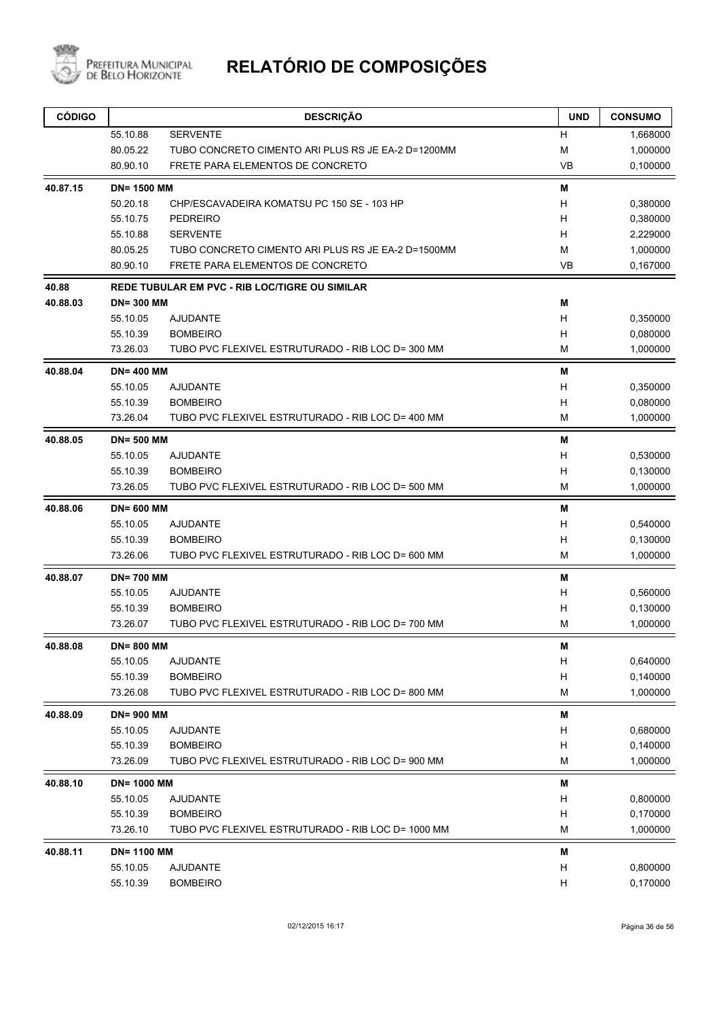

| <b>CÓDIGO</b> |                    | <b>DESCRIÇÃO</b>                                   | <b>UND</b> | <b>CONSUMO</b> |
|---------------|--------------------|----------------------------------------------------|------------|----------------|
|               | 55.10.88           | <b>SERVENTE</b>                                    | н          | 1,668000       |
|               | 80.05.22           | TUBO CONCRETO CIMENTO ARI PLUS RS JE EA-2 D=1200MM | M          | 1,000000       |
|               | 80.90.10           | FRETE PARA ELEMENTOS DE CONCRETO                   | <b>VB</b>  | 0,100000       |
| 40.87.15      | <b>DN=1500 MM</b>  |                                                    | Μ          |                |
|               | 50.20.18           | CHP/ESCAVADEIRA KOMATSU PC 150 SE - 103 HP         | н          | 0,380000       |
|               | 55.10.75           | <b>PEDREIRO</b>                                    | н          | 0,380000       |
|               | 55.10.88           | <b>SERVENTE</b>                                    | н          | 2,229000       |
|               | 80.05.25           | TUBO CONCRETO CIMENTO ARI PLUS RS JE EA-2 D=1500MM | М          | 1,000000       |
|               | 80.90.10           | FRETE PARA ELEMENTOS DE CONCRETO                   | <b>VB</b>  | 0,167000       |
| 40.88         |                    | REDE TUBULAR EM PVC - RIB LOC/TIGRE OU SIMILAR     |            |                |
| 40.88.03      | <b>DN=300 MM</b>   |                                                    | M          |                |
|               | 55.10.05           | <b>AJUDANTE</b>                                    | н          | 0,350000       |
|               | 55.10.39           | <b>BOMBEIRO</b>                                    | н          | 0,080000       |
|               | 73.26.03           | TUBO PVC FLEXIVEL ESTRUTURADO - RIB LOC D= 300 MM  | M          | 1,000000       |
| 40.88.04      | <b>DN=400 MM</b>   |                                                    | M          |                |
|               | 55.10.05           | <b>AJUDANTE</b>                                    | Н          | 0,350000       |
|               | 55.10.39           | <b>BOMBEIRO</b>                                    | Н          | 0,080000       |
|               | 73.26.04           | TUBO PVC FLEXIVEL ESTRUTURADO - RIB LOC D= 400 MM  | М          | 1,000000       |
| 40.88.05      | <b>DN=500 MM</b>   |                                                    | M          |                |
|               | 55.10.05           | <b>AJUDANTE</b>                                    | н          | 0,530000       |
|               | 55.10.39           | <b>BOMBEIRO</b>                                    | Н          | 0,130000       |
|               | 73.26.05           | TUBO PVC FLEXIVEL ESTRUTURADO - RIB LOC D= 500 MM  | M          | 1,000000       |
| 40.88.06      | <b>DN=600 MM</b>   |                                                    | M          |                |
|               | 55.10.05           | <b>AJUDANTE</b>                                    | н          | 0,540000       |
|               | 55.10.39           | <b>BOMBEIRO</b>                                    | Н          | 0,130000       |
|               | 73.26.06           | TUBO PVC FLEXIVEL ESTRUTURADO - RIB LOC D= 600 MM  | М          | 1,000000       |
| 40.88.07      | <b>DN=700 MM</b>   |                                                    | Μ          |                |
|               | 55.10.05           | <b>AJUDANTE</b>                                    | н          | 0,560000       |
|               | 55.10.39           | <b>BOMBEIRO</b>                                    | н          | 0,130000       |
|               | 73.26.07           | TUBO PVC FLEXIVEL ESTRUTURADO - RIB LOC D= 700 MM  | М          | 1,000000       |
| 40.88.08      | DN= 800 MM         |                                                    | Μ          |                |
|               | 55.10.05           | <b>AJUDANTE</b>                                    | Н          | 0,640000       |
|               | 55.10.39           | <b>BOMBEIRO</b>                                    | Н          | 0,140000       |
|               | 73.26.08           | TUBO PVC FLEXIVEL ESTRUTURADO - RIB LOC D= 800 MM  | М          | 1,000000       |
| 40.88.09      | <b>DN=900 MM</b>   |                                                    | M          |                |
|               | 55.10.05           | <b>AJUDANTE</b>                                    | Н          | 0,680000       |
|               | 55.10.39           | <b>BOMBEIRO</b>                                    | Н          | 0,140000       |
|               | 73.26.09           | TUBO PVC FLEXIVEL ESTRUTURADO - RIB LOC D= 900 MM  | M          | 1,000000       |
| 40.88.10      | <b>DN= 1000 MM</b> |                                                    | M          |                |
|               | 55.10.05           | <b>AJUDANTE</b>                                    | Н          | 0,800000       |
|               | 55.10.39           | <b>BOMBEIRO</b>                                    | Н          | 0,170000       |
|               | 73.26.10           | TUBO PVC FLEXIVEL ESTRUTURADO - RIB LOC D= 1000 MM | М          | 1,000000       |
| 40.88.11      | <b>DN=1100 MM</b>  |                                                    | Μ          |                |
|               | 55.10.05           | <b>AJUDANTE</b>                                    | Н          | 0,800000       |
|               | 55.10.39           | <b>BOMBEIRO</b>                                    | H          | 0,170000       |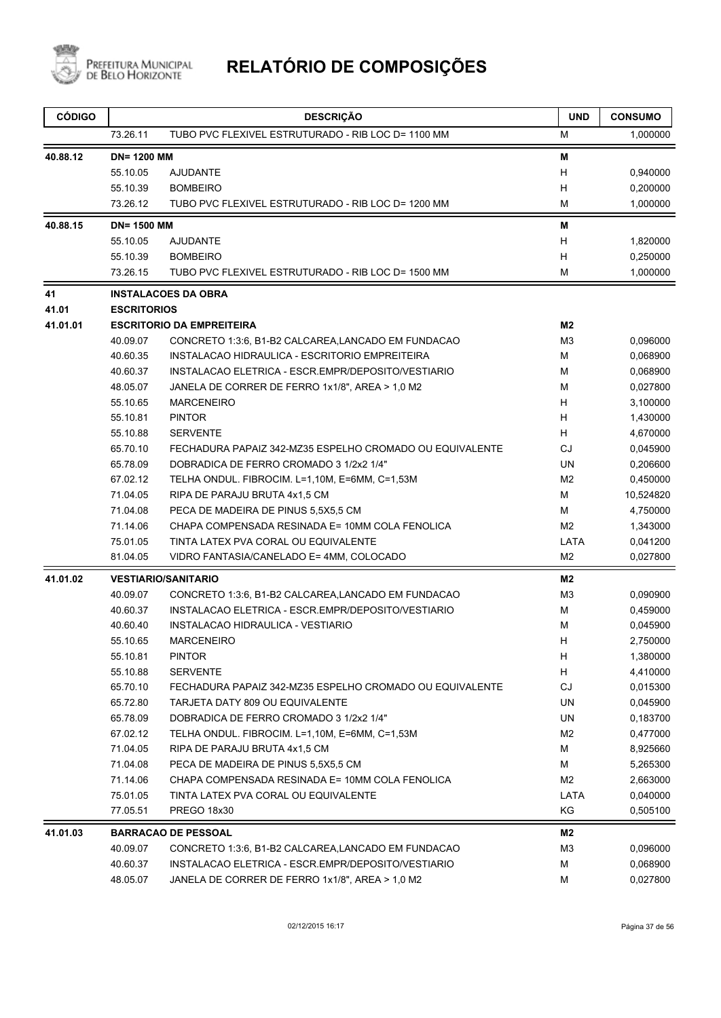

| <b>CÓDIGO</b> |                    | <b>DESCRIÇÃO</b>                                         | <b>UND</b>     | <b>CONSUMO</b> |
|---------------|--------------------|----------------------------------------------------------|----------------|----------------|
|               | 73.26.11           | TUBO PVC FLEXIVEL ESTRUTURADO - RIB LOC D= 1100 MM       | M              | 1,000000       |
| 40.88.12      | <b>DN=1200 MM</b>  |                                                          | M              |                |
|               | 55.10.05           | <b>AJUDANTE</b>                                          | H              | 0,940000       |
|               | 55.10.39           | <b>BOMBEIRO</b>                                          | H              | 0,200000       |
|               | 73.26.12           | TUBO PVC FLEXIVEL ESTRUTURADO - RIB LOC D= 1200 MM       | м              | 1,000000       |
| 40.88.15      | <b>DN= 1500 MM</b> |                                                          | M              |                |
|               | 55.10.05           | <b>AJUDANTE</b>                                          | H              | 1,820000       |
|               | 55.10.39           | <b>BOMBEIRO</b>                                          | H              | 0,250000       |
|               | 73.26.15           | TUBO PVC FLEXIVEL ESTRUTURADO - RIB LOC D= 1500 MM       | M              | 1,000000       |
| 41            |                    | <b>INSTALACOES DA OBRA</b>                               |                |                |
| 41.01         | <b>ESCRITORIOS</b> |                                                          |                |                |
| 41.01.01      |                    | <b>ESCRITORIO DA EMPREITEIRA</b>                         | M <sub>2</sub> |                |
|               | 40.09.07           | CONCRETO 1:3:6, B1-B2 CALCAREA,LANCADO EM FUNDACAO       | M3             | 0,096000       |
|               | 40.60.35           | INSTALACAO HIDRAULICA - ESCRITORIO EMPREITEIRA           | M              | 0,068900       |
|               | 40.60.37           | INSTALACAO ELETRICA - ESCR.EMPR/DEPOSITO/VESTIARIO       | м              | 0,068900       |
|               | 48.05.07           | JANELA DE CORRER DE FERRO 1x1/8", AREA > 1,0 M2          | M              | 0,027800       |
|               | 55.10.65           | <b>MARCENEIRO</b>                                        | H              | 3,100000       |
|               | 55.10.81           | <b>PINTOR</b>                                            | H              | 1,430000       |
|               | 55.10.88           | <b>SERVENTE</b>                                          | H              | 4,670000       |
|               | 65.70.10           | FECHADURA PAPAIZ 342-MZ35 ESPELHO CROMADO OU EQUIVALENTE | CJ             | 0,045900       |
|               | 65.78.09           | DOBRADICA DE FERRO CROMADO 3 1/2x2 1/4"                  | UN.            | 0,206600       |
|               | 67.02.12           | TELHA ONDUL. FIBROCIM. L=1,10M, E=6MM, C=1,53M           | M <sub>2</sub> | 0,450000       |
|               | 71.04.05           | RIPA DE PARAJU BRUTA 4x1,5 CM                            | M              | 10,524820      |
|               | 71.04.08           | PECA DE MADEIRA DE PINUS 5,5X5,5 CM                      | M              | 4,750000       |
|               | 71.14.06           | CHAPA COMPENSADA RESINADA E= 10MM COLA FENOLICA          | M <sub>2</sub> | 1,343000       |
|               | 75.01.05           | TINTA LATEX PVA CORAL OU EQUIVALENTE                     | LATA           | 0,041200       |
|               | 81.04.05           | VIDRO FANTASIA/CANELADO E= 4MM, COLOCADO                 | M <sub>2</sub> | 0,027800       |
| 41.01.02      |                    | <b>VESTIARIO/SANITARIO</b>                               | M2             |                |
|               | 40.09.07           | CONCRETO 1:3:6, B1-B2 CALCAREA, LANCADO EM FUNDACAO      | M3             | 0,090900       |
|               | 40.60.37           | INSTALACAO ELETRICA - ESCR.EMPR/DEPOSITO/VESTIARIO       | м              | 0,459000       |
|               | 40.60.40           | INSTALACAO HIDRAULICA - VESTIARIO                        | M              | 0,045900       |
|               | 55.10.65           | <b>MARCENEIRO</b>                                        | H              | 2,750000       |
|               | 55.10.81           | <b>PINTOR</b>                                            | H              | 1,380000       |
|               | 55.10.88           | <b>SERVENTE</b>                                          | H              | 4,410000       |
|               | 65.70.10           | FECHADURA PAPAIZ 342-MZ35 ESPELHO CROMADO OU EQUIVALENTE | CJ             | 0,015300       |
|               | 65.72.80           | TARJETA DATY 809 OU EQUIVALENTE                          | UN             | 0,045900       |
|               | 65.78.09           | DOBRADICA DE FERRO CROMADO 3 1/2x2 1/4"                  | UN             | 0,183700       |
|               | 67.02.12           | TELHA ONDUL. FIBROCIM. L=1,10M, E=6MM, C=1,53M           | M2             | 0,477000       |
|               | 71.04.05           | RIPA DE PARAJU BRUTA 4x1,5 CM                            | м              | 8,925660       |
|               | 71.04.08           | PECA DE MADEIRA DE PINUS 5,5X5,5 CM                      | M              | 5,265300       |
|               | 71.14.06           | CHAPA COMPENSADA RESINADA E= 10MM COLA FENOLICA          | M2             | 2,663000       |
|               | 75.01.05           | TINTA LATEX PVA CORAL OU EQUIVALENTE                     | LATA           | 0,040000       |
|               | 77.05.51           | PREGO 18x30                                              | KG             | 0,505100       |
| 41.01.03      |                    | <b>BARRACAO DE PESSOAL</b>                               | M2             |                |
|               | 40.09.07           | CONCRETO 1:3:6, B1-B2 CALCAREA, LANCADO EM FUNDACAO      | M <sub>3</sub> | 0,096000       |
|               | 40.60.37           | INSTALACAO ELETRICA - ESCR.EMPR/DEPOSITO/VESTIARIO       | м              | 0,068900       |
|               | 48.05.07           | JANELA DE CORRER DE FERRO 1x1/8", AREA > 1,0 M2          | M              | 0,027800       |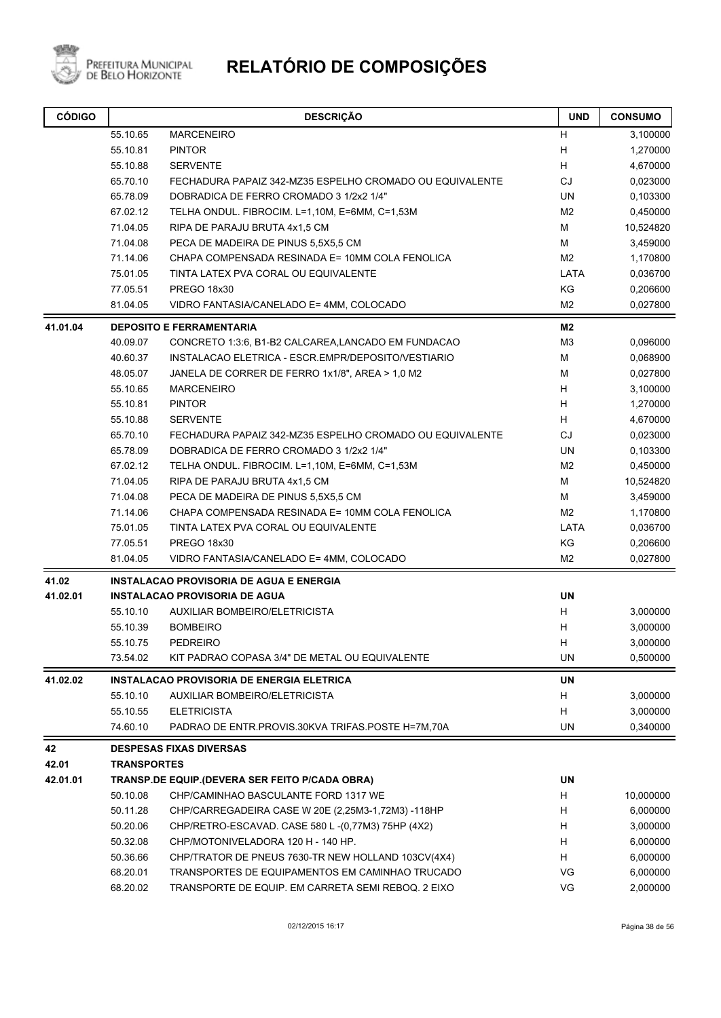

| <b>CÓDIGO</b> |                    | <b>DESCRIÇÃO</b>                                         | <b>UND</b>     | <b>CONSUMO</b> |
|---------------|--------------------|----------------------------------------------------------|----------------|----------------|
|               | 55.10.65           | <b>MARCENEIRO</b>                                        | H              | 3,100000       |
|               | 55.10.81           | <b>PINTOR</b>                                            | Н              | 1,270000       |
|               | 55.10.88           | <b>SERVENTE</b>                                          | н              | 4,670000       |
|               | 65.70.10           | FECHADURA PAPAIZ 342-MZ35 ESPELHO CROMADO OU EQUIVALENTE | <b>CJ</b>      | 0,023000       |
|               | 65.78.09           | DOBRADICA DE FERRO CROMADO 3 1/2x2 1/4"                  | UN             | 0,103300       |
|               | 67.02.12           | TELHA ONDUL. FIBROCIM. L=1,10M, E=6MM, C=1,53M           | M <sub>2</sub> | 0,450000       |
|               | 71.04.05           | RIPA DE PARAJU BRUTA 4x1,5 CM                            | M              | 10,524820      |
|               | 71.04.08           | PECA DE MADEIRA DE PINUS 5,5X5,5 CM                      | M              | 3,459000       |
|               | 71.14.06           | CHAPA COMPENSADA RESINADA E= 10MM COLA FENOLICA          | M <sub>2</sub> | 1,170800       |
|               | 75.01.05           | TINTA LATEX PVA CORAL OU EQUIVALENTE                     | LATA           | 0,036700       |
|               | 77.05.51           | PREGO 18x30                                              | KG             | 0,206600       |
|               | 81.04.05           | VIDRO FANTASIA/CANELADO E= 4MM, COLOCADO                 | M2             | 0,027800       |
| 41.01.04      |                    | <b>DEPOSITO E FERRAMENTARIA</b>                          | M2             |                |
|               | 40.09.07           | CONCRETO 1:3:6, B1-B2 CALCAREA, LANCADO EM FUNDACAO      | M <sub>3</sub> | 0,096000       |
|               | 40.60.37           | INSTALACAO ELETRICA - ESCR.EMPR/DEPOSITO/VESTIARIO       | M              | 0,068900       |
|               | 48.05.07           | JANELA DE CORRER DE FERRO 1x1/8", AREA > 1,0 M2          | М              | 0,027800       |
|               | 55.10.65           | <b>MARCENEIRO</b>                                        | H              | 3,100000       |
|               | 55.10.81           | <b>PINTOR</b>                                            | H              | 1,270000       |
|               | 55.10.88           | <b>SERVENTE</b>                                          | H              | 4,670000       |
|               | 65.70.10           | FECHADURA PAPAIZ 342-MZ35 ESPELHO CROMADO OU EQUIVALENTE | <b>CJ</b>      | 0,023000       |
|               | 65.78.09           | DOBRADICA DE FERRO CROMADO 3 1/2x2 1/4"                  | UN             | 0,103300       |
|               | 67.02.12           | TELHA ONDUL. FIBROCIM. L=1,10M, E=6MM, C=1,53M           | M2             | 0,450000       |
|               | 71.04.05           | RIPA DE PARAJU BRUTA 4x1,5 CM                            | M              | 10,524820      |
|               | 71.04.08           | PECA DE MADEIRA DE PINUS 5,5X5,5 CM                      | M              | 3,459000       |
|               | 71.14.06           | CHAPA COMPENSADA RESINADA E= 10MM COLA FENOLICA          | M2             | 1,170800       |
|               | 75.01.05           | TINTA LATEX PVA CORAL OU EQUIVALENTE                     | LATA           | 0,036700       |
|               | 77.05.51           | PREGO 18x30                                              | KG             | 0,206600       |
|               | 81.04.05           | VIDRO FANTASIA/CANELADO E= 4MM, COLOCADO                 | M2             | 0,027800       |
| 41.02         |                    | <b>INSTALACAO PROVISORIA DE AGUA E ENERGIA</b>           |                |                |
| 41.02.01      |                    | <b>INSTALACAO PROVISORIA DE AGUA</b>                     | <b>UN</b>      |                |
|               | 55.10.10           | AUXILIAR BOMBEIRO/ELETRICISTA                            | H              | 3,000000       |
|               | 55.10.39           | <b>BOMBEIRO</b>                                          | Н              | 3,000000       |
|               | 55.10.75           | <b>PEDREIRO</b>                                          | Н              | 3,000000       |
|               | 73.54.02           | KIT PADRAO COPASA 3/4" DE METAL OU EQUIVALENTE           | UN             | 0,500000       |
| 41.02.02      |                    | INSTALACAO PROVISORIA DE ENERGIA ELETRICA                | UN             |                |
|               | 55.10.10           | AUXILIAR BOMBEIRO/ELETRICISTA                            | H              | 3,000000       |
|               | 55.10.55           | <b>ELETRICISTA</b>                                       | Н              | 3,000000       |
|               | 74.60.10           | PADRAO DE ENTR.PROVIS.30KVA TRIFAS.POSTE H=7M,70A        | UN             | 0,340000       |
| 42            |                    | <b>DESPESAS FIXAS DIVERSAS</b>                           |                |                |
| 42.01         | <b>TRANSPORTES</b> |                                                          |                |                |
| 42.01.01      |                    | TRANSP.DE EQUIP.(DEVERA SER FEITO P/CADA OBRA)           | UN             |                |
|               | 50.10.08           | CHP/CAMINHAO BASCULANTE FORD 1317 WE                     | H              | 10,000000      |
|               | 50.11.28           | CHP/CARREGADEIRA CASE W 20E (2,25M3-1,72M3) -118HP       | H              | 6,000000       |
|               | 50.20.06           | CHP/RETRO-ESCAVAD. CASE 580 L-(0,77M3) 75HP (4X2)        | н              | 3,000000       |
|               | 50.32.08           | CHP/MOTONIVELADORA 120 H - 140 HP.                       | Н              | 6,000000       |
|               | 50.36.66           | CHP/TRATOR DE PNEUS 7630-TR NEW HOLLAND 103CV(4X4)       | H              | 6,000000       |
|               | 68.20.01           | TRANSPORTES DE EQUIPAMENTOS EM CAMINHAO TRUCADO          | VG             | 6,000000       |
|               | 68.20.02           | TRANSPORTE DE EQUIP. EM CARRETA SEMI REBOQ. 2 EIXO       | VG             | 2,000000       |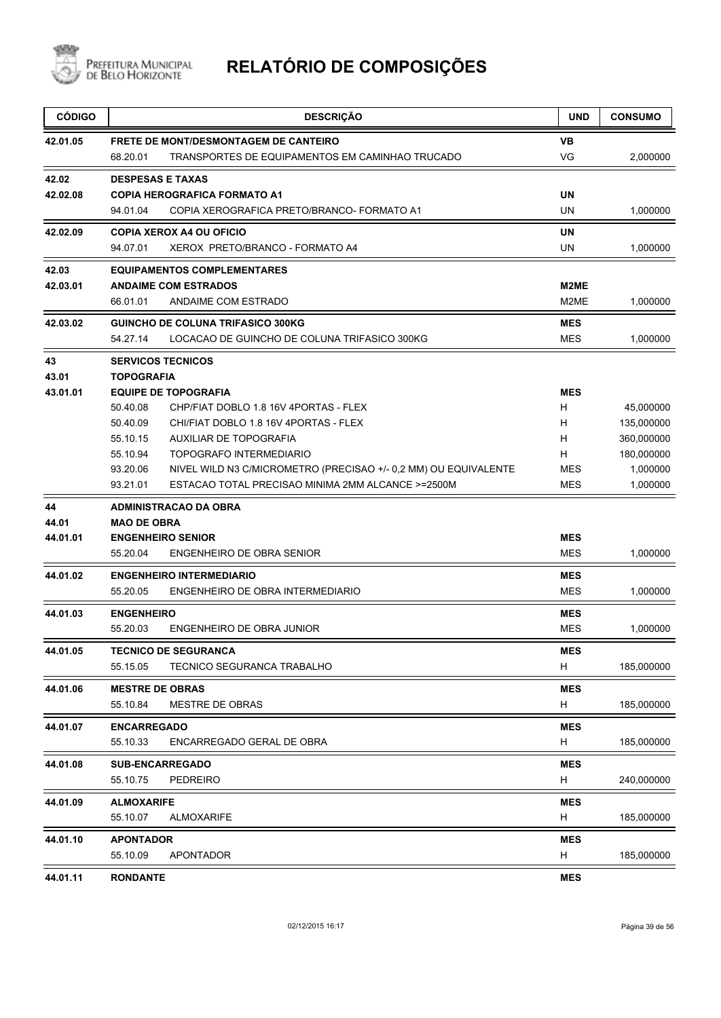

| <b>CÓDIGO</b> | <b>DESCRIÇÃO</b>                                                            | <b>UND</b> | <b>CONSUMO</b> |
|---------------|-----------------------------------------------------------------------------|------------|----------------|
| 42.01.05      | <b>FRETE DE MONT/DESMONTAGEM DE CANTEIRO</b>                                | VB         |                |
|               | TRANSPORTES DE EQUIPAMENTOS EM CAMINHAO TRUCADO<br>68.20.01                 | VG         | 2,000000       |
| 42.02         | <b>DESPESAS E TAXAS</b>                                                     |            |                |
| 42.02.08      | <b>COPIA HEROGRAFICA FORMATO A1</b>                                         | <b>UN</b>  |                |
|               | 94.01.04<br>COPIA XEROGRAFICA PRETO/BRANCO- FORMATO A1                      | UN         | 1,000000       |
| 42.02.09      | <b>COPIA XEROX A4 OU OFICIO</b>                                             | UN         |                |
|               | XEROX PRETO/BRANCO - FORMATO A4<br>94.07.01                                 | UN         | 1,000000       |
| 42.03         | <b>EQUIPAMENTOS COMPLEMENTARES</b>                                          |            |                |
| 42.03.01      | <b>ANDAIME COM ESTRADOS</b>                                                 | M2ME       |                |
|               | 66.01.01<br>ANDAIME COM ESTRADO                                             | M2ME       | 1,000000       |
| 42.03.02      | <b>GUINCHO DE COLUNA TRIFASICO 300KG</b>                                    | <b>MES</b> |                |
|               | LOCACAO DE GUINCHO DE COLUNA TRIFASICO 300KG<br>54.27.14                    | <b>MES</b> | 1,000000       |
| 43            | <b>SERVICOS TECNICOS</b>                                                    |            |                |
| 43.01         | <b>TOPOGRAFIA</b>                                                           |            |                |
| 43.01.01      | <b>EQUIPE DE TOPOGRAFIA</b>                                                 | <b>MES</b> |                |
|               | 50.40.08<br>CHP/FIAT DOBLO 1.8 16V 4PORTAS - FLEX                           | H          | 45,000000      |
|               | 50.40.09<br>CHI/FIAT DOBLO 1.8 16V 4PORTAS - FLEX                           | H          | 135,000000     |
|               | 55.10.15<br><b>AUXILIAR DE TOPOGRAFIA</b>                                   | H          | 360,000000     |
|               | 55.10.94<br><b>TOPOGRAFO INTERMEDIARIO</b>                                  | H          | 180,000000     |
|               | 93.20.06<br>NIVEL WILD N3 C/MICROMETRO (PRECISAO +/- 0,2 MM) OU EQUIVALENTE | MES        | 1,000000       |
|               | ESTACAO TOTAL PRECISAO MINIMA 2MM ALCANCE >=2500M<br>93.21.01               | <b>MES</b> | 1,000000       |
| 44            | <b>ADMINISTRACAO DA OBRA</b>                                                |            |                |
| 44.01         | <b>MAO DE OBRA</b>                                                          |            |                |
| 44.01.01      | <b>ENGENHEIRO SENIOR</b>                                                    | MES        |                |
|               | ENGENHEIRO DE OBRA SENIOR<br>55.20.04                                       | <b>MES</b> | 1,000000       |
| 44.01.02      | <b>ENGENHEIRO INTERMEDIARIO</b>                                             | MES        |                |
|               | 55.20.05<br>ENGENHEIRO DE OBRA INTERMEDIARIO                                | <b>MES</b> | 1,000000       |
| 44.01.03      | <b>ENGENHEIRO</b>                                                           | <b>MES</b> |                |
|               | 55.20.03<br>ENGENHEIRO DE OBRA JUNIOR                                       | <b>MES</b> | 1,000000       |
| 44.01.05      | <b>TECNICO DE SEGURANCA</b>                                                 | MES        |                |
|               | 55.15.05<br>TECNICO SEGURANCA TRABALHO                                      | H          | 185,000000     |
| 44.01.06      | <b>MESTRE DE OBRAS</b>                                                      | <b>MES</b> |                |
|               | 55.10.84<br><b>MESTRE DE OBRAS</b>                                          | H          | 185,000000     |
| 44.01.07      | <b>ENCARREGADO</b>                                                          | MES        |                |
|               | 55.10.33<br>ENCARREGADO GERAL DE OBRA                                       | H          | 185,000000     |
| 44.01.08      | <b>SUB-ENCARREGADO</b>                                                      | <b>MES</b> |                |
|               | 55.10.75<br><b>PEDREIRO</b>                                                 | H          | 240,000000     |
| 44.01.09      | <b>ALMOXARIFE</b>                                                           | <b>MES</b> |                |
|               | 55.10.07<br><b>ALMOXARIFE</b>                                               | H          | 185,000000     |
| 44.01.10      | <b>APONTADOR</b>                                                            | <b>MES</b> |                |
|               | 55.10.09<br><b>APONTADOR</b>                                                | H          | 185,000000     |
| 44.01.11      | <b>RONDANTE</b>                                                             | <b>MES</b> |                |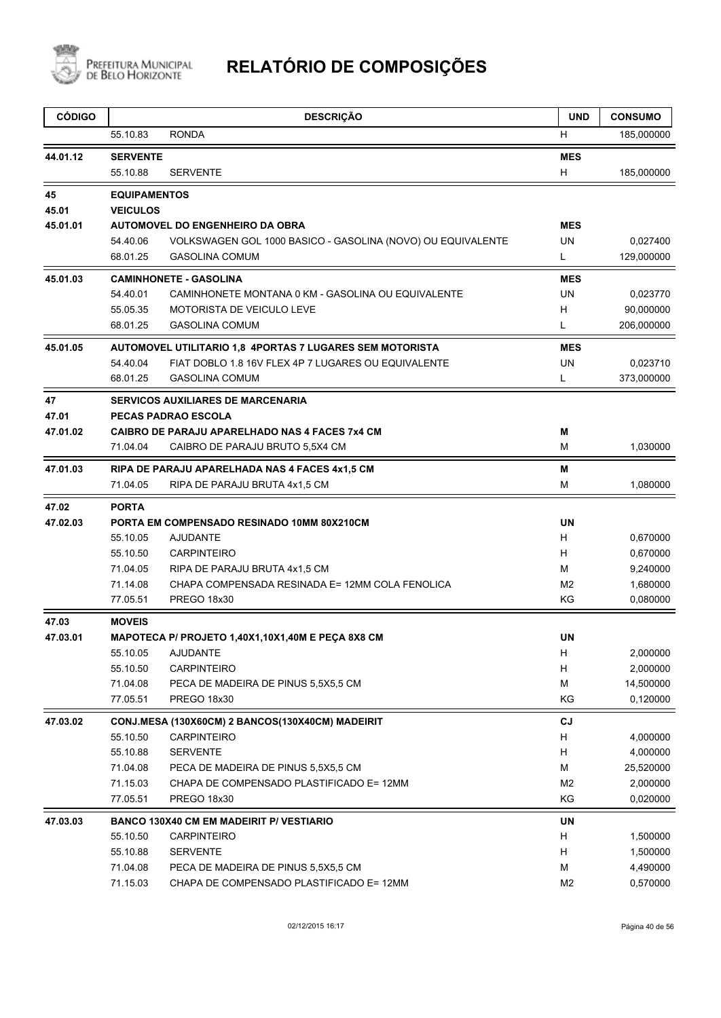

| <b>CÓDIGO</b> |                     | <b>DESCRIÇÃO</b>                                            | <b>UND</b>     | <b>CONSUMO</b> |
|---------------|---------------------|-------------------------------------------------------------|----------------|----------------|
|               | 55.10.83            | <b>RONDA</b>                                                | H              | 185,000000     |
| 44.01.12      | <b>SERVENTE</b>     |                                                             | <b>MES</b>     |                |
|               | 55.10.88            | <b>SERVENTE</b>                                             | H              | 185,000000     |
| 45            | <b>EQUIPAMENTOS</b> |                                                             |                |                |
| 45.01         | <b>VEICULOS</b>     |                                                             |                |                |
| 45.01.01      |                     | <b>AUTOMOVEL DO ENGENHEIRO DA OBRA</b>                      | <b>MES</b>     |                |
|               | 54.40.06            | VOLKSWAGEN GOL 1000 BASICO - GASOLINA (NOVO) OU EQUIVALENTE | UN             | 0,027400       |
|               | 68.01.25            | <b>GASOLINA COMUM</b>                                       | L              | 129,000000     |
| 45.01.03      |                     | <b>CAMINHONETE - GASOLINA</b>                               | <b>MES</b>     |                |
|               | 54.40.01            | CAMINHONETE MONTANA 0 KM - GASOLINA OU EQUIVALENTE          | UN             | 0,023770       |
|               | 55.05.35            | MOTORISTA DE VEICULO LEVE                                   | H              | 90,000000      |
|               | 68.01.25            | <b>GASOLINA COMUM</b>                                       | Г              | 206,000000     |
| 45.01.05      |                     | AUTOMOVEL UTILITARIO 1,8  4PORTAS 7 LUGARES SEM MOTORISTA   | <b>MES</b>     |                |
|               | 54.40.04            | FIAT DOBLO 1.8 16V FLEX 4P 7 LUGARES OU EQUIVALENTE         | <b>UN</b>      | 0,023710       |
|               | 68.01.25            | <b>GASOLINA COMUM</b>                                       | L              | 373,000000     |
| 47            |                     | <b>SERVICOS AUXILIARES DE MARCENARIA</b>                    |                |                |
| 47.01         |                     | <b>PECAS PADRAO ESCOLA</b>                                  |                |                |
| 47.01.02      |                     | <b>CAIBRO DE PARAJU APARELHADO NAS 4 FACES 7x4 CM</b>       | Μ              |                |
|               | 71.04.04            | CAIBRO DE PARAJU BRUTO 5,5X4 CM                             | М              | 1,030000       |
| 47.01.03      |                     | RIPA DE PARAJU APARELHADA NAS 4 FACES 4x1,5 CM              | M              |                |
|               | 71.04.05            | RIPA DE PARAJU BRUTA 4x1,5 CM                               | М              | 1,080000       |
| 47.02         | <b>PORTA</b>        |                                                             |                |                |
| 47.02.03      |                     | PORTA EM COMPENSADO RESINADO 10MM 80X210CM                  | UN             |                |
|               | 55.10.05            | <b>AJUDANTE</b>                                             | H              | 0,670000       |
|               | 55.10.50            | <b>CARPINTEIRO</b>                                          | H              | 0,670000       |
|               | 71.04.05            | RIPA DE PARAJU BRUTA 4x1,5 CM                               | м              | 9,240000       |
|               | 71.14.08            | CHAPA COMPENSADA RESINADA E= 12MM COLA FENOLICA             | M <sub>2</sub> | 1,680000       |
|               | 77.05.51            | PREGO 18x30                                                 | KG             | 0,080000       |
| 47.03         | <b>MOVEIS</b>       |                                                             |                |                |
| 47.03.01      |                     | MAPOTECA P/ PROJETO 1,40X1,10X1,40M E PECA 8X8 CM           | <b>UN</b>      |                |
|               | 55.10.05            | AJUDANTE                                                    | Н,             | 2,000000       |
|               | 55.10.50            | <b>CARPINTEIRO</b>                                          | H              | 2,000000       |
|               | 71.04.08            | PECA DE MADEIRA DE PINUS 5,5X5,5 CM                         | M              | 14,500000      |
|               | 77.05.51            | <b>PREGO 18x30</b>                                          | KG             | 0,120000       |
| 47.03.02      |                     | CONJ.MESA (130X60CM) 2 BANCOS(130X40CM) MADEIRIT            | CJ             |                |
|               | 55.10.50            | <b>CARPINTEIRO</b>                                          | H              | 4,000000       |
|               | 55.10.88            | <b>SERVENTE</b>                                             | H              | 4,000000       |
|               | 71.04.08            | PECA DE MADEIRA DE PINUS 5,5X5,5 CM                         | M              | 25,520000      |
|               | 71.15.03            | CHAPA DE COMPENSADO PLASTIFICADO E= 12MM                    | M <sub>2</sub> | 2,000000       |
|               | 77.05.51            | PREGO 18x30                                                 | KG             | 0,020000       |
| 47.03.03      |                     | BANCO 130X40 CM EM MADEIRIT P/ VESTIARIO                    | UN             |                |
|               | 55.10.50            | <b>CARPINTEIRO</b>                                          | H              | 1,500000       |
|               | 55.10.88            | <b>SERVENTE</b>                                             | H              | 1,500000       |
|               | 71.04.08            | PECA DE MADEIRA DE PINUS 5,5X5,5 CM                         | М              | 4,490000       |
|               | 71.15.03            | CHAPA DE COMPENSADO PLASTIFICADO E= 12MM                    | M <sub>2</sub> | 0,570000       |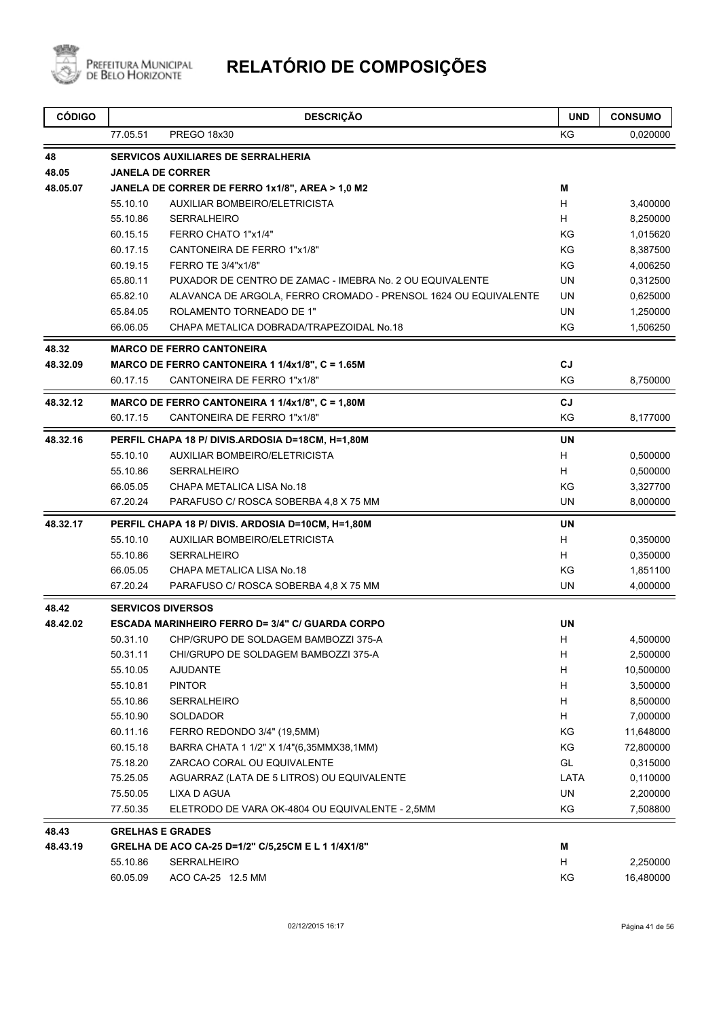

| <b>CÓDIGO</b>     |                      | <b>DESCRIÇÃO</b>                                                              | <b>UND</b> | <b>CONSUMO</b>       |
|-------------------|----------------------|-------------------------------------------------------------------------------|------------|----------------------|
|                   | 77.05.51             | PREGO 18x30                                                                   | ΚG         | 0,020000             |
| 48                |                      | <b>SERVICOS AUXILIARES DE SERRALHERIA</b>                                     |            |                      |
| 48.05             |                      | <b>JANELA DE CORRER</b>                                                       |            |                      |
| 48.05.07          |                      | JANELA DE CORRER DE FERRO 1x1/8", AREA > 1,0 M2                               | M          |                      |
|                   | 55.10.10             | AUXILIAR BOMBEIRO/ELETRICISTA                                                 | H          | 3,400000             |
|                   | 55.10.86             | <b>SERRALHEIRO</b>                                                            | H          | 8,250000             |
|                   | 60.15.15             | FERRO CHATO 1"x1/4"                                                           | KG         | 1,015620             |
|                   | 60.17.15             | CANTONEIRA DE FERRO 1"x1/8"                                                   | KG         | 8,387500             |
|                   | 60.19.15             | FERRO TE 3/4"x1/8"                                                            | KG         | 4,006250             |
|                   | 65.80.11             | PUXADOR DE CENTRO DE ZAMAC - IMEBRA No. 2 OU EQUIVALENTE                      | UN         | 0,312500             |
|                   | 65.82.10             | ALAVANCA DE ARGOLA, FERRO CROMADO - PRENSOL 1624 OU EQUIVALENTE               | <b>UN</b>  | 0,625000             |
|                   | 65.84.05             | ROLAMENTO TORNEADO DE 1"                                                      | <b>UN</b>  | 1,250000             |
|                   | 66.06.05             | CHAPA METALICA DOBRADA/TRAPEZOIDAL No.18                                      | KG         | 1,506250             |
| 48.32             |                      | <b>MARCO DE FERRO CANTONEIRA</b>                                              |            |                      |
| 48.32.09          |                      | MARCO DE FERRO CANTONEIRA 1 1/4x1/8", C = 1.65M                               | CJ         |                      |
|                   | 60.17.15             | CANTONEIRA DE FERRO 1"x1/8"                                                   | KG         | 8,750000             |
| 48.32.12          |                      | MARCO DE FERRO CANTONEIRA 1 1/4x1/8", C = 1,80M                               | CJ         |                      |
|                   | 60.17.15             | CANTONEIRA DE FERRO 1"x1/8"                                                   | KG         | 8,177000             |
| 48.32.16          |                      | PERFIL CHAPA 18 P/ DIVIS.ARDOSIA D=18CM, H=1,80M                              | <b>UN</b>  |                      |
|                   | 55.10.10             | AUXILIAR BOMBEIRO/ELETRICISTA                                                 | H          | 0,500000             |
|                   | 55.10.86             | <b>SERRALHEIRO</b>                                                            | H          | 0,500000             |
|                   | 66.05.05             | CHAPA METALICA LISA No.18                                                     | KG         | 3,327700             |
|                   | 67.20.24             | PARAFUSO C/ ROSCA SOBERBA 4,8 X 75 MM                                         | UN         | 8,000000             |
| 48.32.17          |                      | PERFIL CHAPA 18 P/ DIVIS. ARDOSIA D=10CM, H=1,80M                             | <b>UN</b>  |                      |
|                   | 55.10.10             | AUXILIAR BOMBEIRO/ELETRICISTA                                                 | H          | 0,350000             |
|                   | 55.10.86             | <b>SERRALHEIRO</b>                                                            | H.         | 0,350000             |
|                   | 66.05.05             | CHAPA METALICA LISA No.18                                                     | KG         | 1,851100             |
|                   | 67.20.24             | PARAFUSO C/ ROSCA SOBERBA 4,8 X 75 MM                                         | UN         | 4,000000             |
| 48.42             |                      | <b>SERVICOS DIVERSOS</b>                                                      |            |                      |
| 48.42.02          |                      | <b>ESCADA MARINHEIRO FERRO D= 3/4" C/ GUARDA CORPO</b>                        | <b>UN</b>  |                      |
|                   | 50.31.10             | CHP/GRUPO DE SOLDAGEM BAMBOZZI 375-A                                          | H          | 4,500000             |
|                   | 50.31.11             | CHI/GRUPO DE SOLDAGEM BAMBOZZI 375-A                                          | H,         | 2,500000             |
|                   | 55.10.05             | <b>AJUDANTE</b>                                                               | H          | 10,500000            |
|                   | 55.10.81             | <b>PINTOR</b>                                                                 | H          | 3,500000             |
|                   | 55.10.86             | <b>SERRALHEIRO</b>                                                            | H          | 8,500000             |
|                   | 55.10.90             | SOLDADOR                                                                      | H          | 7,000000             |
|                   | 60.11.16             | FERRO REDONDO 3/4" (19,5MM)                                                   | KG         | 11,648000            |
|                   | 60.15.18             | BARRA CHATA 1 1/2" X 1/4"(6,35MMX38,1MM)                                      | KG         | 72,800000            |
|                   | 75.18.20             | ZARCAO CORAL OU EQUIVALENTE                                                   | GL         | 0,315000             |
|                   | 75.25.05             | AGUARRAZ (LATA DE 5 LITROS) OU EQUIVALENTE                                    | LATA       | 0,110000             |
|                   | 75.50.05<br>77.50.35 | LIXA D AGUA<br>ELETRODO DE VARA OK-4804 OU EQUIVALENTE - 2,5MM                | UN<br>KG   | 2,200000<br>7,508800 |
|                   |                      |                                                                               |            |                      |
| 48.43<br>48.43.19 |                      | <b>GRELHAS E GRADES</b><br>GRELHA DE ACO CA-25 D=1/2" C/5,25CM E L 1 1/4X1/8" | M          |                      |
|                   | 55.10.86             | <b>SERRALHEIRO</b>                                                            | H          | 2,250000             |
|                   | 60.05.09             | ACO CA-25 12.5 MM                                                             | KG         | 16,480000            |
|                   |                      |                                                                               |            |                      |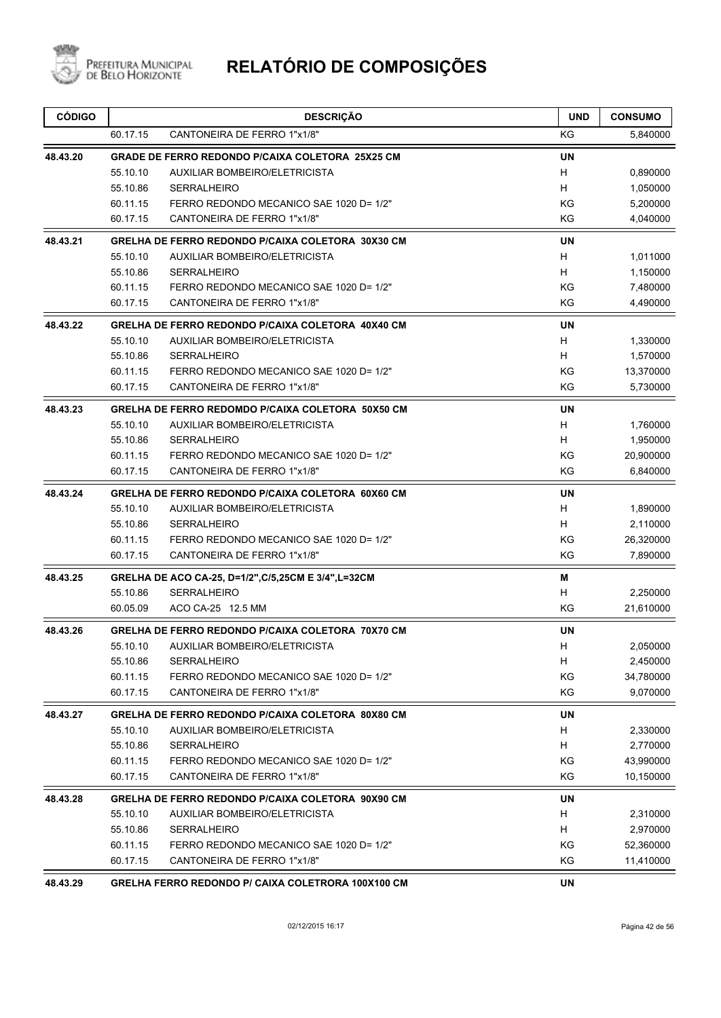

| <b>CÓDIGO</b> |                                                  | <b>DESCRIÇÃO</b>                                      | <b>UND</b> | <b>CONSUMO</b> |
|---------------|--------------------------------------------------|-------------------------------------------------------|------------|----------------|
|               | 60.17.15                                         | CANTONEIRA DE FERRO 1"x1/8"                           | ΚG         | 5,840000       |
| 48.43.20      | GRADE DE FERRO REDONDO P/CAIXA COLETORA 25X25 CM |                                                       |            |                |
|               | 55.10.10                                         | AUXILIAR BOMBEIRO/ELETRICISTA                         | H          | 0,890000       |
|               | 55.10.86                                         | <b>SERRALHEIRO</b>                                    | H          | 1,050000       |
|               | 60.11.15                                         | FERRO REDONDO MECANICO SAE 1020 D= 1/2"               | ΚG         | 5,200000       |
|               | 60.17.15                                         | CANTONEIRA DE FERRO 1"x1/8"                           | ΚG         | 4,040000       |
| 48.43.21      |                                                  | GRELHA DE FERRO REDONDO P/CAIXA COLETORA 30X30 CM     | <b>UN</b>  |                |
|               | 55.10.10                                         | AUXILIAR BOMBEIRO/ELETRICISTA                         | H          | 1,011000       |
|               | 55.10.86                                         | <b>SERRALHEIRO</b>                                    | H          | 1,150000       |
|               | 60.11.15                                         | FERRO REDONDO MECANICO SAE 1020 D= 1/2"               | ΚG         | 7,480000       |
|               | 60.17.15                                         | CANTONEIRA DE FERRO 1"x1/8"                           | ΚG         | 4,490000       |
| 48.43.22      |                                                  | GRELHA DE FERRO REDONDO P/CAIXA COLETORA 40X40 CM     | <b>UN</b>  |                |
|               | 55.10.10                                         | <b>AUXILIAR BOMBEIRO/ELETRICISTA</b>                  | H          | 1,330000       |
|               | 55.10.86                                         | <b>SERRALHEIRO</b>                                    | H          | 1,570000       |
|               | 60.11.15                                         | FERRO REDONDO MECANICO SAE 1020 D= 1/2"               | KG         | 13,370000      |
|               | 60.17.15                                         | CANTONEIRA DE FERRO 1"x1/8"                           | KG         | 5,730000       |
| 48.43.23      |                                                  | GRELHA DE FERRO REDOMDO P/CAIXA COLETORA 50X50 CM     | UN         |                |
|               | 55.10.10                                         | AUXILIAR BOMBEIRO/ELETRICISTA                         | H          | 1,760000       |
|               | 55.10.86                                         | <b>SERRALHEIRO</b>                                    | H          | 1,950000       |
|               | 60.11.15                                         | FERRO REDONDO MECANICO SAE 1020 D= 1/2"               | KG         | 20,900000      |
|               | 60.17.15                                         | CANTONEIRA DE FERRO 1"x1/8"                           | KG         | 6,840000       |
| 48.43.24      |                                                  | GRELHA DE FERRO REDONDO P/CAIXA COLETORA 60X60 CM     | UN         |                |
|               | 55.10.10                                         | AUXILIAR BOMBEIRO/ELETRICISTA                         | H          | 1,890000       |
|               | 55.10.86                                         | <b>SERRALHEIRO</b>                                    | H          | 2,110000       |
|               | 60.11.15                                         | FERRO REDONDO MECANICO SAE 1020 D= 1/2"               | KG         | 26,320000      |
|               | 60.17.15                                         | CANTONEIRA DE FERRO 1"x1/8"                           | KG         | 7,890000       |
| 48.43.25      |                                                  | GRELHA DE ACO CA-25, D=1/2", C/5, 25CM E 3/4", L=32CM | м          |                |
|               | 55.10.86                                         | <b>SERRALHEIRO</b>                                    | н          | 2,250000       |
|               | 60.05.09                                         | ACO CA-25 12.5 MM                                     | KG         | 21,610000      |
| 48.43.26      |                                                  | GRELHA DE FERRO REDONDO P/CAIXA COLETORA 70X70 CM     | UN         |                |
|               |                                                  | 55.10.10 AUXILIAR BOMBEIRO/ELETRICISTA                | H          | 2,050000       |
|               | 55.10.86                                         | <b>SERRALHEIRO</b>                                    | H.         | 2,450000       |
|               | 60.11.15                                         | FERRO REDONDO MECANICO SAE 1020 D= 1/2"               | KG         | 34,780000      |
|               | 60.17.15                                         | CANTONEIRA DE FERRO 1"x1/8"                           | KG         | 9,070000       |
| 48.43.27      |                                                  | GRELHA DE FERRO REDONDO P/CAIXA COLETORA 80X80 CM     | UN         |                |
|               | 55.10.10                                         | AUXILIAR BOMBEIRO/ELETRICISTA                         | H          | 2,330000       |
|               | 55.10.86                                         | <b>SERRALHEIRO</b>                                    | H          | 2,770000       |
|               | 60.11.15                                         | FERRO REDONDO MECANICO SAE 1020 D= 1/2"               | ΚG         | 43,990000      |
|               | 60.17.15                                         | CANTONEIRA DE FERRO 1"x1/8"                           | ΚG         | 10,150000      |
| 48.43.28      |                                                  | GRELHA DE FERRO REDONDO P/CAIXA COLETORA 90X90 CM     | UN         |                |
|               | 55.10.10                                         | AUXILIAR BOMBEIRO/ELETRICISTA                         | H          | 2,310000       |
|               | 55.10.86                                         | <b>SERRALHEIRO</b>                                    | Н          | 2,970000       |
|               | 60.11.15                                         | FERRO REDONDO MECANICO SAE 1020 D= 1/2"               | ΚG         | 52,360000      |
|               | 60.17.15                                         | CANTONEIRA DE FERRO 1"x1/8"                           | KG         | 11,410000      |
| 48.43.29      |                                                  | GRELHA FERRO REDONDO P/ CAIXA COLETRORA 100X100 CM    | UN         |                |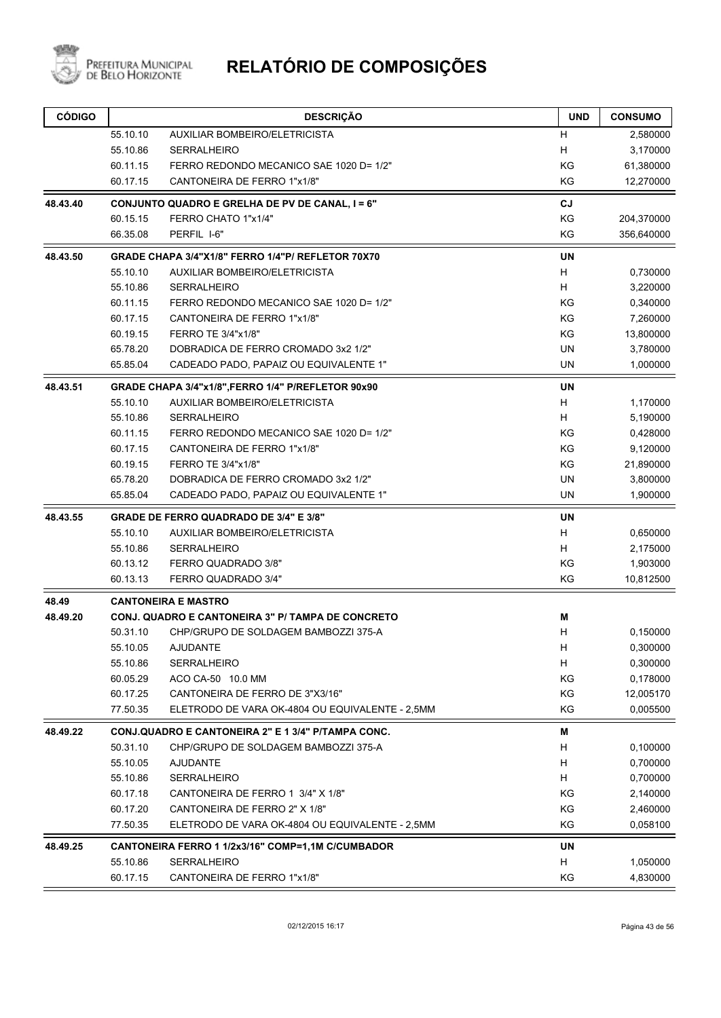

| <b>CÓDIGO</b> |          | <b>DESCRIÇÃO</b>                                   | <b>UND</b> | <b>CONSUMO</b> |
|---------------|----------|----------------------------------------------------|------------|----------------|
|               | 55.10.10 | <b>AUXILIAR BOMBEIRO/ELETRICISTA</b>               | H          | 2,580000       |
|               | 55.10.86 | <b>SERRALHEIRO</b>                                 | H          | 3,170000       |
|               | 60.11.15 | FERRO REDONDO MECANICO SAE 1020 D= 1/2"            | KG         | 61,380000      |
|               | 60.17.15 | CANTONEIRA DE FERRO 1"x1/8"                        | KG         | 12,270000      |
| 48.43.40      |          | CONJUNTO QUADRO E GRELHA DE PV DE CANAL, I = 6"    | CJ         |                |
|               | 60.15.15 | FERRO CHATO 1"x1/4"                                | KG         | 204,370000     |
|               | 66.35.08 | PERFIL I-6"                                        | ΚG         | 356,640000     |
| 48.43.50      |          | GRADE CHAPA 3/4"X1/8" FERRO 1/4"P/ REFLETOR 70X70  | <b>UN</b>  |                |
|               | 55.10.10 | <b>AUXILIAR BOMBEIRO/ELETRICISTA</b>               | H          | 0,730000       |
|               | 55.10.86 | <b>SERRALHEIRO</b>                                 | H          | 3,220000       |
|               | 60.11.15 | FERRO REDONDO MECANICO SAE 1020 D= 1/2"            | KG         | 0,340000       |
|               | 60.17.15 | CANTONEIRA DE FERRO 1"x1/8"                        | KG         | 7,260000       |
|               | 60.19.15 | FERRO TE 3/4"x1/8"                                 | KG         | 13,800000      |
|               | 65.78.20 | DOBRADICA DE FERRO CROMADO 3x2 1/2"                | UN         | 3,780000       |
|               | 65.85.04 | CADEADO PADO, PAPAIZ OU EQUIVALENTE 1"             | <b>UN</b>  | 1,000000       |
| 48.43.51      |          | GRADE CHAPA 3/4"x1/8", FERRO 1/4" P/REFLETOR 90x90 | <b>UN</b>  |                |
|               | 55.10.10 | <b>AUXILIAR BOMBEIRO/ELETRICISTA</b>               | H          | 1,170000       |
|               | 55.10.86 | <b>SERRALHEIRO</b>                                 | H          | 5,190000       |
|               | 60.11.15 | FERRO REDONDO MECANICO SAE 1020 D= 1/2"            | KG         | 0,428000       |
|               | 60.17.15 | CANTONEIRA DE FERRO 1"x1/8"                        | KG         | 9,120000       |
|               | 60.19.15 | FERRO TE 3/4"x1/8"                                 | KG         | 21,890000      |
|               | 65.78.20 | DOBRADICA DE FERRO CROMADO 3x2 1/2"                | UN         | 3,800000       |
|               | 65.85.04 | CADEADO PADO, PAPAIZ OU EQUIVALENTE 1"             | <b>UN</b>  | 1,900000       |
| 48.43.55      |          | <b>GRADE DE FERRO QUADRADO DE 3/4" E 3/8"</b>      | <b>UN</b>  |                |
|               | 55.10.10 | <b>AUXILIAR BOMBEIRO/ELETRICISTA</b>               | H          | 0,650000       |
|               | 55.10.86 | <b>SERRALHEIRO</b>                                 | H          | 2,175000       |
|               | 60.13.12 | FERRO QUADRADO 3/8"                                | KG         | 1,903000       |
|               | 60.13.13 | FERRO QUADRADO 3/4"                                | KG         | 10,812500      |
| 48.49         |          | <b>CANTONEIRA E MASTRO</b>                         |            |                |
| 48.49.20      |          | CONJ. QUADRO E CANTONEIRA 3" P/ TAMPA DE CONCRETO  | м          |                |
|               | 50.31.10 | CHP/GRUPO DE SOLDAGEM BAMBOZZI 375-A               | н          | 0,150000       |
|               | 55.10.05 | AJUDANTE                                           | Н          | 0,300000       |
|               | 55.10.86 | <b>SERRALHEIRO</b>                                 | H          | 0,300000       |
|               | 60.05.29 | ACO CA-50 10.0 MM                                  | KG         | 0,178000       |
|               | 60.17.25 | CANTONEIRA DE FERRO DE 3"X3/16"                    | KG         | 12,005170      |
|               | 77.50.35 | ELETRODO DE VARA OK-4804 OU EQUIVALENTE - 2,5MM    | KG         | 0,005500       |
| 48.49.22      |          | CONJ.QUADRO E CANTONEIRA 2" E 1 3/4" P/TAMPA CONC. | M          |                |
|               | 50.31.10 | CHP/GRUPO DE SOLDAGEM BAMBOZZI 375-A               | H          | 0,100000       |
|               | 55.10.05 | <b>AJUDANTE</b>                                    | H          | 0,700000       |
|               | 55.10.86 | <b>SERRALHEIRO</b>                                 | H          | 0,700000       |
|               | 60.17.18 | CANTONEIRA DE FERRO 1 3/4" X 1/8"                  | KG         | 2,140000       |
|               | 60.17.20 | CANTONEIRA DE FERRO 2" X 1/8"                      | KG         | 2,460000       |
|               | 77.50.35 | ELETRODO DE VARA OK-4804 OU EQUIVALENTE - 2,5MM    | KG         | 0,058100       |
| 48.49.25      |          | CANTONEIRA FERRO 1 1/2x3/16" COMP=1,1M C/CUMBADOR  | UN         |                |
|               | 55.10.86 | <b>SERRALHEIRO</b>                                 | H          | 1,050000       |
|               | 60.17.15 | CANTONEIRA DE FERRO 1"x1/8"                        | KG         | 4,830000       |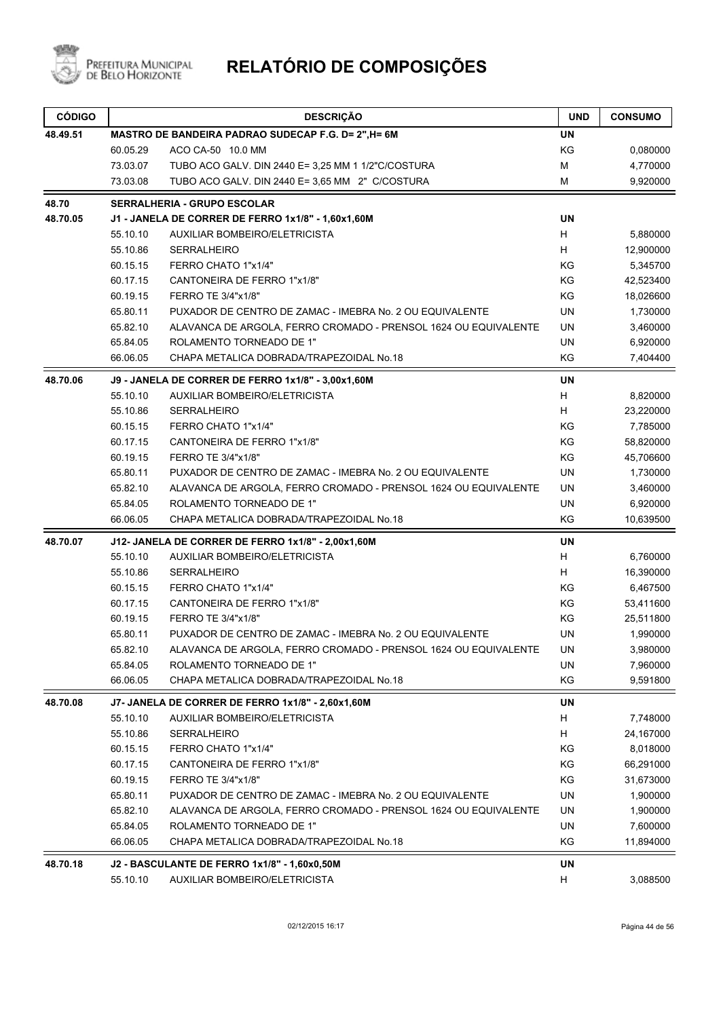

| <b>CÓDIGO</b> |                                                     | <b>DESCRIÇÃO</b>                                                | <b>UND</b> | <b>CONSUMO</b> |
|---------------|-----------------------------------------------------|-----------------------------------------------------------------|------------|----------------|
| 48.49.51      | MASTRO DE BANDEIRA PADRAO SUDECAP F.G. D= 2", H= 6M |                                                                 |            |                |
|               | 60.05.29                                            | ACO CA-50 10.0 MM                                               | KG         | 0,080000       |
|               | 73.03.07                                            | TUBO ACO GALV. DIN 2440 E= 3,25 MM 1 1/2"C/COSTURA              | M          | 4,770000       |
|               | 73.03.08                                            | TUBO ACO GALV. DIN 2440 E= 3,65 MM 2" C/COSTURA                 | M          | 9,920000       |
| 48.70         |                                                     | <b>SERRALHERIA - GRUPO ESCOLAR</b>                              |            |                |
| 48.70.05      |                                                     | J1 - JANELA DE CORRER DE FERRO 1x1/8" - 1,60x1,60M              | <b>UN</b>  |                |
|               | 55.10.10                                            | <b>AUXILIAR BOMBEIRO/ELETRICISTA</b>                            | H          | 5,880000       |
|               | 55.10.86                                            | <b>SERRALHEIRO</b>                                              | н          | 12,900000      |
|               | 60.15.15                                            | FERRO CHATO 1"x1/4"                                             | KG         | 5,345700       |
|               | 60.17.15                                            | CANTONEIRA DE FERRO 1"x1/8"                                     | KG         | 42,523400      |
|               | 60.19.15                                            | FERRO TE 3/4"x1/8"                                              | KG         | 18,026600      |
|               | 65.80.11                                            | PUXADOR DE CENTRO DE ZAMAC - IMEBRA No. 2 OU EQUIVALENTE        | <b>UN</b>  | 1,730000       |
|               | 65.82.10                                            | ALAVANCA DE ARGOLA, FERRO CROMADO - PRENSOL 1624 OU EQUIVALENTE | UN         | 3,460000       |
|               | 65.84.05                                            | ROLAMENTO TORNEADO DE 1"                                        | <b>UN</b>  | 6,920000       |
|               | 66.06.05                                            | CHAPA METALICA DOBRADA/TRAPEZOIDAL No.18                        | KG         | 7,404400       |
| 48.70.06      |                                                     | J9 - JANELA DE CORRER DE FERRO 1x1/8" - 3,00x1,60M              | <b>UN</b>  |                |
|               | 55.10.10                                            | <b>AUXILIAR BOMBEIRO/ELETRICISTA</b>                            | Н          | 8,820000       |
|               | 55.10.86                                            | <b>SERRALHEIRO</b>                                              | H          | 23,220000      |
|               | 60.15.15                                            | FERRO CHATO 1"x1/4"                                             | KG         | 7,785000       |
|               | 60.17.15                                            | CANTONEIRA DE FERRO 1"x1/8"                                     | KG         | 58,820000      |
|               | 60.19.15                                            | FERRO TE 3/4"x1/8"                                              | KG         | 45,706600      |
|               | 65.80.11                                            | PUXADOR DE CENTRO DE ZAMAC - IMEBRA No. 2 OU EQUIVALENTE        | UN         | 1,730000       |
|               | 65.82.10                                            | ALAVANCA DE ARGOLA, FERRO CROMADO - PRENSOL 1624 OU EQUIVALENTE | UN         | 3,460000       |
|               | 65.84.05                                            | ROLAMENTO TORNEADO DE 1"                                        | UN         | 6,920000       |
|               | 66.06.05                                            | CHAPA METALICA DOBRADA/TRAPEZOIDAL No.18                        | KG         | 10,639500      |
| 48.70.07      |                                                     | J12- JANELA DE CORRER DE FERRO 1x1/8" - 2,00x1,60M              | UN         |                |
|               | 55.10.10                                            | <b>AUXILIAR BOMBEIRO/ELETRICISTA</b>                            | н          | 6,760000       |
|               | 55.10.86                                            | <b>SERRALHEIRO</b>                                              | H          | 16,390000      |
|               | 60.15.15                                            | FERRO CHATO 1"x1/4"                                             | KG         | 6,467500       |
|               | 60.17.15                                            | CANTONEIRA DE FERRO 1"x1/8"                                     | KG         | 53,411600      |
|               | 60.19.15                                            | FERRO TE 3/4"x1/8"                                              | KG         | 25,511800      |
|               | 65.80.11                                            | PUXADOR DE CENTRO DE ZAMAC - IMEBRA No. 2 OU EQUIVALENTE        | UN         | 1,990000       |
|               | 65.82.10                                            | ALAVANCA DE ARGOLA, FERRO CROMADO - PRENSOL 1624 OU EQUIVALENTE | UN         | 3,980000       |
|               | 65.84.05                                            | ROLAMENTO TORNEADO DE 1"                                        | UN         | 7,960000       |
|               | 66.06.05                                            | CHAPA METALICA DOBRADA/TRAPEZOIDAL No.18                        | KG         | 9,591800       |
| 48.70.08      |                                                     | J7- JANELA DE CORRER DE FERRO 1x1/8" - 2,60x1,60M               | UN         |                |
|               | 55.10.10                                            | AUXILIAR BOMBEIRO/ELETRICISTA                                   | H          | 7,748000       |
|               | 55.10.86                                            | SERRALHEIRO                                                     | H          | 24,167000      |
|               | 60.15.15                                            | FERRO CHATO 1"x1/4"                                             | KG         | 8,018000       |
|               | 60.17.15                                            | CANTONEIRA DE FERRO 1"x1/8"                                     | KG         | 66,291000      |
|               | 60.19.15                                            | FERRO TE 3/4"x1/8"                                              | KG         | 31,673000      |
|               | 65.80.11                                            | PUXADOR DE CENTRO DE ZAMAC - IMEBRA No. 2 OU EQUIVALENTE        | UN         | 1,900000       |
|               | 65.82.10                                            | ALAVANCA DE ARGOLA, FERRO CROMADO - PRENSOL 1624 OU EQUIVALENTE | UN         | 1,900000       |
|               | 65.84.05                                            | ROLAMENTO TORNEADO DE 1"                                        | UN         | 7,600000       |
|               | 66.06.05                                            | CHAPA METALICA DOBRADA/TRAPEZOIDAL No.18                        | KG         | 11,894000      |
| 48.70.18      |                                                     | <b>J2 - BASCULANTE DE FERRO 1x1/8" - 1,60x0,50M</b>             | UN         |                |
|               | 55.10.10                                            | AUXILIAR BOMBEIRO/ELETRICISTA                                   | H          | 3,088500       |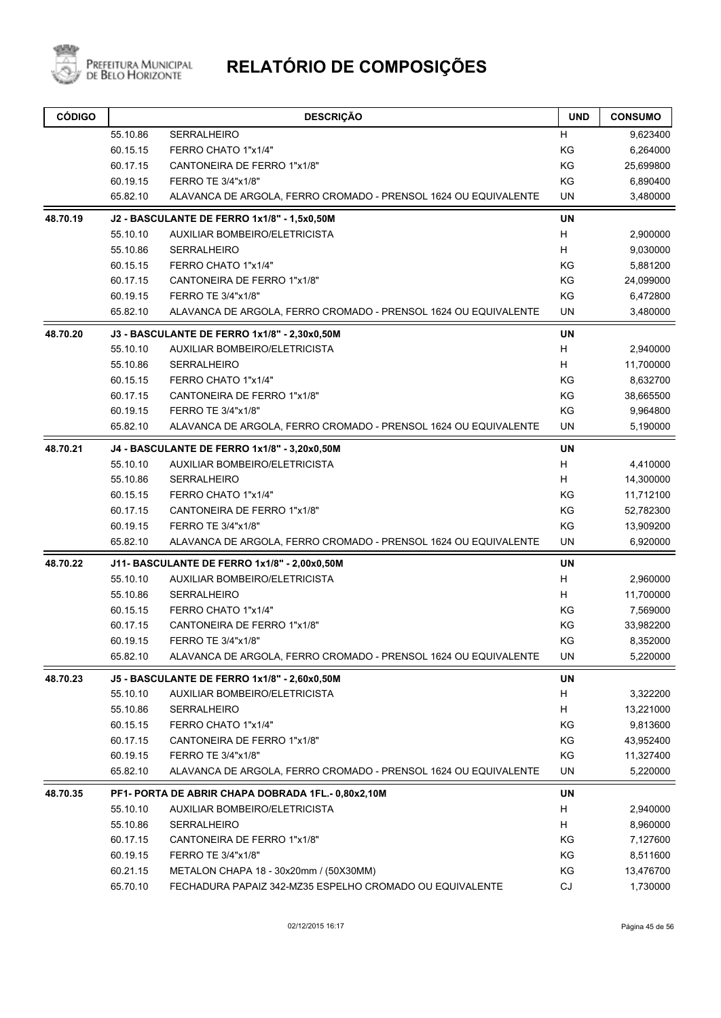

| <b>CÓDIGO</b> | <b>DESCRIÇÃO</b>                            |                                                                 | <b>UND</b> | <b>CONSUMO</b> |
|---------------|---------------------------------------------|-----------------------------------------------------------------|------------|----------------|
|               | 55.10.86                                    | <b>SERRALHEIRO</b>                                              | Н          | 9,623400       |
|               | 60.15.15                                    | FERRO CHATO 1"x1/4"                                             | KG         | 6,264000       |
|               | 60.17.15                                    | CANTONEIRA DE FERRO 1"x1/8"                                     | KG         | 25,699800      |
|               | 60.19.15                                    | FERRO TE 3/4"x1/8"                                              | KG         | 6,890400       |
|               | 65.82.10                                    | ALAVANCA DE ARGOLA, FERRO CROMADO - PRENSOL 1624 OU EQUIVALENTE |            | 3,480000       |
| 48.70.19      | J2 - BASCULANTE DE FERRO 1x1/8" - 1,5x0,50M |                                                                 | <b>UN</b>  |                |
|               | 55.10.10                                    | AUXILIAR BOMBEIRO/ELETRICISTA                                   | H          | 2,900000       |
|               | 55.10.86                                    | <b>SERRALHEIRO</b>                                              | H          | 9,030000       |
|               | 60.15.15                                    | FERRO CHATO 1"x1/4"                                             | KG         | 5,881200       |
|               | 60.17.15                                    | CANTONEIRA DE FERRO 1"x1/8"                                     | KG         | 24,099000      |
|               | 60.19.15                                    | FERRO TE 3/4"x1/8"                                              | KG         | 6,472800       |
|               | 65.82.10                                    | ALAVANCA DE ARGOLA, FERRO CROMADO - PRENSOL 1624 OU EQUIVALENTE | UN         | 3,480000       |
| 48.70.20      |                                             | J3 - BASCULANTE DE FERRO 1x1/8" - 2,30x0,50M                    | UN         |                |
|               | 55.10.10                                    | AUXILIAR BOMBEIRO/ELETRICISTA                                   | Н          | 2,940000       |
|               | 55.10.86                                    | <b>SERRALHEIRO</b>                                              | H          | 11,700000      |
|               | 60.15.15                                    | FERRO CHATO 1"x1/4"                                             | ΚG         | 8,632700       |
|               | 60.17.15                                    | CANTONEIRA DE FERRO 1"x1/8"                                     | KG         | 38,665500      |
|               | 60.19.15                                    | FERRO TE 3/4"x1/8"                                              | KG         | 9,964800       |
|               | 65.82.10                                    | ALAVANCA DE ARGOLA, FERRO CROMADO - PRENSOL 1624 OU EQUIVALENTE | <b>UN</b>  | 5,190000       |
| 48.70.21      |                                             | J4 - BASCULANTE DE FERRO 1x1/8" - 3,20x0,50M                    | UN         |                |
|               | 55.10.10                                    | AUXILIAR BOMBEIRO/ELETRICISTA                                   | н          | 4,410000       |
|               | 55.10.86                                    | <b>SERRALHEIRO</b>                                              | н          | 14,300000      |
|               | 60.15.15                                    | FERRO CHATO 1"x1/4"                                             |            | 11,712100      |
|               | 60.17.15                                    | CANTONEIRA DE FERRO 1"x1/8"                                     |            | 52,782300      |
|               | 60.19.15                                    | FERRO TE 3/4"x1/8"                                              | KG         | 13,909200      |
|               | 65.82.10                                    | ALAVANCA DE ARGOLA, FERRO CROMADO - PRENSOL 1624 OU EQUIVALENTE | <b>UN</b>  | 6,920000       |
| 48.70.22      |                                             | J11- BASCULANTE DE FERRO 1x1/8" - 2,00x0,50M                    | <b>UN</b>  |                |
|               | 55.10.10                                    | AUXILIAR BOMBEIRO/ELETRICISTA                                   | н          | 2,960000       |
|               | 55.10.86                                    | <b>SERRALHEIRO</b>                                              | н          | 11,700000      |
|               | 60.15.15                                    | FERRO CHATO 1"x1/4"                                             | ΚG         | 7,569000       |
|               | 60.17.15                                    | CANTONEIRA DE FERRO 1"x1/8"                                     | KG         | 33,982200      |
|               | 60.19.15                                    | FERRO TE 3/4"x1/8"                                              | ΚG         | 8,352000       |
|               | 65.82.10                                    | ALAVANCA DE ARGOLA, FERRO CROMADO - PRENSOL 1624 OU EQUIVALENTE | UN         | 5,220000       |
| 48.70.23      |                                             | J5 - BASCULANTE DE FERRO 1x1/8" - 2,60x0,50M                    | UN         |                |
|               | 55.10.10                                    | AUXILIAR BOMBEIRO/ELETRICISTA                                   | н          | 3,322200       |
|               | 55.10.86                                    | SERRALHEIRO                                                     | H          | 13,221000      |
|               | 60.15.15                                    | FERRO CHATO 1"x1/4"                                             | KG         | 9,813600       |
|               | 60.17.15                                    | CANTONEIRA DE FERRO 1"x1/8"                                     | KG         | 43,952400      |
|               | 60.19.15                                    | FERRO TE 3/4"x1/8"                                              | KG         | 11,327400      |
|               | 65.82.10                                    | ALAVANCA DE ARGOLA, FERRO CROMADO - PRENSOL 1624 OU EQUIVALENTE | UN         | 5,220000       |
| 48.70.35      |                                             | PF1- PORTA DE ABRIR CHAPA DOBRADA 1FL.- 0,80x2,10M              | UN         |                |
|               | 55.10.10                                    | AUXILIAR BOMBEIRO/ELETRICISTA                                   | H          | 2,940000       |
|               | 55.10.86                                    | SERRALHEIRO                                                     | H          | 8,960000       |
|               | 60.17.15                                    | CANTONEIRA DE FERRO 1"x1/8"                                     | KG         | 7,127600       |
|               | 60.19.15                                    | FERRO TE 3/4"x1/8"                                              |            | 8,511600       |
|               | 60.21.15                                    | KG<br>KG<br>METALON CHAPA 18 - 30x20mm / (50X30MM)              |            | 13,476700      |
|               | 65.70.10                                    | FECHADURA PAPAIZ 342-MZ35 ESPELHO CROMADO OU EQUIVALENTE        |            | 1,730000       |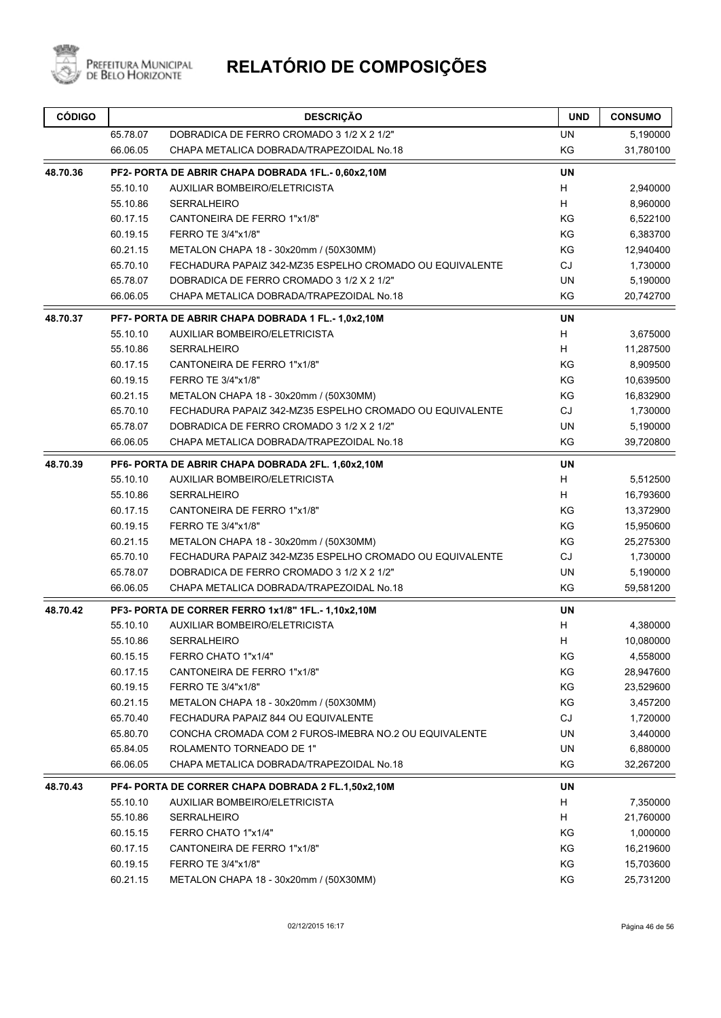

| 65.78.07<br>DOBRADICA DE FERRO CROMADO 3 1/2 X 2 1/2"<br>UN<br>5,190000<br>66.06.05<br>KG<br>CHAPA METALICA DOBRADA/TRAPEZOIDAL No.18<br>31,780100<br>48.70.36<br><b>UN</b><br>PF2- PORTA DE ABRIR CHAPA DOBRADA 1FL.- 0,60x2,10M<br>H<br>55.10.10<br>AUXILIAR BOMBEIRO/ELETRICISTA<br>2,940000<br>H<br>8,960000<br>55.10.86<br><b>SERRALHEIRO</b><br>KG<br>60.17.15<br>CANTONEIRA DE FERRO 1"x1/8"<br>6,522100<br>KG<br>60.19.15<br>FERRO TE 3/4"x1/8"<br>6,383700<br>KG<br>60.21.15<br>METALON CHAPA 18 - 30x20mm / (50X30MM)<br>12,940400<br>65.70.10<br><b>CJ</b><br>1,730000<br>FECHADURA PAPAIZ 342-MZ35 ESPELHO CROMADO OU EQUIVALENTE<br>65.78.07<br><b>UN</b><br>5,190000<br>DOBRADICA DE FERRO CROMADO 3 1/2 X 2 1/2"<br>CHAPA METALICA DOBRADA/TRAPEZOIDAL No.18<br>KG<br>66.06.05<br>20,742700<br><b>UN</b><br>PF7- PORTA DE ABRIR CHAPA DOBRADA 1 FL.- 1,0x2,10M<br>H<br>55.10.10<br>AUXILIAR BOMBEIRO/ELETRICISTA<br>3,675000<br>H<br>55.10.86<br><b>SERRALHEIRO</b><br>11,287500<br>KG<br>60.17.15<br>CANTONEIRA DE FERRO 1"x1/8"<br>8,909500<br>60.19.15<br>FERRO TE 3/4"x1/8"<br>ΚG<br>10,639500<br>KG<br>60.21.15<br>METALON CHAPA 18 - 30x20mm / (50X30MM)<br>16,832900<br>CJ<br>65.70.10<br>FECHADURA PAPAIZ 342-MZ35 ESPELHO CROMADO OU EQUIVALENTE<br>1,730000<br>65.78.07<br>DOBRADICA DE FERRO CROMADO 3 1/2 X 2 1/2"<br><b>UN</b><br>5,190000<br>CHAPA METALICA DOBRADA/TRAPEZOIDAL No.18<br>KG<br>66.06.05<br>39,720800<br>48.70.39<br><b>UN</b><br>PF6- PORTA DE ABRIR CHAPA DOBRADA 2FL. 1,60x2,10M<br>H<br>55.10.10<br>AUXILIAR BOMBEIRO/ELETRICISTA<br>5,512500<br>H<br>55.10.86<br><b>SERRALHEIRO</b><br>16,793600<br>KG<br>60.17.15<br>CANTONEIRA DE FERRO 1"x1/8"<br>13,372900<br>KG<br>60.19.15<br>FERRO TE 3/4"x1/8"<br>15,950600<br>KG<br>60.21.15<br>METALON CHAPA 18 - 30x20mm / (50X30MM)<br>25,275300<br>65.70.10<br>FECHADURA PAPAIZ 342-MZ35 ESPELHO CROMADO OU EQUIVALENTE<br><b>CJ</b><br>1,730000<br>65.78.07<br>DOBRADICA DE FERRO CROMADO 3 1/2 X 2 1/2"<br><b>UN</b><br>5,190000<br>CHAPA METALICA DOBRADA/TRAPEZOIDAL No.18<br>KG<br>66.06.05<br>59,581200<br>48.70.42<br><b>UN</b><br>PF3- PORTA DE CORRER FERRO 1x1/8" 1FL.- 1,10x2,10M<br>H<br>55.10.10<br>AUXILIAR BOMBEIRO/ELETRICISTA<br>4,380000<br>H<br>55.10.86<br><b>SERRALHEIRO</b><br>10,080000<br>60.15.15<br>FERRO CHATO 1"x1/4"<br>KG<br>4,558000<br>KG<br>60.17.15<br>CANTONEIRA DE FERRO 1"x1/8"<br>28,947600<br>KG<br>60.19.15<br>FERRO TE 3/4"x1/8"<br>23,529600<br>KG<br>60.21.15<br>METALON CHAPA 18 - 30x20mm / (50X30MM)<br>3,457200<br>CJ<br>65.70.40<br>FECHADURA PAPAIZ 844 OU EQUIVALENTE<br>1,720000<br><b>UN</b><br>65.80.70<br>CONCHA CROMADA COM 2 FUROS-IMEBRA NO.2 OU EQUIVALENTE<br>3,440000<br>65.84.05<br>ROLAMENTO TORNEADO DE 1"<br>UN<br>6,880000<br>KG<br>66.06.05<br>CHAPA METALICA DOBRADA/TRAPEZOIDAL No.18<br>32,267200<br>UN<br>48.70.43<br>PF4- PORTA DE CORRER CHAPA DOBRADA 2 FL.1,50x2,10M<br>H<br>7,350000<br>55.10.10<br>AUXILIAR BOMBEIRO/ELETRICISTA<br>H<br>55.10.86<br>SERRALHEIRO<br>21,760000<br>60.15.15<br>FERRO CHATO 1"x1/4"<br>KG<br>1,000000<br>60.17.15<br>CANTONEIRA DE FERRO 1"x1/8"<br>KG<br>16,219600<br>KG<br>60.19.15<br>FERRO TE 3/4"x1/8"<br>15,703600 | <b>CÓDIGO</b> |          | <b>DESCRIÇÃO</b>                       | <b>UND</b> | <b>CONSUMO</b> |
|---------------------------------------------------------------------------------------------------------------------------------------------------------------------------------------------------------------------------------------------------------------------------------------------------------------------------------------------------------------------------------------------------------------------------------------------------------------------------------------------------------------------------------------------------------------------------------------------------------------------------------------------------------------------------------------------------------------------------------------------------------------------------------------------------------------------------------------------------------------------------------------------------------------------------------------------------------------------------------------------------------------------------------------------------------------------------------------------------------------------------------------------------------------------------------------------------------------------------------------------------------------------------------------------------------------------------------------------------------------------------------------------------------------------------------------------------------------------------------------------------------------------------------------------------------------------------------------------------------------------------------------------------------------------------------------------------------------------------------------------------------------------------------------------------------------------------------------------------------------------------------------------------------------------------------------------------------------------------------------------------------------------------------------------------------------------------------------------------------------------------------------------------------------------------------------------------------------------------------------------------------------------------------------------------------------------------------------------------------------------------------------------------------------------------------------------------------------------------------------------------------------------------------------------------------------------------------------------------------------------------------------------------------------------------------------------------------------------------------------------------------------------------------------------------------------------------------------------------------------------------------------------------------------------------------------------------------------------------------------------------------------------------------------------------------------------------------------------------------------------------------------------------------------------------------------------------------------------------------|---------------|----------|----------------------------------------|------------|----------------|
|                                                                                                                                                                                                                                                                                                                                                                                                                                                                                                                                                                                                                                                                                                                                                                                                                                                                                                                                                                                                                                                                                                                                                                                                                                                                                                                                                                                                                                                                                                                                                                                                                                                                                                                                                                                                                                                                                                                                                                                                                                                                                                                                                                                                                                                                                                                                                                                                                                                                                                                                                                                                                                                                                                                                                                                                                                                                                                                                                                                                                                                                                                                                                                                                                                 |               |          |                                        |            |                |
|                                                                                                                                                                                                                                                                                                                                                                                                                                                                                                                                                                                                                                                                                                                                                                                                                                                                                                                                                                                                                                                                                                                                                                                                                                                                                                                                                                                                                                                                                                                                                                                                                                                                                                                                                                                                                                                                                                                                                                                                                                                                                                                                                                                                                                                                                                                                                                                                                                                                                                                                                                                                                                                                                                                                                                                                                                                                                                                                                                                                                                                                                                                                                                                                                                 |               |          |                                        |            |                |
|                                                                                                                                                                                                                                                                                                                                                                                                                                                                                                                                                                                                                                                                                                                                                                                                                                                                                                                                                                                                                                                                                                                                                                                                                                                                                                                                                                                                                                                                                                                                                                                                                                                                                                                                                                                                                                                                                                                                                                                                                                                                                                                                                                                                                                                                                                                                                                                                                                                                                                                                                                                                                                                                                                                                                                                                                                                                                                                                                                                                                                                                                                                                                                                                                                 |               |          |                                        |            |                |
|                                                                                                                                                                                                                                                                                                                                                                                                                                                                                                                                                                                                                                                                                                                                                                                                                                                                                                                                                                                                                                                                                                                                                                                                                                                                                                                                                                                                                                                                                                                                                                                                                                                                                                                                                                                                                                                                                                                                                                                                                                                                                                                                                                                                                                                                                                                                                                                                                                                                                                                                                                                                                                                                                                                                                                                                                                                                                                                                                                                                                                                                                                                                                                                                                                 |               |          |                                        |            |                |
|                                                                                                                                                                                                                                                                                                                                                                                                                                                                                                                                                                                                                                                                                                                                                                                                                                                                                                                                                                                                                                                                                                                                                                                                                                                                                                                                                                                                                                                                                                                                                                                                                                                                                                                                                                                                                                                                                                                                                                                                                                                                                                                                                                                                                                                                                                                                                                                                                                                                                                                                                                                                                                                                                                                                                                                                                                                                                                                                                                                                                                                                                                                                                                                                                                 |               |          |                                        |            |                |
|                                                                                                                                                                                                                                                                                                                                                                                                                                                                                                                                                                                                                                                                                                                                                                                                                                                                                                                                                                                                                                                                                                                                                                                                                                                                                                                                                                                                                                                                                                                                                                                                                                                                                                                                                                                                                                                                                                                                                                                                                                                                                                                                                                                                                                                                                                                                                                                                                                                                                                                                                                                                                                                                                                                                                                                                                                                                                                                                                                                                                                                                                                                                                                                                                                 |               |          |                                        |            |                |
|                                                                                                                                                                                                                                                                                                                                                                                                                                                                                                                                                                                                                                                                                                                                                                                                                                                                                                                                                                                                                                                                                                                                                                                                                                                                                                                                                                                                                                                                                                                                                                                                                                                                                                                                                                                                                                                                                                                                                                                                                                                                                                                                                                                                                                                                                                                                                                                                                                                                                                                                                                                                                                                                                                                                                                                                                                                                                                                                                                                                                                                                                                                                                                                                                                 |               |          |                                        |            |                |
|                                                                                                                                                                                                                                                                                                                                                                                                                                                                                                                                                                                                                                                                                                                                                                                                                                                                                                                                                                                                                                                                                                                                                                                                                                                                                                                                                                                                                                                                                                                                                                                                                                                                                                                                                                                                                                                                                                                                                                                                                                                                                                                                                                                                                                                                                                                                                                                                                                                                                                                                                                                                                                                                                                                                                                                                                                                                                                                                                                                                                                                                                                                                                                                                                                 |               |          |                                        |            |                |
|                                                                                                                                                                                                                                                                                                                                                                                                                                                                                                                                                                                                                                                                                                                                                                                                                                                                                                                                                                                                                                                                                                                                                                                                                                                                                                                                                                                                                                                                                                                                                                                                                                                                                                                                                                                                                                                                                                                                                                                                                                                                                                                                                                                                                                                                                                                                                                                                                                                                                                                                                                                                                                                                                                                                                                                                                                                                                                                                                                                                                                                                                                                                                                                                                                 |               |          |                                        |            |                |
|                                                                                                                                                                                                                                                                                                                                                                                                                                                                                                                                                                                                                                                                                                                                                                                                                                                                                                                                                                                                                                                                                                                                                                                                                                                                                                                                                                                                                                                                                                                                                                                                                                                                                                                                                                                                                                                                                                                                                                                                                                                                                                                                                                                                                                                                                                                                                                                                                                                                                                                                                                                                                                                                                                                                                                                                                                                                                                                                                                                                                                                                                                                                                                                                                                 |               |          |                                        |            |                |
|                                                                                                                                                                                                                                                                                                                                                                                                                                                                                                                                                                                                                                                                                                                                                                                                                                                                                                                                                                                                                                                                                                                                                                                                                                                                                                                                                                                                                                                                                                                                                                                                                                                                                                                                                                                                                                                                                                                                                                                                                                                                                                                                                                                                                                                                                                                                                                                                                                                                                                                                                                                                                                                                                                                                                                                                                                                                                                                                                                                                                                                                                                                                                                                                                                 |               |          |                                        |            |                |
|                                                                                                                                                                                                                                                                                                                                                                                                                                                                                                                                                                                                                                                                                                                                                                                                                                                                                                                                                                                                                                                                                                                                                                                                                                                                                                                                                                                                                                                                                                                                                                                                                                                                                                                                                                                                                                                                                                                                                                                                                                                                                                                                                                                                                                                                                                                                                                                                                                                                                                                                                                                                                                                                                                                                                                                                                                                                                                                                                                                                                                                                                                                                                                                                                                 | 48.70.37      |          |                                        |            |                |
|                                                                                                                                                                                                                                                                                                                                                                                                                                                                                                                                                                                                                                                                                                                                                                                                                                                                                                                                                                                                                                                                                                                                                                                                                                                                                                                                                                                                                                                                                                                                                                                                                                                                                                                                                                                                                                                                                                                                                                                                                                                                                                                                                                                                                                                                                                                                                                                                                                                                                                                                                                                                                                                                                                                                                                                                                                                                                                                                                                                                                                                                                                                                                                                                                                 |               |          |                                        |            |                |
|                                                                                                                                                                                                                                                                                                                                                                                                                                                                                                                                                                                                                                                                                                                                                                                                                                                                                                                                                                                                                                                                                                                                                                                                                                                                                                                                                                                                                                                                                                                                                                                                                                                                                                                                                                                                                                                                                                                                                                                                                                                                                                                                                                                                                                                                                                                                                                                                                                                                                                                                                                                                                                                                                                                                                                                                                                                                                                                                                                                                                                                                                                                                                                                                                                 |               |          |                                        |            |                |
|                                                                                                                                                                                                                                                                                                                                                                                                                                                                                                                                                                                                                                                                                                                                                                                                                                                                                                                                                                                                                                                                                                                                                                                                                                                                                                                                                                                                                                                                                                                                                                                                                                                                                                                                                                                                                                                                                                                                                                                                                                                                                                                                                                                                                                                                                                                                                                                                                                                                                                                                                                                                                                                                                                                                                                                                                                                                                                                                                                                                                                                                                                                                                                                                                                 |               |          |                                        |            |                |
|                                                                                                                                                                                                                                                                                                                                                                                                                                                                                                                                                                                                                                                                                                                                                                                                                                                                                                                                                                                                                                                                                                                                                                                                                                                                                                                                                                                                                                                                                                                                                                                                                                                                                                                                                                                                                                                                                                                                                                                                                                                                                                                                                                                                                                                                                                                                                                                                                                                                                                                                                                                                                                                                                                                                                                                                                                                                                                                                                                                                                                                                                                                                                                                                                                 |               |          |                                        |            |                |
|                                                                                                                                                                                                                                                                                                                                                                                                                                                                                                                                                                                                                                                                                                                                                                                                                                                                                                                                                                                                                                                                                                                                                                                                                                                                                                                                                                                                                                                                                                                                                                                                                                                                                                                                                                                                                                                                                                                                                                                                                                                                                                                                                                                                                                                                                                                                                                                                                                                                                                                                                                                                                                                                                                                                                                                                                                                                                                                                                                                                                                                                                                                                                                                                                                 |               |          |                                        |            |                |
|                                                                                                                                                                                                                                                                                                                                                                                                                                                                                                                                                                                                                                                                                                                                                                                                                                                                                                                                                                                                                                                                                                                                                                                                                                                                                                                                                                                                                                                                                                                                                                                                                                                                                                                                                                                                                                                                                                                                                                                                                                                                                                                                                                                                                                                                                                                                                                                                                                                                                                                                                                                                                                                                                                                                                                                                                                                                                                                                                                                                                                                                                                                                                                                                                                 |               |          |                                        |            |                |
|                                                                                                                                                                                                                                                                                                                                                                                                                                                                                                                                                                                                                                                                                                                                                                                                                                                                                                                                                                                                                                                                                                                                                                                                                                                                                                                                                                                                                                                                                                                                                                                                                                                                                                                                                                                                                                                                                                                                                                                                                                                                                                                                                                                                                                                                                                                                                                                                                                                                                                                                                                                                                                                                                                                                                                                                                                                                                                                                                                                                                                                                                                                                                                                                                                 |               |          |                                        |            |                |
|                                                                                                                                                                                                                                                                                                                                                                                                                                                                                                                                                                                                                                                                                                                                                                                                                                                                                                                                                                                                                                                                                                                                                                                                                                                                                                                                                                                                                                                                                                                                                                                                                                                                                                                                                                                                                                                                                                                                                                                                                                                                                                                                                                                                                                                                                                                                                                                                                                                                                                                                                                                                                                                                                                                                                                                                                                                                                                                                                                                                                                                                                                                                                                                                                                 |               |          |                                        |            |                |
|                                                                                                                                                                                                                                                                                                                                                                                                                                                                                                                                                                                                                                                                                                                                                                                                                                                                                                                                                                                                                                                                                                                                                                                                                                                                                                                                                                                                                                                                                                                                                                                                                                                                                                                                                                                                                                                                                                                                                                                                                                                                                                                                                                                                                                                                                                                                                                                                                                                                                                                                                                                                                                                                                                                                                                                                                                                                                                                                                                                                                                                                                                                                                                                                                                 |               |          |                                        |            |                |
|                                                                                                                                                                                                                                                                                                                                                                                                                                                                                                                                                                                                                                                                                                                                                                                                                                                                                                                                                                                                                                                                                                                                                                                                                                                                                                                                                                                                                                                                                                                                                                                                                                                                                                                                                                                                                                                                                                                                                                                                                                                                                                                                                                                                                                                                                                                                                                                                                                                                                                                                                                                                                                                                                                                                                                                                                                                                                                                                                                                                                                                                                                                                                                                                                                 |               |          |                                        |            |                |
|                                                                                                                                                                                                                                                                                                                                                                                                                                                                                                                                                                                                                                                                                                                                                                                                                                                                                                                                                                                                                                                                                                                                                                                                                                                                                                                                                                                                                                                                                                                                                                                                                                                                                                                                                                                                                                                                                                                                                                                                                                                                                                                                                                                                                                                                                                                                                                                                                                                                                                                                                                                                                                                                                                                                                                                                                                                                                                                                                                                                                                                                                                                                                                                                                                 |               |          |                                        |            |                |
|                                                                                                                                                                                                                                                                                                                                                                                                                                                                                                                                                                                                                                                                                                                                                                                                                                                                                                                                                                                                                                                                                                                                                                                                                                                                                                                                                                                                                                                                                                                                                                                                                                                                                                                                                                                                                                                                                                                                                                                                                                                                                                                                                                                                                                                                                                                                                                                                                                                                                                                                                                                                                                                                                                                                                                                                                                                                                                                                                                                                                                                                                                                                                                                                                                 |               |          |                                        |            |                |
|                                                                                                                                                                                                                                                                                                                                                                                                                                                                                                                                                                                                                                                                                                                                                                                                                                                                                                                                                                                                                                                                                                                                                                                                                                                                                                                                                                                                                                                                                                                                                                                                                                                                                                                                                                                                                                                                                                                                                                                                                                                                                                                                                                                                                                                                                                                                                                                                                                                                                                                                                                                                                                                                                                                                                                                                                                                                                                                                                                                                                                                                                                                                                                                                                                 |               |          |                                        |            |                |
|                                                                                                                                                                                                                                                                                                                                                                                                                                                                                                                                                                                                                                                                                                                                                                                                                                                                                                                                                                                                                                                                                                                                                                                                                                                                                                                                                                                                                                                                                                                                                                                                                                                                                                                                                                                                                                                                                                                                                                                                                                                                                                                                                                                                                                                                                                                                                                                                                                                                                                                                                                                                                                                                                                                                                                                                                                                                                                                                                                                                                                                                                                                                                                                                                                 |               |          |                                        |            |                |
|                                                                                                                                                                                                                                                                                                                                                                                                                                                                                                                                                                                                                                                                                                                                                                                                                                                                                                                                                                                                                                                                                                                                                                                                                                                                                                                                                                                                                                                                                                                                                                                                                                                                                                                                                                                                                                                                                                                                                                                                                                                                                                                                                                                                                                                                                                                                                                                                                                                                                                                                                                                                                                                                                                                                                                                                                                                                                                                                                                                                                                                                                                                                                                                                                                 |               |          |                                        |            |                |
|                                                                                                                                                                                                                                                                                                                                                                                                                                                                                                                                                                                                                                                                                                                                                                                                                                                                                                                                                                                                                                                                                                                                                                                                                                                                                                                                                                                                                                                                                                                                                                                                                                                                                                                                                                                                                                                                                                                                                                                                                                                                                                                                                                                                                                                                                                                                                                                                                                                                                                                                                                                                                                                                                                                                                                                                                                                                                                                                                                                                                                                                                                                                                                                                                                 |               |          |                                        |            |                |
|                                                                                                                                                                                                                                                                                                                                                                                                                                                                                                                                                                                                                                                                                                                                                                                                                                                                                                                                                                                                                                                                                                                                                                                                                                                                                                                                                                                                                                                                                                                                                                                                                                                                                                                                                                                                                                                                                                                                                                                                                                                                                                                                                                                                                                                                                                                                                                                                                                                                                                                                                                                                                                                                                                                                                                                                                                                                                                                                                                                                                                                                                                                                                                                                                                 |               |          |                                        |            |                |
|                                                                                                                                                                                                                                                                                                                                                                                                                                                                                                                                                                                                                                                                                                                                                                                                                                                                                                                                                                                                                                                                                                                                                                                                                                                                                                                                                                                                                                                                                                                                                                                                                                                                                                                                                                                                                                                                                                                                                                                                                                                                                                                                                                                                                                                                                                                                                                                                                                                                                                                                                                                                                                                                                                                                                                                                                                                                                                                                                                                                                                                                                                                                                                                                                                 |               |          |                                        |            |                |
|                                                                                                                                                                                                                                                                                                                                                                                                                                                                                                                                                                                                                                                                                                                                                                                                                                                                                                                                                                                                                                                                                                                                                                                                                                                                                                                                                                                                                                                                                                                                                                                                                                                                                                                                                                                                                                                                                                                                                                                                                                                                                                                                                                                                                                                                                                                                                                                                                                                                                                                                                                                                                                                                                                                                                                                                                                                                                                                                                                                                                                                                                                                                                                                                                                 |               |          |                                        |            |                |
|                                                                                                                                                                                                                                                                                                                                                                                                                                                                                                                                                                                                                                                                                                                                                                                                                                                                                                                                                                                                                                                                                                                                                                                                                                                                                                                                                                                                                                                                                                                                                                                                                                                                                                                                                                                                                                                                                                                                                                                                                                                                                                                                                                                                                                                                                                                                                                                                                                                                                                                                                                                                                                                                                                                                                                                                                                                                                                                                                                                                                                                                                                                                                                                                                                 |               |          |                                        |            |                |
|                                                                                                                                                                                                                                                                                                                                                                                                                                                                                                                                                                                                                                                                                                                                                                                                                                                                                                                                                                                                                                                                                                                                                                                                                                                                                                                                                                                                                                                                                                                                                                                                                                                                                                                                                                                                                                                                                                                                                                                                                                                                                                                                                                                                                                                                                                                                                                                                                                                                                                                                                                                                                                                                                                                                                                                                                                                                                                                                                                                                                                                                                                                                                                                                                                 |               |          |                                        |            |                |
|                                                                                                                                                                                                                                                                                                                                                                                                                                                                                                                                                                                                                                                                                                                                                                                                                                                                                                                                                                                                                                                                                                                                                                                                                                                                                                                                                                                                                                                                                                                                                                                                                                                                                                                                                                                                                                                                                                                                                                                                                                                                                                                                                                                                                                                                                                                                                                                                                                                                                                                                                                                                                                                                                                                                                                                                                                                                                                                                                                                                                                                                                                                                                                                                                                 |               |          |                                        |            |                |
|                                                                                                                                                                                                                                                                                                                                                                                                                                                                                                                                                                                                                                                                                                                                                                                                                                                                                                                                                                                                                                                                                                                                                                                                                                                                                                                                                                                                                                                                                                                                                                                                                                                                                                                                                                                                                                                                                                                                                                                                                                                                                                                                                                                                                                                                                                                                                                                                                                                                                                                                                                                                                                                                                                                                                                                                                                                                                                                                                                                                                                                                                                                                                                                                                                 |               |          |                                        |            |                |
|                                                                                                                                                                                                                                                                                                                                                                                                                                                                                                                                                                                                                                                                                                                                                                                                                                                                                                                                                                                                                                                                                                                                                                                                                                                                                                                                                                                                                                                                                                                                                                                                                                                                                                                                                                                                                                                                                                                                                                                                                                                                                                                                                                                                                                                                                                                                                                                                                                                                                                                                                                                                                                                                                                                                                                                                                                                                                                                                                                                                                                                                                                                                                                                                                                 |               |          |                                        |            |                |
|                                                                                                                                                                                                                                                                                                                                                                                                                                                                                                                                                                                                                                                                                                                                                                                                                                                                                                                                                                                                                                                                                                                                                                                                                                                                                                                                                                                                                                                                                                                                                                                                                                                                                                                                                                                                                                                                                                                                                                                                                                                                                                                                                                                                                                                                                                                                                                                                                                                                                                                                                                                                                                                                                                                                                                                                                                                                                                                                                                                                                                                                                                                                                                                                                                 |               |          |                                        |            |                |
|                                                                                                                                                                                                                                                                                                                                                                                                                                                                                                                                                                                                                                                                                                                                                                                                                                                                                                                                                                                                                                                                                                                                                                                                                                                                                                                                                                                                                                                                                                                                                                                                                                                                                                                                                                                                                                                                                                                                                                                                                                                                                                                                                                                                                                                                                                                                                                                                                                                                                                                                                                                                                                                                                                                                                                                                                                                                                                                                                                                                                                                                                                                                                                                                                                 |               |          |                                        |            |                |
|                                                                                                                                                                                                                                                                                                                                                                                                                                                                                                                                                                                                                                                                                                                                                                                                                                                                                                                                                                                                                                                                                                                                                                                                                                                                                                                                                                                                                                                                                                                                                                                                                                                                                                                                                                                                                                                                                                                                                                                                                                                                                                                                                                                                                                                                                                                                                                                                                                                                                                                                                                                                                                                                                                                                                                                                                                                                                                                                                                                                                                                                                                                                                                                                                                 |               |          |                                        |            |                |
|                                                                                                                                                                                                                                                                                                                                                                                                                                                                                                                                                                                                                                                                                                                                                                                                                                                                                                                                                                                                                                                                                                                                                                                                                                                                                                                                                                                                                                                                                                                                                                                                                                                                                                                                                                                                                                                                                                                                                                                                                                                                                                                                                                                                                                                                                                                                                                                                                                                                                                                                                                                                                                                                                                                                                                                                                                                                                                                                                                                                                                                                                                                                                                                                                                 |               |          |                                        |            |                |
|                                                                                                                                                                                                                                                                                                                                                                                                                                                                                                                                                                                                                                                                                                                                                                                                                                                                                                                                                                                                                                                                                                                                                                                                                                                                                                                                                                                                                                                                                                                                                                                                                                                                                                                                                                                                                                                                                                                                                                                                                                                                                                                                                                                                                                                                                                                                                                                                                                                                                                                                                                                                                                                                                                                                                                                                                                                                                                                                                                                                                                                                                                                                                                                                                                 |               |          |                                        |            |                |
|                                                                                                                                                                                                                                                                                                                                                                                                                                                                                                                                                                                                                                                                                                                                                                                                                                                                                                                                                                                                                                                                                                                                                                                                                                                                                                                                                                                                                                                                                                                                                                                                                                                                                                                                                                                                                                                                                                                                                                                                                                                                                                                                                                                                                                                                                                                                                                                                                                                                                                                                                                                                                                                                                                                                                                                                                                                                                                                                                                                                                                                                                                                                                                                                                                 |               |          |                                        |            |                |
|                                                                                                                                                                                                                                                                                                                                                                                                                                                                                                                                                                                                                                                                                                                                                                                                                                                                                                                                                                                                                                                                                                                                                                                                                                                                                                                                                                                                                                                                                                                                                                                                                                                                                                                                                                                                                                                                                                                                                                                                                                                                                                                                                                                                                                                                                                                                                                                                                                                                                                                                                                                                                                                                                                                                                                                                                                                                                                                                                                                                                                                                                                                                                                                                                                 |               |          |                                        |            |                |
|                                                                                                                                                                                                                                                                                                                                                                                                                                                                                                                                                                                                                                                                                                                                                                                                                                                                                                                                                                                                                                                                                                                                                                                                                                                                                                                                                                                                                                                                                                                                                                                                                                                                                                                                                                                                                                                                                                                                                                                                                                                                                                                                                                                                                                                                                                                                                                                                                                                                                                                                                                                                                                                                                                                                                                                                                                                                                                                                                                                                                                                                                                                                                                                                                                 |               |          |                                        |            |                |
|                                                                                                                                                                                                                                                                                                                                                                                                                                                                                                                                                                                                                                                                                                                                                                                                                                                                                                                                                                                                                                                                                                                                                                                                                                                                                                                                                                                                                                                                                                                                                                                                                                                                                                                                                                                                                                                                                                                                                                                                                                                                                                                                                                                                                                                                                                                                                                                                                                                                                                                                                                                                                                                                                                                                                                                                                                                                                                                                                                                                                                                                                                                                                                                                                                 |               |          |                                        |            |                |
|                                                                                                                                                                                                                                                                                                                                                                                                                                                                                                                                                                                                                                                                                                                                                                                                                                                                                                                                                                                                                                                                                                                                                                                                                                                                                                                                                                                                                                                                                                                                                                                                                                                                                                                                                                                                                                                                                                                                                                                                                                                                                                                                                                                                                                                                                                                                                                                                                                                                                                                                                                                                                                                                                                                                                                                                                                                                                                                                                                                                                                                                                                                                                                                                                                 |               |          |                                        |            |                |
|                                                                                                                                                                                                                                                                                                                                                                                                                                                                                                                                                                                                                                                                                                                                                                                                                                                                                                                                                                                                                                                                                                                                                                                                                                                                                                                                                                                                                                                                                                                                                                                                                                                                                                                                                                                                                                                                                                                                                                                                                                                                                                                                                                                                                                                                                                                                                                                                                                                                                                                                                                                                                                                                                                                                                                                                                                                                                                                                                                                                                                                                                                                                                                                                                                 |               | 60.21.15 | METALON CHAPA 18 - 30x20mm / (50X30MM) | KG         | 25,731200      |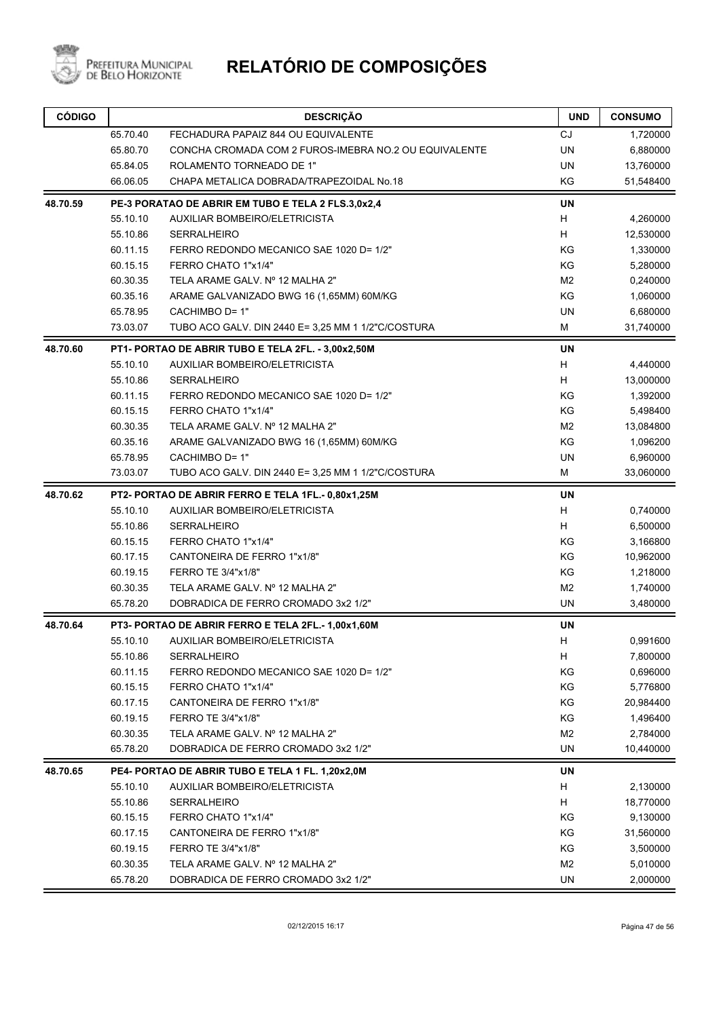

| <b>CÓDIGO</b> |          | <b>DESCRIÇÃO</b>                                      | <b>UND</b>     | <b>CONSUMO</b> |
|---------------|----------|-------------------------------------------------------|----------------|----------------|
|               | 65.70.40 | FECHADURA PAPAIZ 844 OU EQUIVALENTE                   | <b>CJ</b>      | 1,720000       |
|               | 65.80.70 | CONCHA CROMADA COM 2 FUROS-IMEBRA NO.2 OU EQUIVALENTE | <b>UN</b>      | 6,880000       |
|               | 65.84.05 | ROLAMENTO TORNEADO DE 1"                              | UN             | 13,760000      |
|               | 66.06.05 | CHAPA METALICA DOBRADA/TRAPEZOIDAL No.18              | KG             | 51,548400      |
| 48.70.59      |          | PE-3 PORATAO DE ABRIR EM TUBO E TELA 2 FLS.3,0x2,4    | <b>UN</b>      |                |
|               | 55.10.10 | AUXILIAR BOMBEIRO/ELETRICISTA                         | Н              | 4,260000       |
|               | 55.10.86 | <b>SERRALHEIRO</b>                                    | H              | 12,530000      |
|               | 60.11.15 | FERRO REDONDO MECANICO SAE 1020 D= 1/2"               | KG             | 1,330000       |
|               | 60.15.15 | FERRO CHATO 1"x1/4"                                   | KG             | 5,280000       |
|               | 60.30.35 | TELA ARAME GALV. Nº 12 MALHA 2"                       | M <sub>2</sub> | 0,240000       |
|               | 60.35.16 | ARAME GALVANIZADO BWG 16 (1,65MM) 60M/KG              | KG             | 1,060000       |
|               | 65.78.95 | CACHIMBO D= 1"                                        | UN             | 6,680000       |
|               | 73.03.07 | TUBO ACO GALV. DIN 2440 E= 3,25 MM 1 1/2"C/COSTURA    | м              | 31,740000      |
| 48.70.60      |          | PT1- PORTAO DE ABRIR TUBO E TELA 2FL. - 3,00x2,50M    | <b>UN</b>      |                |
|               | 55.10.10 | AUXILIAR BOMBEIRO/ELETRICISTA                         | H              | 4,440000       |
|               | 55.10.86 | <b>SERRALHEIRO</b>                                    | H              | 13,000000      |
|               | 60.11.15 | FERRO REDONDO MECANICO SAE 1020 D= 1/2"               | KG             | 1,392000       |
|               | 60.15.15 | FERRO CHATO 1"x1/4"                                   | KG             | 5,498400       |
|               | 60.30.35 | TELA ARAME GALV. Nº 12 MALHA 2"                       | M <sub>2</sub> | 13,084800      |
|               | 60.35.16 | ARAME GALVANIZADO BWG 16 (1,65MM) 60M/KG              | KG             | 1,096200       |
|               | 65.78.95 | CACHIMBO D= 1"                                        | <b>UN</b>      | 6,960000       |
|               | 73.03.07 | TUBO ACO GALV. DIN 2440 E= 3,25 MM 1 1/2"C/COSTURA    | M              | 33,060000      |
| 48.70.62      |          | PT2- PORTAO DE ABRIR FERRO E TELA 1FL.- 0,80x1,25M    | UN             |                |
|               | 55.10.10 | AUXILIAR BOMBEIRO/ELETRICISTA                         | H              | 0,740000       |
|               | 55.10.86 | <b>SERRALHEIRO</b>                                    | H              | 6,500000       |
|               | 60.15.15 | FERRO CHATO 1"x1/4"                                   | KG             | 3,166800       |
|               | 60.17.15 | CANTONEIRA DE FERRO 1"x1/8"                           | KG             | 10,962000      |
|               | 60.19.15 | FERRO TE 3/4"x1/8"                                    | KG             | 1,218000       |
|               | 60.30.35 | TELA ARAME GALV. Nº 12 MALHA 2"                       | M <sub>2</sub> | 1,740000       |
|               | 65.78.20 | DOBRADICA DE FERRO CROMADO 3x2 1/2"                   | UN             | 3,480000       |
| 48.70.64      |          | PT3- PORTAO DE ABRIR FERRO E TELA 2FL.- 1,00x1,60M    | UN             |                |
|               | 55.10.10 | AUXILIAR BOMBEIRO/ELETRICISTA                         | Н              | 0,991600       |
|               | 55.10.86 | <b>SERRALHEIRO</b>                                    | H              | 7,800000       |
|               | 60.11.15 | FERRO REDONDO MECANICO SAE 1020 D= 1/2"               | KG             | 0,696000       |
|               | 60.15.15 | FERRO CHATO 1"x1/4"                                   | KG             | 5,776800       |
|               | 60.17.15 | CANTONEIRA DE FERRO 1"x1/8"                           | KG             | 20,984400      |
|               | 60.19.15 | FERRO TE 3/4"x1/8"                                    | KG             | 1,496400       |
|               | 60.30.35 | TELA ARAME GALV. Nº 12 MALHA 2"                       | M <sub>2</sub> | 2,784000       |
|               | 65.78.20 | DOBRADICA DE FERRO CROMADO 3x2 1/2"                   | <b>UN</b>      | 10,440000      |
| 48.70.65      |          | PE4- PORTAO DE ABRIR TUBO E TELA 1 FL. 1,20x2,0M      | UN             |                |
|               | 55.10.10 | AUXILIAR BOMBEIRO/ELETRICISTA                         | Н              | 2,130000       |
|               | 55.10.86 | <b>SERRALHEIRO</b>                                    | н              | 18,770000      |
|               | 60.15.15 | FERRO CHATO 1"x1/4"                                   | KG             | 9,130000       |
|               | 60.17.15 | CANTONEIRA DE FERRO 1"x1/8"                           | KG             | 31,560000      |
|               | 60.19.15 | FERRO TE 3/4"x1/8"                                    | KG             | 3,500000       |
|               | 60.30.35 | TELA ARAME GALV. Nº 12 MALHA 2"                       | M <sub>2</sub> | 5,010000       |
|               | 65.78.20 | DOBRADICA DE FERRO CROMADO 3x2 1/2"                   | UN             | 2,000000       |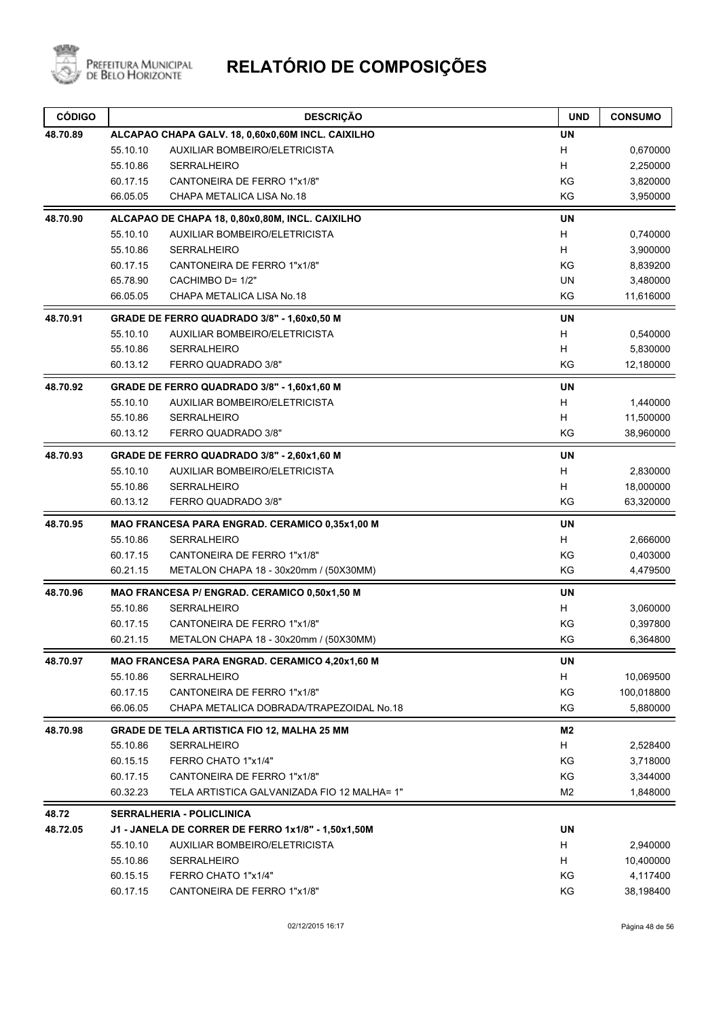

| 48.70.89<br><b>UN</b><br>ALCAPAO CHAPA GALV. 18, 0,60x0,60M INCL. CAIXILHO<br>55.10.10<br>AUXILIAR BOMBEIRO/ELETRICISTA<br>H<br>H<br>55.10.86<br><b>SERRALHEIRO</b><br>60.17.15<br>CANTONEIRA DE FERRO 1"x1/8"<br>ΚG<br>KG<br>CHAPA METALICA LISA No.18<br>66.05.05<br><b>UN</b><br>48.70.90<br>ALCAPAO DE CHAPA 18, 0,80x0,80M, INCL. CAIXILHO<br>H<br>55.10.10<br>AUXILIAR BOMBEIRO/ELETRICISTA<br>H<br>55.10.86<br>SERRALHEIRO<br>KG<br>60.17.15<br>CANTONEIRA DE FERRO 1"x1/8"<br>CACHIMBO D= 1/2"<br><b>UN</b><br>65.78.90<br>KG<br>66.05.05<br>CHAPA METALICA LISA No.18<br><b>UN</b><br>48.70.91<br>GRADE DE FERRO QUADRADO 3/8" - 1,60x0,50 M<br>H<br>55.10.10<br>AUXILIAR BOMBEIRO/ELETRICISTA<br>H<br>55.10.86<br>SERRALHEIRO<br>KG<br>60.13.12<br>FERRO QUADRADO 3/8"<br><b>UN</b><br>48.70.92<br>GRADE DE FERRO QUADRADO 3/8" - 1,60x1,60 M<br>55.10.10<br>AUXILIAR BOMBEIRO/ELETRICISTA<br>H<br>H<br>55.10.86<br><b>SERRALHEIRO</b><br>KG<br>60.13.12<br>FERRO QUADRADO 3/8"<br>48.70.93<br><b>UN</b><br>GRADE DE FERRO QUADRADO 3/8" - 2,60x1,60 M<br>H<br>55.10.10<br>AUXILIAR BOMBEIRO/ELETRICISTA<br>H<br>55.10.86<br><b>SERRALHEIRO</b><br>KG<br>FERRO QUADRADO 3/8"<br>60.13.12<br><b>UN</b><br>48.70.95<br>MAO FRANCESA PARA ENGRAD. CERAMICO 0,35x1,00 M<br>55.10.86<br>H<br>SERRALHEIRO<br>KG<br>60.17.15<br>CANTONEIRA DE FERRO 1"x1/8"<br>KG<br>60.21.15<br>METALON CHAPA 18 - 30x20mm / (50X30MM)<br>48.70.96<br>MAO FRANCESA P/ ENGRAD. CERAMICO 0,50x1,50 M<br>UN<br>55.10.86<br><b>SERRALHEIRO</b><br>H.<br>60.17.15<br>CANTONEIRA DE FERRO 1"x1/8"<br>ΚG<br>60.21.15<br>ΚG<br>METALON CHAPA 18 - 30x20mm / (50X30MM)<br>MAO FRANCESA PARA ENGRAD. CERAMICO 4,20x1,60 M<br>UN<br>48.70.97<br>55.10.86<br>SERRALHEIRO<br>H<br>KG<br>60.17.15<br>CANTONEIRA DE FERRO 1"x1/8"<br>66.06.05<br>CHAPA METALICA DOBRADA/TRAPEZOIDAL No.18<br>KG<br>M2<br>48.70.98<br><b>GRADE DE TELA ARTISTICA FIO 12, MALHA 25 MM</b><br>55.10.86<br><b>SERRALHEIRO</b><br>H<br>KG<br>60.15.15<br>FERRO CHATO 1"x1/4"<br>60.17.15<br>CANTONEIRA DE FERRO 1"x1/8"<br>ΚG<br>60.32.23<br>TELA ARTISTICA GALVANIZADA FIO 12 MALHA= 1"<br>M2<br>48.72<br><b>SERRALHERIA - POLICLINICA</b><br>UN<br>48.72.05<br>J1 - JANELA DE CORRER DE FERRO 1x1/8" - 1,50x1,50M<br>H<br>55.10.10<br>AUXILIAR BOMBEIRO/ELETRICISTA<br>55.10.86<br>H<br>SERRALHEIRO<br>KG<br>60.15.15<br>FERRO CHATO 1"x1/4"<br>ΚG<br>60.17.15<br>CANTONEIRA DE FERRO 1"x1/8" | <b>CÓDIGO</b> | <b>DESCRIÇÃO</b> | <b>UND</b> | <b>CONSUMO</b> |
|-------------------------------------------------------------------------------------------------------------------------------------------------------------------------------------------------------------------------------------------------------------------------------------------------------------------------------------------------------------------------------------------------------------------------------------------------------------------------------------------------------------------------------------------------------------------------------------------------------------------------------------------------------------------------------------------------------------------------------------------------------------------------------------------------------------------------------------------------------------------------------------------------------------------------------------------------------------------------------------------------------------------------------------------------------------------------------------------------------------------------------------------------------------------------------------------------------------------------------------------------------------------------------------------------------------------------------------------------------------------------------------------------------------------------------------------------------------------------------------------------------------------------------------------------------------------------------------------------------------------------------------------------------------------------------------------------------------------------------------------------------------------------------------------------------------------------------------------------------------------------------------------------------------------------------------------------------------------------------------------------------------------------------------------------------------------------------------------------------------------------------------------------------------------------------------------------------------------------------------------------------------------------------------------------------------------------------------------------------------------------------------------------------------------------------------------------|---------------|------------------|------------|----------------|
|                                                                                                                                                                                                                                                                                                                                                                                                                                                                                                                                                                                                                                                                                                                                                                                                                                                                                                                                                                                                                                                                                                                                                                                                                                                                                                                                                                                                                                                                                                                                                                                                                                                                                                                                                                                                                                                                                                                                                                                                                                                                                                                                                                                                                                                                                                                                                                                                                                                 |               |                  |            |                |
|                                                                                                                                                                                                                                                                                                                                                                                                                                                                                                                                                                                                                                                                                                                                                                                                                                                                                                                                                                                                                                                                                                                                                                                                                                                                                                                                                                                                                                                                                                                                                                                                                                                                                                                                                                                                                                                                                                                                                                                                                                                                                                                                                                                                                                                                                                                                                                                                                                                 |               |                  |            | 0,670000       |
|                                                                                                                                                                                                                                                                                                                                                                                                                                                                                                                                                                                                                                                                                                                                                                                                                                                                                                                                                                                                                                                                                                                                                                                                                                                                                                                                                                                                                                                                                                                                                                                                                                                                                                                                                                                                                                                                                                                                                                                                                                                                                                                                                                                                                                                                                                                                                                                                                                                 |               |                  |            | 2,250000       |
|                                                                                                                                                                                                                                                                                                                                                                                                                                                                                                                                                                                                                                                                                                                                                                                                                                                                                                                                                                                                                                                                                                                                                                                                                                                                                                                                                                                                                                                                                                                                                                                                                                                                                                                                                                                                                                                                                                                                                                                                                                                                                                                                                                                                                                                                                                                                                                                                                                                 |               |                  |            | 3,820000       |
|                                                                                                                                                                                                                                                                                                                                                                                                                                                                                                                                                                                                                                                                                                                                                                                                                                                                                                                                                                                                                                                                                                                                                                                                                                                                                                                                                                                                                                                                                                                                                                                                                                                                                                                                                                                                                                                                                                                                                                                                                                                                                                                                                                                                                                                                                                                                                                                                                                                 |               |                  |            | 3,950000       |
|                                                                                                                                                                                                                                                                                                                                                                                                                                                                                                                                                                                                                                                                                                                                                                                                                                                                                                                                                                                                                                                                                                                                                                                                                                                                                                                                                                                                                                                                                                                                                                                                                                                                                                                                                                                                                                                                                                                                                                                                                                                                                                                                                                                                                                                                                                                                                                                                                                                 |               |                  |            |                |
|                                                                                                                                                                                                                                                                                                                                                                                                                                                                                                                                                                                                                                                                                                                                                                                                                                                                                                                                                                                                                                                                                                                                                                                                                                                                                                                                                                                                                                                                                                                                                                                                                                                                                                                                                                                                                                                                                                                                                                                                                                                                                                                                                                                                                                                                                                                                                                                                                                                 |               |                  |            | 0,740000       |
|                                                                                                                                                                                                                                                                                                                                                                                                                                                                                                                                                                                                                                                                                                                                                                                                                                                                                                                                                                                                                                                                                                                                                                                                                                                                                                                                                                                                                                                                                                                                                                                                                                                                                                                                                                                                                                                                                                                                                                                                                                                                                                                                                                                                                                                                                                                                                                                                                                                 |               |                  |            | 3,900000       |
|                                                                                                                                                                                                                                                                                                                                                                                                                                                                                                                                                                                                                                                                                                                                                                                                                                                                                                                                                                                                                                                                                                                                                                                                                                                                                                                                                                                                                                                                                                                                                                                                                                                                                                                                                                                                                                                                                                                                                                                                                                                                                                                                                                                                                                                                                                                                                                                                                                                 |               |                  |            | 8,839200       |
|                                                                                                                                                                                                                                                                                                                                                                                                                                                                                                                                                                                                                                                                                                                                                                                                                                                                                                                                                                                                                                                                                                                                                                                                                                                                                                                                                                                                                                                                                                                                                                                                                                                                                                                                                                                                                                                                                                                                                                                                                                                                                                                                                                                                                                                                                                                                                                                                                                                 |               |                  |            | 3,480000       |
|                                                                                                                                                                                                                                                                                                                                                                                                                                                                                                                                                                                                                                                                                                                                                                                                                                                                                                                                                                                                                                                                                                                                                                                                                                                                                                                                                                                                                                                                                                                                                                                                                                                                                                                                                                                                                                                                                                                                                                                                                                                                                                                                                                                                                                                                                                                                                                                                                                                 |               |                  |            | 11,616000      |
|                                                                                                                                                                                                                                                                                                                                                                                                                                                                                                                                                                                                                                                                                                                                                                                                                                                                                                                                                                                                                                                                                                                                                                                                                                                                                                                                                                                                                                                                                                                                                                                                                                                                                                                                                                                                                                                                                                                                                                                                                                                                                                                                                                                                                                                                                                                                                                                                                                                 |               |                  |            |                |
|                                                                                                                                                                                                                                                                                                                                                                                                                                                                                                                                                                                                                                                                                                                                                                                                                                                                                                                                                                                                                                                                                                                                                                                                                                                                                                                                                                                                                                                                                                                                                                                                                                                                                                                                                                                                                                                                                                                                                                                                                                                                                                                                                                                                                                                                                                                                                                                                                                                 |               |                  |            | 0,540000       |
|                                                                                                                                                                                                                                                                                                                                                                                                                                                                                                                                                                                                                                                                                                                                                                                                                                                                                                                                                                                                                                                                                                                                                                                                                                                                                                                                                                                                                                                                                                                                                                                                                                                                                                                                                                                                                                                                                                                                                                                                                                                                                                                                                                                                                                                                                                                                                                                                                                                 |               |                  |            | 5,830000       |
|                                                                                                                                                                                                                                                                                                                                                                                                                                                                                                                                                                                                                                                                                                                                                                                                                                                                                                                                                                                                                                                                                                                                                                                                                                                                                                                                                                                                                                                                                                                                                                                                                                                                                                                                                                                                                                                                                                                                                                                                                                                                                                                                                                                                                                                                                                                                                                                                                                                 |               |                  |            | 12,180000      |
|                                                                                                                                                                                                                                                                                                                                                                                                                                                                                                                                                                                                                                                                                                                                                                                                                                                                                                                                                                                                                                                                                                                                                                                                                                                                                                                                                                                                                                                                                                                                                                                                                                                                                                                                                                                                                                                                                                                                                                                                                                                                                                                                                                                                                                                                                                                                                                                                                                                 |               |                  |            |                |
|                                                                                                                                                                                                                                                                                                                                                                                                                                                                                                                                                                                                                                                                                                                                                                                                                                                                                                                                                                                                                                                                                                                                                                                                                                                                                                                                                                                                                                                                                                                                                                                                                                                                                                                                                                                                                                                                                                                                                                                                                                                                                                                                                                                                                                                                                                                                                                                                                                                 |               |                  |            | 1,440000       |
|                                                                                                                                                                                                                                                                                                                                                                                                                                                                                                                                                                                                                                                                                                                                                                                                                                                                                                                                                                                                                                                                                                                                                                                                                                                                                                                                                                                                                                                                                                                                                                                                                                                                                                                                                                                                                                                                                                                                                                                                                                                                                                                                                                                                                                                                                                                                                                                                                                                 |               |                  |            | 11,500000      |
|                                                                                                                                                                                                                                                                                                                                                                                                                                                                                                                                                                                                                                                                                                                                                                                                                                                                                                                                                                                                                                                                                                                                                                                                                                                                                                                                                                                                                                                                                                                                                                                                                                                                                                                                                                                                                                                                                                                                                                                                                                                                                                                                                                                                                                                                                                                                                                                                                                                 |               |                  |            | 38,960000      |
|                                                                                                                                                                                                                                                                                                                                                                                                                                                                                                                                                                                                                                                                                                                                                                                                                                                                                                                                                                                                                                                                                                                                                                                                                                                                                                                                                                                                                                                                                                                                                                                                                                                                                                                                                                                                                                                                                                                                                                                                                                                                                                                                                                                                                                                                                                                                                                                                                                                 |               |                  |            |                |
|                                                                                                                                                                                                                                                                                                                                                                                                                                                                                                                                                                                                                                                                                                                                                                                                                                                                                                                                                                                                                                                                                                                                                                                                                                                                                                                                                                                                                                                                                                                                                                                                                                                                                                                                                                                                                                                                                                                                                                                                                                                                                                                                                                                                                                                                                                                                                                                                                                                 |               |                  |            | 2,830000       |
|                                                                                                                                                                                                                                                                                                                                                                                                                                                                                                                                                                                                                                                                                                                                                                                                                                                                                                                                                                                                                                                                                                                                                                                                                                                                                                                                                                                                                                                                                                                                                                                                                                                                                                                                                                                                                                                                                                                                                                                                                                                                                                                                                                                                                                                                                                                                                                                                                                                 |               |                  |            | 18,000000      |
|                                                                                                                                                                                                                                                                                                                                                                                                                                                                                                                                                                                                                                                                                                                                                                                                                                                                                                                                                                                                                                                                                                                                                                                                                                                                                                                                                                                                                                                                                                                                                                                                                                                                                                                                                                                                                                                                                                                                                                                                                                                                                                                                                                                                                                                                                                                                                                                                                                                 |               |                  |            | 63,320000      |
|                                                                                                                                                                                                                                                                                                                                                                                                                                                                                                                                                                                                                                                                                                                                                                                                                                                                                                                                                                                                                                                                                                                                                                                                                                                                                                                                                                                                                                                                                                                                                                                                                                                                                                                                                                                                                                                                                                                                                                                                                                                                                                                                                                                                                                                                                                                                                                                                                                                 |               |                  |            |                |
|                                                                                                                                                                                                                                                                                                                                                                                                                                                                                                                                                                                                                                                                                                                                                                                                                                                                                                                                                                                                                                                                                                                                                                                                                                                                                                                                                                                                                                                                                                                                                                                                                                                                                                                                                                                                                                                                                                                                                                                                                                                                                                                                                                                                                                                                                                                                                                                                                                                 |               |                  |            | 2,666000       |
|                                                                                                                                                                                                                                                                                                                                                                                                                                                                                                                                                                                                                                                                                                                                                                                                                                                                                                                                                                                                                                                                                                                                                                                                                                                                                                                                                                                                                                                                                                                                                                                                                                                                                                                                                                                                                                                                                                                                                                                                                                                                                                                                                                                                                                                                                                                                                                                                                                                 |               |                  |            | 0,403000       |
|                                                                                                                                                                                                                                                                                                                                                                                                                                                                                                                                                                                                                                                                                                                                                                                                                                                                                                                                                                                                                                                                                                                                                                                                                                                                                                                                                                                                                                                                                                                                                                                                                                                                                                                                                                                                                                                                                                                                                                                                                                                                                                                                                                                                                                                                                                                                                                                                                                                 |               |                  |            | 4,479500       |
|                                                                                                                                                                                                                                                                                                                                                                                                                                                                                                                                                                                                                                                                                                                                                                                                                                                                                                                                                                                                                                                                                                                                                                                                                                                                                                                                                                                                                                                                                                                                                                                                                                                                                                                                                                                                                                                                                                                                                                                                                                                                                                                                                                                                                                                                                                                                                                                                                                                 |               |                  |            |                |
|                                                                                                                                                                                                                                                                                                                                                                                                                                                                                                                                                                                                                                                                                                                                                                                                                                                                                                                                                                                                                                                                                                                                                                                                                                                                                                                                                                                                                                                                                                                                                                                                                                                                                                                                                                                                                                                                                                                                                                                                                                                                                                                                                                                                                                                                                                                                                                                                                                                 |               |                  |            | 3,060000       |
|                                                                                                                                                                                                                                                                                                                                                                                                                                                                                                                                                                                                                                                                                                                                                                                                                                                                                                                                                                                                                                                                                                                                                                                                                                                                                                                                                                                                                                                                                                                                                                                                                                                                                                                                                                                                                                                                                                                                                                                                                                                                                                                                                                                                                                                                                                                                                                                                                                                 |               |                  |            | 0,397800       |
|                                                                                                                                                                                                                                                                                                                                                                                                                                                                                                                                                                                                                                                                                                                                                                                                                                                                                                                                                                                                                                                                                                                                                                                                                                                                                                                                                                                                                                                                                                                                                                                                                                                                                                                                                                                                                                                                                                                                                                                                                                                                                                                                                                                                                                                                                                                                                                                                                                                 |               |                  |            | 6,364800       |
|                                                                                                                                                                                                                                                                                                                                                                                                                                                                                                                                                                                                                                                                                                                                                                                                                                                                                                                                                                                                                                                                                                                                                                                                                                                                                                                                                                                                                                                                                                                                                                                                                                                                                                                                                                                                                                                                                                                                                                                                                                                                                                                                                                                                                                                                                                                                                                                                                                                 |               |                  |            |                |
|                                                                                                                                                                                                                                                                                                                                                                                                                                                                                                                                                                                                                                                                                                                                                                                                                                                                                                                                                                                                                                                                                                                                                                                                                                                                                                                                                                                                                                                                                                                                                                                                                                                                                                                                                                                                                                                                                                                                                                                                                                                                                                                                                                                                                                                                                                                                                                                                                                                 |               |                  |            | 10,069500      |
|                                                                                                                                                                                                                                                                                                                                                                                                                                                                                                                                                                                                                                                                                                                                                                                                                                                                                                                                                                                                                                                                                                                                                                                                                                                                                                                                                                                                                                                                                                                                                                                                                                                                                                                                                                                                                                                                                                                                                                                                                                                                                                                                                                                                                                                                                                                                                                                                                                                 |               |                  |            | 100,018800     |
|                                                                                                                                                                                                                                                                                                                                                                                                                                                                                                                                                                                                                                                                                                                                                                                                                                                                                                                                                                                                                                                                                                                                                                                                                                                                                                                                                                                                                                                                                                                                                                                                                                                                                                                                                                                                                                                                                                                                                                                                                                                                                                                                                                                                                                                                                                                                                                                                                                                 |               |                  |            | 5,880000       |
|                                                                                                                                                                                                                                                                                                                                                                                                                                                                                                                                                                                                                                                                                                                                                                                                                                                                                                                                                                                                                                                                                                                                                                                                                                                                                                                                                                                                                                                                                                                                                                                                                                                                                                                                                                                                                                                                                                                                                                                                                                                                                                                                                                                                                                                                                                                                                                                                                                                 |               |                  |            |                |
|                                                                                                                                                                                                                                                                                                                                                                                                                                                                                                                                                                                                                                                                                                                                                                                                                                                                                                                                                                                                                                                                                                                                                                                                                                                                                                                                                                                                                                                                                                                                                                                                                                                                                                                                                                                                                                                                                                                                                                                                                                                                                                                                                                                                                                                                                                                                                                                                                                                 |               |                  |            | 2,528400       |
|                                                                                                                                                                                                                                                                                                                                                                                                                                                                                                                                                                                                                                                                                                                                                                                                                                                                                                                                                                                                                                                                                                                                                                                                                                                                                                                                                                                                                                                                                                                                                                                                                                                                                                                                                                                                                                                                                                                                                                                                                                                                                                                                                                                                                                                                                                                                                                                                                                                 |               |                  |            | 3,718000       |
|                                                                                                                                                                                                                                                                                                                                                                                                                                                                                                                                                                                                                                                                                                                                                                                                                                                                                                                                                                                                                                                                                                                                                                                                                                                                                                                                                                                                                                                                                                                                                                                                                                                                                                                                                                                                                                                                                                                                                                                                                                                                                                                                                                                                                                                                                                                                                                                                                                                 |               |                  |            | 3,344000       |
|                                                                                                                                                                                                                                                                                                                                                                                                                                                                                                                                                                                                                                                                                                                                                                                                                                                                                                                                                                                                                                                                                                                                                                                                                                                                                                                                                                                                                                                                                                                                                                                                                                                                                                                                                                                                                                                                                                                                                                                                                                                                                                                                                                                                                                                                                                                                                                                                                                                 |               |                  |            | 1,848000       |
|                                                                                                                                                                                                                                                                                                                                                                                                                                                                                                                                                                                                                                                                                                                                                                                                                                                                                                                                                                                                                                                                                                                                                                                                                                                                                                                                                                                                                                                                                                                                                                                                                                                                                                                                                                                                                                                                                                                                                                                                                                                                                                                                                                                                                                                                                                                                                                                                                                                 |               |                  |            |                |
|                                                                                                                                                                                                                                                                                                                                                                                                                                                                                                                                                                                                                                                                                                                                                                                                                                                                                                                                                                                                                                                                                                                                                                                                                                                                                                                                                                                                                                                                                                                                                                                                                                                                                                                                                                                                                                                                                                                                                                                                                                                                                                                                                                                                                                                                                                                                                                                                                                                 |               |                  |            |                |
|                                                                                                                                                                                                                                                                                                                                                                                                                                                                                                                                                                                                                                                                                                                                                                                                                                                                                                                                                                                                                                                                                                                                                                                                                                                                                                                                                                                                                                                                                                                                                                                                                                                                                                                                                                                                                                                                                                                                                                                                                                                                                                                                                                                                                                                                                                                                                                                                                                                 |               |                  |            | 2,940000       |
|                                                                                                                                                                                                                                                                                                                                                                                                                                                                                                                                                                                                                                                                                                                                                                                                                                                                                                                                                                                                                                                                                                                                                                                                                                                                                                                                                                                                                                                                                                                                                                                                                                                                                                                                                                                                                                                                                                                                                                                                                                                                                                                                                                                                                                                                                                                                                                                                                                                 |               |                  |            | 10,400000      |
|                                                                                                                                                                                                                                                                                                                                                                                                                                                                                                                                                                                                                                                                                                                                                                                                                                                                                                                                                                                                                                                                                                                                                                                                                                                                                                                                                                                                                                                                                                                                                                                                                                                                                                                                                                                                                                                                                                                                                                                                                                                                                                                                                                                                                                                                                                                                                                                                                                                 |               |                  |            | 4,117400       |
|                                                                                                                                                                                                                                                                                                                                                                                                                                                                                                                                                                                                                                                                                                                                                                                                                                                                                                                                                                                                                                                                                                                                                                                                                                                                                                                                                                                                                                                                                                                                                                                                                                                                                                                                                                                                                                                                                                                                                                                                                                                                                                                                                                                                                                                                                                                                                                                                                                                 |               |                  |            | 38,198400      |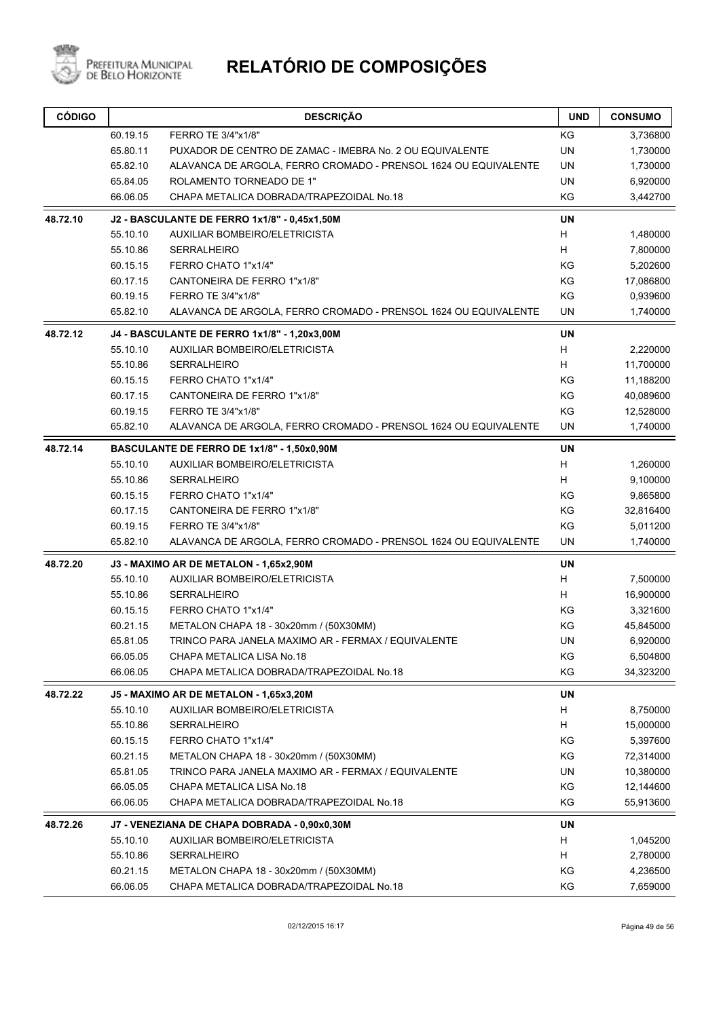

| 60.19.15<br>KG<br>FERRO TE 3/4"x1/8"<br>3,736800<br>UN<br>65.80.11<br>PUXADOR DE CENTRO DE ZAMAC - IMEBRA No. 2 OU EQUIVALENTE<br>1,730000<br>65.82.10<br>ALAVANCA DE ARGOLA, FERRO CROMADO - PRENSOL 1624 OU EQUIVALENTE<br>UN<br>1,730000<br>UN<br>65.84.05<br>ROLAMENTO TORNEADO DE 1"<br>6,920000<br>66.06.05<br>CHAPA METALICA DOBRADA/TRAPEZOIDAL No.18<br>ΚG<br>3,442700<br><b>UN</b><br>48.72.10<br>J2 - BASCULANTE DE FERRO 1x1/8" - 0,45x1,50M<br>H<br>55.10.10<br>1,480000<br>AUXILIAR BOMBEIRO/ELETRICISTA<br>Н<br>55.10.86<br><b>SERRALHEIRO</b><br>7,800000<br>KG<br>60.15.15<br>FERRO CHATO 1"x1/4"<br>5,202600<br>KG<br>60.17.15<br>CANTONEIRA DE FERRO 1"x1/8"<br>17,086800<br>KG<br>60.19.15<br>FERRO TE 3/4"x1/8"<br>0,939600<br>65.82.10<br>ALAVANCA DE ARGOLA, FERRO CROMADO - PRENSOL 1624 OU EQUIVALENTE<br>UN<br>1,740000<br>48.72.12<br>J4 - BASCULANTE DE FERRO 1x1/8" - 1,20x3,00M<br>UN<br>55.10.10<br><b>AUXILIAR BOMBEIRO/ELETRICISTA</b><br>Н<br>2,220000<br>H<br>55.10.86<br><b>SERRALHEIRO</b><br>11,700000<br>60.15.15<br>FERRO CHATO 1"x1/4"<br>ΚG<br>11,188200<br>KG<br>60.17.15<br>CANTONEIRA DE FERRO 1"x1/8"<br>40,089600<br>KG<br>60.19.15<br>FERRO TE 3/4"x1/8"<br>12,528000<br><b>UN</b><br>65.82.10<br>ALAVANCA DE ARGOLA, FERRO CROMADO - PRENSOL 1624 OU EQUIVALENTE<br>1,740000<br>48.72.14<br>BASCULANTE DE FERRO DE 1x1/8" - 1,50x0,90M<br>UN<br>55.10.10<br>AUXILIAR BOMBEIRO/ELETRICISTA<br>H<br>1,260000<br>9,100000<br>55.10.86<br><b>SERRALHEIRO</b><br>н<br>KG<br>60.15.15<br>FERRO CHATO 1"x1/4"<br>9,865800<br>KG<br>60.17.15<br>CANTONEIRA DE FERRO 1"x1/8"<br>32,816400<br>KG<br>60.19.15<br>FERRO TE 3/4"x1/8"<br>5,011200<br><b>UN</b><br>65.82.10<br>ALAVANCA DE ARGOLA, FERRO CROMADO - PRENSOL 1624 OU EQUIVALENTE<br>1,740000<br>48.72.20<br><b>UN</b><br>J3 - MAXIMO AR DE METALON - 1,65x2,90M<br>55.10.10<br><b>AUXILIAR BOMBEIRO/ELETRICISTA</b><br>H<br>7,500000<br>55.10.86<br><b>SERRALHEIRO</b><br>н<br>16,900000<br>60.15.15<br>FERRO CHATO 1"x1/4"<br>ΚG<br>3,321600<br>KG<br>60.21.15<br>45,845000<br>METALON CHAPA 18 - 30x20mm / (50X30MM)<br>65.81.05<br>TRINCO PARA JANELA MAXIMO AR - FERMAX / EQUIVALENTE<br>UN<br>6,920000<br>66.05.05<br>CHAPA METALICA LISA No.18<br>KG<br>6,504800<br>66.06.05<br>CHAPA METALICA DOBRADA/TRAPEZOIDAL No.18<br>KG<br>34,323200<br>48.72.22<br>J5 - MAXIMO AR DE METALON - 1,65x3,20M<br>UN<br>н<br>55.10.10<br>AUXILIAR BOMBEIRO/ELETRICISTA<br>8,750000<br>55.10.86<br><b>SERRALHEIRO</b><br>н<br>15,000000<br>60.15.15<br>FERRO CHATO 1"x1/4"<br>KG<br>5,397600<br>60.21.15<br>METALON CHAPA 18 - 30x20mm / (50X30MM)<br>KG<br>72,314000<br>65.81.05<br>TRINCO PARA JANELA MAXIMO AR - FERMAX / EQUIVALENTE<br>UN<br>10,380000<br>KG<br>66.05.05<br>CHAPA METALICA LISA No.18<br>12,144600<br>66.06.05<br>CHAPA METALICA DOBRADA/TRAPEZOIDAL No.18<br>KG<br>55,913600<br><b>UN</b><br>48.72.26<br>J7 - VENEZIANA DE CHAPA DOBRADA - 0,90x0,30M<br>55.10.10<br>AUXILIAR BOMBEIRO/ELETRICISTA<br>н<br>1,045200<br>55.10.86<br><b>SERRALHEIRO</b><br>н<br>2,780000<br>60.21.15<br>METALON CHAPA 18 - 30x20mm / (50X30MM)<br>KG<br>4,236500<br>66.06.05<br>CHAPA METALICA DOBRADA/TRAPEZOIDAL No.18<br>KG<br>7,659000 | <b>CÓDIGO</b> | <b>DESCRIÇÃO</b> | <b>UND</b> | <b>CONSUMO</b> |
|-----------------------------------------------------------------------------------------------------------------------------------------------------------------------------------------------------------------------------------------------------------------------------------------------------------------------------------------------------------------------------------------------------------------------------------------------------------------------------------------------------------------------------------------------------------------------------------------------------------------------------------------------------------------------------------------------------------------------------------------------------------------------------------------------------------------------------------------------------------------------------------------------------------------------------------------------------------------------------------------------------------------------------------------------------------------------------------------------------------------------------------------------------------------------------------------------------------------------------------------------------------------------------------------------------------------------------------------------------------------------------------------------------------------------------------------------------------------------------------------------------------------------------------------------------------------------------------------------------------------------------------------------------------------------------------------------------------------------------------------------------------------------------------------------------------------------------------------------------------------------------------------------------------------------------------------------------------------------------------------------------------------------------------------------------------------------------------------------------------------------------------------------------------------------------------------------------------------------------------------------------------------------------------------------------------------------------------------------------------------------------------------------------------------------------------------------------------------------------------------------------------------------------------------------------------------------------------------------------------------------------------------------------------------------------------------------------------------------------------------------------------------------------------------------------------------------------------------------------------------------------------------------------------------------------------------------------------------------------------------------------------------------------------------------------------------------------------------------------------------------------------------------------------------------------------------------------------------------------------------|---------------|------------------|------------|----------------|
|                                                                                                                                                                                                                                                                                                                                                                                                                                                                                                                                                                                                                                                                                                                                                                                                                                                                                                                                                                                                                                                                                                                                                                                                                                                                                                                                                                                                                                                                                                                                                                                                                                                                                                                                                                                                                                                                                                                                                                                                                                                                                                                                                                                                                                                                                                                                                                                                                                                                                                                                                                                                                                                                                                                                                                                                                                                                                                                                                                                                                                                                                                                                                                                                                                         |               |                  |            |                |
|                                                                                                                                                                                                                                                                                                                                                                                                                                                                                                                                                                                                                                                                                                                                                                                                                                                                                                                                                                                                                                                                                                                                                                                                                                                                                                                                                                                                                                                                                                                                                                                                                                                                                                                                                                                                                                                                                                                                                                                                                                                                                                                                                                                                                                                                                                                                                                                                                                                                                                                                                                                                                                                                                                                                                                                                                                                                                                                                                                                                                                                                                                                                                                                                                                         |               |                  |            |                |
|                                                                                                                                                                                                                                                                                                                                                                                                                                                                                                                                                                                                                                                                                                                                                                                                                                                                                                                                                                                                                                                                                                                                                                                                                                                                                                                                                                                                                                                                                                                                                                                                                                                                                                                                                                                                                                                                                                                                                                                                                                                                                                                                                                                                                                                                                                                                                                                                                                                                                                                                                                                                                                                                                                                                                                                                                                                                                                                                                                                                                                                                                                                                                                                                                                         |               |                  |            |                |
|                                                                                                                                                                                                                                                                                                                                                                                                                                                                                                                                                                                                                                                                                                                                                                                                                                                                                                                                                                                                                                                                                                                                                                                                                                                                                                                                                                                                                                                                                                                                                                                                                                                                                                                                                                                                                                                                                                                                                                                                                                                                                                                                                                                                                                                                                                                                                                                                                                                                                                                                                                                                                                                                                                                                                                                                                                                                                                                                                                                                                                                                                                                                                                                                                                         |               |                  |            |                |
|                                                                                                                                                                                                                                                                                                                                                                                                                                                                                                                                                                                                                                                                                                                                                                                                                                                                                                                                                                                                                                                                                                                                                                                                                                                                                                                                                                                                                                                                                                                                                                                                                                                                                                                                                                                                                                                                                                                                                                                                                                                                                                                                                                                                                                                                                                                                                                                                                                                                                                                                                                                                                                                                                                                                                                                                                                                                                                                                                                                                                                                                                                                                                                                                                                         |               |                  |            |                |
|                                                                                                                                                                                                                                                                                                                                                                                                                                                                                                                                                                                                                                                                                                                                                                                                                                                                                                                                                                                                                                                                                                                                                                                                                                                                                                                                                                                                                                                                                                                                                                                                                                                                                                                                                                                                                                                                                                                                                                                                                                                                                                                                                                                                                                                                                                                                                                                                                                                                                                                                                                                                                                                                                                                                                                                                                                                                                                                                                                                                                                                                                                                                                                                                                                         |               |                  |            |                |
|                                                                                                                                                                                                                                                                                                                                                                                                                                                                                                                                                                                                                                                                                                                                                                                                                                                                                                                                                                                                                                                                                                                                                                                                                                                                                                                                                                                                                                                                                                                                                                                                                                                                                                                                                                                                                                                                                                                                                                                                                                                                                                                                                                                                                                                                                                                                                                                                                                                                                                                                                                                                                                                                                                                                                                                                                                                                                                                                                                                                                                                                                                                                                                                                                                         |               |                  |            |                |
|                                                                                                                                                                                                                                                                                                                                                                                                                                                                                                                                                                                                                                                                                                                                                                                                                                                                                                                                                                                                                                                                                                                                                                                                                                                                                                                                                                                                                                                                                                                                                                                                                                                                                                                                                                                                                                                                                                                                                                                                                                                                                                                                                                                                                                                                                                                                                                                                                                                                                                                                                                                                                                                                                                                                                                                                                                                                                                                                                                                                                                                                                                                                                                                                                                         |               |                  |            |                |
|                                                                                                                                                                                                                                                                                                                                                                                                                                                                                                                                                                                                                                                                                                                                                                                                                                                                                                                                                                                                                                                                                                                                                                                                                                                                                                                                                                                                                                                                                                                                                                                                                                                                                                                                                                                                                                                                                                                                                                                                                                                                                                                                                                                                                                                                                                                                                                                                                                                                                                                                                                                                                                                                                                                                                                                                                                                                                                                                                                                                                                                                                                                                                                                                                                         |               |                  |            |                |
|                                                                                                                                                                                                                                                                                                                                                                                                                                                                                                                                                                                                                                                                                                                                                                                                                                                                                                                                                                                                                                                                                                                                                                                                                                                                                                                                                                                                                                                                                                                                                                                                                                                                                                                                                                                                                                                                                                                                                                                                                                                                                                                                                                                                                                                                                                                                                                                                                                                                                                                                                                                                                                                                                                                                                                                                                                                                                                                                                                                                                                                                                                                                                                                                                                         |               |                  |            |                |
|                                                                                                                                                                                                                                                                                                                                                                                                                                                                                                                                                                                                                                                                                                                                                                                                                                                                                                                                                                                                                                                                                                                                                                                                                                                                                                                                                                                                                                                                                                                                                                                                                                                                                                                                                                                                                                                                                                                                                                                                                                                                                                                                                                                                                                                                                                                                                                                                                                                                                                                                                                                                                                                                                                                                                                                                                                                                                                                                                                                                                                                                                                                                                                                                                                         |               |                  |            |                |
|                                                                                                                                                                                                                                                                                                                                                                                                                                                                                                                                                                                                                                                                                                                                                                                                                                                                                                                                                                                                                                                                                                                                                                                                                                                                                                                                                                                                                                                                                                                                                                                                                                                                                                                                                                                                                                                                                                                                                                                                                                                                                                                                                                                                                                                                                                                                                                                                                                                                                                                                                                                                                                                                                                                                                                                                                                                                                                                                                                                                                                                                                                                                                                                                                                         |               |                  |            |                |
|                                                                                                                                                                                                                                                                                                                                                                                                                                                                                                                                                                                                                                                                                                                                                                                                                                                                                                                                                                                                                                                                                                                                                                                                                                                                                                                                                                                                                                                                                                                                                                                                                                                                                                                                                                                                                                                                                                                                                                                                                                                                                                                                                                                                                                                                                                                                                                                                                                                                                                                                                                                                                                                                                                                                                                                                                                                                                                                                                                                                                                                                                                                                                                                                                                         |               |                  |            |                |
|                                                                                                                                                                                                                                                                                                                                                                                                                                                                                                                                                                                                                                                                                                                                                                                                                                                                                                                                                                                                                                                                                                                                                                                                                                                                                                                                                                                                                                                                                                                                                                                                                                                                                                                                                                                                                                                                                                                                                                                                                                                                                                                                                                                                                                                                                                                                                                                                                                                                                                                                                                                                                                                                                                                                                                                                                                                                                                                                                                                                                                                                                                                                                                                                                                         |               |                  |            |                |
|                                                                                                                                                                                                                                                                                                                                                                                                                                                                                                                                                                                                                                                                                                                                                                                                                                                                                                                                                                                                                                                                                                                                                                                                                                                                                                                                                                                                                                                                                                                                                                                                                                                                                                                                                                                                                                                                                                                                                                                                                                                                                                                                                                                                                                                                                                                                                                                                                                                                                                                                                                                                                                                                                                                                                                                                                                                                                                                                                                                                                                                                                                                                                                                                                                         |               |                  |            |                |
|                                                                                                                                                                                                                                                                                                                                                                                                                                                                                                                                                                                                                                                                                                                                                                                                                                                                                                                                                                                                                                                                                                                                                                                                                                                                                                                                                                                                                                                                                                                                                                                                                                                                                                                                                                                                                                                                                                                                                                                                                                                                                                                                                                                                                                                                                                                                                                                                                                                                                                                                                                                                                                                                                                                                                                                                                                                                                                                                                                                                                                                                                                                                                                                                                                         |               |                  |            |                |
|                                                                                                                                                                                                                                                                                                                                                                                                                                                                                                                                                                                                                                                                                                                                                                                                                                                                                                                                                                                                                                                                                                                                                                                                                                                                                                                                                                                                                                                                                                                                                                                                                                                                                                                                                                                                                                                                                                                                                                                                                                                                                                                                                                                                                                                                                                                                                                                                                                                                                                                                                                                                                                                                                                                                                                                                                                                                                                                                                                                                                                                                                                                                                                                                                                         |               |                  |            |                |
|                                                                                                                                                                                                                                                                                                                                                                                                                                                                                                                                                                                                                                                                                                                                                                                                                                                                                                                                                                                                                                                                                                                                                                                                                                                                                                                                                                                                                                                                                                                                                                                                                                                                                                                                                                                                                                                                                                                                                                                                                                                                                                                                                                                                                                                                                                                                                                                                                                                                                                                                                                                                                                                                                                                                                                                                                                                                                                                                                                                                                                                                                                                                                                                                                                         |               |                  |            |                |
|                                                                                                                                                                                                                                                                                                                                                                                                                                                                                                                                                                                                                                                                                                                                                                                                                                                                                                                                                                                                                                                                                                                                                                                                                                                                                                                                                                                                                                                                                                                                                                                                                                                                                                                                                                                                                                                                                                                                                                                                                                                                                                                                                                                                                                                                                                                                                                                                                                                                                                                                                                                                                                                                                                                                                                                                                                                                                                                                                                                                                                                                                                                                                                                                                                         |               |                  |            |                |
|                                                                                                                                                                                                                                                                                                                                                                                                                                                                                                                                                                                                                                                                                                                                                                                                                                                                                                                                                                                                                                                                                                                                                                                                                                                                                                                                                                                                                                                                                                                                                                                                                                                                                                                                                                                                                                                                                                                                                                                                                                                                                                                                                                                                                                                                                                                                                                                                                                                                                                                                                                                                                                                                                                                                                                                                                                                                                                                                                                                                                                                                                                                                                                                                                                         |               |                  |            |                |
|                                                                                                                                                                                                                                                                                                                                                                                                                                                                                                                                                                                                                                                                                                                                                                                                                                                                                                                                                                                                                                                                                                                                                                                                                                                                                                                                                                                                                                                                                                                                                                                                                                                                                                                                                                                                                                                                                                                                                                                                                                                                                                                                                                                                                                                                                                                                                                                                                                                                                                                                                                                                                                                                                                                                                                                                                                                                                                                                                                                                                                                                                                                                                                                                                                         |               |                  |            |                |
|                                                                                                                                                                                                                                                                                                                                                                                                                                                                                                                                                                                                                                                                                                                                                                                                                                                                                                                                                                                                                                                                                                                                                                                                                                                                                                                                                                                                                                                                                                                                                                                                                                                                                                                                                                                                                                                                                                                                                                                                                                                                                                                                                                                                                                                                                                                                                                                                                                                                                                                                                                                                                                                                                                                                                                                                                                                                                                                                                                                                                                                                                                                                                                                                                                         |               |                  |            |                |
|                                                                                                                                                                                                                                                                                                                                                                                                                                                                                                                                                                                                                                                                                                                                                                                                                                                                                                                                                                                                                                                                                                                                                                                                                                                                                                                                                                                                                                                                                                                                                                                                                                                                                                                                                                                                                                                                                                                                                                                                                                                                                                                                                                                                                                                                                                                                                                                                                                                                                                                                                                                                                                                                                                                                                                                                                                                                                                                                                                                                                                                                                                                                                                                                                                         |               |                  |            |                |
|                                                                                                                                                                                                                                                                                                                                                                                                                                                                                                                                                                                                                                                                                                                                                                                                                                                                                                                                                                                                                                                                                                                                                                                                                                                                                                                                                                                                                                                                                                                                                                                                                                                                                                                                                                                                                                                                                                                                                                                                                                                                                                                                                                                                                                                                                                                                                                                                                                                                                                                                                                                                                                                                                                                                                                                                                                                                                                                                                                                                                                                                                                                                                                                                                                         |               |                  |            |                |
|                                                                                                                                                                                                                                                                                                                                                                                                                                                                                                                                                                                                                                                                                                                                                                                                                                                                                                                                                                                                                                                                                                                                                                                                                                                                                                                                                                                                                                                                                                                                                                                                                                                                                                                                                                                                                                                                                                                                                                                                                                                                                                                                                                                                                                                                                                                                                                                                                                                                                                                                                                                                                                                                                                                                                                                                                                                                                                                                                                                                                                                                                                                                                                                                                                         |               |                  |            |                |
|                                                                                                                                                                                                                                                                                                                                                                                                                                                                                                                                                                                                                                                                                                                                                                                                                                                                                                                                                                                                                                                                                                                                                                                                                                                                                                                                                                                                                                                                                                                                                                                                                                                                                                                                                                                                                                                                                                                                                                                                                                                                                                                                                                                                                                                                                                                                                                                                                                                                                                                                                                                                                                                                                                                                                                                                                                                                                                                                                                                                                                                                                                                                                                                                                                         |               |                  |            |                |
|                                                                                                                                                                                                                                                                                                                                                                                                                                                                                                                                                                                                                                                                                                                                                                                                                                                                                                                                                                                                                                                                                                                                                                                                                                                                                                                                                                                                                                                                                                                                                                                                                                                                                                                                                                                                                                                                                                                                                                                                                                                                                                                                                                                                                                                                                                                                                                                                                                                                                                                                                                                                                                                                                                                                                                                                                                                                                                                                                                                                                                                                                                                                                                                                                                         |               |                  |            |                |
|                                                                                                                                                                                                                                                                                                                                                                                                                                                                                                                                                                                                                                                                                                                                                                                                                                                                                                                                                                                                                                                                                                                                                                                                                                                                                                                                                                                                                                                                                                                                                                                                                                                                                                                                                                                                                                                                                                                                                                                                                                                                                                                                                                                                                                                                                                                                                                                                                                                                                                                                                                                                                                                                                                                                                                                                                                                                                                                                                                                                                                                                                                                                                                                                                                         |               |                  |            |                |
|                                                                                                                                                                                                                                                                                                                                                                                                                                                                                                                                                                                                                                                                                                                                                                                                                                                                                                                                                                                                                                                                                                                                                                                                                                                                                                                                                                                                                                                                                                                                                                                                                                                                                                                                                                                                                                                                                                                                                                                                                                                                                                                                                                                                                                                                                                                                                                                                                                                                                                                                                                                                                                                                                                                                                                                                                                                                                                                                                                                                                                                                                                                                                                                                                                         |               |                  |            |                |
|                                                                                                                                                                                                                                                                                                                                                                                                                                                                                                                                                                                                                                                                                                                                                                                                                                                                                                                                                                                                                                                                                                                                                                                                                                                                                                                                                                                                                                                                                                                                                                                                                                                                                                                                                                                                                                                                                                                                                                                                                                                                                                                                                                                                                                                                                                                                                                                                                                                                                                                                                                                                                                                                                                                                                                                                                                                                                                                                                                                                                                                                                                                                                                                                                                         |               |                  |            |                |
|                                                                                                                                                                                                                                                                                                                                                                                                                                                                                                                                                                                                                                                                                                                                                                                                                                                                                                                                                                                                                                                                                                                                                                                                                                                                                                                                                                                                                                                                                                                                                                                                                                                                                                                                                                                                                                                                                                                                                                                                                                                                                                                                                                                                                                                                                                                                                                                                                                                                                                                                                                                                                                                                                                                                                                                                                                                                                                                                                                                                                                                                                                                                                                                                                                         |               |                  |            |                |
|                                                                                                                                                                                                                                                                                                                                                                                                                                                                                                                                                                                                                                                                                                                                                                                                                                                                                                                                                                                                                                                                                                                                                                                                                                                                                                                                                                                                                                                                                                                                                                                                                                                                                                                                                                                                                                                                                                                                                                                                                                                                                                                                                                                                                                                                                                                                                                                                                                                                                                                                                                                                                                                                                                                                                                                                                                                                                                                                                                                                                                                                                                                                                                                                                                         |               |                  |            |                |
|                                                                                                                                                                                                                                                                                                                                                                                                                                                                                                                                                                                                                                                                                                                                                                                                                                                                                                                                                                                                                                                                                                                                                                                                                                                                                                                                                                                                                                                                                                                                                                                                                                                                                                                                                                                                                                                                                                                                                                                                                                                                                                                                                                                                                                                                                                                                                                                                                                                                                                                                                                                                                                                                                                                                                                                                                                                                                                                                                                                                                                                                                                                                                                                                                                         |               |                  |            |                |
|                                                                                                                                                                                                                                                                                                                                                                                                                                                                                                                                                                                                                                                                                                                                                                                                                                                                                                                                                                                                                                                                                                                                                                                                                                                                                                                                                                                                                                                                                                                                                                                                                                                                                                                                                                                                                                                                                                                                                                                                                                                                                                                                                                                                                                                                                                                                                                                                                                                                                                                                                                                                                                                                                                                                                                                                                                                                                                                                                                                                                                                                                                                                                                                                                                         |               |                  |            |                |
|                                                                                                                                                                                                                                                                                                                                                                                                                                                                                                                                                                                                                                                                                                                                                                                                                                                                                                                                                                                                                                                                                                                                                                                                                                                                                                                                                                                                                                                                                                                                                                                                                                                                                                                                                                                                                                                                                                                                                                                                                                                                                                                                                                                                                                                                                                                                                                                                                                                                                                                                                                                                                                                                                                                                                                                                                                                                                                                                                                                                                                                                                                                                                                                                                                         |               |                  |            |                |
|                                                                                                                                                                                                                                                                                                                                                                                                                                                                                                                                                                                                                                                                                                                                                                                                                                                                                                                                                                                                                                                                                                                                                                                                                                                                                                                                                                                                                                                                                                                                                                                                                                                                                                                                                                                                                                                                                                                                                                                                                                                                                                                                                                                                                                                                                                                                                                                                                                                                                                                                                                                                                                                                                                                                                                                                                                                                                                                                                                                                                                                                                                                                                                                                                                         |               |                  |            |                |
|                                                                                                                                                                                                                                                                                                                                                                                                                                                                                                                                                                                                                                                                                                                                                                                                                                                                                                                                                                                                                                                                                                                                                                                                                                                                                                                                                                                                                                                                                                                                                                                                                                                                                                                                                                                                                                                                                                                                                                                                                                                                                                                                                                                                                                                                                                                                                                                                                                                                                                                                                                                                                                                                                                                                                                                                                                                                                                                                                                                                                                                                                                                                                                                                                                         |               |                  |            |                |
|                                                                                                                                                                                                                                                                                                                                                                                                                                                                                                                                                                                                                                                                                                                                                                                                                                                                                                                                                                                                                                                                                                                                                                                                                                                                                                                                                                                                                                                                                                                                                                                                                                                                                                                                                                                                                                                                                                                                                                                                                                                                                                                                                                                                                                                                                                                                                                                                                                                                                                                                                                                                                                                                                                                                                                                                                                                                                                                                                                                                                                                                                                                                                                                                                                         |               |                  |            |                |
|                                                                                                                                                                                                                                                                                                                                                                                                                                                                                                                                                                                                                                                                                                                                                                                                                                                                                                                                                                                                                                                                                                                                                                                                                                                                                                                                                                                                                                                                                                                                                                                                                                                                                                                                                                                                                                                                                                                                                                                                                                                                                                                                                                                                                                                                                                                                                                                                                                                                                                                                                                                                                                                                                                                                                                                                                                                                                                                                                                                                                                                                                                                                                                                                                                         |               |                  |            |                |
|                                                                                                                                                                                                                                                                                                                                                                                                                                                                                                                                                                                                                                                                                                                                                                                                                                                                                                                                                                                                                                                                                                                                                                                                                                                                                                                                                                                                                                                                                                                                                                                                                                                                                                                                                                                                                                                                                                                                                                                                                                                                                                                                                                                                                                                                                                                                                                                                                                                                                                                                                                                                                                                                                                                                                                                                                                                                                                                                                                                                                                                                                                                                                                                                                                         |               |                  |            |                |
|                                                                                                                                                                                                                                                                                                                                                                                                                                                                                                                                                                                                                                                                                                                                                                                                                                                                                                                                                                                                                                                                                                                                                                                                                                                                                                                                                                                                                                                                                                                                                                                                                                                                                                                                                                                                                                                                                                                                                                                                                                                                                                                                                                                                                                                                                                                                                                                                                                                                                                                                                                                                                                                                                                                                                                                                                                                                                                                                                                                                                                                                                                                                                                                                                                         |               |                  |            |                |
|                                                                                                                                                                                                                                                                                                                                                                                                                                                                                                                                                                                                                                                                                                                                                                                                                                                                                                                                                                                                                                                                                                                                                                                                                                                                                                                                                                                                                                                                                                                                                                                                                                                                                                                                                                                                                                                                                                                                                                                                                                                                                                                                                                                                                                                                                                                                                                                                                                                                                                                                                                                                                                                                                                                                                                                                                                                                                                                                                                                                                                                                                                                                                                                                                                         |               |                  |            |                |
|                                                                                                                                                                                                                                                                                                                                                                                                                                                                                                                                                                                                                                                                                                                                                                                                                                                                                                                                                                                                                                                                                                                                                                                                                                                                                                                                                                                                                                                                                                                                                                                                                                                                                                                                                                                                                                                                                                                                                                                                                                                                                                                                                                                                                                                                                                                                                                                                                                                                                                                                                                                                                                                                                                                                                                                                                                                                                                                                                                                                                                                                                                                                                                                                                                         |               |                  |            |                |
|                                                                                                                                                                                                                                                                                                                                                                                                                                                                                                                                                                                                                                                                                                                                                                                                                                                                                                                                                                                                                                                                                                                                                                                                                                                                                                                                                                                                                                                                                                                                                                                                                                                                                                                                                                                                                                                                                                                                                                                                                                                                                                                                                                                                                                                                                                                                                                                                                                                                                                                                                                                                                                                                                                                                                                                                                                                                                                                                                                                                                                                                                                                                                                                                                                         |               |                  |            |                |
|                                                                                                                                                                                                                                                                                                                                                                                                                                                                                                                                                                                                                                                                                                                                                                                                                                                                                                                                                                                                                                                                                                                                                                                                                                                                                                                                                                                                                                                                                                                                                                                                                                                                                                                                                                                                                                                                                                                                                                                                                                                                                                                                                                                                                                                                                                                                                                                                                                                                                                                                                                                                                                                                                                                                                                                                                                                                                                                                                                                                                                                                                                                                                                                                                                         |               |                  |            |                |
|                                                                                                                                                                                                                                                                                                                                                                                                                                                                                                                                                                                                                                                                                                                                                                                                                                                                                                                                                                                                                                                                                                                                                                                                                                                                                                                                                                                                                                                                                                                                                                                                                                                                                                                                                                                                                                                                                                                                                                                                                                                                                                                                                                                                                                                                                                                                                                                                                                                                                                                                                                                                                                                                                                                                                                                                                                                                                                                                                                                                                                                                                                                                                                                                                                         |               |                  |            |                |
|                                                                                                                                                                                                                                                                                                                                                                                                                                                                                                                                                                                                                                                                                                                                                                                                                                                                                                                                                                                                                                                                                                                                                                                                                                                                                                                                                                                                                                                                                                                                                                                                                                                                                                                                                                                                                                                                                                                                                                                                                                                                                                                                                                                                                                                                                                                                                                                                                                                                                                                                                                                                                                                                                                                                                                                                                                                                                                                                                                                                                                                                                                                                                                                                                                         |               |                  |            |                |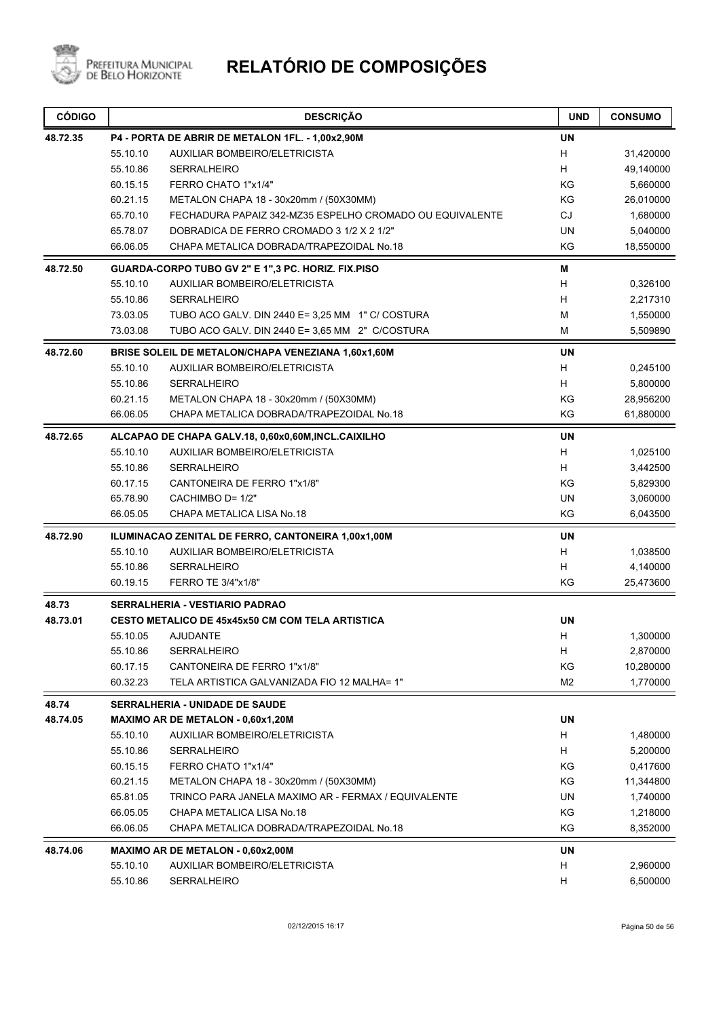

| <b>CÓDIGO</b> |          | <b>DESCRIÇÃO</b>                                         | <b>UND</b>     | <b>CONSUMO</b> |
|---------------|----------|----------------------------------------------------------|----------------|----------------|
| 48.72.35      |          | P4 - PORTA DE ABRIR DE METALON 1FL. - 1,00x2,90M         | <b>UN</b>      |                |
|               | 55.10.10 | AUXILIAR BOMBEIRO/ELETRICISTA                            | H              | 31,420000      |
|               | 55.10.86 | <b>SERRALHEIRO</b>                                       | H              | 49,140000      |
|               | 60.15.15 | FERRO CHATO 1"x1/4"                                      | KG             | 5,660000       |
|               | 60.21.15 | METALON CHAPA 18 - 30x20mm / (50X30MM)                   | ΚG             | 26,010000      |
|               | 65.70.10 | FECHADURA PAPAIZ 342-MZ35 ESPELHO CROMADO OU EQUIVALENTE | CJ             | 1,680000       |
|               | 65.78.07 | DOBRADICA DE FERRO CROMADO 3 1/2 X 2 1/2"                | <b>UN</b>      | 5,040000       |
|               | 66.06.05 | CHAPA METALICA DOBRADA/TRAPEZOIDAL No.18                 | KG             | 18,550000      |
| 48.72.50      |          | GUARDA-CORPO TUBO GV 2" E 1",3 PC. HORIZ. FIX.PISO       | M              |                |
|               | 55.10.10 | AUXILIAR BOMBEIRO/ELETRICISTA                            | H              | 0,326100       |
|               | 55.10.86 | <b>SERRALHEIRO</b>                                       | H              | 2,217310       |
|               | 73.03.05 | TUBO ACO GALV. DIN 2440 E= 3,25 MM 1" C/ COSTURA         | М              | 1,550000       |
|               | 73.03.08 | TUBO ACO GALV. DIN 2440 E= 3,65 MM 2" C/COSTURA          | M              | 5,509890       |
| 48.72.60      |          | BRISE SOLEIL DE METALON/CHAPA VENEZIANA 1,60x1,60M       | <b>UN</b>      |                |
|               | 55.10.10 | AUXILIAR BOMBEIRO/ELETRICISTA                            | H              | 0,245100       |
|               | 55.10.86 | <b>SERRALHEIRO</b>                                       | н              | 5,800000       |
|               | 60.21.15 | METALON CHAPA 18 - 30x20mm / (50X30MM)                   | KG             | 28,956200      |
|               | 66.06.05 | CHAPA METALICA DOBRADA/TRAPEZOIDAL No.18                 | ΚG             | 61,880000      |
| 48.72.65      |          | ALCAPAO DE CHAPA GALV.18, 0,60x0,60M,INCL.CAIXILHO       | <b>UN</b>      |                |
|               | 55.10.10 | AUXILIAR BOMBEIRO/ELETRICISTA                            | H              | 1,025100       |
|               | 55.10.86 | <b>SERRALHEIRO</b>                                       | н              | 3,442500       |
|               | 60.17.15 | CANTONEIRA DE FERRO 1"x1/8"                              | KG             | 5,829300       |
|               | 65.78.90 | CACHIMBO D= 1/2"                                         | UN             | 3,060000       |
|               | 66.05.05 | CHAPA METALICA LISA No.18                                | ΚG             | 6,043500       |
| 48.72.90      |          | ILUMINACAO ZENITAL DE FERRO, CANTONEIRA 1,00x1,00M       | <b>UN</b>      |                |
|               | 55.10.10 | AUXILIAR BOMBEIRO/ELETRICISTA                            | н              | 1,038500       |
|               | 55.10.86 | <b>SERRALHEIRO</b>                                       | H              | 4,140000       |
|               | 60.19.15 | FERRO TE 3/4"x1/8"                                       | KG             | 25,473600      |
| 48.73         |          | <b>SERRALHERIA - VESTIARIO PADRAO</b>                    |                |                |
| 48.73.01      |          | <b>CESTO METALICO DE 45x45x50 CM COM TELA ARTISTICA</b>  | <b>UN</b>      |                |
|               | 55.10.05 | <b>AJUDANTE</b>                                          | H              | 1,300000       |
|               | 55.10.86 | <b>SERRALHEIRO</b>                                       | н              | 2,870000       |
|               | 60.17.15 | CANTONEIRA DE FERRO 1"x1/8"                              | KG             | 10,280000      |
|               | 60.32.23 | TELA ARTISTICA GALVANIZADA FIO 12 MALHA= 1"              | M <sub>2</sub> | 1,770000       |
| 48.74         |          | <b>SERRALHERIA - UNIDADE DE SAUDE</b>                    |                |                |
| 48.74.05      |          | MAXIMO AR DE METALON - 0,60x1,20M                        | <b>UN</b>      |                |
|               | 55.10.10 | AUXILIAR BOMBEIRO/ELETRICISTA                            | Н              | 1,480000       |
|               | 55.10.86 | SERRALHEIRO                                              | H              | 5,200000       |
|               | 60.15.15 | FERRO CHATO 1"x1/4"                                      | KG             | 0,417600       |
|               | 60.21.15 | METALON CHAPA 18 - 30x20mm / (50X30MM)                   | ΚG             | 11,344800      |
|               | 65.81.05 | TRINCO PARA JANELA MAXIMO AR - FERMAX / EQUIVALENTE      | UN             | 1,740000       |
|               | 66.05.05 | CHAPA METALICA LISA No.18                                | KG             | 1,218000       |
|               | 66.06.05 | CHAPA METALICA DOBRADA/TRAPEZOIDAL No.18                 | KG             | 8,352000       |
| 48.74.06      |          | MAXIMO AR DE METALON - 0,60x2,00M                        | <b>UN</b>      |                |
|               | 55.10.10 | AUXILIAR BOMBEIRO/ELETRICISTA                            | H              | 2,960000       |
|               | 55.10.86 | SERRALHEIRO                                              | H              | 6,500000       |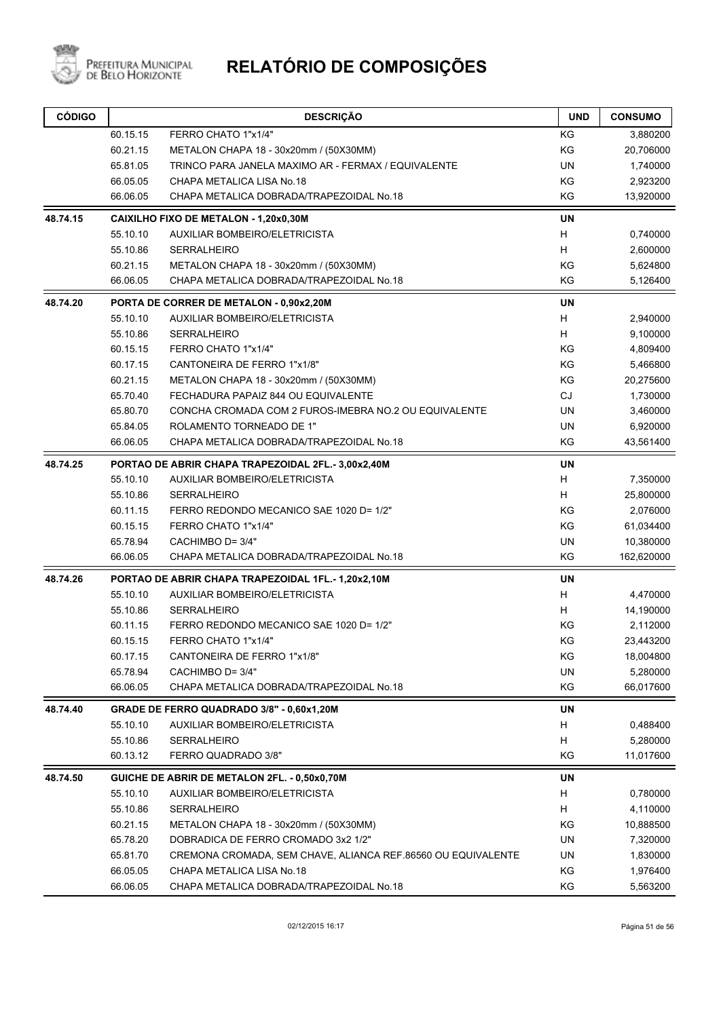

| <b>CÓDIGO</b> |                                              | <b>DESCRIÇÃO</b>                                             | <b>UND</b> | <b>CONSUMO</b> |
|---------------|----------------------------------------------|--------------------------------------------------------------|------------|----------------|
|               | 60.15.15                                     | FERRO CHATO 1"x1/4"                                          | KG         | 3,880200       |
|               | 60.21.15                                     | METALON CHAPA 18 - 30x20mm / (50X30MM)                       | KG         | 20,706000      |
|               | 65.81.05                                     | TRINCO PARA JANELA MAXIMO AR - FERMAX / EQUIVALENTE          | <b>UN</b>  | 1,740000       |
|               | 66.05.05                                     | CHAPA METALICA LISA No.18                                    | KG         | 2,923200       |
|               | 66.06.05                                     | CHAPA METALICA DOBRADA/TRAPEZOIDAL No.18                     | KG         | 13,920000      |
| 48.74.15      |                                              | CAIXILHO FIXO DE METALON - 1,20x0,30M                        | <b>UN</b>  |                |
|               | 55.10.10                                     | AUXILIAR BOMBEIRO/ELETRICISTA                                | H          | 0,740000       |
|               | 55.10.86                                     | <b>SERRALHEIRO</b>                                           | H          | 2,600000       |
|               | 60.21.15                                     | METALON CHAPA 18 - 30x20mm / (50X30MM)                       | KG         | 5,624800       |
|               | 66.06.05                                     | CHAPA METALICA DOBRADA/TRAPEZOIDAL No.18                     | KG         | 5,126400       |
| 48.74.20      |                                              | PORTA DE CORRER DE METALON - 0,90x2,20M                      | UN         |                |
|               | 55.10.10                                     | AUXILIAR BOMBEIRO/ELETRICISTA                                | H          | 2,940000       |
|               | 55.10.86                                     | <b>SERRALHEIRO</b>                                           | H          | 9,100000       |
|               | 60.15.15                                     | FERRO CHATO 1"x1/4"                                          | KG         | 4,809400       |
|               | 60.17.15                                     | CANTONEIRA DE FERRO 1"x1/8"                                  | KG         | 5,466800       |
|               | 60.21.15                                     | METALON CHAPA 18 - 30x20mm / (50X30MM)                       | KG         | 20,275600      |
|               | 65.70.40                                     | FECHADURA PAPAIZ 844 OU EQUIVALENTE                          | <b>CJ</b>  | 1,730000       |
|               | 65.80.70                                     | CONCHA CROMADA COM 2 FUROS-IMEBRA NO.2 OU EQUIVALENTE        | <b>UN</b>  | 3,460000       |
|               | 65.84.05                                     | ROLAMENTO TORNEADO DE 1"                                     | <b>UN</b>  | 6,920000       |
|               | 66.06.05                                     | CHAPA METALICA DOBRADA/TRAPEZOIDAL No.18                     | KG         | 43,561400      |
| 48.74.25      |                                              | PORTAO DE ABRIR CHAPA TRAPEZOIDAL 2FL.- 3,00x2,40M           | <b>UN</b>  |                |
|               | 55.10.10                                     | AUXILIAR BOMBEIRO/ELETRICISTA                                | H          | 7,350000       |
|               | 55.10.86                                     | <b>SERRALHEIRO</b>                                           | H          | 25,800000      |
|               | 60.11.15                                     | FERRO REDONDO MECANICO SAE 1020 D= 1/2"                      | KG         | 2,076000       |
|               | 60.15.15                                     | FERRO CHATO 1"x1/4"                                          | KG         | 61,034400      |
|               | 65.78.94                                     | CACHIMBO D= 3/4"                                             | <b>UN</b>  | 10,380000      |
|               | 66.06.05                                     | CHAPA METALICA DOBRADA/TRAPEZOIDAL No.18                     | KG         | 162,620000     |
| 48.74.26      |                                              | PORTAO DE ABRIR CHAPA TRAPEZOIDAL 1FL.-1,20x2,10M            | UN         |                |
|               | 55.10.10                                     | AUXILIAR BOMBEIRO/ELETRICISTA                                | H          | 4,470000       |
|               | 55.10.86                                     | <b>SERRALHEIRO</b>                                           | H          | 14,190000      |
|               | 60.11.15                                     | FERRO REDONDO MECANICO SAE 1020 D= 1/2"                      | ΚG         | 2,112000       |
|               | 60.15.15                                     | <b>FERRO CHATO 1"x1/4"</b>                                   | ΚG         | 23,443200      |
|               | 60.17.15                                     | CANTONEIRA DE FERRO 1"x1/8"                                  | KG         | 18,004800      |
|               | 65.78.94                                     | CACHIMBO D= 3/4"                                             | UN         | 5,280000       |
|               | 66.06.05                                     | CHAPA METALICA DOBRADA/TRAPEZOIDAL No.18                     | KG         | 66,017600      |
| 48.74.40      |                                              | GRADE DE FERRO QUADRADO 3/8" - 0,60x1,20M                    | UN         |                |
|               | 55.10.10                                     | AUXILIAR BOMBEIRO/ELETRICISTA                                | H          | 0,488400       |
|               | 55.10.86                                     | <b>SERRALHEIRO</b>                                           | H          | 5,280000       |
|               | 60.13.12                                     | FERRO QUADRADO 3/8"                                          | KG         | 11,017600      |
| 48.74.50      | GUICHE DE ABRIR DE METALON 2FL. - 0,50x0,70M |                                                              |            |                |
|               | 55.10.10                                     | AUXILIAR BOMBEIRO/ELETRICISTA                                | H          | 0,780000       |
|               | 55.10.86                                     | <b>SERRALHEIRO</b>                                           | H          | 4,110000       |
|               | 60.21.15                                     | METALON CHAPA 18 - 30x20mm / (50X30MM)                       | KG         | 10,888500      |
|               | 65.78.20                                     | DOBRADICA DE FERRO CROMADO 3x2 1/2"                          | UN         | 7,320000       |
|               | 65.81.70                                     | CREMONA CROMADA, SEM CHAVE, ALIANCA REF.86560 OU EQUIVALENTE | UN         | 1,830000       |
|               | 66.05.05                                     | CHAPA METALICA LISA No.18                                    | KG         | 1,976400       |
|               | 66.06.05                                     | CHAPA METALICA DOBRADA/TRAPEZOIDAL No.18                     | KG         | 5,563200       |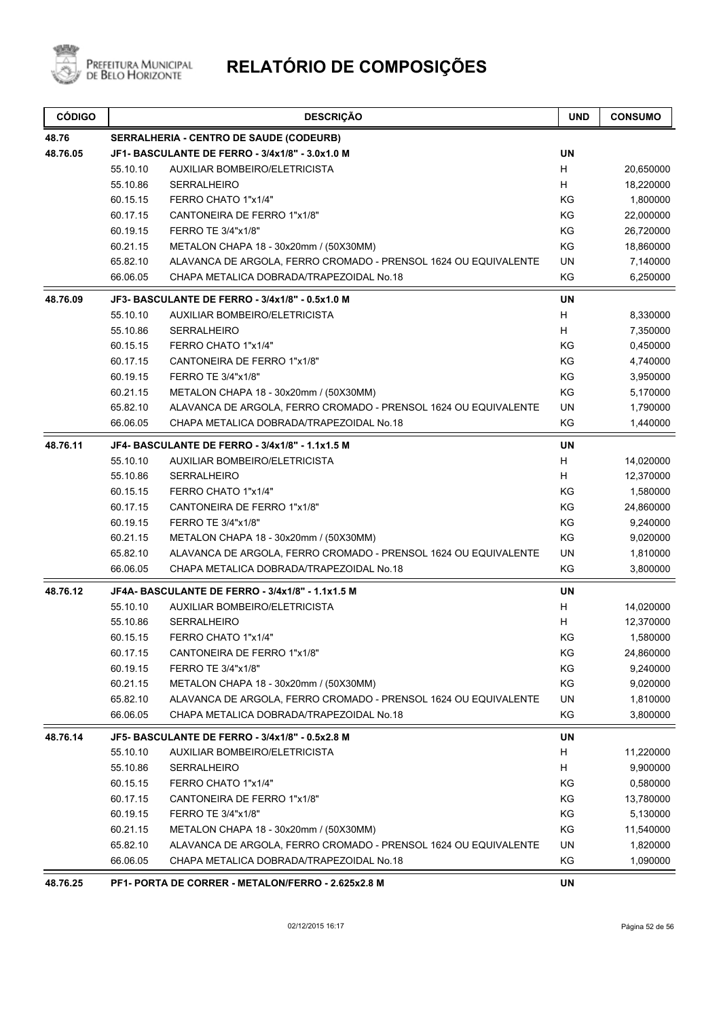

| 48.76<br>SERRALHERIA - CENTRO DE SAUDE (CODEURB)<br><b>UN</b><br>48.76.05<br>JF1-BASCULANTE DE FERRO - 3/4x1/8" - 3.0x1.0 M<br>Н<br>55.10.10<br><b>AUXILIAR BOMBEIRO/ELETRICISTA</b><br>H<br>55.10.86<br><b>SERRALHEIRO</b><br>KG<br>60.15.15<br>FERRO CHATO 1"x1/4"<br>KG<br>60.17.15<br>CANTONEIRA DE FERRO 1"x1/8"<br>KG<br>60.19.15<br>FERRO TE 3/4"x1/8"<br>KG<br>60.21.15<br>METALON CHAPA 18 - 30x20mm / (50X30MM)<br>65.82.10<br>UN<br>ALAVANCA DE ARGOLA, FERRO CROMADO - PRENSOL 1624 OU EQUIVALENTE<br>KG<br>66.06.05<br>CHAPA METALICA DOBRADA/TRAPEZOIDAL No.18<br><b>UN</b><br>48.76.09<br>JF3- BASCULANTE DE FERRO - 3/4x1/8" - 0.5x1.0 M<br>H<br>55.10.10<br><b>AUXILIAR BOMBEIRO/ELETRICISTA</b><br>H<br>55.10.86<br><b>SERRALHEIRO</b><br>60.15.15<br>FERRO CHATO 1"x1/4"<br>ΚG<br>KG<br>60.17.15<br>CANTONEIRA DE FERRO 1"x1/8"<br>KG<br>60.19.15<br>FERRO TE 3/4"x1/8"<br>KG<br>60.21.15<br>METALON CHAPA 18 - 30x20mm / (50X30MM)<br>65.82.10<br>UN<br>ALAVANCA DE ARGOLA, FERRO CROMADO - PRENSOL 1624 OU EQUIVALENTE<br>CHAPA METALICA DOBRADA/TRAPEZOIDAL No.18<br>KG<br>66.06.05<br><b>UN</b><br>48.76.11<br>JF4- BASCULANTE DE FERRO - 3/4x1/8" - 1.1x1.5 M<br>55.10.10<br><b>AUXILIAR BOMBEIRO/ELETRICISTA</b><br>H<br>H<br>55.10.86<br><b>SERRALHEIRO</b><br>60.15.15<br>FERRO CHATO 1"x1/4"<br>ΚG<br>KG<br>60.17.15<br>CANTONEIRA DE FERRO 1"x1/8"<br>KG<br>60.19.15<br>FERRO TE 3/4"x1/8"<br>KG<br>60.21.15<br>METALON CHAPA 18 - 30x20mm / (50X30MM)<br>65.82.10<br>ALAVANCA DE ARGOLA, FERRO CROMADO - PRENSOL 1624 OU EQUIVALENTE<br>UN<br>KG<br>66.06.05<br>CHAPA METALICA DOBRADA/TRAPEZOIDAL No.18<br>48.76.12<br>JF4A- BASCULANTE DE FERRO - 3/4x1/8" - 1.1x1.5 M<br>UN<br>55.10.10<br>AUXILIAR BOMBEIRO/ELETRICISTA<br>H<br>55.10.86<br><b>SERRALHEIRO</b><br>H<br>FERRO CHATO 1"x1/4"<br>ΚG<br>60.15.15<br>60.17.15<br>CANTONEIRA DE FERRO 1"x1/8"<br>ΚG<br>60.19.15<br>FERRO TE 3/4"x1/8"<br>KG<br>60.21.15<br>KG<br>METALON CHAPA 18 - 30x20mm / (50X30MM)<br>65.82.10<br>ALAVANCA DE ARGOLA, FERRO CROMADO - PRENSOL 1624 OU EQUIVALENTE<br>UN<br>66.06.05<br>CHAPA METALICA DOBRADA/TRAPEZOIDAL No.18<br>ΚG<br>48.76.14<br>JF5- BASCULANTE DE FERRO - 3/4x1/8" - 0.5x2.8 M<br>UN<br>55.10.10<br><b>AUXILIAR BOMBEIRO/ELETRICISTA</b><br>H<br>55.10.86<br><b>SERRALHEIRO</b><br>H<br>60.15.15<br>FERRO CHATO 1"x1/4"<br>KG<br>60.17.15<br>CANTONEIRA DE FERRO 1"x1/8"<br>KG<br>60.19.15<br>FERRO TE 3/4"x1/8"<br>KG<br>KG<br>60.21.15<br>METALON CHAPA 18 - 30x20mm / (50X30MM) | <b>CÓDIGO</b> |          | <b>DESCRIÇÃO</b>                                                | <b>UND</b> | <b>CONSUMO</b> |
|---------------------------------------------------------------------------------------------------------------------------------------------------------------------------------------------------------------------------------------------------------------------------------------------------------------------------------------------------------------------------------------------------------------------------------------------------------------------------------------------------------------------------------------------------------------------------------------------------------------------------------------------------------------------------------------------------------------------------------------------------------------------------------------------------------------------------------------------------------------------------------------------------------------------------------------------------------------------------------------------------------------------------------------------------------------------------------------------------------------------------------------------------------------------------------------------------------------------------------------------------------------------------------------------------------------------------------------------------------------------------------------------------------------------------------------------------------------------------------------------------------------------------------------------------------------------------------------------------------------------------------------------------------------------------------------------------------------------------------------------------------------------------------------------------------------------------------------------------------------------------------------------------------------------------------------------------------------------------------------------------------------------------------------------------------------------------------------------------------------------------------------------------------------------------------------------------------------------------------------------------------------------------------------------------------------------------------------------------------------------------------------------------------------------------------------------------------------------------------------------------------------------------|---------------|----------|-----------------------------------------------------------------|------------|----------------|
|                                                                                                                                                                                                                                                                                                                                                                                                                                                                                                                                                                                                                                                                                                                                                                                                                                                                                                                                                                                                                                                                                                                                                                                                                                                                                                                                                                                                                                                                                                                                                                                                                                                                                                                                                                                                                                                                                                                                                                                                                                                                                                                                                                                                                                                                                                                                                                                                                                                                                                                           |               |          |                                                                 |            |                |
|                                                                                                                                                                                                                                                                                                                                                                                                                                                                                                                                                                                                                                                                                                                                                                                                                                                                                                                                                                                                                                                                                                                                                                                                                                                                                                                                                                                                                                                                                                                                                                                                                                                                                                                                                                                                                                                                                                                                                                                                                                                                                                                                                                                                                                                                                                                                                                                                                                                                                                                           |               |          |                                                                 |            |                |
|                                                                                                                                                                                                                                                                                                                                                                                                                                                                                                                                                                                                                                                                                                                                                                                                                                                                                                                                                                                                                                                                                                                                                                                                                                                                                                                                                                                                                                                                                                                                                                                                                                                                                                                                                                                                                                                                                                                                                                                                                                                                                                                                                                                                                                                                                                                                                                                                                                                                                                                           |               |          |                                                                 |            | 20,650000      |
|                                                                                                                                                                                                                                                                                                                                                                                                                                                                                                                                                                                                                                                                                                                                                                                                                                                                                                                                                                                                                                                                                                                                                                                                                                                                                                                                                                                                                                                                                                                                                                                                                                                                                                                                                                                                                                                                                                                                                                                                                                                                                                                                                                                                                                                                                                                                                                                                                                                                                                                           |               |          |                                                                 |            | 18,220000      |
|                                                                                                                                                                                                                                                                                                                                                                                                                                                                                                                                                                                                                                                                                                                                                                                                                                                                                                                                                                                                                                                                                                                                                                                                                                                                                                                                                                                                                                                                                                                                                                                                                                                                                                                                                                                                                                                                                                                                                                                                                                                                                                                                                                                                                                                                                                                                                                                                                                                                                                                           |               |          |                                                                 |            | 1,800000       |
|                                                                                                                                                                                                                                                                                                                                                                                                                                                                                                                                                                                                                                                                                                                                                                                                                                                                                                                                                                                                                                                                                                                                                                                                                                                                                                                                                                                                                                                                                                                                                                                                                                                                                                                                                                                                                                                                                                                                                                                                                                                                                                                                                                                                                                                                                                                                                                                                                                                                                                                           |               |          |                                                                 |            | 22,000000      |
|                                                                                                                                                                                                                                                                                                                                                                                                                                                                                                                                                                                                                                                                                                                                                                                                                                                                                                                                                                                                                                                                                                                                                                                                                                                                                                                                                                                                                                                                                                                                                                                                                                                                                                                                                                                                                                                                                                                                                                                                                                                                                                                                                                                                                                                                                                                                                                                                                                                                                                                           |               |          |                                                                 |            | 26,720000      |
|                                                                                                                                                                                                                                                                                                                                                                                                                                                                                                                                                                                                                                                                                                                                                                                                                                                                                                                                                                                                                                                                                                                                                                                                                                                                                                                                                                                                                                                                                                                                                                                                                                                                                                                                                                                                                                                                                                                                                                                                                                                                                                                                                                                                                                                                                                                                                                                                                                                                                                                           |               |          |                                                                 |            | 18,860000      |
|                                                                                                                                                                                                                                                                                                                                                                                                                                                                                                                                                                                                                                                                                                                                                                                                                                                                                                                                                                                                                                                                                                                                                                                                                                                                                                                                                                                                                                                                                                                                                                                                                                                                                                                                                                                                                                                                                                                                                                                                                                                                                                                                                                                                                                                                                                                                                                                                                                                                                                                           |               |          |                                                                 |            | 7,140000       |
|                                                                                                                                                                                                                                                                                                                                                                                                                                                                                                                                                                                                                                                                                                                                                                                                                                                                                                                                                                                                                                                                                                                                                                                                                                                                                                                                                                                                                                                                                                                                                                                                                                                                                                                                                                                                                                                                                                                                                                                                                                                                                                                                                                                                                                                                                                                                                                                                                                                                                                                           |               |          |                                                                 |            | 6,250000       |
|                                                                                                                                                                                                                                                                                                                                                                                                                                                                                                                                                                                                                                                                                                                                                                                                                                                                                                                                                                                                                                                                                                                                                                                                                                                                                                                                                                                                                                                                                                                                                                                                                                                                                                                                                                                                                                                                                                                                                                                                                                                                                                                                                                                                                                                                                                                                                                                                                                                                                                                           |               |          |                                                                 |            |                |
|                                                                                                                                                                                                                                                                                                                                                                                                                                                                                                                                                                                                                                                                                                                                                                                                                                                                                                                                                                                                                                                                                                                                                                                                                                                                                                                                                                                                                                                                                                                                                                                                                                                                                                                                                                                                                                                                                                                                                                                                                                                                                                                                                                                                                                                                                                                                                                                                                                                                                                                           |               |          |                                                                 |            | 8,330000       |
|                                                                                                                                                                                                                                                                                                                                                                                                                                                                                                                                                                                                                                                                                                                                                                                                                                                                                                                                                                                                                                                                                                                                                                                                                                                                                                                                                                                                                                                                                                                                                                                                                                                                                                                                                                                                                                                                                                                                                                                                                                                                                                                                                                                                                                                                                                                                                                                                                                                                                                                           |               |          |                                                                 |            | 7,350000       |
|                                                                                                                                                                                                                                                                                                                                                                                                                                                                                                                                                                                                                                                                                                                                                                                                                                                                                                                                                                                                                                                                                                                                                                                                                                                                                                                                                                                                                                                                                                                                                                                                                                                                                                                                                                                                                                                                                                                                                                                                                                                                                                                                                                                                                                                                                                                                                                                                                                                                                                                           |               |          |                                                                 |            | 0,450000       |
|                                                                                                                                                                                                                                                                                                                                                                                                                                                                                                                                                                                                                                                                                                                                                                                                                                                                                                                                                                                                                                                                                                                                                                                                                                                                                                                                                                                                                                                                                                                                                                                                                                                                                                                                                                                                                                                                                                                                                                                                                                                                                                                                                                                                                                                                                                                                                                                                                                                                                                                           |               |          |                                                                 |            | 4,740000       |
|                                                                                                                                                                                                                                                                                                                                                                                                                                                                                                                                                                                                                                                                                                                                                                                                                                                                                                                                                                                                                                                                                                                                                                                                                                                                                                                                                                                                                                                                                                                                                                                                                                                                                                                                                                                                                                                                                                                                                                                                                                                                                                                                                                                                                                                                                                                                                                                                                                                                                                                           |               |          |                                                                 |            | 3,950000       |
|                                                                                                                                                                                                                                                                                                                                                                                                                                                                                                                                                                                                                                                                                                                                                                                                                                                                                                                                                                                                                                                                                                                                                                                                                                                                                                                                                                                                                                                                                                                                                                                                                                                                                                                                                                                                                                                                                                                                                                                                                                                                                                                                                                                                                                                                                                                                                                                                                                                                                                                           |               |          |                                                                 |            | 5,170000       |
|                                                                                                                                                                                                                                                                                                                                                                                                                                                                                                                                                                                                                                                                                                                                                                                                                                                                                                                                                                                                                                                                                                                                                                                                                                                                                                                                                                                                                                                                                                                                                                                                                                                                                                                                                                                                                                                                                                                                                                                                                                                                                                                                                                                                                                                                                                                                                                                                                                                                                                                           |               |          |                                                                 |            | 1,790000       |
|                                                                                                                                                                                                                                                                                                                                                                                                                                                                                                                                                                                                                                                                                                                                                                                                                                                                                                                                                                                                                                                                                                                                                                                                                                                                                                                                                                                                                                                                                                                                                                                                                                                                                                                                                                                                                                                                                                                                                                                                                                                                                                                                                                                                                                                                                                                                                                                                                                                                                                                           |               |          |                                                                 |            | 1,440000       |
|                                                                                                                                                                                                                                                                                                                                                                                                                                                                                                                                                                                                                                                                                                                                                                                                                                                                                                                                                                                                                                                                                                                                                                                                                                                                                                                                                                                                                                                                                                                                                                                                                                                                                                                                                                                                                                                                                                                                                                                                                                                                                                                                                                                                                                                                                                                                                                                                                                                                                                                           |               |          |                                                                 |            |                |
|                                                                                                                                                                                                                                                                                                                                                                                                                                                                                                                                                                                                                                                                                                                                                                                                                                                                                                                                                                                                                                                                                                                                                                                                                                                                                                                                                                                                                                                                                                                                                                                                                                                                                                                                                                                                                                                                                                                                                                                                                                                                                                                                                                                                                                                                                                                                                                                                                                                                                                                           |               |          |                                                                 |            | 14,020000      |
|                                                                                                                                                                                                                                                                                                                                                                                                                                                                                                                                                                                                                                                                                                                                                                                                                                                                                                                                                                                                                                                                                                                                                                                                                                                                                                                                                                                                                                                                                                                                                                                                                                                                                                                                                                                                                                                                                                                                                                                                                                                                                                                                                                                                                                                                                                                                                                                                                                                                                                                           |               |          |                                                                 |            | 12,370000      |
|                                                                                                                                                                                                                                                                                                                                                                                                                                                                                                                                                                                                                                                                                                                                                                                                                                                                                                                                                                                                                                                                                                                                                                                                                                                                                                                                                                                                                                                                                                                                                                                                                                                                                                                                                                                                                                                                                                                                                                                                                                                                                                                                                                                                                                                                                                                                                                                                                                                                                                                           |               |          |                                                                 |            | 1,580000       |
|                                                                                                                                                                                                                                                                                                                                                                                                                                                                                                                                                                                                                                                                                                                                                                                                                                                                                                                                                                                                                                                                                                                                                                                                                                                                                                                                                                                                                                                                                                                                                                                                                                                                                                                                                                                                                                                                                                                                                                                                                                                                                                                                                                                                                                                                                                                                                                                                                                                                                                                           |               |          |                                                                 |            | 24,860000      |
|                                                                                                                                                                                                                                                                                                                                                                                                                                                                                                                                                                                                                                                                                                                                                                                                                                                                                                                                                                                                                                                                                                                                                                                                                                                                                                                                                                                                                                                                                                                                                                                                                                                                                                                                                                                                                                                                                                                                                                                                                                                                                                                                                                                                                                                                                                                                                                                                                                                                                                                           |               |          |                                                                 |            | 9,240000       |
|                                                                                                                                                                                                                                                                                                                                                                                                                                                                                                                                                                                                                                                                                                                                                                                                                                                                                                                                                                                                                                                                                                                                                                                                                                                                                                                                                                                                                                                                                                                                                                                                                                                                                                                                                                                                                                                                                                                                                                                                                                                                                                                                                                                                                                                                                                                                                                                                                                                                                                                           |               |          |                                                                 |            | 9,020000       |
|                                                                                                                                                                                                                                                                                                                                                                                                                                                                                                                                                                                                                                                                                                                                                                                                                                                                                                                                                                                                                                                                                                                                                                                                                                                                                                                                                                                                                                                                                                                                                                                                                                                                                                                                                                                                                                                                                                                                                                                                                                                                                                                                                                                                                                                                                                                                                                                                                                                                                                                           |               |          |                                                                 |            | 1,810000       |
|                                                                                                                                                                                                                                                                                                                                                                                                                                                                                                                                                                                                                                                                                                                                                                                                                                                                                                                                                                                                                                                                                                                                                                                                                                                                                                                                                                                                                                                                                                                                                                                                                                                                                                                                                                                                                                                                                                                                                                                                                                                                                                                                                                                                                                                                                                                                                                                                                                                                                                                           |               |          |                                                                 |            | 3,800000       |
|                                                                                                                                                                                                                                                                                                                                                                                                                                                                                                                                                                                                                                                                                                                                                                                                                                                                                                                                                                                                                                                                                                                                                                                                                                                                                                                                                                                                                                                                                                                                                                                                                                                                                                                                                                                                                                                                                                                                                                                                                                                                                                                                                                                                                                                                                                                                                                                                                                                                                                                           |               |          |                                                                 |            |                |
|                                                                                                                                                                                                                                                                                                                                                                                                                                                                                                                                                                                                                                                                                                                                                                                                                                                                                                                                                                                                                                                                                                                                                                                                                                                                                                                                                                                                                                                                                                                                                                                                                                                                                                                                                                                                                                                                                                                                                                                                                                                                                                                                                                                                                                                                                                                                                                                                                                                                                                                           |               |          |                                                                 |            | 14,020000      |
|                                                                                                                                                                                                                                                                                                                                                                                                                                                                                                                                                                                                                                                                                                                                                                                                                                                                                                                                                                                                                                                                                                                                                                                                                                                                                                                                                                                                                                                                                                                                                                                                                                                                                                                                                                                                                                                                                                                                                                                                                                                                                                                                                                                                                                                                                                                                                                                                                                                                                                                           |               |          |                                                                 |            | 12,370000      |
|                                                                                                                                                                                                                                                                                                                                                                                                                                                                                                                                                                                                                                                                                                                                                                                                                                                                                                                                                                                                                                                                                                                                                                                                                                                                                                                                                                                                                                                                                                                                                                                                                                                                                                                                                                                                                                                                                                                                                                                                                                                                                                                                                                                                                                                                                                                                                                                                                                                                                                                           |               |          |                                                                 |            | 1,580000       |
|                                                                                                                                                                                                                                                                                                                                                                                                                                                                                                                                                                                                                                                                                                                                                                                                                                                                                                                                                                                                                                                                                                                                                                                                                                                                                                                                                                                                                                                                                                                                                                                                                                                                                                                                                                                                                                                                                                                                                                                                                                                                                                                                                                                                                                                                                                                                                                                                                                                                                                                           |               |          |                                                                 |            | 24,860000      |
|                                                                                                                                                                                                                                                                                                                                                                                                                                                                                                                                                                                                                                                                                                                                                                                                                                                                                                                                                                                                                                                                                                                                                                                                                                                                                                                                                                                                                                                                                                                                                                                                                                                                                                                                                                                                                                                                                                                                                                                                                                                                                                                                                                                                                                                                                                                                                                                                                                                                                                                           |               |          |                                                                 |            | 9,240000       |
|                                                                                                                                                                                                                                                                                                                                                                                                                                                                                                                                                                                                                                                                                                                                                                                                                                                                                                                                                                                                                                                                                                                                                                                                                                                                                                                                                                                                                                                                                                                                                                                                                                                                                                                                                                                                                                                                                                                                                                                                                                                                                                                                                                                                                                                                                                                                                                                                                                                                                                                           |               |          |                                                                 |            | 9,020000       |
|                                                                                                                                                                                                                                                                                                                                                                                                                                                                                                                                                                                                                                                                                                                                                                                                                                                                                                                                                                                                                                                                                                                                                                                                                                                                                                                                                                                                                                                                                                                                                                                                                                                                                                                                                                                                                                                                                                                                                                                                                                                                                                                                                                                                                                                                                                                                                                                                                                                                                                                           |               |          |                                                                 |            | 1,810000       |
|                                                                                                                                                                                                                                                                                                                                                                                                                                                                                                                                                                                                                                                                                                                                                                                                                                                                                                                                                                                                                                                                                                                                                                                                                                                                                                                                                                                                                                                                                                                                                                                                                                                                                                                                                                                                                                                                                                                                                                                                                                                                                                                                                                                                                                                                                                                                                                                                                                                                                                                           |               |          |                                                                 |            | 3,800000       |
|                                                                                                                                                                                                                                                                                                                                                                                                                                                                                                                                                                                                                                                                                                                                                                                                                                                                                                                                                                                                                                                                                                                                                                                                                                                                                                                                                                                                                                                                                                                                                                                                                                                                                                                                                                                                                                                                                                                                                                                                                                                                                                                                                                                                                                                                                                                                                                                                                                                                                                                           |               |          |                                                                 |            |                |
|                                                                                                                                                                                                                                                                                                                                                                                                                                                                                                                                                                                                                                                                                                                                                                                                                                                                                                                                                                                                                                                                                                                                                                                                                                                                                                                                                                                                                                                                                                                                                                                                                                                                                                                                                                                                                                                                                                                                                                                                                                                                                                                                                                                                                                                                                                                                                                                                                                                                                                                           |               |          |                                                                 |            | 11,220000      |
|                                                                                                                                                                                                                                                                                                                                                                                                                                                                                                                                                                                                                                                                                                                                                                                                                                                                                                                                                                                                                                                                                                                                                                                                                                                                                                                                                                                                                                                                                                                                                                                                                                                                                                                                                                                                                                                                                                                                                                                                                                                                                                                                                                                                                                                                                                                                                                                                                                                                                                                           |               |          |                                                                 |            | 9,900000       |
|                                                                                                                                                                                                                                                                                                                                                                                                                                                                                                                                                                                                                                                                                                                                                                                                                                                                                                                                                                                                                                                                                                                                                                                                                                                                                                                                                                                                                                                                                                                                                                                                                                                                                                                                                                                                                                                                                                                                                                                                                                                                                                                                                                                                                                                                                                                                                                                                                                                                                                                           |               |          |                                                                 |            | 0,580000       |
|                                                                                                                                                                                                                                                                                                                                                                                                                                                                                                                                                                                                                                                                                                                                                                                                                                                                                                                                                                                                                                                                                                                                                                                                                                                                                                                                                                                                                                                                                                                                                                                                                                                                                                                                                                                                                                                                                                                                                                                                                                                                                                                                                                                                                                                                                                                                                                                                                                                                                                                           |               |          |                                                                 |            | 13,780000      |
|                                                                                                                                                                                                                                                                                                                                                                                                                                                                                                                                                                                                                                                                                                                                                                                                                                                                                                                                                                                                                                                                                                                                                                                                                                                                                                                                                                                                                                                                                                                                                                                                                                                                                                                                                                                                                                                                                                                                                                                                                                                                                                                                                                                                                                                                                                                                                                                                                                                                                                                           |               |          |                                                                 |            | 5,130000       |
|                                                                                                                                                                                                                                                                                                                                                                                                                                                                                                                                                                                                                                                                                                                                                                                                                                                                                                                                                                                                                                                                                                                                                                                                                                                                                                                                                                                                                                                                                                                                                                                                                                                                                                                                                                                                                                                                                                                                                                                                                                                                                                                                                                                                                                                                                                                                                                                                                                                                                                                           |               |          |                                                                 |            | 11,540000      |
|                                                                                                                                                                                                                                                                                                                                                                                                                                                                                                                                                                                                                                                                                                                                                                                                                                                                                                                                                                                                                                                                                                                                                                                                                                                                                                                                                                                                                                                                                                                                                                                                                                                                                                                                                                                                                                                                                                                                                                                                                                                                                                                                                                                                                                                                                                                                                                                                                                                                                                                           |               | 65.82.10 | ALAVANCA DE ARGOLA, FERRO CROMADO - PRENSOL 1624 OU EQUIVALENTE | UN         | 1,820000       |
| CHAPA METALICA DOBRADA/TRAPEZOIDAL No.18<br>KG<br>66.06.05                                                                                                                                                                                                                                                                                                                                                                                                                                                                                                                                                                                                                                                                                                                                                                                                                                                                                                                                                                                                                                                                                                                                                                                                                                                                                                                                                                                                                                                                                                                                                                                                                                                                                                                                                                                                                                                                                                                                                                                                                                                                                                                                                                                                                                                                                                                                                                                                                                                                |               |          |                                                                 |            | 1,090000       |
| 48.76.25<br>PF1- PORTA DE CORRER - METALON/FERRO - 2.625x2.8 M<br>UN                                                                                                                                                                                                                                                                                                                                                                                                                                                                                                                                                                                                                                                                                                                                                                                                                                                                                                                                                                                                                                                                                                                                                                                                                                                                                                                                                                                                                                                                                                                                                                                                                                                                                                                                                                                                                                                                                                                                                                                                                                                                                                                                                                                                                                                                                                                                                                                                                                                      |               |          |                                                                 |            |                |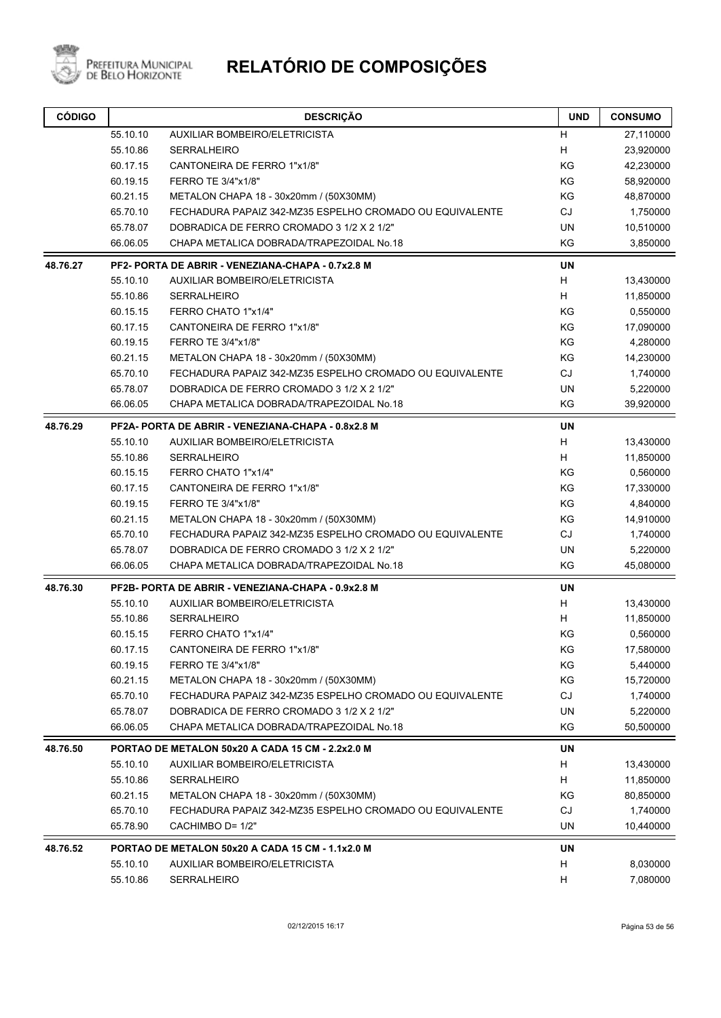

| <b>CÓDIGO</b> |          | <b>DESCRIÇÃO</b>                                         | <b>UND</b> | <b>CONSUMO</b> |
|---------------|----------|----------------------------------------------------------|------------|----------------|
|               | 55.10.10 | AUXILIAR BOMBEIRO/ELETRICISTA                            | H          | 27,110000      |
|               | 55.10.86 | SERRALHEIRO                                              | H          | 23,920000      |
|               | 60.17.15 | CANTONEIRA DE FERRO 1"x1/8"                              | KG         | 42,230000      |
|               | 60.19.15 | <b>FERRO TE 3/4"x1/8"</b>                                | KG         | 58,920000      |
|               | 60.21.15 | METALON CHAPA 18 - 30x20mm / (50X30MM)                   | KG         | 48,870000      |
|               | 65.70.10 | FECHADURA PAPAIZ 342-MZ35 ESPELHO CROMADO OU EQUIVALENTE | CJ         | 1,750000       |
|               | 65.78.07 | DOBRADICA DE FERRO CROMADO 3 1/2 X 2 1/2"                | <b>UN</b>  | 10,510000      |
|               | 66.06.05 | CHAPA METALICA DOBRADA/TRAPEZOIDAL No.18                 | ΚG         | 3,850000       |
| 48.76.27      |          | PF2- PORTA DE ABRIR - VENEZIANA-CHAPA - 0.7x2.8 M        | <b>UN</b>  |                |
|               | 55.10.10 | AUXILIAR BOMBEIRO/ELETRICISTA                            | Н          | 13,430000      |
|               | 55.10.86 | <b>SERRALHEIRO</b>                                       | H          | 11,850000      |
|               | 60.15.15 | FERRO CHATO 1"x1/4"                                      | ΚG         | 0,550000       |
|               | 60.17.15 | CANTONEIRA DE FERRO 1"x1/8"                              | ΚG         | 17,090000      |
|               | 60.19.15 | FERRO TE 3/4"x1/8"                                       | KG         | 4,280000       |
|               | 60.21.15 | METALON CHAPA 18 - 30x20mm / (50X30MM)                   | ΚG         | 14,230000      |
|               | 65.70.10 | FECHADURA PAPAIZ 342-MZ35 ESPELHO CROMADO OU EQUIVALENTE | CJ         | 1,740000       |
|               | 65.78.07 | DOBRADICA DE FERRO CROMADO 3 1/2 X 2 1/2"                | UN         | 5,220000       |
|               | 66.06.05 | CHAPA METALICA DOBRADA/TRAPEZOIDAL No.18                 | KG         | 39,920000      |
| 48.76.29      |          | PF2A- PORTA DE ABRIR - VENEZIANA-CHAPA - 0.8x2.8 M       | UN         |                |
|               | 55.10.10 | AUXILIAR BOMBEIRO/ELETRICISTA                            | H          | 13,430000      |
|               | 55.10.86 | <b>SERRALHEIRO</b>                                       | H          | 11,850000      |
|               | 60.15.15 | FERRO CHATO 1"x1/4"                                      | KG         | 0,560000       |
|               | 60.17.15 | CANTONEIRA DE FERRO 1"x1/8"                              | KG         | 17,330000      |
|               | 60.19.15 | FERRO TE 3/4"x1/8"                                       | KG         | 4,840000       |
|               | 60.21.15 | METALON CHAPA 18 - 30x20mm / (50X30MM)                   | KG         | 14,910000      |
|               | 65.70.10 | FECHADURA PAPAIZ 342-MZ35 ESPELHO CROMADO OU EQUIVALENTE | CJ         | 1,740000       |
|               | 65.78.07 | DOBRADICA DE FERRO CROMADO 3 1/2 X 2 1/2"                | UN         | 5,220000       |
|               | 66.06.05 | CHAPA METALICA DOBRADA/TRAPEZOIDAL No.18                 | KG         | 45,080000      |
| 48.76.30      |          | PF2B- PORTA DE ABRIR - VENEZIANA-CHAPA - 0.9x2.8 M       | UN         |                |
|               | 55.10.10 | AUXILIAR BOMBEIRO/ELETRICISTA                            | H          | 13,430000      |
|               | 55.10.86 | SERRALHEIRO                                              | H          | 11,850000      |
|               | 60.15.15 | FERRO CHATO 1"x1/4"                                      | KG         | 0,560000       |
|               | 60.17.15 | CANTONEIRA DE FERRO 1"x1/8"                              | KG         | 17,580000      |
|               | 60.19.15 | FERRO TE 3/4"x1/8"                                       | KG         | 5,440000       |
|               | 60.21.15 | METALON CHAPA 18 - 30x20mm / (50X30MM)                   | KG         | 15,720000      |
|               | 65.70.10 | FECHADURA PAPAIZ 342-MZ35 ESPELHO CROMADO OU EQUIVALENTE | CJ         | 1,740000       |
|               | 65.78.07 | DOBRADICA DE FERRO CROMADO 3 1/2 X 2 1/2"                | UN         | 5,220000       |
|               | 66.06.05 | CHAPA METALICA DOBRADA/TRAPEZOIDAL No.18                 | ΚG         | 50,500000      |
| 48.76.50      |          | PORTAO DE METALON 50x20 A CADA 15 CM - 2.2x2.0 M         | UN         |                |
|               | 55.10.10 | AUXILIAR BOMBEIRO/ELETRICISTA                            | H.         | 13,430000      |
|               | 55.10.86 | SERRALHEIRO                                              | H          | 11,850000      |
|               | 60.21.15 | METALON CHAPA 18 - 30x20mm / (50X30MM)                   | KG         | 80,850000      |
|               | 65.70.10 | FECHADURA PAPAIZ 342-MZ35 ESPELHO CROMADO OU EQUIVALENTE | CJ         | 1,740000       |
|               | 65.78.90 | CACHIMBO D= 1/2"                                         | UN         | 10,440000      |
| 48.76.52      |          | PORTAO DE METALON 50x20 A CADA 15 CM - 1.1x2.0 M         | UN         |                |
|               | 55.10.10 | AUXILIAR BOMBEIRO/ELETRICISTA                            | H.         | 8,030000       |
|               | 55.10.86 | <b>SERRALHEIRO</b>                                       | H          | 7,080000       |
|               |          |                                                          |            |                |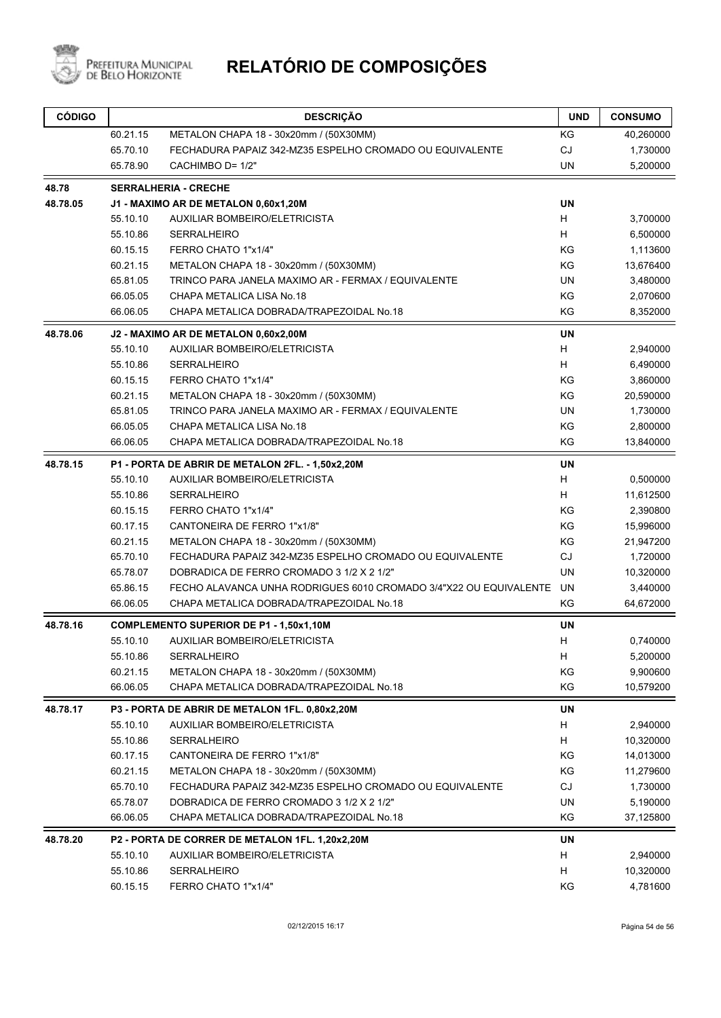

| 60.21.15<br>METALON CHAPA 18 - 30x20mm / (50X30MM)<br>ΚG<br>65.70.10<br>FECHADURA PAPAIZ 342-MZ35 ESPELHO CROMADO OU EQUIVALENTE<br><b>CJ</b><br><b>UN</b><br>65.78.90<br>CACHIMBO D= 1/2"<br>48.78<br><b>SERRALHERIA - CRECHE</b><br>48.78.05<br><b>UN</b><br>J1 - MAXIMO AR DE METALON 0,60x1,20M<br>H.<br>55.10.10<br>AUXILIAR BOMBEIRO/ELETRICISTA<br>H<br>55.10.86<br><b>SERRALHEIRO</b><br>KG<br>60.15.15<br>FERRO CHATO 1"x1/4"<br>KG<br>60.21.15<br>METALON CHAPA 18 - 30x20mm / (50X30MM)<br>65.81.05<br>TRINCO PARA JANELA MAXIMO AR - FERMAX / EQUIVALENTE<br>UN<br>KG<br>66.05.05<br>CHAPA METALICA LISA No.18<br>KG<br>66.06.05<br>CHAPA METALICA DOBRADA/TRAPEZOIDAL No.18<br><b>UN</b><br>48.78.06<br>J2 - MAXIMO AR DE METALON 0,60x2,00M<br>H<br>AUXILIAR BOMBEIRO/ELETRICISTA<br>55.10.10<br>H<br>55.10.86<br><b>SERRALHEIRO</b><br>KG<br>60.15.15<br>FERRO CHATO 1"x1/4" | 40,260000<br>1,730000<br>5,200000<br>3,700000<br>6,500000<br>1,113600<br>13,676400<br>3,480000<br>2,070600<br>8,352000<br>2,940000<br>6,490000 |
|---------------------------------------------------------------------------------------------------------------------------------------------------------------------------------------------------------------------------------------------------------------------------------------------------------------------------------------------------------------------------------------------------------------------------------------------------------------------------------------------------------------------------------------------------------------------------------------------------------------------------------------------------------------------------------------------------------------------------------------------------------------------------------------------------------------------------------------------------------------------------------------------|------------------------------------------------------------------------------------------------------------------------------------------------|
|                                                                                                                                                                                                                                                                                                                                                                                                                                                                                                                                                                                                                                                                                                                                                                                                                                                                                             |                                                                                                                                                |
|                                                                                                                                                                                                                                                                                                                                                                                                                                                                                                                                                                                                                                                                                                                                                                                                                                                                                             |                                                                                                                                                |
|                                                                                                                                                                                                                                                                                                                                                                                                                                                                                                                                                                                                                                                                                                                                                                                                                                                                                             |                                                                                                                                                |
|                                                                                                                                                                                                                                                                                                                                                                                                                                                                                                                                                                                                                                                                                                                                                                                                                                                                                             |                                                                                                                                                |
|                                                                                                                                                                                                                                                                                                                                                                                                                                                                                                                                                                                                                                                                                                                                                                                                                                                                                             |                                                                                                                                                |
|                                                                                                                                                                                                                                                                                                                                                                                                                                                                                                                                                                                                                                                                                                                                                                                                                                                                                             |                                                                                                                                                |
|                                                                                                                                                                                                                                                                                                                                                                                                                                                                                                                                                                                                                                                                                                                                                                                                                                                                                             |                                                                                                                                                |
|                                                                                                                                                                                                                                                                                                                                                                                                                                                                                                                                                                                                                                                                                                                                                                                                                                                                                             |                                                                                                                                                |
|                                                                                                                                                                                                                                                                                                                                                                                                                                                                                                                                                                                                                                                                                                                                                                                                                                                                                             |                                                                                                                                                |
|                                                                                                                                                                                                                                                                                                                                                                                                                                                                                                                                                                                                                                                                                                                                                                                                                                                                                             |                                                                                                                                                |
|                                                                                                                                                                                                                                                                                                                                                                                                                                                                                                                                                                                                                                                                                                                                                                                                                                                                                             |                                                                                                                                                |
|                                                                                                                                                                                                                                                                                                                                                                                                                                                                                                                                                                                                                                                                                                                                                                                                                                                                                             |                                                                                                                                                |
|                                                                                                                                                                                                                                                                                                                                                                                                                                                                                                                                                                                                                                                                                                                                                                                                                                                                                             |                                                                                                                                                |
|                                                                                                                                                                                                                                                                                                                                                                                                                                                                                                                                                                                                                                                                                                                                                                                                                                                                                             |                                                                                                                                                |
|                                                                                                                                                                                                                                                                                                                                                                                                                                                                                                                                                                                                                                                                                                                                                                                                                                                                                             |                                                                                                                                                |
|                                                                                                                                                                                                                                                                                                                                                                                                                                                                                                                                                                                                                                                                                                                                                                                                                                                                                             | 3,860000                                                                                                                                       |
| KG<br>60.21.15<br>METALON CHAPA 18 - 30x20mm / (50X30MM)                                                                                                                                                                                                                                                                                                                                                                                                                                                                                                                                                                                                                                                                                                                                                                                                                                    | 20,590000                                                                                                                                      |
| <b>UN</b><br>65.81.05<br>TRINCO PARA JANELA MAXIMO AR - FERMAX / EQUIVALENTE                                                                                                                                                                                                                                                                                                                                                                                                                                                                                                                                                                                                                                                                                                                                                                                                                | 1,730000                                                                                                                                       |
| KG<br>66.05.05<br>CHAPA METALICA LISA No.18                                                                                                                                                                                                                                                                                                                                                                                                                                                                                                                                                                                                                                                                                                                                                                                                                                                 | 2,800000                                                                                                                                       |
| CHAPA METALICA DOBRADA/TRAPEZOIDAL No.18<br>KG<br>66.06.05                                                                                                                                                                                                                                                                                                                                                                                                                                                                                                                                                                                                                                                                                                                                                                                                                                  | 13,840000                                                                                                                                      |
| 48.78.15<br><b>UN</b><br>P1 - PORTA DE ABRIR DE METALON 2FL. - 1,50x2,20M                                                                                                                                                                                                                                                                                                                                                                                                                                                                                                                                                                                                                                                                                                                                                                                                                   |                                                                                                                                                |
| H<br>55.10.10<br>AUXILIAR BOMBEIRO/ELETRICISTA                                                                                                                                                                                                                                                                                                                                                                                                                                                                                                                                                                                                                                                                                                                                                                                                                                              | 0,500000                                                                                                                                       |
| H<br>55.10.86<br><b>SERRALHEIRO</b>                                                                                                                                                                                                                                                                                                                                                                                                                                                                                                                                                                                                                                                                                                                                                                                                                                                         | 11,612500                                                                                                                                      |
| KG<br>60.15.15<br>FERRO CHATO 1"x1/4"                                                                                                                                                                                                                                                                                                                                                                                                                                                                                                                                                                                                                                                                                                                                                                                                                                                       | 2,390800                                                                                                                                       |
| KG<br>60.17.15<br>CANTONEIRA DE FERRO 1"x1/8"                                                                                                                                                                                                                                                                                                                                                                                                                                                                                                                                                                                                                                                                                                                                                                                                                                               | 15,996000                                                                                                                                      |
| KG<br>60.21.15<br>METALON CHAPA 18 - 30x20mm / (50X30MM)                                                                                                                                                                                                                                                                                                                                                                                                                                                                                                                                                                                                                                                                                                                                                                                                                                    | 21,947200                                                                                                                                      |
| <b>CJ</b><br>65.70.10<br>FECHADURA PAPAIZ 342-MZ35 ESPELHO CROMADO OU EQUIVALENTE                                                                                                                                                                                                                                                                                                                                                                                                                                                                                                                                                                                                                                                                                                                                                                                                           | 1,720000                                                                                                                                       |
| DOBRADICA DE FERRO CROMADO 3 1/2 X 2 1/2"<br><b>UN</b><br>65.78.07                                                                                                                                                                                                                                                                                                                                                                                                                                                                                                                                                                                                                                                                                                                                                                                                                          | 10,320000                                                                                                                                      |
| FECHO ALAVANCA UNHA RODRIGUES 6010 CROMADO 3/4"X22 OU EQUIVALENTE<br>UN<br>65.86.15                                                                                                                                                                                                                                                                                                                                                                                                                                                                                                                                                                                                                                                                                                                                                                                                         | 3,440000                                                                                                                                       |
| 66.06.05<br>CHAPA METALICA DOBRADA/TRAPEZOIDAL No.18<br>ΚG                                                                                                                                                                                                                                                                                                                                                                                                                                                                                                                                                                                                                                                                                                                                                                                                                                  | 64,672000                                                                                                                                      |
| 48.78.16<br>UN<br><b>COMPLEMENTO SUPERIOR DE P1 - 1,50x1,10M</b>                                                                                                                                                                                                                                                                                                                                                                                                                                                                                                                                                                                                                                                                                                                                                                                                                            |                                                                                                                                                |
| н<br>55.10.10<br>AUXILIAR BOMBEIRO/ELETRICISTA                                                                                                                                                                                                                                                                                                                                                                                                                                                                                                                                                                                                                                                                                                                                                                                                                                              | 0,740000                                                                                                                                       |
| 55.10.86<br><b>SERRALHEIRO</b><br>H                                                                                                                                                                                                                                                                                                                                                                                                                                                                                                                                                                                                                                                                                                                                                                                                                                                         | 5,200000                                                                                                                                       |
| 60.21.15<br>KG<br>METALON CHAPA 18 - 30x20mm / (50X30MM)                                                                                                                                                                                                                                                                                                                                                                                                                                                                                                                                                                                                                                                                                                                                                                                                                                    | 9,900600                                                                                                                                       |
| KG<br>66.06.05<br>CHAPA METALICA DOBRADA/TRAPEZOIDAL No.18                                                                                                                                                                                                                                                                                                                                                                                                                                                                                                                                                                                                                                                                                                                                                                                                                                  | 10,579200                                                                                                                                      |
| 48.78.17<br>P3 - PORTA DE ABRIR DE METALON 1FL. 0,80x2,20M<br>UN                                                                                                                                                                                                                                                                                                                                                                                                                                                                                                                                                                                                                                                                                                                                                                                                                            |                                                                                                                                                |
| 55.10.10<br>AUXILIAR BOMBEIRO/ELETRICISTA<br>н                                                                                                                                                                                                                                                                                                                                                                                                                                                                                                                                                                                                                                                                                                                                                                                                                                              | 2,940000                                                                                                                                       |
| 55.10.86<br><b>SERRALHEIRO</b><br>н                                                                                                                                                                                                                                                                                                                                                                                                                                                                                                                                                                                                                                                                                                                                                                                                                                                         | 10,320000                                                                                                                                      |
| CANTONEIRA DE FERRO 1"x1/8"<br>KG<br>60.17.15                                                                                                                                                                                                                                                                                                                                                                                                                                                                                                                                                                                                                                                                                                                                                                                                                                               | 14,013000                                                                                                                                      |
| KG<br>60.21.15<br>METALON CHAPA 18 - 30x20mm / (50X30MM)                                                                                                                                                                                                                                                                                                                                                                                                                                                                                                                                                                                                                                                                                                                                                                                                                                    | 11,279600                                                                                                                                      |
| CJ<br>65.70.10<br>FECHADURA PAPAIZ 342-MZ35 ESPELHO CROMADO OU EQUIVALENTE                                                                                                                                                                                                                                                                                                                                                                                                                                                                                                                                                                                                                                                                                                                                                                                                                  | 1,730000                                                                                                                                       |
| UN<br>65.78.07<br>DOBRADICA DE FERRO CROMADO 3 1/2 X 2 1/2"                                                                                                                                                                                                                                                                                                                                                                                                                                                                                                                                                                                                                                                                                                                                                                                                                                 | 5,190000                                                                                                                                       |
| KG<br>66.06.05<br>CHAPA METALICA DOBRADA/TRAPEZOIDAL No.18                                                                                                                                                                                                                                                                                                                                                                                                                                                                                                                                                                                                                                                                                                                                                                                                                                  | 37,125800                                                                                                                                      |
| 48.78.20<br>P2 - PORTA DE CORRER DE METALON 1FL. 1,20x2,20M<br>UN                                                                                                                                                                                                                                                                                                                                                                                                                                                                                                                                                                                                                                                                                                                                                                                                                           |                                                                                                                                                |
| 55.10.10<br>AUXILIAR BOMBEIRO/ELETRICISTA<br>H                                                                                                                                                                                                                                                                                                                                                                                                                                                                                                                                                                                                                                                                                                                                                                                                                                              | 2,940000                                                                                                                                       |
| 55.10.86<br><b>SERRALHEIRO</b><br>н                                                                                                                                                                                                                                                                                                                                                                                                                                                                                                                                                                                                                                                                                                                                                                                                                                                         | 10,320000                                                                                                                                      |
| FERRO CHATO 1"x1/4"<br>ΚG<br>60.15.15                                                                                                                                                                                                                                                                                                                                                                                                                                                                                                                                                                                                                                                                                                                                                                                                                                                       | 4,781600                                                                                                                                       |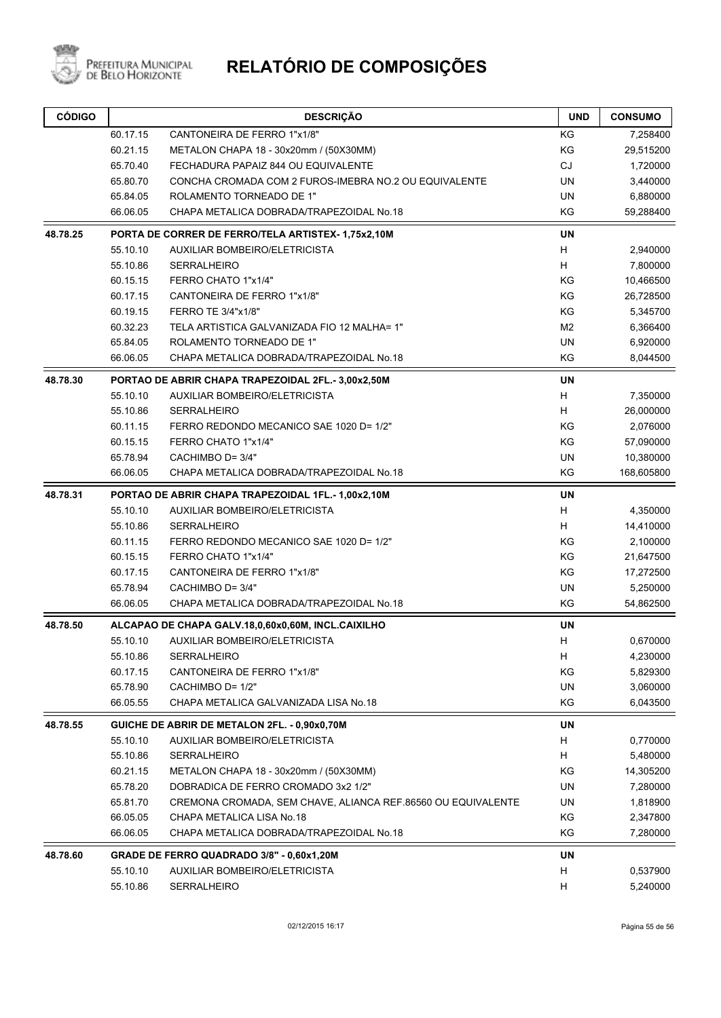

| 60.17.15<br>CANTONEIRA DE FERRO 1"x1/8"<br>KG<br>KG<br>60.21.15<br>METALON CHAPA 18 - 30x20mm / (50X30MM)<br>CJ<br>65.70.40<br>FECHADURA PAPAIZ 844 OU EQUIVALENTE<br>65.80.70<br><b>UN</b><br>CONCHA CROMADA COM 2 FUROS-IMEBRA NO.2 OU EQUIVALENTE<br><b>UN</b><br>65.84.05<br>ROLAMENTO TORNEADO DE 1"<br>KG<br>66.06.05<br>CHAPA METALICA DOBRADA/TRAPEZOIDAL No.18<br><b>UN</b><br>48.78.25<br>PORTA DE CORRER DE FERRO/TELA ARTISTEX-1,75x2,10M<br>н<br>55.10.10<br>AUXILIAR BOMBEIRO/ELETRICISTA<br>H<br>55.10.86<br><b>SERRALHEIRO</b><br>KG<br>60.15.15<br>FERRO CHATO 1"x1/4"<br>KG<br>60.17.15<br>CANTONEIRA DE FERRO 1"x1/8"<br>FERRO TE 3/4"x1/8"<br>KG<br>60.19.15<br>M <sub>2</sub><br>60.32.23<br>TELA ARTISTICA GALVANIZADA FIO 12 MALHA= 1"<br>ROLAMENTO TORNEADO DE 1"<br><b>UN</b><br>65.84.05<br>KG<br>66.06.05<br>CHAPA METALICA DOBRADA/TRAPEZOIDAL No.18<br><b>UN</b><br>48.78.30<br>PORTAO DE ABRIR CHAPA TRAPEZOIDAL 2FL.- 3,00x2,50M<br>H<br>55.10.10<br><b>AUXILIAR BOMBEIRO/ELETRICISTA</b><br>Н<br>55.10.86<br><b>SERRALHEIRO</b><br>KG<br>60.11.15<br>FERRO REDONDO MECANICO SAE 1020 D= 1/2"<br>60.15.15<br>FERRO CHATO 1"x1/4"<br>KG<br>65.78.94<br>CACHIMBO D= 3/4"<br><b>UN</b><br>KG<br>66.06.05<br>CHAPA METALICA DOBRADA/TRAPEZOIDAL No.18<br><b>UN</b><br>PORTAO DE ABRIR CHAPA TRAPEZOIDAL 1FL.-1,00x2,10M<br>н<br>55.10.10<br><b>AUXILIAR BOMBEIRO/ELETRICISTA</b><br>H<br>55.10.86<br><b>SERRALHEIRO</b><br>KG<br>60.11.15<br>FERRO REDONDO MECANICO SAE 1020 D= 1/2"<br>KG<br>60.15.15<br>FERRO CHATO 1"x1/4"<br>KG<br>60.17.15<br>CANTONEIRA DE FERRO 1"x1/8"<br>65.78.94<br>CACHIMBO D= 3/4"<br><b>UN</b><br>KG<br>66.06.05<br>CHAPA METALICA DOBRADA/TRAPEZOIDAL No.18<br><b>UN</b><br>ALCAPAO DE CHAPA GALV.18,0,60x0,60M, INCL.CAIXILHO<br>Н<br>55.10.10<br><b>AUXILIAR BOMBEIRO/ELETRICISTA</b><br>Н<br>55.10.86<br><b>SERRALHEIRO</b><br>KG<br>60.17.15<br>CANTONEIRA DE FERRO 1"x1/8"<br>UN<br>65.78.90<br>CACHIMBO D= 1/2"<br>66.05.55<br>ΚG<br>CHAPA METALICA GALVANIZADA LISA No.18<br>48.78.55<br>GUICHE DE ABRIR DE METALON 2FL. - 0,90x0,70M<br>UN<br>55.10.10<br><b>AUXILIAR BOMBEIRO/ELETRICISTA</b><br>н<br>55.10.86<br><b>SERRALHEIRO</b><br>н<br>METALON CHAPA 18 - 30x20mm / (50X30MM)<br>ΚG<br>60.21.15<br>65.78.20<br>DOBRADICA DE FERRO CROMADO 3x2 1/2"<br>UN<br>65.81.70<br>UN<br>CREMONA CROMADA, SEM CHAVE, ALIANCA REF.86560 OU EQUIVALENTE<br>ΚG<br>66.05.05<br>CHAPA METALICA LISA No.18<br>KG<br>66.06.05<br>CHAPA METALICA DOBRADA/TRAPEZOIDAL No.18<br>48.78.60<br>GRADE DE FERRO QUADRADO 3/8" - 0,60x1,20M<br>UN<br>55.10.10<br><b>AUXILIAR BOMBEIRO/ELETRICISTA</b><br>н<br>55.10.86<br><b>SERRALHEIRO</b><br>н | <b>CÓDIGO</b> |  | <b>DESCRIÇÃO</b> | <b>UND</b> | <b>CONSUMO</b> |
|------------------------------------------------------------------------------------------------------------------------------------------------------------------------------------------------------------------------------------------------------------------------------------------------------------------------------------------------------------------------------------------------------------------------------------------------------------------------------------------------------------------------------------------------------------------------------------------------------------------------------------------------------------------------------------------------------------------------------------------------------------------------------------------------------------------------------------------------------------------------------------------------------------------------------------------------------------------------------------------------------------------------------------------------------------------------------------------------------------------------------------------------------------------------------------------------------------------------------------------------------------------------------------------------------------------------------------------------------------------------------------------------------------------------------------------------------------------------------------------------------------------------------------------------------------------------------------------------------------------------------------------------------------------------------------------------------------------------------------------------------------------------------------------------------------------------------------------------------------------------------------------------------------------------------------------------------------------------------------------------------------------------------------------------------------------------------------------------------------------------------------------------------------------------------------------------------------------------------------------------------------------------------------------------------------------------------------------------------------------------------------------------------------------------------------------------------------------------------------------------------------------------------------------------------------------------------------------------------------------------------------------------------------------------------------------------|---------------|--|------------------|------------|----------------|
|                                                                                                                                                                                                                                                                                                                                                                                                                                                                                                                                                                                                                                                                                                                                                                                                                                                                                                                                                                                                                                                                                                                                                                                                                                                                                                                                                                                                                                                                                                                                                                                                                                                                                                                                                                                                                                                                                                                                                                                                                                                                                                                                                                                                                                                                                                                                                                                                                                                                                                                                                                                                                                                                                                |               |  |                  |            | 7,258400       |
|                                                                                                                                                                                                                                                                                                                                                                                                                                                                                                                                                                                                                                                                                                                                                                                                                                                                                                                                                                                                                                                                                                                                                                                                                                                                                                                                                                                                                                                                                                                                                                                                                                                                                                                                                                                                                                                                                                                                                                                                                                                                                                                                                                                                                                                                                                                                                                                                                                                                                                                                                                                                                                                                                                |               |  |                  |            | 29,515200      |
|                                                                                                                                                                                                                                                                                                                                                                                                                                                                                                                                                                                                                                                                                                                                                                                                                                                                                                                                                                                                                                                                                                                                                                                                                                                                                                                                                                                                                                                                                                                                                                                                                                                                                                                                                                                                                                                                                                                                                                                                                                                                                                                                                                                                                                                                                                                                                                                                                                                                                                                                                                                                                                                                                                |               |  |                  |            | 1,720000       |
|                                                                                                                                                                                                                                                                                                                                                                                                                                                                                                                                                                                                                                                                                                                                                                                                                                                                                                                                                                                                                                                                                                                                                                                                                                                                                                                                                                                                                                                                                                                                                                                                                                                                                                                                                                                                                                                                                                                                                                                                                                                                                                                                                                                                                                                                                                                                                                                                                                                                                                                                                                                                                                                                                                |               |  |                  |            | 3,440000       |
|                                                                                                                                                                                                                                                                                                                                                                                                                                                                                                                                                                                                                                                                                                                                                                                                                                                                                                                                                                                                                                                                                                                                                                                                                                                                                                                                                                                                                                                                                                                                                                                                                                                                                                                                                                                                                                                                                                                                                                                                                                                                                                                                                                                                                                                                                                                                                                                                                                                                                                                                                                                                                                                                                                |               |  |                  |            | 6,880000       |
|                                                                                                                                                                                                                                                                                                                                                                                                                                                                                                                                                                                                                                                                                                                                                                                                                                                                                                                                                                                                                                                                                                                                                                                                                                                                                                                                                                                                                                                                                                                                                                                                                                                                                                                                                                                                                                                                                                                                                                                                                                                                                                                                                                                                                                                                                                                                                                                                                                                                                                                                                                                                                                                                                                |               |  |                  |            | 59,288400      |
|                                                                                                                                                                                                                                                                                                                                                                                                                                                                                                                                                                                                                                                                                                                                                                                                                                                                                                                                                                                                                                                                                                                                                                                                                                                                                                                                                                                                                                                                                                                                                                                                                                                                                                                                                                                                                                                                                                                                                                                                                                                                                                                                                                                                                                                                                                                                                                                                                                                                                                                                                                                                                                                                                                |               |  |                  |            |                |
|                                                                                                                                                                                                                                                                                                                                                                                                                                                                                                                                                                                                                                                                                                                                                                                                                                                                                                                                                                                                                                                                                                                                                                                                                                                                                                                                                                                                                                                                                                                                                                                                                                                                                                                                                                                                                                                                                                                                                                                                                                                                                                                                                                                                                                                                                                                                                                                                                                                                                                                                                                                                                                                                                                |               |  |                  |            | 2,940000       |
|                                                                                                                                                                                                                                                                                                                                                                                                                                                                                                                                                                                                                                                                                                                                                                                                                                                                                                                                                                                                                                                                                                                                                                                                                                                                                                                                                                                                                                                                                                                                                                                                                                                                                                                                                                                                                                                                                                                                                                                                                                                                                                                                                                                                                                                                                                                                                                                                                                                                                                                                                                                                                                                                                                |               |  |                  |            | 7,800000       |
|                                                                                                                                                                                                                                                                                                                                                                                                                                                                                                                                                                                                                                                                                                                                                                                                                                                                                                                                                                                                                                                                                                                                                                                                                                                                                                                                                                                                                                                                                                                                                                                                                                                                                                                                                                                                                                                                                                                                                                                                                                                                                                                                                                                                                                                                                                                                                                                                                                                                                                                                                                                                                                                                                                |               |  |                  |            | 10,466500      |
|                                                                                                                                                                                                                                                                                                                                                                                                                                                                                                                                                                                                                                                                                                                                                                                                                                                                                                                                                                                                                                                                                                                                                                                                                                                                                                                                                                                                                                                                                                                                                                                                                                                                                                                                                                                                                                                                                                                                                                                                                                                                                                                                                                                                                                                                                                                                                                                                                                                                                                                                                                                                                                                                                                |               |  |                  |            | 26,728500      |
|                                                                                                                                                                                                                                                                                                                                                                                                                                                                                                                                                                                                                                                                                                                                                                                                                                                                                                                                                                                                                                                                                                                                                                                                                                                                                                                                                                                                                                                                                                                                                                                                                                                                                                                                                                                                                                                                                                                                                                                                                                                                                                                                                                                                                                                                                                                                                                                                                                                                                                                                                                                                                                                                                                |               |  |                  |            | 5,345700       |
|                                                                                                                                                                                                                                                                                                                                                                                                                                                                                                                                                                                                                                                                                                                                                                                                                                                                                                                                                                                                                                                                                                                                                                                                                                                                                                                                                                                                                                                                                                                                                                                                                                                                                                                                                                                                                                                                                                                                                                                                                                                                                                                                                                                                                                                                                                                                                                                                                                                                                                                                                                                                                                                                                                |               |  |                  |            | 6,366400       |
|                                                                                                                                                                                                                                                                                                                                                                                                                                                                                                                                                                                                                                                                                                                                                                                                                                                                                                                                                                                                                                                                                                                                                                                                                                                                                                                                                                                                                                                                                                                                                                                                                                                                                                                                                                                                                                                                                                                                                                                                                                                                                                                                                                                                                                                                                                                                                                                                                                                                                                                                                                                                                                                                                                |               |  |                  |            | 6,920000       |
|                                                                                                                                                                                                                                                                                                                                                                                                                                                                                                                                                                                                                                                                                                                                                                                                                                                                                                                                                                                                                                                                                                                                                                                                                                                                                                                                                                                                                                                                                                                                                                                                                                                                                                                                                                                                                                                                                                                                                                                                                                                                                                                                                                                                                                                                                                                                                                                                                                                                                                                                                                                                                                                                                                |               |  |                  |            | 8,044500       |
|                                                                                                                                                                                                                                                                                                                                                                                                                                                                                                                                                                                                                                                                                                                                                                                                                                                                                                                                                                                                                                                                                                                                                                                                                                                                                                                                                                                                                                                                                                                                                                                                                                                                                                                                                                                                                                                                                                                                                                                                                                                                                                                                                                                                                                                                                                                                                                                                                                                                                                                                                                                                                                                                                                |               |  |                  |            |                |
|                                                                                                                                                                                                                                                                                                                                                                                                                                                                                                                                                                                                                                                                                                                                                                                                                                                                                                                                                                                                                                                                                                                                                                                                                                                                                                                                                                                                                                                                                                                                                                                                                                                                                                                                                                                                                                                                                                                                                                                                                                                                                                                                                                                                                                                                                                                                                                                                                                                                                                                                                                                                                                                                                                |               |  |                  |            | 7,350000       |
|                                                                                                                                                                                                                                                                                                                                                                                                                                                                                                                                                                                                                                                                                                                                                                                                                                                                                                                                                                                                                                                                                                                                                                                                                                                                                                                                                                                                                                                                                                                                                                                                                                                                                                                                                                                                                                                                                                                                                                                                                                                                                                                                                                                                                                                                                                                                                                                                                                                                                                                                                                                                                                                                                                |               |  |                  |            | 26,000000      |
|                                                                                                                                                                                                                                                                                                                                                                                                                                                                                                                                                                                                                                                                                                                                                                                                                                                                                                                                                                                                                                                                                                                                                                                                                                                                                                                                                                                                                                                                                                                                                                                                                                                                                                                                                                                                                                                                                                                                                                                                                                                                                                                                                                                                                                                                                                                                                                                                                                                                                                                                                                                                                                                                                                |               |  |                  |            | 2,076000       |
|                                                                                                                                                                                                                                                                                                                                                                                                                                                                                                                                                                                                                                                                                                                                                                                                                                                                                                                                                                                                                                                                                                                                                                                                                                                                                                                                                                                                                                                                                                                                                                                                                                                                                                                                                                                                                                                                                                                                                                                                                                                                                                                                                                                                                                                                                                                                                                                                                                                                                                                                                                                                                                                                                                |               |  |                  |            | 57,090000      |
|                                                                                                                                                                                                                                                                                                                                                                                                                                                                                                                                                                                                                                                                                                                                                                                                                                                                                                                                                                                                                                                                                                                                                                                                                                                                                                                                                                                                                                                                                                                                                                                                                                                                                                                                                                                                                                                                                                                                                                                                                                                                                                                                                                                                                                                                                                                                                                                                                                                                                                                                                                                                                                                                                                |               |  |                  |            | 10,380000      |
|                                                                                                                                                                                                                                                                                                                                                                                                                                                                                                                                                                                                                                                                                                                                                                                                                                                                                                                                                                                                                                                                                                                                                                                                                                                                                                                                                                                                                                                                                                                                                                                                                                                                                                                                                                                                                                                                                                                                                                                                                                                                                                                                                                                                                                                                                                                                                                                                                                                                                                                                                                                                                                                                                                |               |  |                  |            | 168,605800     |
|                                                                                                                                                                                                                                                                                                                                                                                                                                                                                                                                                                                                                                                                                                                                                                                                                                                                                                                                                                                                                                                                                                                                                                                                                                                                                                                                                                                                                                                                                                                                                                                                                                                                                                                                                                                                                                                                                                                                                                                                                                                                                                                                                                                                                                                                                                                                                                                                                                                                                                                                                                                                                                                                                                | 48.78.31      |  |                  |            |                |
|                                                                                                                                                                                                                                                                                                                                                                                                                                                                                                                                                                                                                                                                                                                                                                                                                                                                                                                                                                                                                                                                                                                                                                                                                                                                                                                                                                                                                                                                                                                                                                                                                                                                                                                                                                                                                                                                                                                                                                                                                                                                                                                                                                                                                                                                                                                                                                                                                                                                                                                                                                                                                                                                                                |               |  |                  |            | 4,350000       |
|                                                                                                                                                                                                                                                                                                                                                                                                                                                                                                                                                                                                                                                                                                                                                                                                                                                                                                                                                                                                                                                                                                                                                                                                                                                                                                                                                                                                                                                                                                                                                                                                                                                                                                                                                                                                                                                                                                                                                                                                                                                                                                                                                                                                                                                                                                                                                                                                                                                                                                                                                                                                                                                                                                |               |  |                  |            | 14,410000      |
|                                                                                                                                                                                                                                                                                                                                                                                                                                                                                                                                                                                                                                                                                                                                                                                                                                                                                                                                                                                                                                                                                                                                                                                                                                                                                                                                                                                                                                                                                                                                                                                                                                                                                                                                                                                                                                                                                                                                                                                                                                                                                                                                                                                                                                                                                                                                                                                                                                                                                                                                                                                                                                                                                                |               |  |                  |            | 2,100000       |
|                                                                                                                                                                                                                                                                                                                                                                                                                                                                                                                                                                                                                                                                                                                                                                                                                                                                                                                                                                                                                                                                                                                                                                                                                                                                                                                                                                                                                                                                                                                                                                                                                                                                                                                                                                                                                                                                                                                                                                                                                                                                                                                                                                                                                                                                                                                                                                                                                                                                                                                                                                                                                                                                                                |               |  |                  |            | 21,647500      |
|                                                                                                                                                                                                                                                                                                                                                                                                                                                                                                                                                                                                                                                                                                                                                                                                                                                                                                                                                                                                                                                                                                                                                                                                                                                                                                                                                                                                                                                                                                                                                                                                                                                                                                                                                                                                                                                                                                                                                                                                                                                                                                                                                                                                                                                                                                                                                                                                                                                                                                                                                                                                                                                                                                |               |  |                  |            | 17,272500      |
|                                                                                                                                                                                                                                                                                                                                                                                                                                                                                                                                                                                                                                                                                                                                                                                                                                                                                                                                                                                                                                                                                                                                                                                                                                                                                                                                                                                                                                                                                                                                                                                                                                                                                                                                                                                                                                                                                                                                                                                                                                                                                                                                                                                                                                                                                                                                                                                                                                                                                                                                                                                                                                                                                                |               |  |                  |            | 5,250000       |
|                                                                                                                                                                                                                                                                                                                                                                                                                                                                                                                                                                                                                                                                                                                                                                                                                                                                                                                                                                                                                                                                                                                                                                                                                                                                                                                                                                                                                                                                                                                                                                                                                                                                                                                                                                                                                                                                                                                                                                                                                                                                                                                                                                                                                                                                                                                                                                                                                                                                                                                                                                                                                                                                                                |               |  |                  |            | 54,862500      |
|                                                                                                                                                                                                                                                                                                                                                                                                                                                                                                                                                                                                                                                                                                                                                                                                                                                                                                                                                                                                                                                                                                                                                                                                                                                                                                                                                                                                                                                                                                                                                                                                                                                                                                                                                                                                                                                                                                                                                                                                                                                                                                                                                                                                                                                                                                                                                                                                                                                                                                                                                                                                                                                                                                | 48.78.50      |  |                  |            |                |
|                                                                                                                                                                                                                                                                                                                                                                                                                                                                                                                                                                                                                                                                                                                                                                                                                                                                                                                                                                                                                                                                                                                                                                                                                                                                                                                                                                                                                                                                                                                                                                                                                                                                                                                                                                                                                                                                                                                                                                                                                                                                                                                                                                                                                                                                                                                                                                                                                                                                                                                                                                                                                                                                                                |               |  |                  |            | 0,670000       |
|                                                                                                                                                                                                                                                                                                                                                                                                                                                                                                                                                                                                                                                                                                                                                                                                                                                                                                                                                                                                                                                                                                                                                                                                                                                                                                                                                                                                                                                                                                                                                                                                                                                                                                                                                                                                                                                                                                                                                                                                                                                                                                                                                                                                                                                                                                                                                                                                                                                                                                                                                                                                                                                                                                |               |  |                  |            | 4,230000       |
|                                                                                                                                                                                                                                                                                                                                                                                                                                                                                                                                                                                                                                                                                                                                                                                                                                                                                                                                                                                                                                                                                                                                                                                                                                                                                                                                                                                                                                                                                                                                                                                                                                                                                                                                                                                                                                                                                                                                                                                                                                                                                                                                                                                                                                                                                                                                                                                                                                                                                                                                                                                                                                                                                                |               |  |                  |            | 5,829300       |
|                                                                                                                                                                                                                                                                                                                                                                                                                                                                                                                                                                                                                                                                                                                                                                                                                                                                                                                                                                                                                                                                                                                                                                                                                                                                                                                                                                                                                                                                                                                                                                                                                                                                                                                                                                                                                                                                                                                                                                                                                                                                                                                                                                                                                                                                                                                                                                                                                                                                                                                                                                                                                                                                                                |               |  |                  |            | 3,060000       |
|                                                                                                                                                                                                                                                                                                                                                                                                                                                                                                                                                                                                                                                                                                                                                                                                                                                                                                                                                                                                                                                                                                                                                                                                                                                                                                                                                                                                                                                                                                                                                                                                                                                                                                                                                                                                                                                                                                                                                                                                                                                                                                                                                                                                                                                                                                                                                                                                                                                                                                                                                                                                                                                                                                |               |  |                  |            | 6,043500       |
|                                                                                                                                                                                                                                                                                                                                                                                                                                                                                                                                                                                                                                                                                                                                                                                                                                                                                                                                                                                                                                                                                                                                                                                                                                                                                                                                                                                                                                                                                                                                                                                                                                                                                                                                                                                                                                                                                                                                                                                                                                                                                                                                                                                                                                                                                                                                                                                                                                                                                                                                                                                                                                                                                                |               |  |                  |            |                |
|                                                                                                                                                                                                                                                                                                                                                                                                                                                                                                                                                                                                                                                                                                                                                                                                                                                                                                                                                                                                                                                                                                                                                                                                                                                                                                                                                                                                                                                                                                                                                                                                                                                                                                                                                                                                                                                                                                                                                                                                                                                                                                                                                                                                                                                                                                                                                                                                                                                                                                                                                                                                                                                                                                |               |  |                  |            | 0,770000       |
|                                                                                                                                                                                                                                                                                                                                                                                                                                                                                                                                                                                                                                                                                                                                                                                                                                                                                                                                                                                                                                                                                                                                                                                                                                                                                                                                                                                                                                                                                                                                                                                                                                                                                                                                                                                                                                                                                                                                                                                                                                                                                                                                                                                                                                                                                                                                                                                                                                                                                                                                                                                                                                                                                                |               |  |                  |            | 5,480000       |
|                                                                                                                                                                                                                                                                                                                                                                                                                                                                                                                                                                                                                                                                                                                                                                                                                                                                                                                                                                                                                                                                                                                                                                                                                                                                                                                                                                                                                                                                                                                                                                                                                                                                                                                                                                                                                                                                                                                                                                                                                                                                                                                                                                                                                                                                                                                                                                                                                                                                                                                                                                                                                                                                                                |               |  |                  |            | 14,305200      |
|                                                                                                                                                                                                                                                                                                                                                                                                                                                                                                                                                                                                                                                                                                                                                                                                                                                                                                                                                                                                                                                                                                                                                                                                                                                                                                                                                                                                                                                                                                                                                                                                                                                                                                                                                                                                                                                                                                                                                                                                                                                                                                                                                                                                                                                                                                                                                                                                                                                                                                                                                                                                                                                                                                |               |  |                  |            | 7,280000       |
|                                                                                                                                                                                                                                                                                                                                                                                                                                                                                                                                                                                                                                                                                                                                                                                                                                                                                                                                                                                                                                                                                                                                                                                                                                                                                                                                                                                                                                                                                                                                                                                                                                                                                                                                                                                                                                                                                                                                                                                                                                                                                                                                                                                                                                                                                                                                                                                                                                                                                                                                                                                                                                                                                                |               |  |                  |            | 1,818900       |
|                                                                                                                                                                                                                                                                                                                                                                                                                                                                                                                                                                                                                                                                                                                                                                                                                                                                                                                                                                                                                                                                                                                                                                                                                                                                                                                                                                                                                                                                                                                                                                                                                                                                                                                                                                                                                                                                                                                                                                                                                                                                                                                                                                                                                                                                                                                                                                                                                                                                                                                                                                                                                                                                                                |               |  |                  |            | 2,347800       |
|                                                                                                                                                                                                                                                                                                                                                                                                                                                                                                                                                                                                                                                                                                                                                                                                                                                                                                                                                                                                                                                                                                                                                                                                                                                                                                                                                                                                                                                                                                                                                                                                                                                                                                                                                                                                                                                                                                                                                                                                                                                                                                                                                                                                                                                                                                                                                                                                                                                                                                                                                                                                                                                                                                |               |  |                  |            | 7,280000       |
|                                                                                                                                                                                                                                                                                                                                                                                                                                                                                                                                                                                                                                                                                                                                                                                                                                                                                                                                                                                                                                                                                                                                                                                                                                                                                                                                                                                                                                                                                                                                                                                                                                                                                                                                                                                                                                                                                                                                                                                                                                                                                                                                                                                                                                                                                                                                                                                                                                                                                                                                                                                                                                                                                                |               |  |                  |            |                |
|                                                                                                                                                                                                                                                                                                                                                                                                                                                                                                                                                                                                                                                                                                                                                                                                                                                                                                                                                                                                                                                                                                                                                                                                                                                                                                                                                                                                                                                                                                                                                                                                                                                                                                                                                                                                                                                                                                                                                                                                                                                                                                                                                                                                                                                                                                                                                                                                                                                                                                                                                                                                                                                                                                |               |  |                  |            | 0,537900       |
|                                                                                                                                                                                                                                                                                                                                                                                                                                                                                                                                                                                                                                                                                                                                                                                                                                                                                                                                                                                                                                                                                                                                                                                                                                                                                                                                                                                                                                                                                                                                                                                                                                                                                                                                                                                                                                                                                                                                                                                                                                                                                                                                                                                                                                                                                                                                                                                                                                                                                                                                                                                                                                                                                                |               |  |                  |            | 5,240000       |